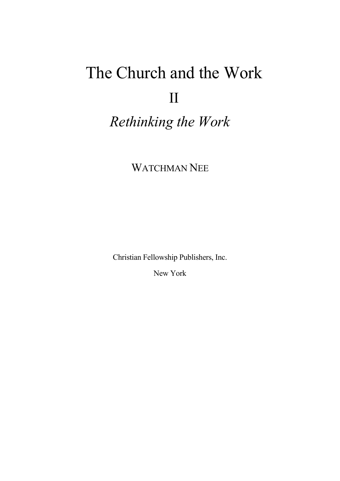# The Church and the Work II

*Rethinking the Work* 

WATCHMAN NEE

Christian Fellowship Publishers, Inc.

New York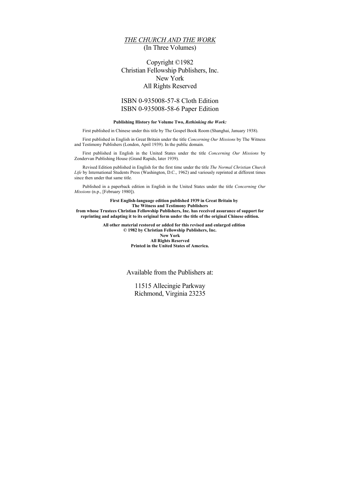# *THE CHURCH AND THE WORK* (In Three Volumes)

# Copyright ©1982 Christian Fellowship Publishers, Inc. New York All Rights Reserved

# ISBN 0-935008-57-8 Cloth Edition ISBN 0-935008-58-6 Paper Edition

### **Publishing History for Volume Two,** *Rethinking the Work:*

First published in Chinese under this title by The Gospel Book Room (Shanghai, January 1938).

First published in English in Great Britain under the title *Concerning Our Missions* by The Witness and Testimony Publishers (London, April 1939). In the public domain.

First published in English in the United States under the title *Concerning Our Missions* by Zondervan Publishing House (Grand Rapids, later 1939).

Revised Edition published in English for the first time under the title *The Normal Christian Church Life* by International Students Press (Washington, D.C., 1962) and variously reprinted at different times since then under that same title.

Published in a paperback edition in English in the United States under the title *Concerning Our Missions* (n.p., [February 1980]).

### **First English-language edition published 1939 in Great Britain by The Witness and Testimony Publishers**

**from whose Trustees Christian Fellowship Publishers, Inc. has received assurance of support for reprinting and adapting it to its original form under the title of the original Chinese edition.** 

> **All other material restored or added for this revised and enlarged edition © 1982 by Christian Fellowship Publishers, Inc. New York**

**All Rights Reserved Printed in the United States of America.** 

### Available from the Publishers at:

11515 Allecingie Parkway Richmond, Virginia 23235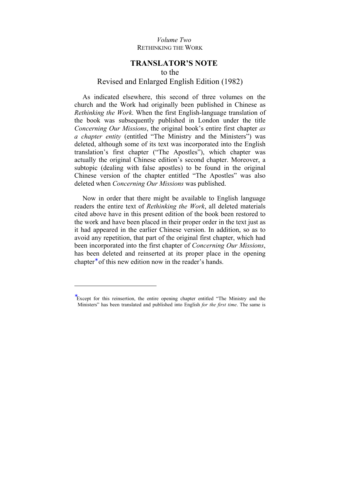# *Volume Two*  RETHINKING THE WORK

# **TRANSLATOR'S NOTE**  to the Revised and Enlarged English Edition (1982)

As indicated elsewhere, this second of three volumes on the church and the Work had originally been published in Chinese as *Rethinking the Work*. When the first English-language translation of the book was subsequently published in London under the title *Concerning Our Missions*, the original book's entire first chapter *as a chapter entity* (entitled "The Ministry and the Ministers") was deleted, although some of its text was incorporated into the English translation's first chapter ("The Apostles"), which chapter was actually the original Chinese edition's second chapter. Moreover, a subtopic (dealing with false apostles) to be found in the original Chinese version of the chapter entitled "The Apostles" was also deleted when *Concerning Our Missions* was published.

Now in order that there might be available to English language readers the entire text of *Rethinking the Work*, all deleted materials cited above have in this present edition of the book been restored to the work and have been placed in their proper order in the text just as it had appeared in the earlier Chinese version. In addition, so as to avoid any repetition, that part of the original first chapter, which had been incorporated into the first chapter of *Concerning Our Missions*, has been deleted and reinserted at its proper place in the opening chapter<sup>\*</sup> of this new edition now in the reader's hands.

1

<sup>∗</sup> Except for this reinsertion, the entire opening chapter entitled "The Ministry and the Ministers" has been translated and published into English *for the first time*. The same is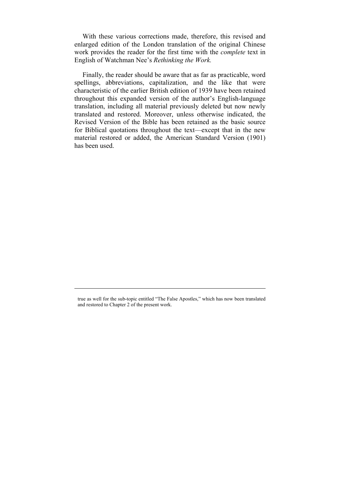With these various corrections made, therefore, this revised and enlarged edition of the London translation of the original Chinese work provides the reader for the first time with the *complete* text in English of Watchman Nee's *Rethinking the Work.*

Finally, the reader should be aware that as far as practicable, word spellings, abbreviations, capitalization, and the like that were characteristic of the earlier British edition of 1939 have been retained throughout this expanded version of the author's English-language translation, including all material previously deleted but now newly translated and restored. Moreover, unless otherwise indicated, the Revised Version of the Bible has been retained as the basic source for Biblical quotations throughout the text—except that in the new material restored or added, the American Standard Version (1901) has been used.

true as well for the sub-topic entitled "The False Apostles," which has now been translated and restored to Chapter 2 of the present work.

-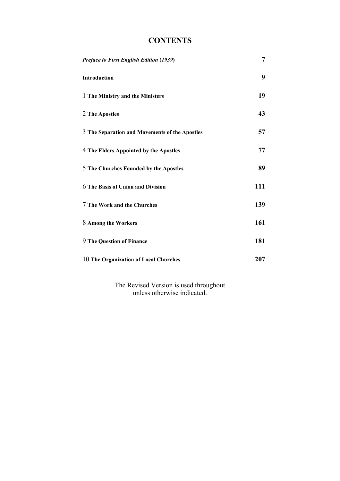# **CONTENTS**

| <b>Preface to First English Edition (1939)</b> | 7   |
|------------------------------------------------|-----|
| Introduction                                   | 9   |
| 1 The Ministry and the Ministers               | 19  |
| 2 The Apostles                                 | 43  |
| 3 The Separation and Movements of the Apostles | 57  |
| 4 The Elders Appointed by the Apostles         | 77  |
| 5 The Churches Founded by the Apostles         | 89  |
| 6 The Basis of Union and Division              | 111 |
| 7 The Work and the Churches                    | 139 |
| 8 Among the Workers                            | 161 |
| 9 The Question of Finance                      | 181 |
| 10 The Organization of Local Churches          | 207 |

The Revised Version is used throughout unless otherwise indicated.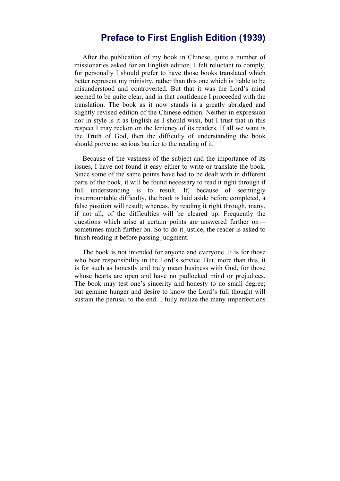# **Preface to First English Edition (1939)**

<span id="page-6-0"></span>After the publication of my book in Chinese, quite a number of missionaries asked for an English edition. I felt reluctant to comply, for personally I should prefer to have those books translated which better represent my ministry, rather than this one which is liable to be misunderstood and controverted. But that it was the Lord's mind seemed to be quite clear, and in that confidence I proceeded with the translation. The book as it now stands is a greatly abridged and slightly revised edition of the Chinese edition. Neither in expression nor in style is it as English as I should wish, but I trust that in this respect I may reckon on the leniency of its readers. If all we want is the Truth of God, then the difficulty of understanding the book should prove no serious barrier to the reading of it.

Because of the vastness of the subject and the importance of its issues, I have not found it easy either to write or translate the book. Since some of the same points have had to be dealt with in different parts of the book, it will be found necessary to read it right through if full understanding is to result. If, because of seemingly insurmountable difficulty, the book is laid aside before completed, a false position will result; whereas, by reading it right through, many, if not all, of the difficulties will be cleared up. Frequently the questions which arise at certain points are answered further on sometimes much further on. So to do it justice, the reader is asked to finish reading it before passing judgment.

The book is not intended for anyone and everyone. It is for those who bear responsibility in the Lord's service. But, more than this, it is for such as honestly and truly mean business with God, for those whose hearts are open and have no padlocked mind or prejudices. The book may test one's sincerity and honesty to no small degree; but genuine hunger and desire to know the Lord's full thought will sustain the perusal to the end. I fully realize the many imperfections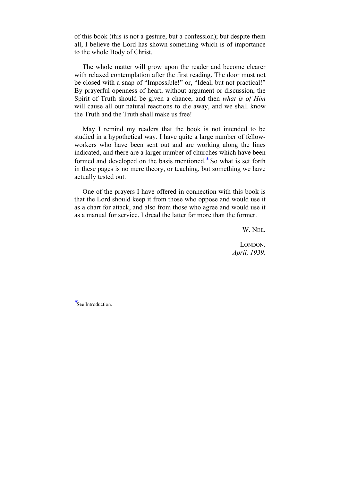of this book (this is not a gesture, but a confession); but despite them all, I believe the Lord has shown something which is of importance to the whole Body of Christ.

The whole matter will grow upon the reader and become clearer with relaxed contemplation after the first reading. The door must not be closed with a snap of "Impossible!" or, "Ideal, but not practical!" By prayerful openness of heart, without argument or discussion, the Spirit of Truth should be given a chance, and then *what is of Him* will cause all our natural reactions to die away, and we shall know the Truth and the Truth shall make us free!

May I remind my readers that the book is not intended to be studied in a hypothetical way. I have quite a large number of fellowworkers who have been sent out and are working along the lines indicated, and there are a larger number of churches which have been formed and developed on the basis mentioned.<sup>∗</sup> So what is set forth in these pages is no mere theory, or teaching, but something we have actually tested out.

One of the prayers I have offered in connection with this book is that the Lord should keep it from those who oppose and would use it as a chart for attack, and also from those who agree and would use it as a manual for service. I dread the latter far more than the former.

W NEE

LONDON. *April, 1939.* 

-

<sup>∗</sup> See Introduction.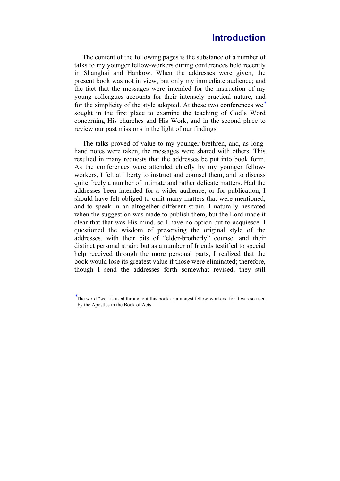# **Introduction**

<span id="page-8-0"></span>The content of the following pages is the substance of a number of talks to my younger fellow-workers during conferences held recently in Shanghai and Hankow. When the addresses were given, the present book was not in view, but only my immediate audience; and the fact that the messages were intended for the instruction of my young colleagues accounts for their intensely practical nature, and for the simplicity of the style adopted. At these two conferences  $we^*$ sought in the first place to examine the teaching of God's Word concerning His churches and His Work, and in the second place to review our past missions in the light of our findings.

The talks proved of value to my younger brethren, and, as longhand notes were taken, the messages were shared with others. This resulted in many requests that the addresses be put into book form. As the conferences were attended chiefly by my younger fellowworkers, I felt at liberty to instruct and counsel them, and to discuss quite freely a number of intimate and rather delicate matters. Had the addresses been intended for a wider audience, or for publication, I should have felt obliged to omit many matters that were mentioned, and to speak in an altogether different strain. I naturally hesitated when the suggestion was made to publish them, but the Lord made it clear that that was His mind, so I have no option but to acquiesce. I questioned the wisdom of preserving the original style of the addresses, with their bits of "elder-brotherly" counsel and their distinct personal strain; but as a number of friends testified to special help received through the more personal parts, I realized that the book would lose its greatest value if those were eliminated; therefore, though I send the addresses forth somewhat revised, they still

1

<sup>∗</sup> The word "we" is used throughout this book as amongst fellow-workers, for it was so used by the Apostles in the Book of Acts.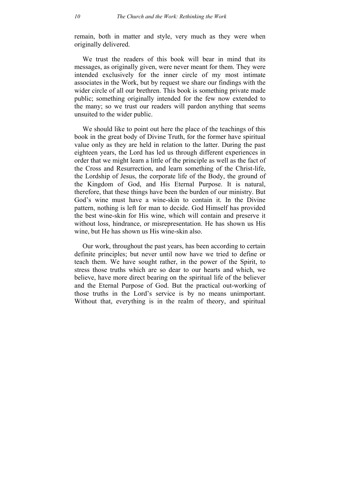remain, both in matter and style, very much as they were when originally delivered.

We trust the readers of this book will bear in mind that its messages, as originally given, were never meant for them. They were intended exclusively for the inner circle of my most intimate associates in the Work, but by request we share our findings with the wider circle of all our brethren. This book is something private made public; something originally intended for the few now extended to the many; so we trust our readers will pardon anything that seems unsuited to the wider public.

We should like to point out here the place of the teachings of this book in the great body of Divine Truth, for the former have spiritual value only as they are held in relation to the latter. During the past eighteen years, the Lord has led us through different experiences in order that we might learn a little of the principle as well as the fact of the Cross and Resurrection, and learn something of the Christ-life, the Lordship of Jesus, the corporate life of the Body, the ground of the Kingdom of God, and His Eternal Purpose. It is natural, therefore, that these things have been the burden of our ministry. But God's wine must have a wine-skin to contain it. In the Divine pattern, nothing is left for man to decide. God Himself has provided the best wine-skin for His wine, which will contain and preserve it without loss, hindrance, or misrepresentation. He has shown us His wine, but He has shown us His wine-skin also.

Our work, throughout the past years, has been according to certain definite principles; but never until now have we tried to define or teach them. We have sought rather, in the power of the Spirit, to stress those truths which are so dear to our hearts and which, we believe, have more direct bearing on the spiritual life of the believer and the Eternal Purpose of God. But the practical out-working of those truths in the Lord's service is by no means unimportant. Without that, everything is in the realm of theory, and spiritual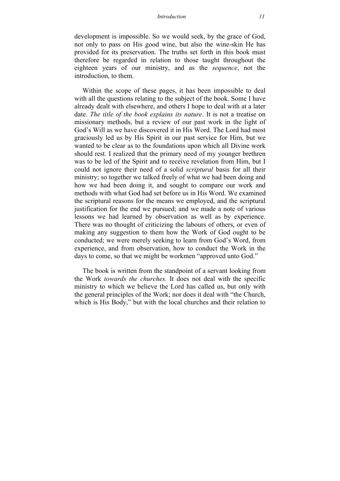development is impossible. So we would seek, by the grace of God, not only to pass on His good wine, but also the wine-skin He has provided for its preservation. The truths set forth in this book must therefore be regarded in relation to those taught throughout the eighteen years of our ministry, and as the *sequence*, not the introduction, to them.

Within the scope of these pages, it has been impossible to deal with all the questions relating to the subject of the book. Some I have already dealt with elsewhere, and others I hope to deal with at a later date. *The title of the book explains its nature*. It is not a treatise on missionary methods, but a review of our past work in the light of God's Will as we have discovered it in His Word. The Lord had most graciously led us by His Spirit in our past service for Him, but we wanted to be clear as to the foundations upon which all Divine work should rest. I realized that the primary need of my younger brethren was to be led of the Spirit and to receive revelation from Him, but I could not ignore their need of a solid *scriptural* basis for all their ministry; so together we talked freely of what we had been doing and how we had been doing it, and sought to compare our work and methods with what God had set before us in His Word. We examined the scriptural reasons for the means we employed, and the scriptural justification for the end we pursued; and we made a note of various lessons we had learned by observation as well as by experience. There was no thought of criticizing the labours of others, or even of making any suggestion to them how the Work of God ought to be conducted; we were merely seeking to learn from God's Word, from experience, and from observation, how to conduct the Work in the days to come, so that we might be workmen "approved unto God."

The book is written from the standpoint of a servant looking from the Work *towards the churches.* It does not deal with the specific ministry to which we believe the Lord has called us, but only with the general principles of the Work; nor does it deal with "the Church, which is His Body," but with the local churches and their relation to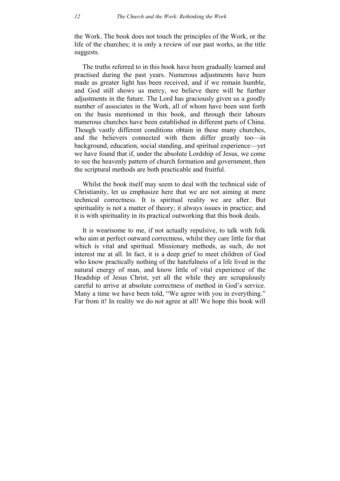the Work. The book does not touch the principles of the Work, or the life of the churches; it is only a review of our past works, as the title suggests.

The truths referred to in this book have been gradually learned and practised during the past years. Numerous adjustments have been made as greater light has been received, and if we remain humble, and God still shows us mercy, we believe there will be further adjustments in the future. The Lord has graciously given us a goodly number of associates in the Work, all of whom have been sent forth on the basis mentioned in this book, and through their labours numerous churches have been established in different parts of China. Though vastly different conditions obtain in these many churches, and the believers connected with them differ greatly too—in background, education, social standing, and spiritual experience—yet we have found that if, under the absolute Lordship of Jesus, we come to see the heavenly pattern of church formation and government, then the scriptural methods are both practicable and fruitful.

Whilst the book itself may seem to deal with the technical side of Christianity, let us emphasize here that we are not aiming at mere technical correctness. It is spiritual reality we are after. But spirituality is not a matter of theory; it always issues in practice; and it is with spirituality in its practical outworking that this book deals.

It is wearisome to me, if not actually repulsive, to talk with folk who aim at perfect outward correctness, whilst they care little for that which is vital and spiritual. Missionary methods, as such, do not interest me at all. In fact, it is a deep grief to meet children of God who know practically nothing of the hatefulness of a life lived in the natural energy of man, and know little of vital experience of the Headship of Jesus Christ, yet all the while they are scrupulously careful to arrive at absolute correctness of method in God's service. Many a time we have been told, "We agree with you in everything." Far from it! In reality we do not agree at all! We hope this book will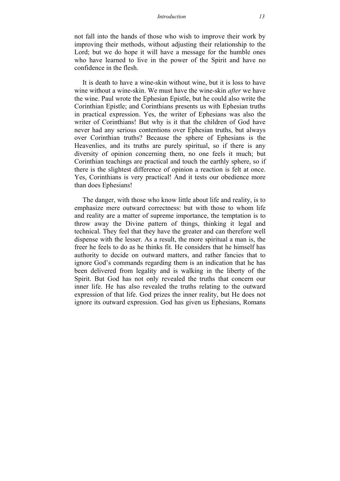not fall into the hands of those who wish to improve their work by improving their methods, without adjusting their relationship to the Lord; but we do hope it will have a message for the humble ones who have learned to live in the power of the Spirit and have no confidence in the flesh.

It is death to have a wine-skin without wine, but it is loss to have wine without a wine-skin. We must have the wine-skin *after* we have the wine. Paul wrote the Ephesian Epistle, but he could also write the Corinthian Epistle; and Corinthians presents us with Ephesian truths in practical expression. Yes, the writer of Ephesians was also the writer of Corinthians! But why is it that the children of God have never had any serious contentions over Ephesian truths, but always over Corinthian truths? Because the sphere of Ephesians is the Heavenlies, and its truths are purely spiritual, so if there is any diversity of opinion concerning them, no one feels it much; but Corinthian teachings are practical and touch the earthly sphere, so if there is the slightest difference of opinion a reaction is felt at once. Yes, Corinthians is very practical! And it tests our obedience more than does Ephesians!

The danger, with those who know little about life and reality, is to emphasize mere outward correctness: but with those to whom life and reality are a matter of supreme importance, the temptation is to throw away the Divine pattern of things, thinking it legal and technical. They feel that they have the greater and can therefore well dispense with the lesser. As a result, the more spiritual a man is, the freer he feels to do as he thinks fit. He considers that he himself has authority to decide on outward matters, and rather fancies that to ignore God's commands regarding them is an indication that he has been delivered from legality and is walking in the liberty of the Spirit. But God has not only revealed the truths that concern our inner life. He has also revealed the truths relating to the outward expression of that life. God prizes the inner reality, but He does not ignore its outward expression. God has given us Ephesians, Romans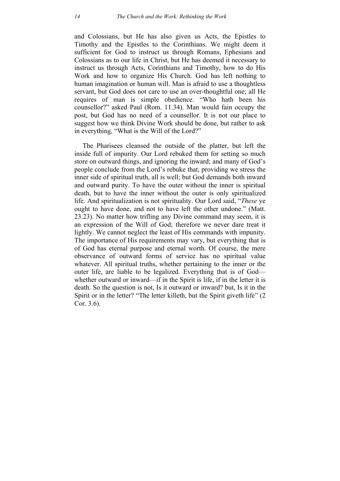and Colossians, but He has also given us Acts, the Epistles to Timothy and the Epistles to the Corinthians. We might deem it sufficient for God to instruct us through Romans, Ephesians and Colossians as to our life in Christ, but He has deemed it necessary to instruct us through Acts, Corinthians and Timothy, how to do His Work and how to organize His Church. God has left nothing to human imagination or human will. Man is afraid to use a thoughtless servant, but God does not care to use an over-thoughtful one; all He requires of man is simple obedience. "Who hath been his counsellor?" asked Paul (Rom. 11.34). Man would fain occupy the post, but God has no need of a counsellor. It is not our place to suggest how we think Divine Work should be done, but rather to ask in everything, "What is the Will of the Lord?"

The Pharisees cleansed the outside of the platter, but left the inside full of impurity. Our Lord rebuked them for setting so much store on outward things, and ignoring the inward; and many of God's people conclude from the Lord's rebuke that, providing we stress the inner side of spiritual truth, all is well; but God demands both inward and outward purity. To have the outer without the inner is spiritual death, but to have the inner without the outer is only spiritualized life. And spiritualization is not spirituality. Our Lord said, "*These* ye ought to have done, and not to have left the other undone." (Matt. 23.23). No matter how trifling any Divine command may seem, it is an expression of the Will of God; therefore we never dare treat it lightly. We cannot neglect the least of His commands with impunity. The importance of His requirements may vary, but everything that is of God has eternal purpose and eternal worth. Of course, the mere observance of outward forms of service has no spiritual value whatever. All spiritual truths, whether pertaining to the inner or the outer life, are liable to be legalized. Everything that is of God whether outward or inward—if in the Spirit is life, if in the letter it is death. So the question is not, Is it outward or inward? but, Is it in the Spirit or in the letter? "The letter killeth, but the Spirit giveth life" (2 Cor. 3.6).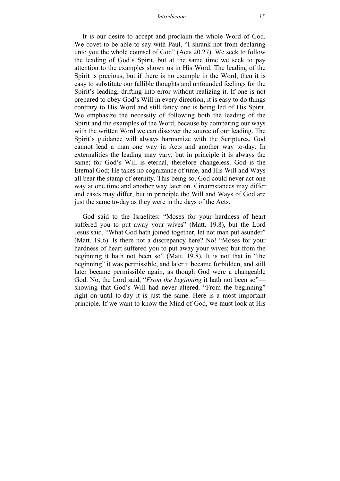It is our desire to accept and proclaim the whole Word of God. We covet to be able to say with Paul, "I shrank not from declaring unto you the whole counsel of God" (Acts 20.27). We seek to follow the leading of God's Spirit, but at the same time we seek to pay attention to the examples shown us in His Word. The leading of the Spirit is precious, but if there is no example in the Word, then it is easy to substitute our fallible thoughts and unfounded feelings for the Spirit's leading, drifting into error without realizing it. If one is not prepared to obey God's Will in every direction, it is easy to do things contrary to His Word and still fancy one is being led of His Spirit. We emphasize the necessity of following both the leading of the Spirit and the examples of the Word, because by comparing our ways with the written Word we can discover the source of our leading. The Spirit's guidance will always harmonize with the Scriptures. God cannot lead a man one way in Acts and another way to-day. In externalities the leading may vary, but in principle it is always the same; for God's Will is eternal, therefore changeless. God is the Eternal God; He takes no cognizance of time, and His Will and Ways all bear the stamp of eternity. This being so, God could never act one way at one time and another way later on. Circumstances may differ and cases may differ, but in principle the Will and Ways of God are just the same to-day as they were in the days of the Acts.

God said to the Israelites: "Moses for your hardness of heart suffered you to put away your wives" (Matt. 19.8), but the Lord Jesus said, "What God hath joined together, let not man put asunder" (Matt. 19.6). Is there not a discrepancy here? No! "Moses for your hardness of heart suffered you to put away your wives; but from the beginning it hath not been so" (Matt. 19.8). It is not that in "the beginning" it was permissible, and later it became forbidden, and still later became permissible again, as though God were a changeable God. No, the Lord said, "*From the beginning* it hath not been so" showing that God's Will had never altered. "From the beginning" right on until to-day it is just the same. Here is a most important principle. If we want to know the Mind of God, we must look at His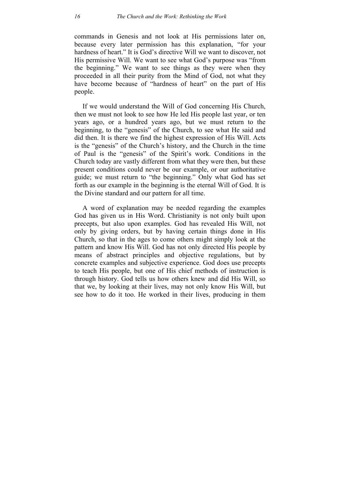commands in Genesis and not look at His permissions later on, because every later permission has this explanation, "for your hardness of heart." It is God's directive Will we want to discover, not His permissive Will. We want to see what God's purpose was "from the beginning." We want to see things as they were when they proceeded in all their purity from the Mind of God, not what they have become because of "hardness of heart" on the part of His people.

If we would understand the Will of God concerning His Church, then we must not look to see how He led His people last year, or ten years ago, or a hundred years ago, but we must return to the beginning, to the "genesis" of the Church, to see what He said and did then. It is there we find the highest expression of His Will. Acts is the "genesis" of the Church's history, and the Church in the time of Paul is the "genesis" of the Spirit's work. Conditions in the Church today are vastly different from what they were then, but these present conditions could never be our example, or our authoritative guide; we must return to "the beginning." Only what God has set forth as our example in the beginning is the eternal Will of God. It is the Divine standard and our pattern for all time.

A word of explanation may be needed regarding the examples God has given us in His Word. Christianity is not only built upon precepts, but also upon examples. God has revealed His Will, not only by giving orders, but by having certain things done in His Church, so that in the ages to come others might simply look at the pattern and know His Will. God has not only directed His people by means of abstract principles and objective regulations, but by concrete examples and subjective experience. God does use precepts to teach His people, but one of His chief methods of instruction is through history. God tells us how others knew and did His Will, so that we, by looking at their lives, may not only know His Will, but see how to do it too. He worked in their lives, producing in them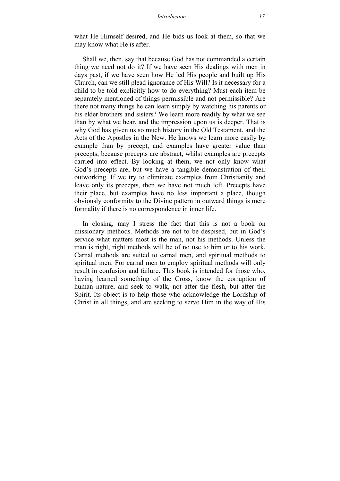what He Himself desired, and He bids us look at them, so that we may know what He is after.

Shall we, then, say that because God has not commanded a certain thing we need not do it? If we have seen His dealings with men in days past, if we have seen how He led His people and built up His Church, can we still plead ignorance of His Will? Is it necessary for a child to be told explicitly how to do everything? Must each item be separately mentioned of things permissible and not permissible? Are there not many things he can learn simply by watching his parents or his elder brothers and sisters? We learn more readily by what we see than by what we hear, and the impression upon us is deeper. That is why God has given us so much history in the Old Testament, and the Acts of the Apostles in the New. He knows we learn more easily by example than by precept, and examples have greater value than precepts, because precepts are abstract, whilst examples are precepts carried into effect. By looking at them, we not only know what God's precepts are, but we have a tangible demonstration of their outworking. If we try to eliminate examples from Christianity and leave only its precepts, then we have not much left. Precepts have their place, but examples have no less important a place, though obviously conformity to the Divine pattern in outward things is mere formality if there is no correspondence in inner life.

In closing, may I stress the fact that this is not a book on missionary methods. Methods are not to be despised, but in God's service what matters most is the man, not his methods. Unless the man is right, right methods will be of no use to him or to his work. Carnal methods are suited to carnal men, and spiritual methods to spiritual men. For carnal men to employ spiritual methods will only result in confusion and failure. This book is intended for those who, having learned something of the Cross, know the corruption of human nature, and seek to walk, not after the flesh, but after the Spirit. Its object is to help those who acknowledge the Lordship of Christ in all things, and are seeking to serve Him in the way of His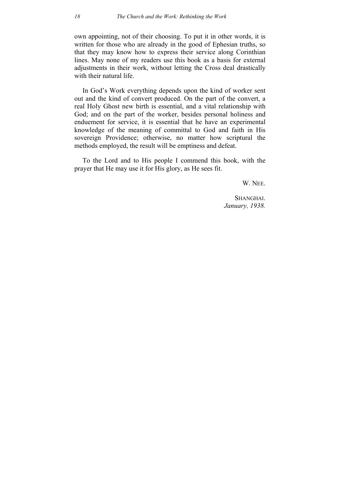own appointing, not of their choosing. To put it in other words, it is written for those who are already in the good of Ephesian truths, so that they may know how to express their service along Corinthian lines. May none of my readers use this book as a basis for external adjustments in their work, without letting the Cross deal drastically with their natural life.

In God's Work everything depends upon the kind of worker sent out and the kind of convert produced. On the part of the convert, a real Holy Ghost new birth is essential, and a vital relationship with God; and on the part of the worker, besides personal holiness and enduement for service, it is essential that he have an experimental knowledge of the meaning of committal to God and faith in His sovereign Providence; otherwise, no matter how scriptural the methods employed, the result will be emptiness and defeat.

To the Lord and to His people I commend this book, with the prayer that He may use it for His glory, as He sees fit.

W. NEE.

**SHANGHAI** *January, 1938.*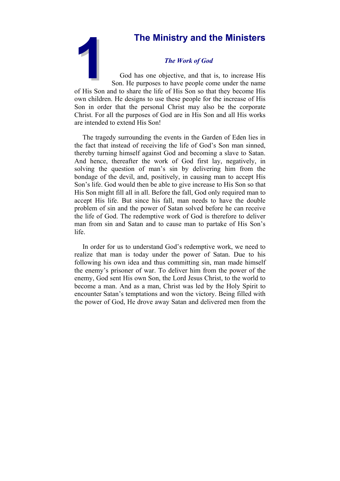# *The Work of God*

<span id="page-18-0"></span>**1The Ministry and the Ministers**<br> **1The Work of God<br>
1The Work of God<br>
1The Work of God<br>
1The Work of God<br>
1The Work of God<br>
1The Work of God<br>
1The Work of God<br>
1The Work of God<br>
1The Son. He purposes to have people come** God has one objective, and that is, to increase His Son. He purposes to have people come under the name of His Son and to share the life of His Son so that they become His own children. He designs to use these people for the increase of His Son in order that the personal Christ may also be the corporate Christ. For all the purposes of God are in His Son and all His works are intended to extend His Son!

The tragedy surrounding the events in the Garden of Eden lies in the fact that instead of receiving the life of God's Son man sinned, thereby turning himself against God and becoming a slave to Satan. And hence, thereafter the work of God first lay, negatively, in solving the question of man's sin by delivering him from the bondage of the devil, and, positively, in causing man to accept His Son's life. God would then be able to give increase to His Son so that His Son might fill all in all. Before the fall, God only required man to accept His life. But since his fall, man needs to have the double problem of sin and the power of Satan solved before he can receive the life of God. The redemptive work of God is therefore to deliver man from sin and Satan and to cause man to partake of His Son's life.

In order for us to understand God's redemptive work, we need to realize that man is today under the power of Satan. Due to his following his own idea and thus committing sin, man made himself the enemy's prisoner of war. To deliver him from the power of the enemy, God sent His own Son, the Lord Jesus Christ, to the world to become a man. And as a man, Christ was led by the Holy Spirit to encounter Satan's temptations and won the victory. Being filled with the power of God, He drove away Satan and delivered men from the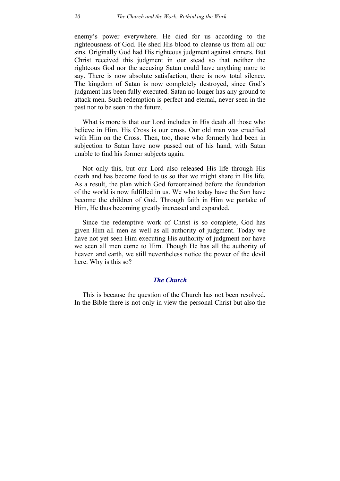enemy's power everywhere. He died for us according to the righteousness of God. He shed His blood to cleanse us from all our sins. Originally God had His righteous judgment against sinners. But Christ received this judgment in our stead so that neither the righteous God nor the accusing Satan could have anything more to say. There is now absolute satisfaction, there is now total silence. The kingdom of Satan is now completely destroyed, since God's judgment has been fully executed. Satan no longer has any ground to attack men. Such redemption is perfect and eternal, never seen in the past nor to be seen in the future.

What is more is that our Lord includes in His death all those who believe in Him. His Cross is our cross. Our old man was crucified with Him on the Cross. Then, too, those who formerly had been in subjection to Satan have now passed out of his hand, with Satan unable to find his former subjects again.

Not only this, but our Lord also released His life through His death and has become food to us so that we might share in His life. As a result, the plan which God foreordained before the foundation of the world is now fulfilled in us. We who today have the Son have become the children of God. Through faith in Him we partake of Him, He thus becoming greatly increased and expanded.

Since the redemptive work of Christ is so complete, God has given Him all men as well as all authority of judgment. Today we have not yet seen Him executing His authority of judgment nor have we seen all men come to Him. Though He has all the authority of heaven and earth, we still nevertheless notice the power of the devil here. Why is this so?

# *The Church*

This is because the question of the Church has not been resolved. In the Bible there is not only in view the personal Christ but also the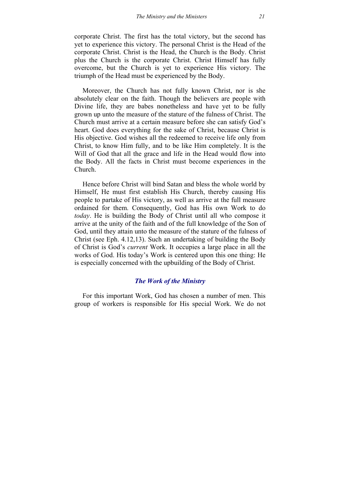corporate Christ. The first has the total victory, but the second has yet to experience this victory. The personal Christ is the Head of the corporate Christ. Christ is the Head, the Church is the Body. Christ plus the Church is the corporate Christ. Christ Himself has fully overcome, but the Church is yet to experience His victory. The triumph of the Head must be experienced by the Body.

Moreover, the Church has not fully known Christ, nor is she absolutely clear on the faith. Though the believers are people with Divine life, they are babes nonetheless and have yet to be fully grown up unto the measure of the stature of the fulness of Christ. The Church must arrive at a certain measure before she can satisfy God's heart. God does everything for the sake of Christ, because Christ is His objective. God wishes all the redeemed to receive life only from Christ, to know Him fully, and to be like Him completely. It is the Will of God that all the grace and life in the Head would flow into the Body. All the facts in Christ must become experiences in the Church.

Hence before Christ will bind Satan and bless the whole world by Himself, He must first establish His Church, thereby causing His people to partake of His victory, as well as arrive at the full measure ordained for them. Consequently, God has His own Work to do *today*. He is building the Body of Christ until all who compose it arrive at the unity of the faith and of the full knowledge of the Son of God, until they attain unto the measure of the stature of the fulness of Christ (see Eph. 4.12,13). Such an undertaking of building the Body of Christ is God's *current* Work. It occupies a large place in all the works of God. His today's Work is centered upon this one thing: He is especially concerned with the upbuilding of the Body of Christ.

# *The Work of the Ministry*

For this important Work, God has chosen a number of men. This group of workers is responsible for His special Work. We do not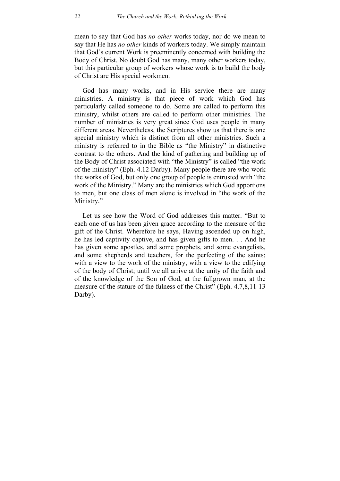mean to say that God has *no other* works today, nor do we mean to say that He has *no other* kinds of workers today. We simply maintain that God's current Work is preeminently concerned with building the Body of Christ. No doubt God has many, many other workers today, but this particular group of workers whose work is to build the body of Christ are His special workmen.

God has many works, and in His service there are many ministries. A ministry is that piece of work which God has particularly called someone to do. Some are called to perform this ministry, whilst others are called to perform other ministries. The number of ministries is very great since God uses people in many different areas. Nevertheless, the Scriptures show us that there is one special ministry which is distinct from all other ministries. Such a ministry is referred to in the Bible as "the Ministry" in distinctive contrast to the others. And the kind of gathering and building up of the Body of Christ associated with "the Ministry" is called "the work of the ministry" (Eph. 4.12 Darby). Many people there are who work the works of God, but only one group of people is entrusted with "the work of the Ministry." Many are the ministries which God apportions to men, but one class of men alone is involved in "the work of the Ministry."

Let us see how the Word of God addresses this matter. "But to each one of us has been given grace according to the measure of the gift of the Christ. Wherefore he says, Having ascended up on high, he has led captivity captive, and has given gifts to men. . . And he has given some apostles, and some prophets, and some evangelists, and some shepherds and teachers, for the perfecting of the saints; with a view to the work of the ministry, with a view to the edifying of the body of Christ; until we all arrive at the unity of the faith and of the knowledge of the Son of God, at the fullgrown man, at the measure of the stature of the fulness of the Christ" (Eph. 4.7,8,11-13 Darby).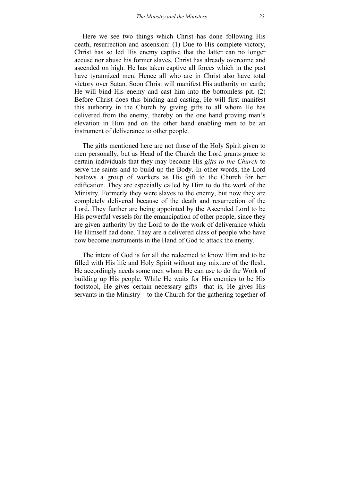Here we see two things which Christ has done following His death, resurrection and ascension: (1) Due to His complete victory, Christ has so led His enemy captive that the latter can no longer accuse nor abuse his former slaves. Christ has already overcome and ascended on high. He has taken captive all forces which in the past have tyrannized men. Hence all who are in Christ also have total victory over Satan. Soon Christ will manifest His authority on earth; He will bind His enemy and cast him into the bottomless pit. (2) Before Christ does this binding and casting, He will first manifest this authority in the Church by giving gifts to all whom He has delivered from the enemy, thereby on the one hand proving man's elevation in Him and on the other hand enabling men to be an instrument of deliverance to other people.

The gifts mentioned here are not those of the Holy Spirit given to men personally, but as Head of the Church the Lord grants grace to certain individuals that they may become His *gifts to the Church* to serve the saints and to build up the Body. In other words, the Lord bestows a group of workers as His gift to the Church for her edification. They are especially called by Him to do the work of the Ministry. Formerly they were slaves to the enemy, but now they are completely delivered because of the death and resurrection of the Lord. They further are being appointed by the Ascended Lord to be His powerful vessels for the emancipation of other people, since they are given authority by the Lord to do the work of deliverance which He Himself had done. They are a delivered class of people who have now become instruments in the Hand of God to attack the enemy.

The intent of God is for all the redeemed to know Him and to be filled with His life and Holy Spirit without any mixture of the flesh. He accordingly needs some men whom He can use to do the Work of building up His people. While He waits for His enemies to be His footstool, He gives certain necessary gifts—that is, He gives His servants in the Ministry—to the Church for the gathering together of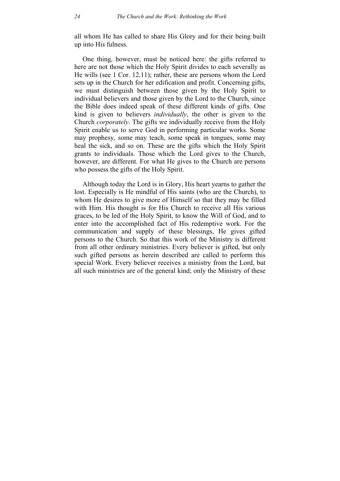all whom He has called to share His Glory and for their being built up into His fulness.

One thing, however, must be noticed here: the gifts referred to here are not those which the Holy Spirit divides to each severally as He wills (see 1 Cor. 12.11); rather, these are persons whom the Lord sets up in the Church for her edification and profit. Concerning gifts, we must distinguish between those given by the Holy Spirit to individual believers and those given by the Lord to the Church, since the Bible does indeed speak of these different kinds of gifts. One kind is given to believers *individually*, the other is given to the Church *corporately*. The gifts we individually receive from the Holy Spirit enable us to serve God in performing particular works. Some may prophesy, some may teach, some speak in tongues, some may heal the sick, and so on. These are the gifts which the Holy Spirit grants to individuals. Those which the Lord gives to the Church, however, are different. For what He gives to the Church are persons who possess the gifts of the Holy Spirit.

Although today the Lord is in Glory, His heart yearns to gather the lost. Especially is He mindful of His saints (who are the Church), to whom He desires to give more of Himself so that they may be filled with Him. His thought is for His Church to receive all His various graces, to be led of the Holy Spirit, to know the Will of God, and to enter into the accomplished fact of His redemptive work. For the communication and supply of these blessings, He gives gifted persons to the Church. So that this work of the Ministry is different from all other ordinary ministries. Every believer is gifted, but only such gifted persons as herein described are called to perform this special Work. Every believer receives a ministry from the Lord, but all such ministries are of the general kind; only the Ministry of these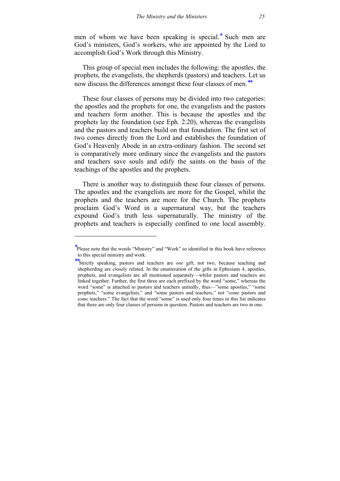men of whom we have been speaking is special.<sup>∗</sup> Such men are God's ministers, God's workers, who are appointed by the Lord to accomplish God's Work through this Ministry.

This group of special men includes the following: the apostles, the prophets, the evangelists, the shepherds (pastors) and teachers. Let us now discuss the differences amongst these four classes of men.<sup>∗∗</sup>

These four classes of persons may be divided into two categories: the apostles and the prophets for one, the evangelists and the pastors and teachers form another. This is because the apostles and the prophets lay the foundation (see Eph. 2.20), whereas the evangelists and the pastors and teachers build on that foundation. The first set of two comes directly from the Lord and establishes the foundation of God's Heavenly Abode in an extra-ordinary fashion. The second set is comparatively more ordinary since the evangelists and the pastors and teachers save souls and edify the saints on the basis of the teachings of the apostles and the prophets.

There is another way to distinguish these four classes of persons. The apostles and the evangelists are more for the Gospel, whilst the prophets and the teachers are more for the Church. The prophets proclaim God's Word in a supernatural way, but the teachers expound God's truth less supernaturally. The ministry of the prophets and teachers is especially confined to one local assembly.

-

<sup>∗</sup> Please note that the words "Ministry" and "Work" so identified in this book have reference to this special ministry and work.

<sup>∗∗</sup>Strictly speaking, pastors and teachers are *one* gift, not two, because teaching and shepherding are closely related. In the enumeration of the gifts in Ephesians 4, apostles, prophets, and evangelists are all mentioned separately—whilst pastors and teachers are linked together. Further, the first three are each prefixed by the word "some," whereas the word "some" is attached to pastors and teachers unitedly, thus—"some apostles," "some prophets," "some evangelists," and "some pastors and teachers," not "*some* pastors and *some* teachers." The fact that the word "some" is used only four times in this list indicates that there are only four classes of persons in question. Pastors and teachers are two in one.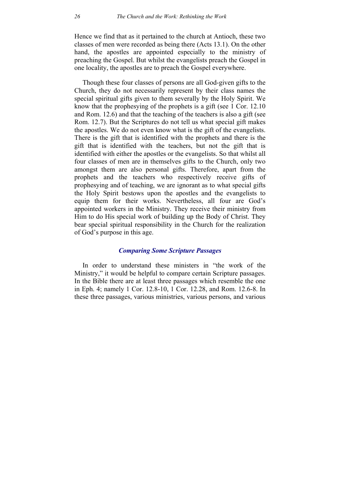Hence we find that as it pertained to the church at Antioch, these two classes of men were recorded as being there (Acts 13.1). On the other hand, the apostles are appointed especially to the ministry of preaching the Gospel. But whilst the evangelists preach the Gospel in one locality, the apostles are to preach the Gospel everywhere.

Though these four classes of persons are all God-given gifts to the Church, they do not necessarily represent by their class names the special spiritual gifts given to them severally by the Holy Spirit. We know that the prophesying of the prophets is a gift (see 1 Cor. 12.10 and Rom. 12.6) and that the teaching of the teachers is also a gift (see Rom. 12.7). But the Scriptures do not tell us what special gift makes the apostles. We do not even know what is the gift of the evangelists. There is the gift that is identified with the prophets and there is the gift that is identified with the teachers, but not the gift that is identified with either the apostles or the evangelists. So that whilst all four classes of men are in themselves gifts to the Church, only two amongst them are also personal gifts. Therefore, apart from the prophets and the teachers who respectively receive gifts of prophesying and of teaching, we are ignorant as to what special gifts the Holy Spirit bestows upon the apostles and the evangelists to equip them for their works. Nevertheless, all four are God's appointed workers in the Ministry. They receive their ministry from Him to do His special work of building up the Body of Christ. They bear special spiritual responsibility in the Church for the realization of God's purpose in this age.

# *Comparing Some Scripture Passages*

In order to understand these ministers in "the work of the Ministry," it would be helpful to compare certain Scripture passages. In the Bible there are at least three passages which resemble the one in Eph. 4; namely 1 Cor. 12.8-10, 1 Cor. 12.28, and Rom. 12.6-8. In these three passages, various ministries, various persons, and various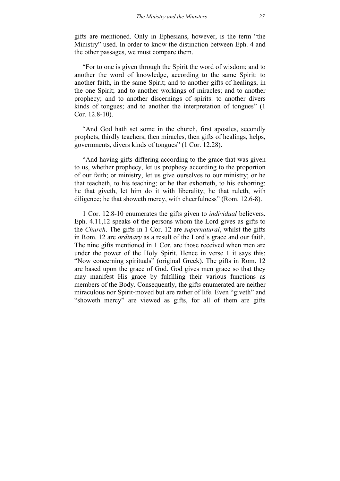gifts are mentioned. Only in Ephesians, however, is the term "the Ministry" used. In order to know the distinction between Eph. 4 and the other passages, we must compare them.

"For to one is given through the Spirit the word of wisdom; and to another the word of knowledge, according to the same Spirit: to another faith, in the same Spirit; and to another gifts of healings, in the one Spirit; and to another workings of miracles; and to another prophecy; and to another discernings of spirits: to another divers kinds of tongues; and to another the interpretation of tongues" (1 Cor. 12.8-10).

"And God hath set some in the church, first apostles, secondly prophets, thirdly teachers, then miracles, then gifts of healings, helps, governments, divers kinds of tongues" (1 Cor. 12.28).

"And having gifts differing according to the grace that was given to us, whether prophecy, let us prophesy according to the proportion of our faith; or ministry, let us give ourselves to our ministry; or he that teacheth, to his teaching; or he that exhorteth, to his exhorting: he that giveth, let him do it with liberality; he that ruleth, with diligence; he that showeth mercy, with cheerfulness" (Rom. 12.6-8).

1 Cor. 12.8-10 enumerates the gifts given to *individual* believers. Eph. 4.11,12 speaks of the persons whom the Lord gives as gifts to the *Church*. The gifts in 1 Cor. 12 are *supernatural*, whilst the gifts in Rom. 12 are *ordinary* as a result of the Lord's grace and our faith. The nine gifts mentioned in 1 Cor. are those received when men are under the power of the Holy Spirit. Hence in verse 1 it says this: "Now concerning spirituals" (original Greek). The gifts in Rom. 12 are based upon the grace of God. God gives men grace so that they may manifest His grace by fulfilling their various functions as members of the Body. Consequently, the gifts enumerated are neither miraculous nor Spirit-moved but are rather of life. Even "giveth" and "showeth mercy" are viewed as gifts, for all of them are gifts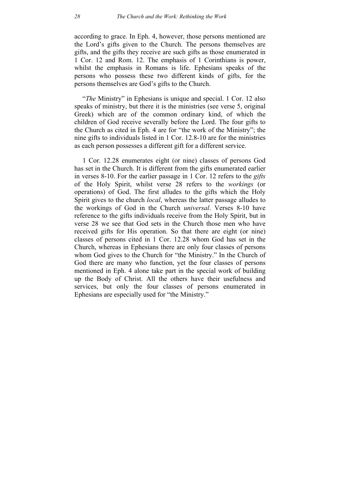according to grace. In Eph. 4, however, those persons mentioned are the Lord's gifts given to the Church. The persons themselves are gifts, and the gifts they receive are such gifts as those enumerated in 1 Cor. 12 and Rom. 12. The emphasis of 1 Corinthians is power, whilst the emphasis in Romans is life. Ephesians speaks of the persons who possess these two different kinds of gifts, for the persons themselves are God's gifts to the Church.

"*The* Ministry" in Ephesians is unique and special. 1 Cor. 12 also speaks of ministry, but there it is the ministries (see verse 5, original Greek) which are of the common ordinary kind, of which the children of God receive severally before the Lord. The four gifts to the Church as cited in Eph. 4 are for "the work of the Ministry"; the nine gifts to individuals listed in 1 Cor. 12.8-10 are for the ministries as each person possesses a different gift for a different service.

1 Cor. 12.28 enumerates eight (or nine) classes of persons God has set in the Church. It is different from the gifts enumerated earlier in verses 8-10. For the earlier passage in 1 Cor. 12 refers to the *gifts* of the Holy Spirit, whilst verse 28 refers to the *workings* (or operations) of God. The first alludes to the gifts which the Holy Spirit gives to the church *local*, whereas the latter passage alludes to the workings of God in the Church *universal*. Verses 8-10 have reference to the gifts individuals receive from the Holy Spirit, but in verse 28 we see that God sets in the Church those men who have received gifts for His operation. So that there are eight (or nine) classes of persons cited in 1 Cor. 12.28 whom God has set in the Church, whereas in Ephesians there are only four classes of persons whom God gives to the Church for "the Ministry." In the Church of God there are many who function, yet the four classes of persons mentioned in Eph. 4 alone take part in the special work of building up the Body of Christ. All the others have their usefulness and services, but only the four classes of persons enumerated in Ephesians are especially used for "the Ministry."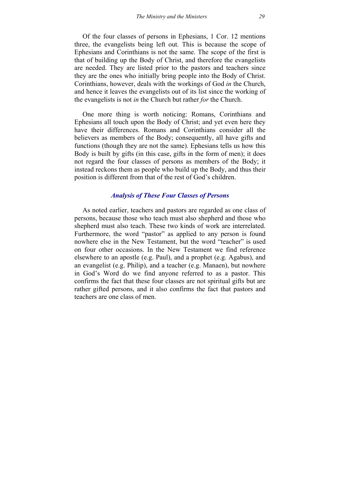Of the four classes of persons in Ephesians, 1 Cor. 12 mentions three, the evangelists being left out. This is because the scope of Ephesians and Corinthians is not the same. The scope of the first is that of building up the Body of Christ, and therefore the evangelists are needed. They are listed prior to the pastors and teachers since they are the ones who initially bring people into the Body of Christ. Corinthians, however, deals with the workings of God *in* the Church, and hence it leaves the evangelists out of its list since the working of the evangelists is not *in* the Church but rather *for* the Church.

One more thing is worth noticing: Romans, Corinthians and Ephesians all touch upon the Body of Christ; and yet even here they have their differences. Romans and Corinthians consider all the believers as members of the Body; consequently, all have gifts and functions (though they are not the same). Ephesians tells us how this Body is built by gifts (in this case, gifts in the form of men); it does not regard the four classes of persons as members of the Body; it instead reckons them as people who build up the Body, and thus their position is different from that of the rest of God's children.

# *Analysis of These Four Classes of Persons*

As noted earlier, teachers and pastors are regarded as one class of persons, because those who teach must also shepherd and those who shepherd must also teach. These two kinds of work are interrelated. Furthermore, the word "pastor" as applied to any person is found nowhere else in the New Testament, but the word "teacher" is used on four other occasions. In the New Testament we find reference elsewhere to an apostle (e.g. Paul), and a prophet (e.g. Agabus), and an evangelist (e.g. Philip), and a teacher (e.g. Manaen), but nowhere in God's Word do we find anyone referred to as a pastor. This confirms the fact that these four classes are not spiritual gifts but are rather gifted persons, and it also confirms the fact that pastors and teachers are one class of men.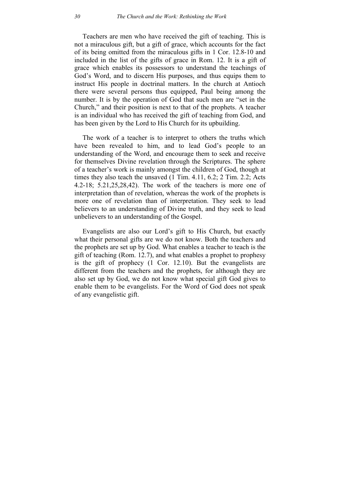Teachers are men who have received the gift of teaching. This is not a miraculous gift, but a gift of grace, which accounts for the fact of its being omitted from the miraculous gifts in 1 Cor. 12.8-10 and included in the list of the gifts of grace in Rom. 12. It is a gift of grace which enables its possessors to understand the teachings of God's Word, and to discern His purposes, and thus equips them to instruct His people in doctrinal matters. In the church at Antioch there were several persons thus equipped, Paul being among the number. It is by the operation of God that such men are "set in the Church," and their position is next to that of the prophets. A teacher is an individual who has received the gift of teaching from God, and has been given by the Lord to His Church for its upbuilding.

The work of a teacher is to interpret to others the truths which have been revealed to him, and to lead God's people to an understanding of the Word, and encourage them to seek and receive for themselves Divine revelation through the Scriptures. The sphere of a teacher's work is mainly amongst the children of God, though at times they also teach the unsaved (1 Tim. 4.11, 6.2; 2 Tim. 2.2; Acts 4.2-18; 5.21,25,28,42). The work of the teachers is more one of interpretation than of revelation, whereas the work of the prophets is more one of revelation than of interpretation. They seek to lead believers to an understanding of Divine truth, and they seek to lead unbelievers to an understanding of the Gospel.

Evangelists are also our Lord's gift to His Church, but exactly what their personal gifts are we do not know. Both the teachers and the prophets are set up by God. What enables a teacher to teach is the gift of teaching (Rom. 12.7), and what enables a prophet to prophesy is the gift of prophecy (1 Cor. 12.10). But the evangelists are different from the teachers and the prophets, for although they are also set up by God, we do not know what special gift God gives to enable them to be evangelists. For the Word of God does not speak of any evangelistic gift.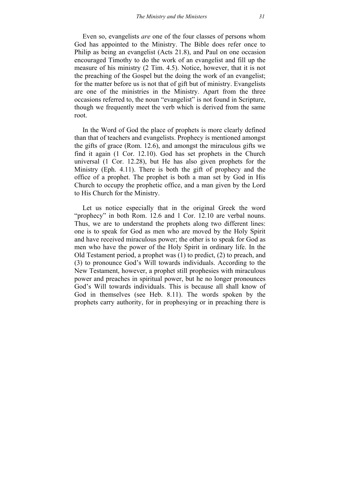Even so, evangelists *are* one of the four classes of persons whom God has appointed to the Ministry. The Bible does refer once to Philip as being an evangelist (Acts 21.8), and Paul on one occasion encouraged Timothy to do the work of an evangelist and fill up the measure of his ministry (2 Tim. 4.5). Notice, however, that it is not the preaching of the Gospel but the doing the work of an evangelist; for the matter before us is not that of gift but of ministry. Evangelists are one of the ministries in the Ministry. Apart from the three occasions referred to, the noun "evangelist" is not found in Scripture, though we frequently meet the verb which is derived from the same root.

In the Word of God the place of prophets is more clearly defined than that of teachers and evangelists. Prophecy is mentioned amongst the gifts of grace (Rom. 12.6), and amongst the miraculous gifts we find it again (1 Cor. 12.10). God has set prophets in the Church universal (1 Cor. 12.28), but He has also given prophets for the Ministry (Eph. 4.11). There is both the gift of prophecy and the office of a prophet. The prophet is both a man set by God in His Church to occupy the prophetic office, and a man given by the Lord to His Church for the Ministry.

Let us notice especially that in the original Greek the word "prophecy" in both Rom. 12.6 and 1 Cor. 12.10 are verbal nouns. Thus, we are to understand the prophets along two different lines: one is to speak for God as men who are moved by the Holy Spirit and have received miraculous power; the other is to speak for God as men who have the power of the Holy Spirit in ordinary life. In the Old Testament period, a prophet was (1) to predict, (2) to preach, and (3) to pronounce God's Will towards individuals. According to the New Testament, however, a prophet still prophesies with miraculous power and preaches in spiritual power, but he no longer pronounces God's Will towards individuals. This is because all shall know of God in themselves (see Heb. 8.11). The words spoken by the prophets carry authority, for in prophesying or in preaching there is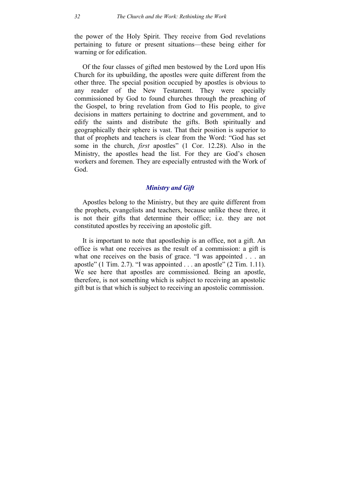the power of the Holy Spirit. They receive from God revelations pertaining to future or present situations—these being either for warning or for edification.

Of the four classes of gifted men bestowed by the Lord upon His Church for its upbuilding, the apostles were quite different from the other three. The special position occupied by apostles is obvious to any reader of the New Testament. They were specially commissioned by God to found churches through the preaching of the Gospel, to bring revelation from God to His people, to give decisions in matters pertaining to doctrine and government, and to edify the saints and distribute the gifts. Both spiritually and geographically their sphere is vast. That their position is superior to that of prophets and teachers is clear from the Word: "God has set some in the church, *first* apostles" (1 Cor. 12.28). Also in the Ministry, the apostles head the list. For they are God's chosen workers and foremen. They are especially entrusted with the Work of God.

## *Ministry and Gift*

Apostles belong to the Ministry, but they are quite different from the prophets, evangelists and teachers, because unlike these three, it is not their gifts that determine their office; i.e. they are not constituted apostles by receiving an apostolic gift.

It is important to note that apostleship is an office, not a gift. An office is what one receives as the result of a commission: a gift is what one receives on the basis of grace. "I was appointed . . . an apostle" (1 Tim. 2.7). "I was appointed  $\dots$  an apostle" (2 Tim. 1.11). We see here that apostles are commissioned. Being an apostle, therefore, is not something which is subject to receiving an apostolic gift but is that which is subject to receiving an apostolic commission.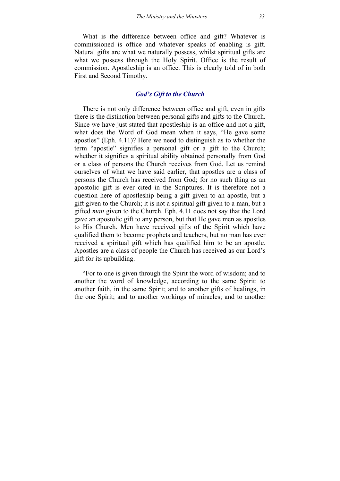What is the difference between office and gift? Whatever is commissioned is office and whatever speaks of enabling is gift. Natural gifts are what we naturally possess, whilst spiritual gifts are what we possess through the Holy Spirit. Office is the result of commission. Apostleship is an office. This is clearly told of in both First and Second Timothy.

### *God's Gift to the Church*

There is not only difference between office and gift, even in gifts there is the distinction between personal gifts and gifts to the Church. Since we have just stated that apostleship is an office and not a gift, what does the Word of God mean when it says, "He gave some apostles" (Eph. 4.11)? Here we need to distinguish as to whether the term "apostle" signifies a personal gift or a gift to the Church; whether it signifies a spiritual ability obtained personally from God or a class of persons the Church receives from God. Let us remind ourselves of what we have said earlier, that apostles are a class of persons the Church has received from God; for no such thing as an apostolic gift is ever cited in the Scriptures. It is therefore not a question here of apostleship being a gift given to an apostle, but a gift given to the Church; it is not a spiritual gift given to a man, but a gifted *man* given to the Church. Eph. 4.11 does not say that the Lord gave an apostolic gift to any person, but that He gave men as apostles to His Church. Men have received gifts of the Spirit which have qualified them to become prophets and teachers, but no man has ever received a spiritual gift which has qualified him to be an apostle. Apostles are a class of people the Church has received as our Lord's gift for its upbuilding.

"For to one is given through the Spirit the word of wisdom; and to another the word of knowledge, according to the same Spirit: to another faith, in the same Spirit; and to another gifts of healings, in the one Spirit; and to another workings of miracles; and to another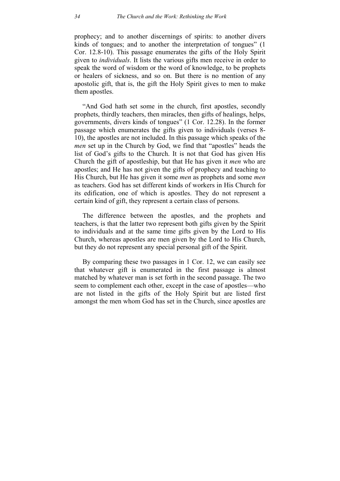prophecy; and to another discernings of spirits: to another divers kinds of tongues; and to another the interpretation of tongues" (1 Cor. 12.8-10). This passage enumerates the gifts of the Holy Spirit given to *individuals*. It lists the various gifts men receive in order to speak the word of wisdom or the word of knowledge, to be prophets or healers of sickness, and so on. But there is no mention of any apostolic gift, that is, the gift the Holy Spirit gives to men to make them apostles.

"And God hath set some in the church, first apostles, secondly prophets, thirdly teachers, then miracles, then gifts of healings, helps, governments, divers kinds of tongues" (1 Cor. 12.28). In the former passage which enumerates the gifts given to individuals (verses 8- 10), the apostles are not included. In this passage which speaks of the *men* set up in the Church by God, we find that "apostles" heads the list of God's gifts to the Church. It is not that God has given His Church the gift of apostleship, but that He has given it *men* who are apostles; and He has not given the gifts of prophecy and teaching to His Church, but He has given it some *men* as prophets and some *men* as teachers. God has set different kinds of workers in His Church for its edification, one of which is apostles. They do not represent a certain kind of gift, they represent a certain class of persons.

The difference between the apostles, and the prophets and teachers, is that the latter two represent both gifts given by the Spirit to individuals and at the same time gifts given by the Lord to His Church, whereas apostles are men given by the Lord to His Church, but they do not represent any special personal gift of the Spirit.

By comparing these two passages in 1 Cor. 12, we can easily see that whatever gift is enumerated in the first passage is almost matched by whatever man is set forth in the second passage. The two seem to complement each other, except in the case of apostles—who are not listed in the gifts of the Holy Spirit but are listed first amongst the men whom God has set in the Church, since apostles are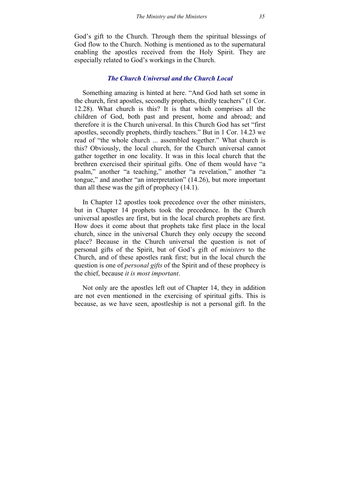God's gift to the Church. Through them the spiritual blessings of God flow to the Church. Nothing is mentioned as to the supernatural enabling the apostles received from the Holy Spirit. They are especially related to God's workings in the Church.

# *The Church Universal and the Church Local*

Something amazing is hinted at here. "And God hath set some in the church, first apostles, secondly prophets, thirdly teachers" (1 Cor. 12.28). What church is this? It is that which comprises all the children of God, both past and present, home and abroad; and therefore it is the Church universal. In this Church God has set "first apostles, secondly prophets, thirdly teachers." But in 1 Cor. 14.23 we read of "the whole church ... assembled together." What church is this? Obviously, the local church, for the Church universal cannot gather together in one locality. It was in this local church that the brethren exercised their spiritual gifts. One of them would have "a psalm," another "a teaching," another "a revelation," another "a tongue," and another "an interpretation" (14.26), but more important than all these was the gift of prophecy (14.1).

In Chapter 12 apostles took precedence over the other ministers, but in Chapter 14 prophets took the precedence. In the Church universal apostles are first, but in the local church prophets are first. How does it come about that prophets take first place in the local church, since in the universal Church they only occupy the second place? Because in the Church universal the question is not of personal gifts of the Spirit, but of God's gift of *ministers* to the Church, and of these apostles rank first; but in the local church the question is one of *personal gifts* of the Spirit and of these prophecy is the chief, because *it is most important*.

Not only are the apostles left out of Chapter 14, they in addition are not even mentioned in the exercising of spiritual gifts. This is because, as we have seen, apostleship is not a personal gift. In the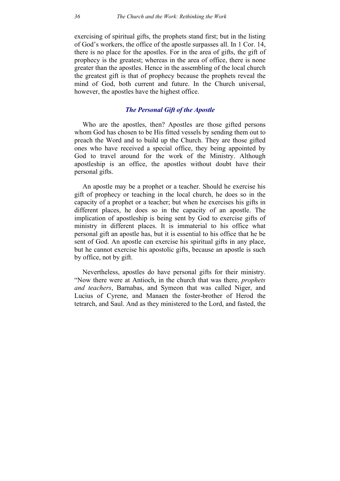exercising of spiritual gifts, the prophets stand first; but in the listing of God's workers, the office of the apostle surpasses all. In 1 Cor. 14, there is no place for the apostles. For in the area of gifts, the gift of prophecy is the greatest; whereas in the area of office, there is none greater than the apostles. Hence in the assembling of the local church the greatest gift is that of prophecy because the prophets reveal the mind of God, both current and future. In the Church universal, however, the apostles have the highest office.

# *The Personal Gift of the Apostle*

Who are the apostles, then? Apostles are those gifted persons whom God has chosen to be His fitted vessels by sending them out to preach the Word and to build up the Church. They are those gifted ones who have received a special office, they being appointed by God to travel around for the work of the Ministry. Although apostleship is an office, the apostles without doubt have their personal gifts.

An apostle may be a prophet or a teacher. Should he exercise his gift of prophecy or teaching in the local church, he does so in the capacity of a prophet or a teacher; but when he exercises his gifts in different places, he does so in the capacity of an apostle. The implication of apostleship is being sent by God to exercise gifts of ministry in different places. It is immaterial to his office what personal gift an apostle has, but it is essential to his office that he be sent of God. An apostle can exercise his spiritual gifts in any place, but he cannot exercise his apostolic gifts, because an apostle is such by office, not by gift.

Nevertheless, apostles do have personal gifts for their ministry. "Now there were at Antioch, in the church that was there, *prophets and teachers*, Barnabas, and Symeon that was called Niger, and Lucius of Cyrene, and Manaen the foster-brother of Herod the tetrarch, and Saul. And as they ministered to the Lord, and fasted, the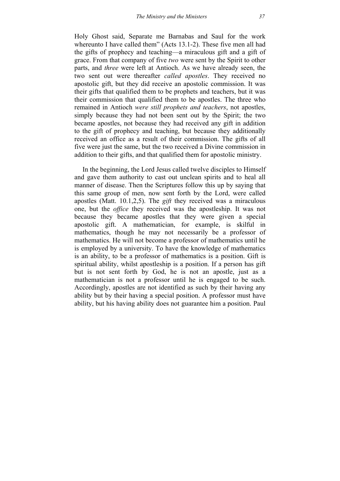Holy Ghost said, Separate me Barnabas and Saul for the work whereunto I have called them" (Acts 13.1-2). These five men all had the gifts of prophecy and teaching—a miraculous gift and a gift of grace. From that company of five *two* were sent by the Spirit to other parts, and *three* were left at Antioch. As we have already seen, the two sent out were thereafter *called apostles*. They received no apostolic gift, but they did receive an apostolic commission. It was their gifts that qualified them to be prophets and teachers, but it was their commission that qualified them to be apostles. The three who remained in Antioch *were still prophets and teachers*, not apostles, simply because they had not been sent out by the Spirit; the two became apostles, not because they had received any gift in addition to the gift of prophecy and teaching, but because they additionally received an office as a result of their commission. The gifts of all five were just the same, but the two received a Divine commission in addition to their gifts, and that qualified them for apostolic ministry.

In the beginning, the Lord Jesus called twelve disciples to Himself and gave them authority to cast out unclean spirits and to heal all manner of disease. Then the Scriptures follow this up by saying that this same group of men, now sent forth by the Lord, were called apostles (Matt. 10.1,2,5). The *gift* they received was a miraculous one, but the *office* they received was the apostleship. It was not because they became apostles that they were given a special apostolic gift. A mathematician, for example, is skilful in mathematics, though he may not necessarily be a professor of mathematics. He will not become a professor of mathematics until he is employed by a university. To have the knowledge of mathematics is an ability, to be a professor of mathematics is a position. Gift is spiritual ability, whilst apostleship is a position. If a person has gift but is not sent forth by God, he is not an apostle, just as a mathematician is not a professor until he is engaged to be such. Accordingly, apostles are not identified as such by their having any ability but by their having a special position. A professor must have ability, but his having ability does not guarantee him a position. Paul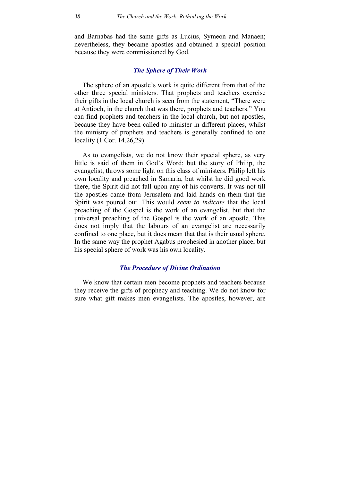and Barnabas had the same gifts as Lucius, Symeon and Manaen; nevertheless, they became apostles and obtained a special position because they were commissioned by God.

#### *The Sphere of Their Work*

The sphere of an apostle's work is quite different from that of the other three special ministers. That prophets and teachers exercise their gifts in the local church is seen from the statement, "There were at Antioch, in the church that was there, prophets and teachers." You can find prophets and teachers in the local church, but not apostles, because they have been called to minister in different places, whilst the ministry of prophets and teachers is generally confined to one locality (1 Cor. 14.26,29).

As to evangelists, we do not know their special sphere, as very little is said of them in God's Word; but the story of Philip, the evangelist, throws some light on this class of ministers. Philip left his own locality and preached in Samaria, but whilst he did good work there, the Spirit did not fall upon any of his converts. It was not till the apostles came from Jerusalem and laid hands on them that the Spirit was poured out. This would *seem to indicate* that the local preaching of the Gospel is the work of an evangelist, but that the universal preaching of the Gospel is the work of an apostle. This does not imply that the labours of an evangelist are necessarily confined to one place, but it does mean that that is their usual sphere. In the same way the prophet Agabus prophesied in another place, but his special sphere of work was his own locality.

#### *The Procedure of Divine Ordination*

We know that certain men become prophets and teachers because they receive the gifts of prophecy and teaching. We do not know for sure what gift makes men evangelists. The apostles, however, are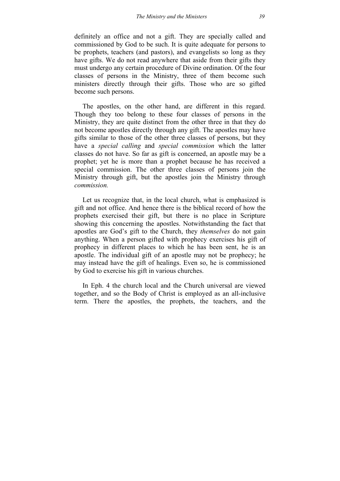definitely an office and not a gift. They are specially called and commissioned by God to be such. It is quite adequate for persons to be prophets, teachers (and pastors), and evangelists so long as they have gifts. We do not read anywhere that aside from their gifts they must undergo any certain procedure of Divine ordination. Of the four classes of persons in the Ministry, three of them become such ministers directly through their gifts. Those who are so gifted become such persons.

The apostles, on the other hand, are different in this regard. Though they too belong to these four classes of persons in the Ministry, they are quite distinct from the other three in that they do not become apostles directly through any gift. The apostles may have gifts similar to those of the other three classes of persons, but they have a *special calling* and *special commission* which the latter classes do not have. So far as gift is concerned, an apostle may be a prophet; yet he is more than a prophet because he has received a special commission. The other three classes of persons join the Ministry through gift, but the apostles join the Ministry through *commission.*

Let us recognize that, in the local church, what is emphasized is gift and not office. And hence there is the biblical record of how the prophets exercised their gift, but there is no place in Scripture showing this concerning the apostles. Notwithstanding the fact that apostles are God's gift to the Church, they *themselves* do not gain anything. When a person gifted with prophecy exercises his gift of prophecy in different places to which he has been sent, he is an apostle. The individual gift of an apostle may not be prophecy; he may instead have the gift of healings. Even so, he is commissioned by God to exercise his gift in various churches.

In Eph. 4 the church local and the Church universal are viewed together, and so the Body of Christ is employed as an all-inclusive term. There the apostles, the prophets, the teachers, and the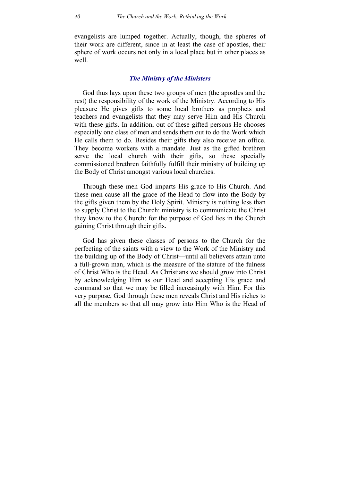evangelists are lumped together. Actually, though, the spheres of their work are different, since in at least the case of apostles, their sphere of work occurs not only in a local place but in other places as well.

#### *The Ministry of the Ministers*

God thus lays upon these two groups of men (the apostles and the rest) the responsibility of the work of the Ministry. According to His pleasure He gives gifts to some local brothers as prophets and teachers and evangelists that they may serve Him and His Church with these gifts. In addition, out of these gifted persons He chooses especially one class of men and sends them out to do the Work which He calls them to do. Besides their gifts they also receive an office. They become workers with a mandate. Just as the gifted brethren serve the local church with their gifts, so these specially commissioned brethren faithfully fulfill their ministry of building up the Body of Christ amongst various local churches.

Through these men God imparts His grace to His Church. And these men cause all the grace of the Head to flow into the Body by the gifts given them by the Holy Spirit. Ministry is nothing less than to supply Christ to the Church: ministry is to communicate the Christ they know to the Church: for the purpose of God lies in the Church gaining Christ through their gifts.

God has given these classes of persons to the Church for the perfecting of the saints with a view to the Work of the Ministry and the building up of the Body of Christ—until all believers attain unto a full-grown man, which is the measure of the stature of the fulness of Christ Who is the Head. As Christians we should grow into Christ by acknowledging Him as our Head and accepting His grace and command so that we may be filled increasingly with Him. For this very purpose, God through these men reveals Christ and His riches to all the members so that all may grow into Him Who is the Head of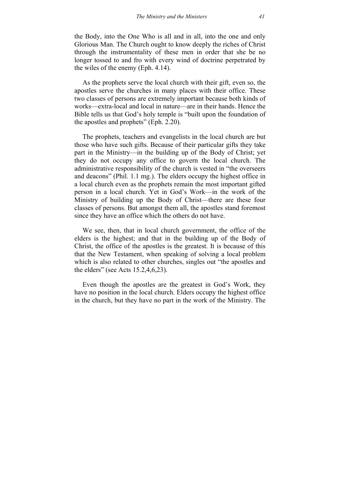the Body, into the One Who is all and in all, into the one and only Glorious Man. The Church ought to know deeply the riches of Christ through the instrumentality of these men in order that she be no longer tossed to and fro with every wind of doctrine perpetrated by the wiles of the enemy (Eph. 4.14).

As the prophets serve the local church with their gift, even so, the apostles serve the churches in many places with their office. These two classes of persons are extremely important because both kinds of works—extra-local and local in nature—are in their hands. Hence the Bible tells us that God's holy temple is "built upon the foundation of the apostles and prophets" (Eph. 2.20).

The prophets, teachers and evangelists in the local church are but those who have such gifts. Because of their particular gifts they take part in the Ministry—in the building up of the Body of Christ; yet they do not occupy any office to govern the local church. The administrative responsibility of the church is vested in "the overseers and deacons" (Phil. 1.1 mg.). The elders occupy the highest office in a local church even as the prophets remain the most important gifted person in a local church. Yet in God's Work—in the work of the Ministry of building up the Body of Christ—there are these four classes of persons. But amongst them all, the apostles stand foremost since they have an office which the others do not have.

We see, then, that in local church government, the office of the elders is the highest; and that in the building up of the Body of Christ, the office of the apostles is the greatest. It is because of this that the New Testament, when speaking of solving a local problem which is also related to other churches, singles out "the apostles and the elders" (see Acts 15.2,4,6,23).

Even though the apostles are the greatest in God's Work, they have no position in the local church. Elders occupy the highest office in the church, but they have no part in the work of the Ministry. The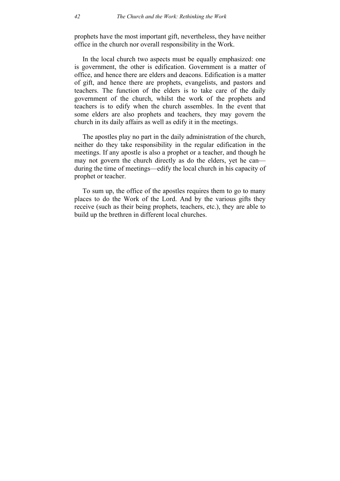prophets have the most important gift, nevertheless, they have neither office in the church nor overall responsibility in the Work.

In the local church two aspects must be equally emphasized: one is government, the other is edification. Government is a matter of office, and hence there are elders and deacons. Edification is a matter of gift, and hence there are prophets, evangelists, and pastors and teachers. The function of the elders is to take care of the daily government of the church, whilst the work of the prophets and teachers is to edify when the church assembles. In the event that some elders are also prophets and teachers, they may govern the church in its daily affairs as well as edify it in the meetings.

The apostles play no part in the daily administration of the church, neither do they take responsibility in the regular edification in the meetings. If any apostle is also a prophet or a teacher, and though he may not govern the church directly as do the elders, yet he can during the time of meetings—edify the local church in his capacity of prophet or teacher.

To sum up, the office of the apostles requires them to go to many places to do the Work of the Lord. And by the various gifts they receive (such as their being prophets, teachers, etc.), they are able to build up the brethren in different local churches.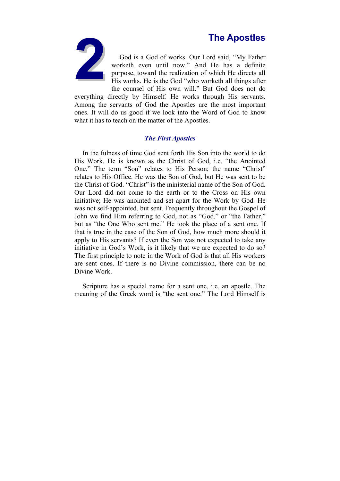

**2The Apostles**<br> **2The Apostles**<br> **2The Apostles**<br> **2The Apostles**<br>
worketh even until now." And He has a definite<br>
purpose, toward the realization of which He directs all<br>
His works. He is the God "who worketh all things God is a God of works. Our Lord said, "My Father worketh even until now." And He has a definite purpose, toward the realization of which He directs all His works. He is the God "who worketh all things after the counsel of His own will." But God does not do

everything directly by Himself. He works through His servants. Among the servants of God the Apostles are the most important ones. It will do us good if we look into the Word of God to know what it has to teach on the matter of the Apostles.

### *The First Apostles*

In the fulness of time God sent forth His Son into the world to do His Work. He is known as the Christ of God, i.e. "the Anointed One." The term "Son" relates to His Person; the name "Christ" relates to His Office. He was the Son of God, but He was sent to be the Christ of God. "Christ" is the ministerial name of the Son of God. Our Lord did not come to the earth or to the Cross on His own initiative; He was anointed and set apart for the Work by God. He was not self-appointed, but sent. Frequently throughout the Gospel of John we find Him referring to God, not as "God," or "the Father," but as "the One Who sent me." He took the place of a sent one. If that is true in the case of the Son of God, how much more should it apply to His servants? If even the Son was not expected to take any initiative in God's Work, is it likely that we are expected to do so? The first principle to note in the Work of God is that all His workers are sent ones. If there is no Divine commission, there can be no Divine Work.

Scripture has a special name for a sent one, i.e. an apostle. The meaning of the Greek word is "the sent one." The Lord Himself is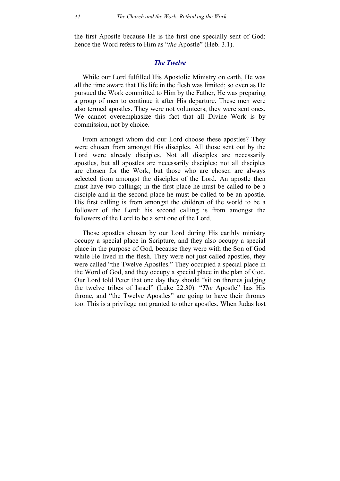the first Apostle because He is the first one specially sent of God: hence the Word refers to Him as "*the* Apostle" (Heb. 3.1).

#### *The Twelve*

While our Lord fulfilled His Apostolic Ministry on earth, He was all the time aware that His life in the flesh was limited; so even as He pursued the Work committed to Him by the Father, He was preparing a group of men to continue it after His departure. These men were also termed apostles. They were not volunteers; they were sent ones. We cannot overemphasize this fact that all Divine Work is by commission, not by choice.

From amongst whom did our Lord choose these apostles? They were chosen from amongst His disciples. All those sent out by the Lord were already disciples. Not all disciples are necessarily apostles, but all apostles are necessarily disciples; not all disciples are chosen for the Work, but those who are chosen are always selected from amongst the disciples of the Lord. An apostle then must have two callings; in the first place he must be called to be a disciple and in the second place he must be called to be an apostle. His first calling is from amongst the children of the world to be a follower of the Lord: his second calling is from amongst the followers of the Lord to be a sent one of the Lord.

Those apostles chosen by our Lord during His earthly ministry occupy a special place in Scripture, and they also occupy a special place in the purpose of God, because they were with the Son of God while He lived in the flesh. They were not just called apostles, they were called "the Twelve Apostles." They occupied a special place in the Word of God, and they occupy a special place in the plan of God. Our Lord told Peter that one day they should "sit on thrones judging the twelve tribes of Israel" (Luke 22.30). "*The* Apostle" has His throne, and "the Twelve Apostles" are going to have their thrones too. This is a privilege not granted to other apostles. When Judas lost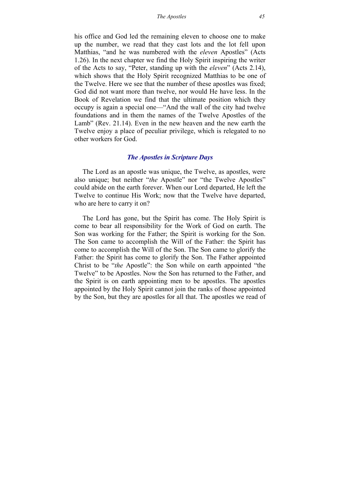his office and God led the remaining eleven to choose one to make up the number, we read that they cast lots and the lot fell upon Matthias, "and he was numbered with the *eleven* Apostles" (Acts 1.26). In the next chapter we find the Holy Spirit inspiring the writer of the Acts to say, "Peter, standing up with the *eleven*" (Acts 2.14), which shows that the Holy Spirit recognized Matthias to be one of the Twelve. Here we see that the number of these apostles was fixed; God did not want more than twelve, nor would He have less. In the Book of Revelation we find that the ultimate position which they occupy is again a special one—"And the wall of the city had twelve foundations and in them the names of the Twelve Apostles of the Lamb" (Rev. 21.14). Even in the new heaven and the new earth the Twelve enjoy a place of peculiar privilege, which is relegated to no other workers for God.

# *The Apostles in Scripture Days*

The Lord as an apostle was unique, the Twelve, as apostles, were also unique; but neither "*the* Apostle" nor "the Twelve Apostles" could abide on the earth forever. When our Lord departed, He left the Twelve to continue His Work; now that the Twelve have departed, who are here to carry it on?

The Lord has gone, but the Spirit has come. The Holy Spirit is come to bear all responsibility for the Work of God on earth. The Son was working for the Father; the Spirit is working for the Son. The Son came to accomplish the Will of the Father: the Spirit has come to accomplish the Will of the Son. The Son came to glorify the Father: the Spirit has come to glorify the Son. The Father appointed Christ to be "*the* Apostle": the Son while on earth appointed "the Twelve" to be Apostles. Now the Son has returned to the Father, and the Spirit is on earth appointing men to be apostles. The apostles appointed by the Holy Spirit cannot join the ranks of those appointed by the Son, but they are apostles for all that. The apostles we read of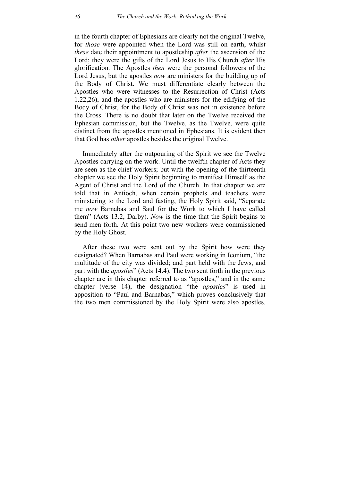in the fourth chapter of Ephesians are clearly not the original Twelve, for *those* were appointed when the Lord was still on earth, whilst *these* date their appointment to apostleship *after* the ascension of the Lord; they were the gifts of the Lord Jesus to His Church *after* His glorification. The Apostles *then* were the personal followers of the Lord Jesus, but the apostles *now* are ministers for the building up of the Body of Christ. We must differentiate clearly between the Apostles who were witnesses to the Resurrection of Christ (Acts 1.22,26), and the apostles who are ministers for the edifying of the Body of Christ, for the Body of Christ was not in existence before the Cross. There is no doubt that later on the Twelve received the Ephesian commission, but the Twelve, as the Twelve, were quite distinct from the apostles mentioned in Ephesians. It is evident then that God has *other* apostles besides the original Twelve.

Immediately after the outpouring of the Spirit we see the Twelve Apostles carrying on the work. Until the twelfth chapter of Acts they are seen as the chief workers; but with the opening of the thirteenth chapter we see the Holy Spirit beginning to manifest Himself as the Agent of Christ and the Lord of the Church. In that chapter we are told that in Antioch, when certain prophets and teachers were ministering to the Lord and fasting, the Holy Spirit said, "Separate me *now* Barnabas and Saul for the Work to which I have called them" (Acts 13.2, Darby). *Now* is the time that the Spirit begins to send men forth. At this point two new workers were commissioned by the Holy Ghost.

After these two were sent out by the Spirit how were they designated? When Barnabas and Paul were working in Iconium, "the multitude of the city was divided; and part held with the Jews, and part with the *apostles*" (Acts 14.4). The two sent forth in the previous chapter are in this chapter referred to as "apostles," and in the same chapter (verse 14), the designation "the *apostles*" is used in apposition to "Paul and Barnabas," which proves conclusively that the two men commissioned by the Holy Spirit were also apostles.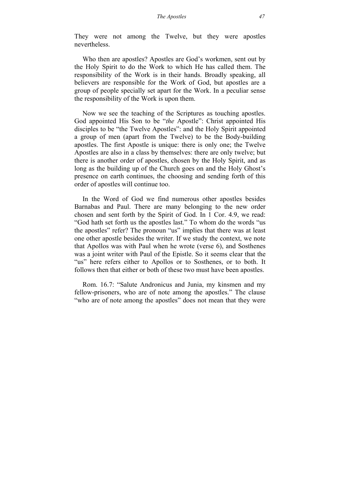They were not among the Twelve, but they were apostles nevertheless.

Who then are apostles? Apostles are God's workmen, sent out by the Holy Spirit to do the Work to which He has called them. The responsibility of the Work is in their hands. Broadly speaking, all believers are responsible for the Work of God, but apostles are a group of people specially set apart for the Work. In a peculiar sense the responsibility of the Work is upon them.

Now we see the teaching of the Scriptures as touching apostles. God appointed His Son to be "*the* Apostle": Christ appointed His disciples to be "the Twelve Apostles": and the Holy Spirit appointed a group of men (apart from the Twelve) to be the Body-building apostles. The first Apostle is unique: there is only one; the Twelve Apostles are also in a class by themselves: there are only twelve; but there is another order of apostles, chosen by the Holy Spirit, and as long as the building up of the Church goes on and the Holy Ghost's presence on earth continues, the choosing and sending forth of this order of apostles will continue too.

In the Word of God we find numerous other apostles besides Barnabas and Paul. There are many belonging to the new order chosen and sent forth by the Spirit of God. In 1 Cor. 4.9, we read: "God hath set forth us the apostles last." To whom do the words "us the apostles" refer? The pronoun "us" implies that there was at least one other apostle besides the writer. If we study the context, we note that Apollos was with Paul when he wrote (verse 6), and Sosthenes was a joint writer with Paul of the Epistle. So it seems clear that the "us" here refers either to Apollos or to Sosthenes, or to both. It follows then that either or both of these two must have been apostles.

Rom. 16.7: "Salute Andronicus and Junia, my kinsmen and my fellow-prisoners, who are of note among the apostles." The clause "who are of note among the apostles" does not mean that they were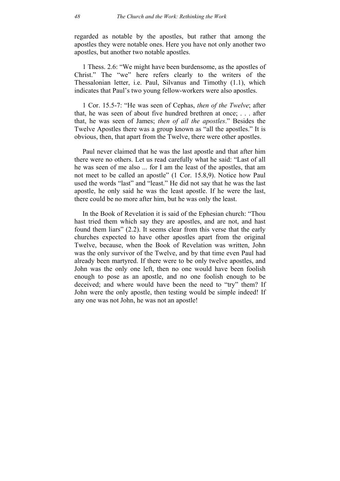regarded as notable by the apostles, but rather that among the apostles they were notable ones. Here you have not only another two apostles, but another two notable apostles.

1 Thess. 2.6: "We might have been burdensome, as the apostles of Christ." The "we" here refers clearly to the writers of the Thessalonian letter, i.e. Paul, Silvanus and Timothy (1.1), which indicates that Paul's two young fellow-workers were also apostles.

1 Cor. 15.5-7: "He was seen of Cephas, *then of the Twelve*; after that, he was seen of about five hundred brethren at once; . . . after that, he was seen of James; *then of all the apostles*." Besides the Twelve Apostles there was a group known as "all the apostles." It is obvious, then, that apart from the Twelve, there were other apostles.

Paul never claimed that he was the last apostle and that after him there were no others. Let us read carefully what he said: "Last of all he was seen of me also ... for I am the least of the apostles, that am not meet to be called an apostle" (1 Cor. 15.8,9). Notice how Paul used the words "last" and "least." He did not say that he was the last apostle, he only said he was the least apostle. If he were the last, there could be no more after him, but he was only the least.

In the Book of Revelation it is said of the Ephesian church: "Thou hast tried them which say they are apostles, and are not, and hast found them liars" (2.2). It seems clear from this verse that the early churches expected to have other apostles apart from the original Twelve, because, when the Book of Revelation was written, John was the only survivor of the Twelve, and by that time even Paul had already been martyred. If there were to be only twelve apostles, and John was the only one left, then no one would have been foolish enough to pose as an apostle, and no one foolish enough to be deceived; and where would have been the need to "try" them? If John were the only apostle, then testing would be simple indeed! If any one was not John, he was not an apostle!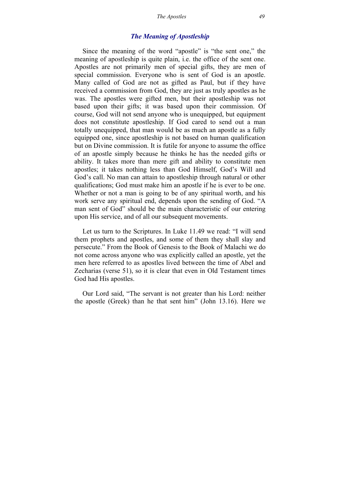## *The Meaning of Apostleship*

Since the meaning of the word "apostle" is "the sent one," the meaning of apostleship is quite plain, i.e. the office of the sent one. Apostles are not primarily men of special gifts, they are men of special commission. Everyone who is sent of God is an apostle. Many called of God are not as gifted as Paul, but if they have received a commission from God, they are just as truly apostles as he was. The apostles were gifted men, but their apostleship was not based upon their gifts; it was based upon their commission. Of course, God will not send anyone who is unequipped, but equipment does not constitute apostleship. If God cared to send out a man totally unequipped, that man would be as much an apostle as a fully equipped one, since apostleship is not based on human qualification but on Divine commission. It is futile for anyone to assume the office of an apostle simply because he thinks he has the needed gifts or ability. It takes more than mere gift and ability to constitute men apostles; it takes nothing less than God Himself, God's Will and God's call. No man can attain to apostleship through natural or other qualifications; God must make him an apostle if he is ever to be one. Whether or not a man is going to be of any spiritual worth, and his work serve any spiritual end, depends upon the sending of God. "A man sent of God" should be the main characteristic of our entering upon His service, and of all our subsequent movements.

Let us turn to the Scriptures. In Luke 11.49 we read: "I will send them prophets and apostles, and some of them they shall slay and persecute." From the Book of Genesis to the Book of Malachi we do not come across anyone who was explicitly called an apostle, yet the men here referred to as apostles lived between the time of Abel and Zecharias (verse 51), so it is clear that even in Old Testament times God had His apostles.

Our Lord said, "The servant is not greater than his Lord: neither the apostle (Greek) than he that sent him" (John 13.16). Here we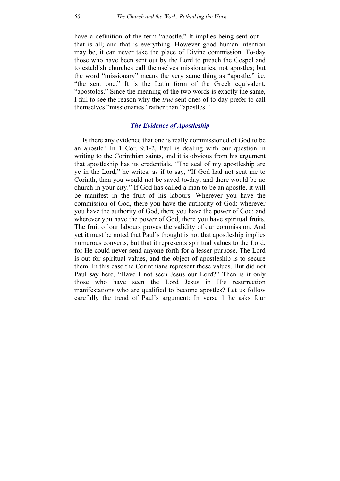have a definition of the term "apostle." It implies being sent out that is all; and that is everything. However good human intention may be, it can never take the place of Divine commission. To-day those who have been sent out by the Lord to preach the Gospel and to establish churches call themselves missionaries, not apostles; but the word "missionary" means the very same thing as "apostle," i.e. "the sent one." It is the Latin form of the Greek equivalent, "apostolos." Since the meaning of the two words is exactly the same, I fail to see the reason why the *true* sent ones of to-day prefer to call themselves "missionaries" rather than "apostles."

# *The Evidence of Apostleship*

Is there any evidence that one is really commissioned of God to be an apostle? In 1 Cor. 9.1-2, Paul is dealing with our question in writing to the Corinthian saints, and it is obvious from his argument that apostleship has its credentials. "The seal of my apostleship are ye in the Lord," he writes, as if to say, "If God had not sent me to Corinth, then you would not be saved to-day, and there would be no church in your city." If God has called a man to be an apostle, it will be manifest in the fruit of his labours. Wherever you have the commission of God, there you have the authority of God: wherever you have the authority of God, there you have the power of God: and wherever you have the power of God, there you have spiritual fruits. The fruit of our labours proves the validity of our commission. And yet it must be noted that Paul's thought is not that apostleship implies numerous converts, but that it represents spiritual values to the Lord, for He could never send anyone forth for a lesser purpose. The Lord is out for spiritual values, and the object of apostleship is to secure them. In this case the Corinthians represent these values. But did not Paul say here, "Have I not seen Jesus our Lord?" Then is it only those who have seen the Lord Jesus in His resurrection manifestations who are qualified to become apostles? Let us follow carefully the trend of Paul's argument: In verse 1 he asks four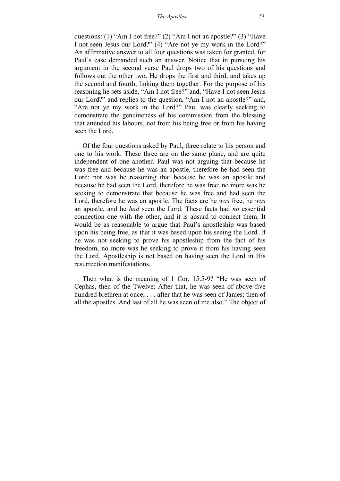questions: (1) "Am I not free?" (2) "Am I not an apostle?" (3) "Have I not seen Jesus our Lord?" (4) "Are not ye my work in the Lord?" An affirmative answer to all four questions was taken for granted, for Paul's case demanded such an answer. Notice that in pursuing his argument in the second verse Paul drops two of his questions and follows out the other two. He drops the first and third, and takes up the second and fourth, linking them together. For the purpose of his reasoning he sets aside, "Am I not free?" and, "Have I not seen Jesus our Lord?" and replies to the question, "Am I not an apostle?" and, "Are not ye my work in the Lord?" Paul was clearly seeking to demonstrate the genuineness of his commission from the blessing that attended his labours, not from his being free or from his having seen the Lord.

Of the four questions asked by Paul, three relate to his person and one to his work. These three are on the same plane, and are quite independent of one another. Paul was not arguing that because he was free and because he was an apostle, therefore he had seen the Lord: nor was he reasoning that because he was an apostle and because he had seen the Lord, therefore he was free: no more was he seeking to demonstrate that because he was free and had seen the Lord, therefore he was an apostle. The facts are he *was* free, he *was* an apostle, and he *had* seen the Lord. These facts had *no* essential connection one with the other, and it is absurd to connect them. It would be as reasonable to argue that Paul's apostleship was based upon his being free, as that it was based upon his seeing the Lord. If he was not seeking to prove his apostleship from the fact of his freedom, no more was he seeking to prove it from his having seen the Lord. Apostleship is not based on having seen the Lord in His resurrection manifestations.

Then what is the meaning of 1 Cor. 15.5-9? "He was seen of Cephas, then of the Twelve: After that, he was seen of above five hundred brethren at once; . . . after that he was seen of James; then of all the apostles. And last of all he was seen of me also." The object of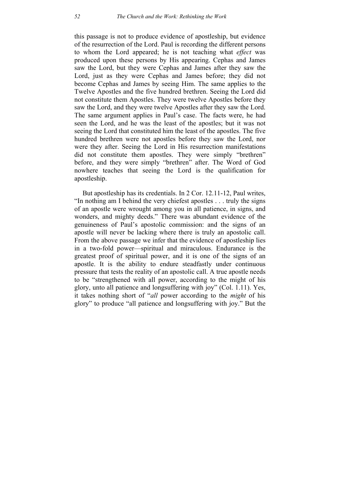this passage is not to produce evidence of apostleship, but evidence of the resurrection of the Lord. Paul is recording the different persons to whom the Lord appeared; he is not teaching what *effect* was produced upon these persons by His appearing. Cephas and James saw the Lord, but they were Cephas and James after they saw the Lord, just as they were Cephas and James before; they did not become Cephas and James by seeing Him. The same applies to the Twelve Apostles and the five hundred brethren. Seeing the Lord did not constitute them Apostles. They were twelve Apostles before they saw the Lord, and they were twelve Apostles after they saw the Lord. The same argument applies in Paul's case. The facts were, he had seen the Lord, and he was the least of the apostles; but it was not seeing the Lord that constituted him the least of the apostles. The five hundred brethren were not apostles before they saw the Lord, nor were they after. Seeing the Lord in His resurrection manifestations did not constitute them apostles. They were simply "brethren" before, and they were simply "brethren" after. The Word of God nowhere teaches that seeing the Lord is the qualification for apostleship.

But apostleship has its credentials. In 2 Cor. 12.11-12, Paul writes, "In nothing am I behind the very chiefest apostles . . . truly the signs of an apostle were wrought among you in all patience, in signs, and wonders, and mighty deeds." There was abundant evidence of the genuineness of Paul's apostolic commission: and the signs of an apostle will never be lacking where there is truly an apostolic call. From the above passage we infer that the evidence of apostleship lies in a two-fold power—spiritual and miraculous. Endurance is the greatest proof of spiritual power, and it is one of the signs of an apostle. It is the ability to endure steadfastly under continuous pressure that tests the reality of an apostolic call. A true apostle needs to be "strengthened with all power, according to the might of his glory, unto all patience and longsuffering with joy" (Col. 1.11). Yes, it takes nothing short of "*all* power according to the *might* of his glory" to produce "all patience and longsuffering with joy." But the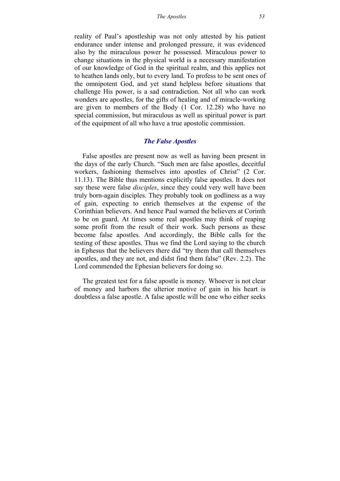reality of Paul's apostleship was not only attested by his patient endurance under intense and prolonged pressure, it was evidenced also by the miraculous power he possessed. Miraculous power to change situations in the physical world is a necessary manifestation of our knowledge of God in the spiritual realm, and this applies not to heathen lands only, but to every land. To profess to be sent ones of the omnipotent God, and yet stand helpless before situations that challenge His power, is a sad contradiction. Not all who can work wonders are apostles, for the gifts of healing and of miracle-working are given to members of the Body (1 Cor. 12.28) who have no special commission, but miraculous as well as spiritual power is part of the equipment of all who have a true apostolic commission.

#### *The False Apostles*

False apostles are present now as well as having been present in the days of the early Church. "Such men are false apostles, deceitful workers, fashioning themselves into apostles of Christ" (2 Cor. 11.13). The Bible thus mentions explicitly false apostles. It does not say these were false *disciples*, since they could very well have been truly born-again disciples. They probably took on godliness as a way of gain, expecting to enrich themselves at the expense of the Corinthian believers. And hence Paul warned the believers at Corinth to be on guard. At times some real apostles may think of reaping some profit from the result of their work. Such persons as these become false apostles. And accordingly, the Bible calls for the testing of these apostles. Thus we find the Lord saying to the church in Ephesus that the believers there did "try them that call themselves apostles, and they are not, and didst find them false" (Rev. 2.2). The Lord commended the Ephesian believers for doing so.

The greatest test for a false apostle is money. Whoever is not clear of money and harbors the ulterior motive of gain in his heart is doubtless a false apostle. A false apostle will be one who either seeks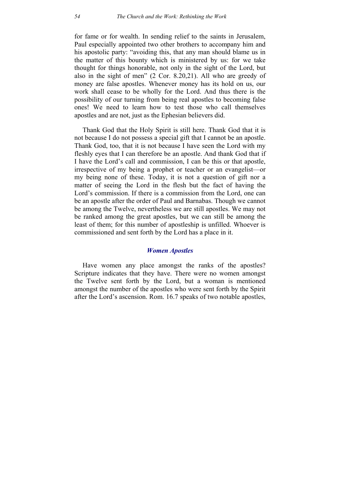for fame or for wealth. In sending relief to the saints in Jerusalem, Paul especially appointed two other brothers to accompany him and his apostolic party: "avoiding this, that any man should blame us in the matter of this bounty which is ministered by us: for we take thought for things honorable, not only in the sight of the Lord, but also in the sight of men" (2 Cor. 8.20,21). All who are greedy of money are false apostles. Whenever money has its hold on us, our work shall cease to be wholly for the Lord. And thus there is the possibility of our turning from being real apostles to becoming false ones! We need to learn how to test those who call themselves apostles and are not, just as the Ephesian believers did.

Thank God that the Holy Spirit is still here. Thank God that it is not because I do not possess a special gift that I cannot be an apostle. Thank God, too, that it is not because I have seen the Lord with my fleshly eyes that I can therefore be an apostle. And thank God that if I have the Lord's call and commission, I can be this or that apostle, irrespective of my being a prophet or teacher or an evangelist—or my being none of these. Today, it is not a question of gift nor a matter of seeing the Lord in the flesh but the fact of having the Lord's commission. If there is a commission from the Lord, one can be an apostle after the order of Paul and Barnabas. Though we cannot be among the Twelve, nevertheless we are still apostles. We may not be ranked among the great apostles, but we can still be among the least of them; for this number of apostleship is unfilled. Whoever is commissioned and sent forth by the Lord has a place in it.

#### *Women Apostles*

Have women any place amongst the ranks of the apostles? Scripture indicates that they have. There were no women amongst the Twelve sent forth by the Lord, but a woman is mentioned amongst the number of the apostles who were sent forth by the Spirit after the Lord's ascension. Rom. 16.7 speaks of two notable apostles,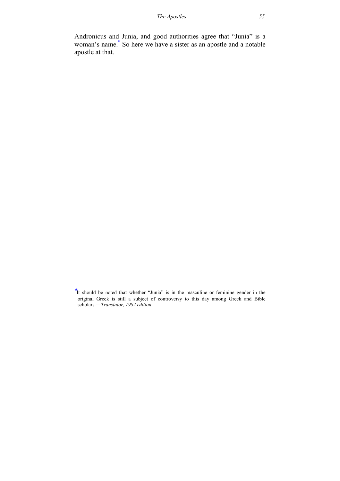Andronicus and Junia, and good authorities agree that "Junia" is a woman's name.\* So here we have a sister as an apostle and a notable apostle at that.

-

<sup>∗</sup> It should be noted that whether "Junia" is in the masculine or feminine gender in the original Greek is still a subject of controversy to this day among Greek and Bible scholars.—*Translator, 1982 edition*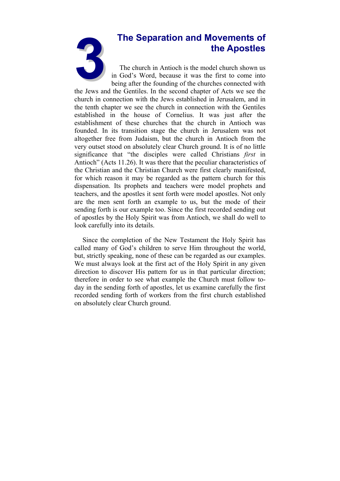# **the Apostles**



**3The Separation and Movements of the Apostles**<br>The church in Antioch is the model church shown us in God's Word, because it was the first to come into being after the founding of the churches connected with The church in Antioch is the model church shown us in God's Word, because it was the first to come into being after the founding of the churches connected with

the Jews and the Gentiles. In the second chapter of Acts we see the church in connection with the Jews established in Jerusalem, and in the tenth chapter we see the church in connection with the Gentiles established in the house of Cornelius. It was just after the establishment of these churches that the church in Antioch was founded. In its transition stage the church in Jerusalem was not altogether free from Judaism, but the church in Antioch from the very outset stood on absolutely clear Church ground. It is of no little significance that "the disciples were called Christians *first* in Antioch" (Acts 11.26). It was there that the peculiar characteristics of the Christian and the Christian Church were first clearly manifested, for which reason it may be regarded as the pattern church for this dispensation. Its prophets and teachers were model prophets and teachers, and the apostles it sent forth were model apostles. Not only are the men sent forth an example to us, but the mode of their sending forth is our example too. Since the first recorded sending out of apostles by the Holy Spirit was from Antioch, we shall do well to look carefully into its details.

Since the completion of the New Testament the Holy Spirit has called many of God's children to serve Him throughout the world, but, strictly speaking, none of these can be regarded as our examples. We must always look at the first act of the Holy Spirit in any given direction to discover His pattern for us in that particular direction; therefore in order to see what example the Church must follow today in the sending forth of apostles, let us examine carefully the first recorded sending forth of workers from the first church established on absolutely clear Church ground.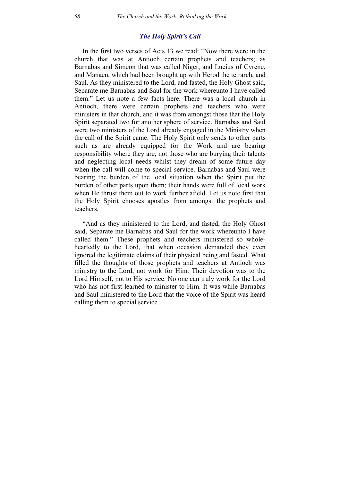#### *The Holy Spirit's Call*

In the first two verses of Acts 13 we read: "Now there were in the church that was at Antioch certain prophets and teachers; as Barnabas and Simeon that was called Niger, and Lucius of Cyrene, and Manaen, which had been brought up with Herod the tetrarch, and Saul. As they ministered to the Lord, and fasted, the Holy Ghost said, Separate me Barnabas and Saul for the work whereunto I have called them." Let us note a few facts here. There was a local church in Antioch, there were certain prophets and teachers who were ministers in that church, and it was from amongst those that the Holy Spirit separated two for another sphere of service. Barnabas and Saul were two ministers of the Lord already engaged in the Ministry when the call of the Spirit came. The Holy Spirit only sends to other parts such as are already equipped for the Work and are bearing responsibility where they are, not those who are burying their talents and neglecting local needs whilst they dream of some future day when the call will come to special service. Barnabas and Saul were bearing the burden of the local situation when the Spirit put the burden of other parts upon them; their hands were full of local work when He thrust them out to work further afield. Let us note first that the Holy Spirit chooses apostles from amongst the prophets and teachers.

"And as they ministered to the Lord, and fasted, the Holy Ghost said, Separate me Barnabas and Saul for the work whereunto I have called them." These prophets and teachers ministered so wholeheartedly to the Lord, that when occasion demanded they even ignored the legitimate claims of their physical being and fasted. What filled the thoughts of those prophets and teachers at Antioch was ministry to the Lord, not work for Him. Their devotion was to the Lord Himself, not to His service. No one can truly work for the Lord who has not first learned to minister to Him. It was while Barnabas and Saul ministered to the Lord that the voice of the Spirit was heard calling them to special service.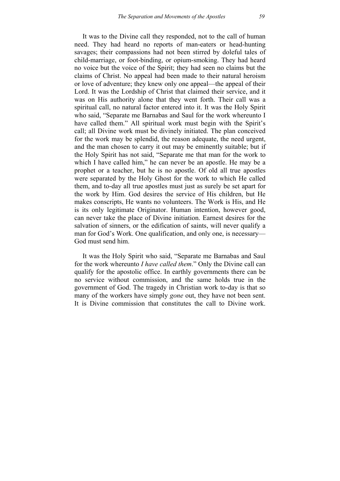It was to the Divine call they responded, not to the call of human need. They had heard no reports of man-eaters or head-hunting savages; their compassions had not been stirred by doleful tales of child-marriage, or foot-binding, or opium-smoking. They had heard no voice but the voice of the Spirit; they had seen no claims but the claims of Christ. No appeal had been made to their natural heroism or love of adventure; they knew only one appeal—the appeal of their Lord. It was the Lordship of Christ that claimed their service, and it was on His authority alone that they went forth. Their call was a spiritual call, no natural factor entered into it. It was the Holy Spirit who said, "Separate me Barnabas and Saul for the work whereunto I have called them." All spiritual work must begin with the Spirit's call; all Divine work must be divinely initiated. The plan conceived for the work may be splendid, the reason adequate, the need urgent, and the man chosen to carry it out may be eminently suitable; but if the Holy Spirit has not said, "Separate me that man for the work to which I have called him," he can never be an apostle. He may be a prophet or a teacher, but he is no apostle. Of old all true apostles were separated by the Holy Ghost for the work to which He called them, and to-day all true apostles must just as surely be set apart for the work by Him. God desires the service of His children, but He makes conscripts, He wants no volunteers. The Work is His, and He is its only legitimate Originator. Human intention, however good, can never take the place of Divine initiation. Earnest desires for the salvation of sinners, or the edification of saints, will never qualify a man for God's Work. One qualification, and only one, is necessary— God must send him.

It was the Holy Spirit who said, "Separate me Barnabas and Saul for the work whereunto *I have called them*." Only the Divine call can qualify for the apostolic office. In earthly governments there can be no service without commission, and the same holds true in the government of God. The tragedy in Christian work to-day is that so many of the workers have simply *gone* out, they have not been sent. It is Divine commission that constitutes the call to Divine work.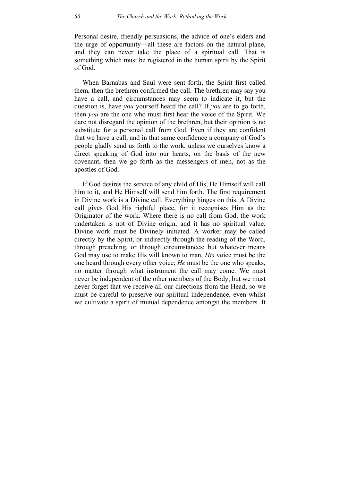Personal desire, friendly persuasions, the advice of one's elders and the urge of opportunity—all these are factors on the natural plane, and they can never take the place of a spiritual call. That is something which must be registered in the human spirit by the Spirit of God.

When Barnabas and Saul were sent forth, the Spirit first called them, then the brethren confirmed the call. The brethren may say you have a call, and circumstances may seem to indicate it, but the question is, have *you* yourself heard the call? If *you* are to go forth, then *you* are the one who must first hear the voice of the Spirit. We dare not disregard the opinion of the brethren, but their opinion is no substitute for a personal call from God. Even if they are confident that we have a call, and in that same confidence a company of God's people gladly send us forth to the work, unless we ourselves know a direct speaking of God into our hearts, on the basis of the new covenant, then we go forth as the messengers of men, not as the apostles of God.

If God desires the service of any child of His, He Himself will call him to it, and He Himself will send him forth. The first requirement in Divine work is a Divine call. Everything hinges on this. A Divine call gives God His rightful place, for it recognises Him as the Originator of the work. Where there is no call from God, the work undertaken is not of Divine origin, and it has no spiritual value. Divine work must be Divinely initiated. A worker may be called directly by the Spirit, or indirectly through the reading of the Word, through preaching, or through circumstances; but whatever means God may use to make His will known to man, *His* voice must be the one heard through every other voice; *He* must be the one who speaks, no matter through what instrument the call may come. We must never be independent of the other members of the Body, but we must never forget that we receive all our directions from the Head; so we must be careful to preserve our spiritual independence, even whilst we cultivate a spirit of mutual dependence amongst the members. It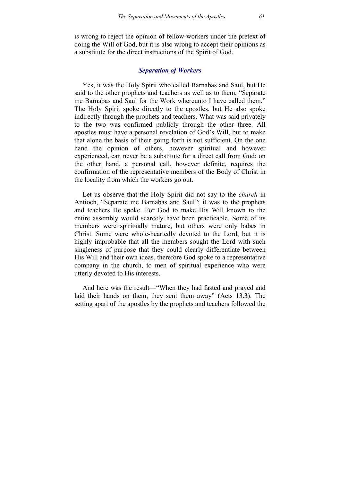is wrong to reject the opinion of fellow-workers under the pretext of doing the Will of God, but it is also wrong to accept their opinions as a substitute for the direct instructions of the Spirit of God.

#### *Separation of Workers*

Yes, it was the Holy Spirit who called Barnabas and Saul, but He said to the other prophets and teachers as well as to them, "Separate me Barnabas and Saul for the Work whereunto I have called them." The Holy Spirit spoke directly to the apostles, but He also spoke indirectly through the prophets and teachers. What was said privately to the two was confirmed publicly through the other three. All apostles must have a personal revelation of God's Will, but to make that alone the basis of their going forth is not sufficient. On the one hand the opinion of others, however spiritual and however experienced, can never be a substitute for a direct call from God: on the other hand, a personal call, however definite, requires the confirmation of the representative members of the Body of Christ in the locality from which the workers go out.

Let us observe that the Holy Spirit did not say to the *church* in Antioch, "Separate me Barnabas and Saul"; it was to the prophets and teachers He spoke. For God to make His Will known to the entire assembly would scarcely have been practicable. Some of its members were spiritually mature, but others were only babes in Christ. Some were whole-heartedly devoted to the Lord, but it is highly improbable that all the members sought the Lord with such singleness of purpose that they could clearly differentiate between His Will and their own ideas, therefore God spoke to a representative company in the church, to men of spiritual experience who were utterly devoted to His interests.

And here was the result—"When they had fasted and prayed and laid their hands on them, they sent them away" (Acts 13.3). The setting apart of the apostles by the prophets and teachers followed the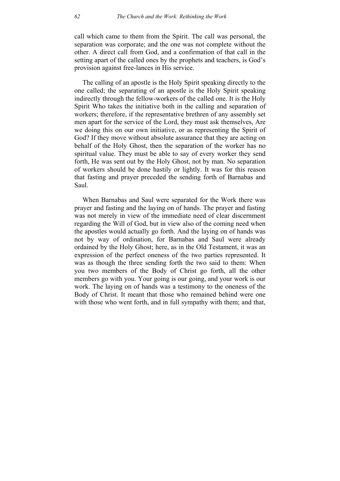call which came to them from the Spirit. The call was personal, the separation was corporate; and the one was not complete without the other. A direct call from God, and a confirmation of that call in the setting apart of the called ones by the prophets and teachers, is God's provision against free-lances in His service.

The calling of an apostle is the Holy Spirit speaking directly to the one called; the separating of an apostle is the Holy Spirit speaking indirectly through the fellow-workers of the called one. It is the Holy Spirit Who takes the initiative both in the calling and separation of workers; therefore, if the representative brethren of any assembly set men apart for the service of the Lord, they must ask themselves, Are we doing this on our own initiative, or as representing the Spirit of God? If they move without absolute assurance that they are acting on behalf of the Holy Ghost, then the separation of the worker has no spiritual value. They must be able to say of every worker they send forth, He was sent out by the Holy Ghost, not by man. No separation of workers should be done hastily or lightly. It was for this reason that fasting and prayer preceded the sending forth of Barnabas and Saul.

When Barnabas and Saul were separated for the Work there was prayer and fasting and the laying on of hands. The prayer and fasting was not merely in view of the immediate need of clear discernment regarding the Will of God, but in view also of the coming need when the apostles would actually go forth. And the laying on of hands was not by way of ordination, for Barnabas and Saul were already ordained by the Holy Ghost; here, as in the Old Testament, it was an expression of the perfect oneness of the two parties represented. It was as though the three sending forth the two said to them: When you two members of the Body of Christ go forth, all the other members go with you. Your going is our going, and your work is our work. The laying on of hands was a testimony to the oneness of the Body of Christ. It meant that those who remained behind were one with those who went forth, and in full sympathy with them; and that,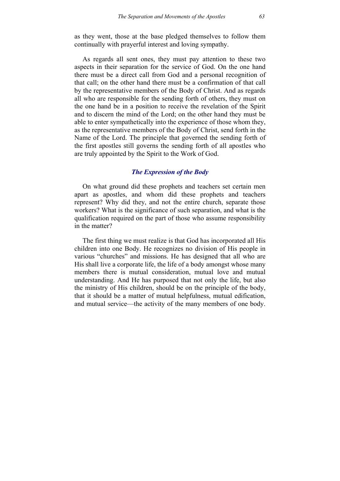as they went, those at the base pledged themselves to follow them continually with prayerful interest and loving sympathy.

As regards all sent ones, they must pay attention to these two aspects in their separation for the service of God. On the one hand there must be a direct call from God and a personal recognition of that call; on the other hand there must be a confirmation of that call by the representative members of the Body of Christ. And as regards all who are responsible for the sending forth of others, they must on the one hand be in a position to receive the revelation of the Spirit and to discern the mind of the Lord; on the other hand they must be able to enter sympathetically into the experience of those whom they, as the representative members of the Body of Christ, send forth in the Name of the Lord. The principle that governed the sending forth of the first apostles still governs the sending forth of all apostles who are truly appointed by the Spirit to the Work of God.

# *The Expression of the Body*

On what ground did these prophets and teachers set certain men apart as apostles, and whom did these prophets and teachers represent? Why did they, and not the entire church, separate those workers? What is the significance of such separation, and what is the qualification required on the part of those who assume responsibility in the matter?

The first thing we must realize is that God has incorporated all His children into one Body. He recognizes no division of His people in various "churches" and missions. He has designed that all who are His shall live a corporate life, the life of a body amongst whose many members there is mutual consideration, mutual love and mutual understanding. And He has purposed that not only the life, but also the ministry of His children, should be on the principle of the body, that it should be a matter of mutual helpfulness, mutual edification, and mutual service—the activity of the many members of one body.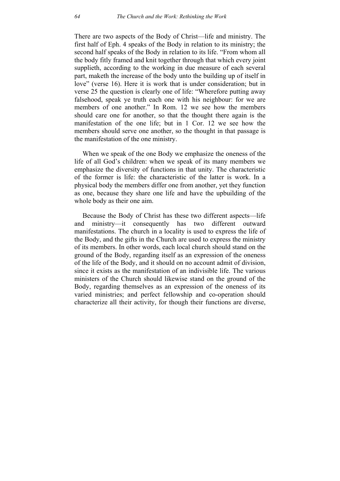There are two aspects of the Body of Christ—life and ministry. The first half of Eph. 4 speaks of the Body in relation to its ministry; the second half speaks of the Body in relation to its life. "From whom all the body fitly framed and knit together through that which every joint supplieth, according to the working in due measure of each several part, maketh the increase of the body unto the building up of itself in love" (verse 16). Here it is work that is under consideration; but in verse 25 the question is clearly one of life: "Wherefore putting away falsehood, speak ye truth each one with his neighbour: for we are members of one another." In Rom. 12 we see how the members should care one for another, so that the thought there again is the manifestation of the one life; but in 1 Cor. 12 we see how the members should serve one another, so the thought in that passage is the manifestation of the one ministry.

When we speak of the one Body we emphasize the oneness of the life of all God's children: when we speak of its many members we emphasize the diversity of functions in that unity. The characteristic of the former is life: the characteristic of the latter is work. In a physical body the members differ one from another, yet they function as one, because they share one life and have the upbuilding of the whole body as their one aim.

Because the Body of Christ has these two different aspects—life and ministry—it consequently has two different outward manifestations. The church in a locality is used to express the life of the Body, and the gifts in the Church are used to express the ministry of its members. In other words, each local church should stand on the ground of the Body, regarding itself as an expression of the oneness of the life of the Body, and it should on no account admit of division, since it exists as the manifestation of an indivisible life. The various ministers of the Church should likewise stand on the ground of the Body, regarding themselves as an expression of the oneness of its varied ministries; and perfect fellowship and co-operation should characterize all their activity, for though their functions are diverse,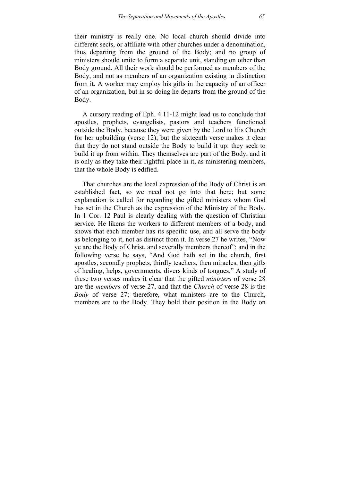their ministry is really one. No local church should divide into different sects, or affiliate with other churches under a denomination, thus departing from the ground of the Body; and no group of ministers should unite to form a separate unit, standing on other than Body ground. All their work should be performed as members of the Body, and not as members of an organization existing in distinction from it. A worker may employ his gifts in the capacity of an officer of an organization, but in so doing he departs from the ground of the Body.

A cursory reading of Eph. 4.11-12 might lead us to conclude that apostles, prophets, evangelists, pastors and teachers functioned outside the Body, because they were given by the Lord to His Church for her upbuilding (verse 12); but the sixteenth verse makes it clear that they do not stand outside the Body to build it up: they seek to build it up from within. They themselves are part of the Body, and it is only as they take their rightful place in it, as ministering members, that the whole Body is edified.

That churches are the local expression of the Body of Christ is an established fact, so we need not go into that here; but some explanation is called for regarding the gifted ministers whom God has set in the Church as the expression of the Ministry of the Body. In 1 Cor. 12 Paul is clearly dealing with the question of Christian service. He likens the workers to different members of a body, and shows that each member has its specific use, and all serve the body as belonging to it, not as distinct from it. In verse 27 he writes, "Now ye are the Body of Christ, and severally members thereof"; and in the following verse he says, "And God hath set in the church, first apostles, secondly prophets, thirdly teachers, then miracles, then gifts of healing, helps, governments, divers kinds of tongues." A study of these two verses makes it clear that the gifted *ministers* of verse 28 are the *members* of verse 27, and that the *Church* of verse 28 is the *Body* of verse 27; therefore, what ministers are to the Church, members are to the Body. They hold their position in the Body on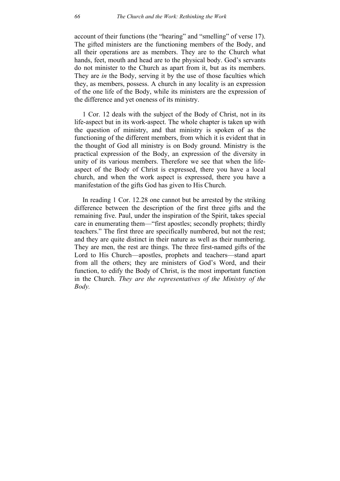account of their functions (the "hearing" and "smelling" of verse 17). The gifted ministers are the functioning members of the Body, and all their operations are as members. They are to the Church what hands, feet, mouth and head are to the physical body. God's servants do not minister to the Church as apart from it, but as its members. They are *in* the Body, serving it by the use of those faculties which they, as members, possess. A church in any locality is an expression of the one life of the Body, while its ministers are the expression of the difference and yet oneness of its ministry.

1 Cor. 12 deals with the subject of the Body of Christ, not in its life-aspect but in its work-aspect. The whole chapter is taken up with the question of ministry, and that ministry is spoken of as the functioning of the different members, from which it is evident that in the thought of God all ministry is on Body ground. Ministry is the practical expression of the Body, an expression of the diversity in unity of its various members. Therefore we see that when the lifeaspect of the Body of Christ is expressed, there you have a local church, and when the work aspect is expressed, there you have a manifestation of the gifts God has given to His Church.

In reading 1 Cor. 12.28 one cannot but be arrested by the striking difference between the description of the first three gifts and the remaining five. Paul, under the inspiration of the Spirit, takes special care in enumerating them—"first apostles; secondly prophets; thirdly teachers." The first three are specifically numbered, but not the rest; and they are quite distinct in their nature as well as their numbering. They are men, the rest are things. The three first-named gifts of the Lord to His Church—apostles, prophets and teachers—stand apart from all the others; they are ministers of God's Word, and their function, to edify the Body of Christ, is the most important function in the Church. *They are the representatives of the Ministry of the Body.*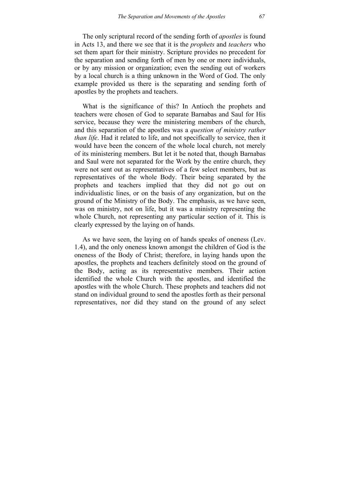The only scriptural record of the sending forth of *apostles* is found in Acts 13, and there we see that it is the *prophets* and *teachers* who set them apart for their ministry. Scripture provides no precedent for the separation and sending forth of men by one or more individuals, or by any mission or organization; even the sending out of workers by a local church is a thing unknown in the Word of God. The only example provided us there is the separating and sending forth of apostles by the prophets and teachers.

What is the significance of this? In Antioch the prophets and teachers were chosen of God to separate Barnabas and Saul for His service, because they were the ministering members of the church, and this separation of the apostles was a *question of ministry rather than life*. Had it related to life, and not specifically to service, then it would have been the concern of the whole local church, not merely of its ministering members. But let it be noted that, though Barnabas and Saul were not separated for the Work by the entire church, they were not sent out as representatives of a few select members, but as representatives of the whole Body. Their being separated by the prophets and teachers implied that they did not go out on individualistic lines, or on the basis of any organization, but on the ground of the Ministry of the Body. The emphasis, as we have seen, was on ministry, not on life, but it was a ministry representing the whole Church, not representing any particular section of it. This is clearly expressed by the laying on of hands.

As we have seen, the laying on of hands speaks of oneness (Lev. 1.4), and the only oneness known amongst the children of God is the oneness of the Body of Christ; therefore, in laying hands upon the apostles, the prophets and teachers definitely stood on the ground of the Body, acting as its representative members. Their action identified the whole Church with the apostles, and identified the apostles with the whole Church. These prophets and teachers did not stand on individual ground to send the apostles forth as their personal representatives, nor did they stand on the ground of any select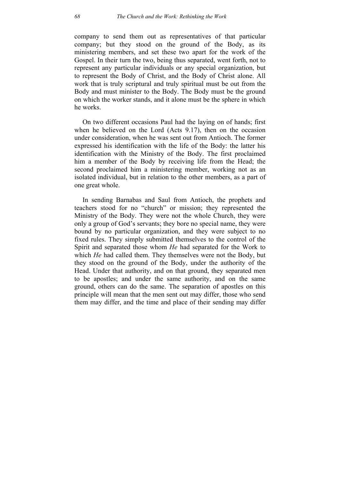company to send them out as representatives of that particular company; but they stood on the ground of the Body, as its ministering members, and set these two apart for the work of the Gospel. In their turn the two, being thus separated, went forth, not to represent any particular individuals or any special organization, but to represent the Body of Christ, and the Body of Christ alone. All work that is truly scriptural and truly spiritual must be out from the Body and must minister to the Body. The Body must be the ground on which the worker stands, and it alone must be the sphere in which he works.

On two different occasions Paul had the laying on of hands; first when he believed on the Lord (Acts 9.17), then on the occasion under consideration, when he was sent out from Antioch. The former expressed his identification with the life of the Body: the latter his identification with the Ministry of the Body. The first proclaimed him a member of the Body by receiving life from the Head; the second proclaimed him a ministering member, working not as an isolated individual, but in relation to the other members, as a part of one great whole.

In sending Barnabas and Saul from Antioch, the prophets and teachers stood for no "church" or mission; they represented the Ministry of the Body. They were not the whole Church, they were only a group of God's servants; they bore no special name, they were bound by no particular organization, and they were subject to no fixed rules. They simply submitted themselves to the control of the Spirit and separated those whom *He* had separated for the Work to which *He* had called them. They themselves were not the Body, but they stood on the ground of the Body, under the authority of the Head. Under that authority, and on that ground, they separated men to be apostles; and under the same authority, and on the same ground, others can do the same. The separation of apostles on this principle will mean that the men sent out may differ, those who send them may differ, and the time and place of their sending may differ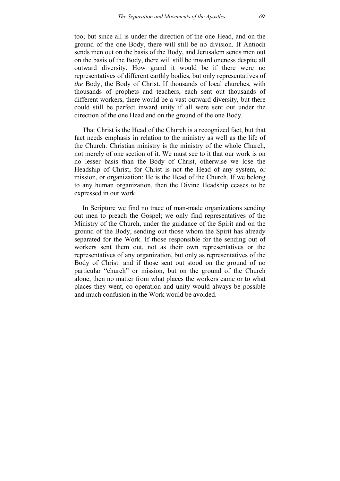too; but since all is under the direction of the one Head, and on the ground of the one Body, there will still be no division. If Antioch sends men out on the basis of the Body, and Jerusalem sends men out on the basis of the Body, there will still be inward oneness despite all outward diversity. How grand it would be if there were no representatives of different earthly bodies, but only representatives of *the* Body, the Body of Christ. If thousands of local churches, with thousands of prophets and teachers, each sent out thousands of different workers, there would be a vast outward diversity, but there could still be perfect inward unity if all were sent out under the direction of the one Head and on the ground of the one Body.

That Christ is the Head of the Church is a recognized fact, but that fact needs emphasis in relation to the ministry as well as the life of the Church. Christian ministry is the ministry of the whole Church, not merely of one section of it. We must see to it that our work is on no lesser basis than the Body of Christ, otherwise we lose the Headship of Christ, for Christ is not the Head of any system, or mission, or organization: He is the Head of the Church. If we belong to any human organization, then the Divine Headship ceases to be expressed in our work.

In Scripture we find no trace of man-made organizations sending out men to preach the Gospel; we only find representatives of the Ministry of the Church, under the guidance of the Spirit and on the ground of the Body, sending out those whom the Spirit has already separated for the Work. If those responsible for the sending out of workers sent them out, not as their own representatives or the representatives of any organization, but only as representatives of the Body of Christ: and if those sent out stood on the ground of no particular "church" or mission, but on the ground of the Church alone, then no matter from what places the workers came or to what places they went, co-operation and unity would always be possible and much confusion in the Work would be avoided.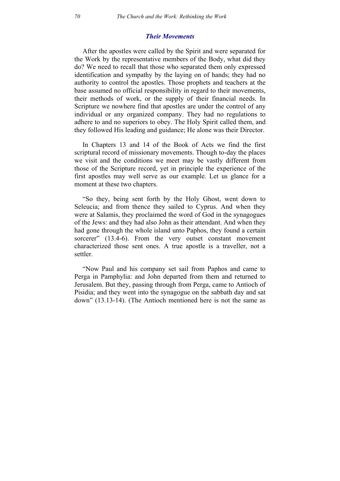#### *Their Movements*

After the apostles were called by the Spirit and were separated for the Work by the representative members of the Body, what did they do? We need to recall that those who separated them only expressed identification and sympathy by the laying on of hands; they had no authority to control the apostles. Those prophets and teachers at the base assumed no official responsibility in regard to their movements, their methods of work, or the supply of their financial needs. In Scripture we nowhere find that apostles are under the control of any individual or any organized company. They had no regulations to adhere to and no superiors to obey. The Holy Spirit called them, and they followed His leading and guidance; He alone was their Director.

In Chapters 13 and 14 of the Book of Acts we find the first scriptural record of missionary movements. Though to-day the places we visit and the conditions we meet may be vastly different from those of the Scripture record, yet in principle the experience of the first apostles may well serve as our example. Let us glance for a moment at these two chapters.

"So they, being sent forth by the Holy Ghost, went down to Seleucia; and from thence they sailed to Cyprus. And when they were at Salamis, they proclaimed the word of God in the synagogues of the Jews: and they had also John as their attendant. And when they had gone through the whole island unto Paphos, they found a certain sorcerer" (13.4-6). From the very outset constant movement characterized those sent ones. A true apostle is a traveller, not a settler.

"Now Paul and his company set sail from Paphos and came to Perga in Pamphylia: and John departed from them and returned to Jerusalem. But they, passing through from Perga, came to Antioch of Pisidia; and they went into the synagogue on the sabbath day and sat down" (13.13-14). (The Antioch mentioned here is not the same as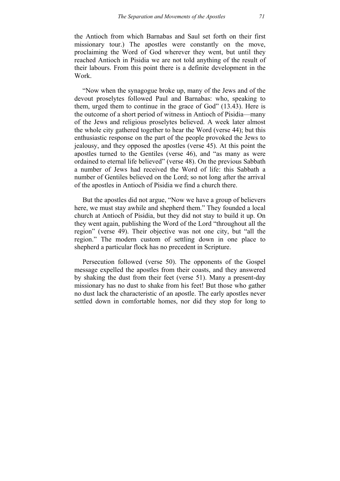the Antioch from which Barnabas and Saul set forth on their first missionary tour.) The apostles were constantly on the move, proclaiming the Word of God wherever they went, but until they reached Antioch in Pisidia we are not told anything of the result of their labours. From this point there is a definite development in the Work.

"Now when the synagogue broke up, many of the Jews and of the devout proselytes followed Paul and Barnabas: who, speaking to them, urged them to continue in the grace of God" (13.43). Here is the outcome of a short period of witness in Antioch of Pisidia—many of the Jews and religious proselytes believed. A week later almost the whole city gathered together to hear the Word (verse 44); but this enthusiastic response on the part of the people provoked the Jews to jealousy, and they opposed the apostles (verse 45). At this point the apostles turned to the Gentiles (verse 46), and "as many as were ordained to eternal life believed" (verse 48). On the previous Sabbath a number of Jews had received the Word of life: this Sabbath a number of Gentiles believed on the Lord; so not long after the arrival of the apostles in Antioch of Pisidia we find a church there.

But the apostles did not argue, "Now we have a group of believers here, we must stay awhile and shepherd them." They founded a local church at Antioch of Pisidia, but they did not stay to build it up. On they went again, publishing the Word of the Lord "throughout all the region" (verse 49). Their objective was not one city, but "all the region." The modern custom of settling down in one place to shepherd a particular flock has no precedent in Scripture.

Persecution followed (verse 50). The opponents of the Gospel message expelled the apostles from their coasts, and they answered by shaking the dust from their feet (verse 51). Many a present-day missionary has no dust to shake from his feet! But those who gather no dust lack the characteristic of an apostle. The early apostles never settled down in comfortable homes, nor did they stop for long to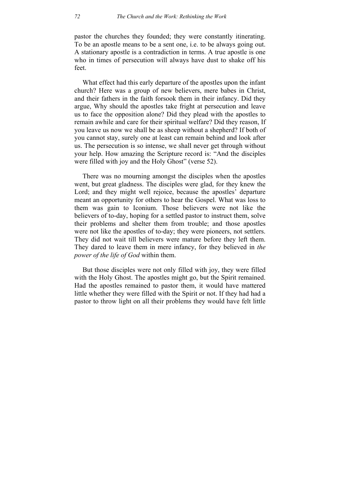pastor the churches they founded; they were constantly itinerating. To be an apostle means to be a sent one, i.e. to be always going out. A stationary apostle is a contradiction in terms. A true apostle is one who in times of persecution will always have dust to shake off his feet.

What effect had this early departure of the apostles upon the infant church? Here was a group of new believers, mere babes in Christ, and their fathers in the faith forsook them in their infancy. Did they argue, Why should the apostles take fright at persecution and leave us to face the opposition alone? Did they plead with the apostles to remain awhile and care for their spiritual welfare? Did they reason, If you leave us now we shall be as sheep without a shepherd? If both of you cannot stay, surely one at least can remain behind and look after us. The persecution is so intense, we shall never get through without your help. How amazing the Scripture record is: "And the disciples were filled with joy and the Holy Ghost" (verse 52).

There was no mourning amongst the disciples when the apostles went, but great gladness. The disciples were glad, for they knew the Lord; and they might well rejoice, because the apostles' departure meant an opportunity for others to hear the Gospel. What was loss to them was gain to Iconium. Those believers were not like the believers of to-day, hoping for a settled pastor to instruct them, solve their problems and shelter them from trouble; and those apostles were not like the apostles of to-day; they were pioneers, not settlers. They did not wait till believers were mature before they left them. They dared to leave them in mere infancy, for they believed in *the power of the life of God* within them.

But those disciples were not only filled with joy, they were filled with the Holy Ghost. The apostles might go, but the Spirit remained. Had the apostles remained to pastor them, it would have mattered little whether they were filled with the Spirit or not. If they had had a pastor to throw light on all their problems they would have felt little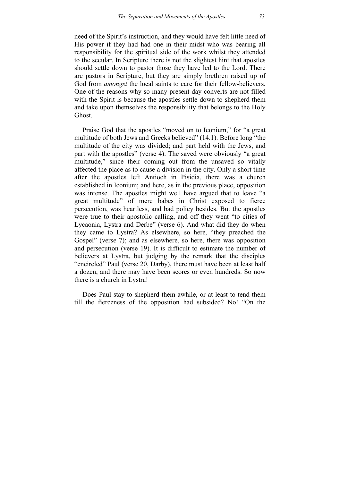need of the Spirit's instruction, and they would have felt little need of His power if they had had one in their midst who was bearing all responsibility for the spiritual side of the work whilst they attended to the secular. In Scripture there is not the slightest hint that apostles should settle down to pastor those they have led to the Lord. There are pastors in Scripture, but they are simply brethren raised up of God from *amongst* the local saints to care for their fellow-believers. One of the reasons why so many present-day converts are not filled with the Spirit is because the apostles settle down to shepherd them and take upon themselves the responsibility that belongs to the Holy Ghost.

Praise God that the apostles "moved on to Iconium," for "a great multitude of both Jews and Greeks believed" (14.1). Before long "the multitude of the city was divided; and part held with the Jews, and part with the apostles" (verse 4). The saved were obviously "a great multitude," since their coming out from the unsaved so vitally affected the place as to cause a division in the city. Only a short time after the apostles left Antioch in Pisidia, there was a church established in Iconium; and here, as in the previous place, opposition was intense. The apostles might well have argued that to leave "a great multitude" of mere babes in Christ exposed to fierce persecution, was heartless, and bad policy besides. But the apostles were true to their apostolic calling, and off they went "to cities of Lycaonia, Lystra and Derbe" (verse 6). And what did they do when they came to Lystra? As elsewhere, so here, "they preached the Gospel" (verse 7); and as elsewhere, so here, there was opposition and persecution (verse 19). It is difficult to estimate the number of believers at Lystra, but judging by the remark that the disciples "encircled" Paul (verse 20, Darby), there must have been at least half a dozen, and there may have been scores or even hundreds. So now there is a church in Lystra!

Does Paul stay to shepherd them awhile, or at least to tend them till the fierceness of the opposition had subsided? No! "On the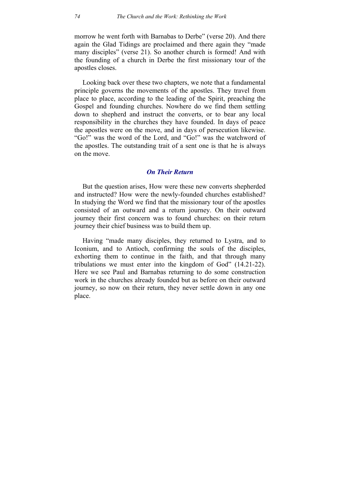morrow he went forth with Barnabas to Derbe" (verse 20). And there again the Glad Tidings are proclaimed and there again they "made many disciples" (verse 21). So another church is formed! And with the founding of a church in Derbe the first missionary tour of the apostles closes.

Looking back over these two chapters, we note that a fundamental principle governs the movements of the apostles. They travel from place to place, according to the leading of the Spirit, preaching the Gospel and founding churches. Nowhere do we find them settling down to shepherd and instruct the converts, or to bear any local responsibility in the churches they have founded. In days of peace the apostles were on the move, and in days of persecution likewise. "Go!" was the word of the Lord, and "Go!" was the watchword of the apostles. The outstanding trait of a sent one is that he is always on the move.

#### *On Their Return*

But the question arises, How were these new converts shepherded and instructed? How were the newly-founded churches established? In studying the Word we find that the missionary tour of the apostles consisted of an outward and a return journey. On their outward journey their first concern was to found churches: on their return journey their chief business was to build them up.

Having "made many disciples, they returned to Lystra, and to Iconium, and to Antioch, confirming the souls of the disciples, exhorting them to continue in the faith, and that through many tribulations we must enter into the kingdom of God" (14.21-22). Here we see Paul and Barnabas returning to do some construction work in the churches already founded but as before on their outward journey, so now on their return, they never settle down in any one place.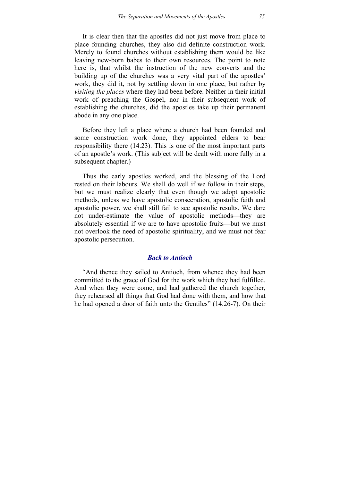It is clear then that the apostles did not just move from place to place founding churches, they also did definite construction work. Merely to found churches without establishing them would be like leaving new-born babes to their own resources. The point to note here is, that whilst the instruction of the new converts and the building up of the churches was a very vital part of the apostles' work, they did it, not by settling down in one place, but rather by *visiting the places* where they had been before. Neither in their initial work of preaching the Gospel, nor in their subsequent work of establishing the churches, did the apostles take up their permanent abode in any one place.

Before they left a place where a church had been founded and some construction work done, they appointed elders to bear responsibility there (14.23). This is one of the most important parts of an apostle's work. (This subject will be dealt with more fully in a subsequent chapter.)

Thus the early apostles worked, and the blessing of the Lord rested on their labours. We shall do well if we follow in their steps, but we must realize clearly that even though we adopt apostolic methods, unless we have apostolic consecration, apostolic faith and apostolic power, we shall still fail to see apostolic results. We dare not under-estimate the value of apostolic methods—they are absolutely essential if we are to have apostolic fruits—but we must not overlook the need of apostolic spirituality, and we must not fear apostolic persecution.

#### *Back to Antioch*

"And thence they sailed to Antioch, from whence they had been committed to the grace of God for the work which they had fulfilled. And when they were come, and had gathered the church together, they rehearsed all things that God had done with them, and how that he had opened a door of faith unto the Gentiles" (14.26-7). On their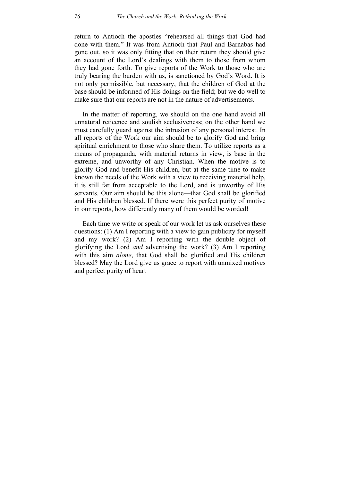return to Antioch the apostles "rehearsed all things that God had done with them." It was from Antioch that Paul and Barnabas had gone out, so it was only fitting that on their return they should give an account of the Lord's dealings with them to those from whom they had gone forth. To give reports of the Work to those who are truly bearing the burden with us, is sanctioned by God's Word. It is not only permissible, but necessary, that the children of God at the base should be informed of His doings on the field; but we do well to make sure that our reports are not in the nature of advertisements.

In the matter of reporting, we should on the one hand avoid all unnatural reticence and soulish seclusiveness; on the other hand we must carefully guard against the intrusion of any personal interest. In all reports of the Work our aim should be to glorify God and bring spiritual enrichment to those who share them. To utilize reports as a means of propaganda, with material returns in view, is base in the extreme, and unworthy of any Christian. When the motive is to glorify God and benefit His children, but at the same time to make known the needs of the Work with a view to receiving material help, it is still far from acceptable to the Lord, and is unworthy of His servants. Our aim should be this alone—that God shall be glorified and His children blessed. If there were this perfect purity of motive in our reports, how differently many of them would be worded!

Each time we write or speak of our work let us ask ourselves these questions: (1) Am I reporting with a view to gain publicity for myself and my work? (2) Am I reporting with the double object of glorifying the Lord *and* advertising the work? (3) Am I reporting with this aim *alone*, that God shall be glorified and His children blessed? May the Lord give us grace to report with unmixed motives and perfect purity of heart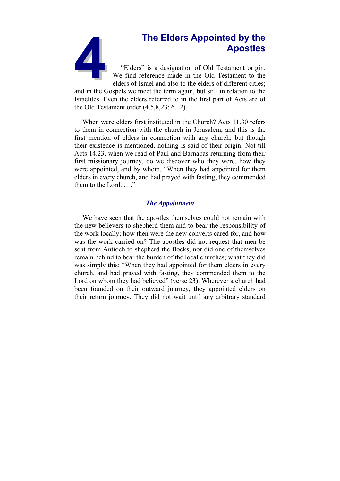# **4The Elders Appointed by the**<br>**4The Apostles**<br>
4The Superior of Old Testament origin.<br>
We find reference made in the Old Testament to the<br>
elders of Israel and also to the elders of different cities; **Apostles**  "Elders" is a designation of Old Testament origin. We find reference made in the Old Testament to the elders of Israel and also to the elders of different cities; and in the Gospels we meet the term again, but still in relation to the Israelites. Even the elders referred to in the first part of Acts are of the Old Testament order (4.5,8,23; 6.12).

When were elders first instituted in the Church? Acts 11.30 refers to them in connection with the church in Jerusalem, and this is the first mention of elders in connection with any church; but though their existence is mentioned, nothing is said of their origin. Not till Acts 14.23, when we read of Paul and Barnabas returning from their first missionary journey, do we discover who they were, how they were appointed, and by whom. "When they had appointed for them elders in every church, and had prayed with fasting, they commended them to the Lord.  $\cdots$ 

# *The Appointment*

We have seen that the apostles themselves could not remain with the new believers to shepherd them and to bear the responsibility of the work locally; how then were the new converts cared for, and how was the work carried on? The apostles did not request that men be sent from Antioch to shepherd the flocks, nor did one of themselves remain behind to bear the burden of the local churches; what they did was simply this: "When they had appointed for them elders in every church, and had prayed with fasting, they commended them to the Lord on whom they had believed" (verse 23). Wherever a church had been founded on their outward journey, they appointed elders on their return journey. They did not wait until any arbitrary standard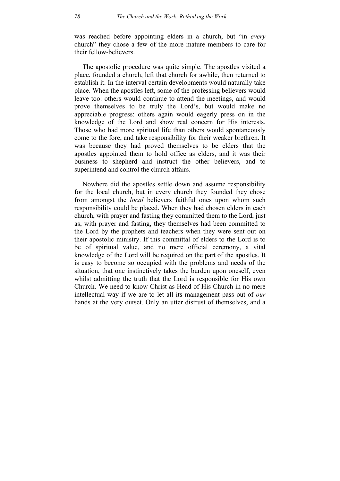was reached before appointing elders in a church, but "in *every* church" they chose a few of the more mature members to care for their fellow-believers.

The apostolic procedure was quite simple. The apostles visited a place, founded a church, left that church for awhile, then returned to establish it. In the interval certain developments would naturally take place. When the apostles left, some of the professing believers would leave too: others would continue to attend the meetings, and would prove themselves to be truly the Lord's, but would make no appreciable progress: others again would eagerly press on in the knowledge of the Lord and show real concern for His interests. Those who had more spiritual life than others would spontaneously come to the fore, and take responsibility for their weaker brethren. It was because they had proved themselves to be elders that the apostles appointed them to hold office as elders, and it was their business to shepherd and instruct the other believers, and to superintend and control the church affairs.

Nowhere did the apostles settle down and assume responsibility for the local church, but in every church they founded they chose from amongst the *local* believers faithful ones upon whom such responsibility could be placed. When they had chosen elders in each church, with prayer and fasting they committed them to the Lord, just as, with prayer and fasting, they themselves had been committed to the Lord by the prophets and teachers when they were sent out on their apostolic ministry. If this committal of elders to the Lord is to be of spiritual value, and no mere official ceremony, a vital knowledge of the Lord will be required on the part of the apostles. It is easy to become so occupied with the problems and needs of the situation, that one instinctively takes the burden upon oneself, even whilst admitting the truth that the Lord is responsible for His own Church. We need to know Christ as Head of His Church in no mere intellectual way if we are to let all its management pass out of *our* hands at the very outset. Only an utter distrust of themselves, and a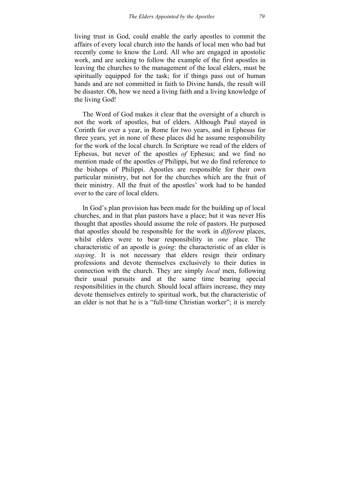living trust in God, could enable the early apostles to commit the affairs of every local church into the hands of local men who had but recently come to know the Lord. All who are engaged in apostolic work, and are seeking to follow the example of the first apostles in leaving the churches to the management of the local elders, must be spiritually equipped for the task; for if things pass out of human hands and are not committed in faith to Divine hands, the result will be disaster. Oh, how we need a living faith and a living knowledge of the living God!

The Word of God makes it clear that the oversight of a church is not the work of apostles, but of elders. Although Paul stayed in Corinth for over a year, in Rome for two years, and in Ephesus for three years, yet in none of these places did he assume responsibility for the work of the local church. In Scripture we read of the elders of Ephesus, but never of the apostles *of* Ephesus; and we find no mention made of the apostles *of* Philippi, but we do find reference to the bishops of Philippi. Apostles are responsible for their own particular ministry, but not for the churches which are the fruit of their ministry. All the fruit of the apostles' work had to be handed over to the care of local elders.

In God's plan provision has been made for the building up of local churches, and in that plan pastors have a place; but it was never His thought that apostles should assume the role of pastors. He purposed that apostles should be responsible for the work in *different* places, whilst elders were to bear responsibility in *one* place. The characteristic of an apostle is *going*: the characteristic of an elder is *staying*. It is not necessary that elders resign their ordinary professions and devote themselves exclusively to their duties in connection with the church. They are simply *local* men, following their usual pursuits and at the same time bearing special responsibilities in the church. Should local affairs increase, they may devote themselves entirely to spiritual work, but the characteristic of an elder is not that he is a "full-time Christian worker"; it is merely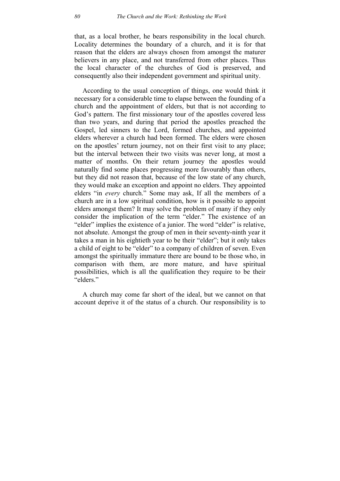that, as a local brother, he bears responsibility in the local church. Locality determines the boundary of a church, and it is for that reason that the elders are always chosen from amongst the maturer believers in any place, and not transferred from other places. Thus the local character of the churches of God is preserved, and consequently also their independent government and spiritual unity.

According to the usual conception of things, one would think it necessary for a considerable time to elapse between the founding of a church and the appointment of elders, but that is not according to God's pattern. The first missionary tour of the apostles covered less than two years, and during that period the apostles preached the Gospel, led sinners to the Lord, formed churches, and appointed elders wherever a church had been formed. The elders were chosen on the apostles' return journey, not on their first visit to any place; but the interval between their two visits was never long, at most a matter of months. On their return journey the apostles would naturally find some places progressing more favourably than others, but they did not reason that, because of the low state of any church, they would make an exception and appoint no elders. They appointed elders "in *every* church." Some may ask, If all the members of a church are in a low spiritual condition, how is it possible to appoint elders amongst them? It may solve the problem of many if they only consider the implication of the term "elder." The existence of an "elder" implies the existence of a junior. The word "elder" is relative, not absolute. Amongst the group of men in their seventy-ninth year it takes a man in his eightieth year to be their "elder"; but it only takes a child of eight to be "elder" to a company of children of seven. Even amongst the spiritually immature there are bound to be those who, in comparison with them, are more mature, and have spiritual possibilities, which is all the qualification they require to be their "elders"

A church may come far short of the ideal, but we cannot on that account deprive it of the status of a church. Our responsibility is to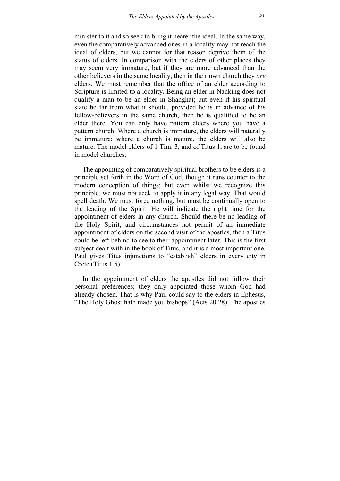minister to it and so seek to bring it nearer the ideal. In the same way, even the comparatively advanced ones in a locality may not reach the ideal of elders, but we cannot for that reason deprive them of the status of elders. In comparison with the elders of other places they may seem very immature, but if they are more advanced than the other believers in the same locality, then in their own church they *are* elders. We must remember that the office of an elder according to Scripture is limited to a locality. Being an elder in Nanking does not qualify a man to be an elder in Shanghai; but even if his spiritual state be far from what it should, provided he is in advance of his fellow-believers in the same church, then he is qualified to be an elder there. You can only have pattern elders where you have a pattern church. Where a church is immature, the elders will naturally be immature; where a church is mature, the elders will also be mature. The model elders of 1 Tim. 3, and of Titus 1, are to be found in model churches.

The appointing of comparatively spiritual brothers to be elders is a principle set forth in the Word of God, though it runs counter to the modern conception of things; but even whilst we recognize this principle, we must not seek to apply it in any legal way. That would spell death. We must force nothing, but must be continually open to the leading of the Spirit. He will indicate the right time for the appointment of elders in any church. Should there be no leading of the Holy Spirit, and circumstances not permit of an immediate appointment of elders on the second visit of the apostles, then a Titus could be left behind to see to their appointment later. This is the first subject dealt with in the book of Titus, and it is a most important one. Paul gives Titus injunctions to "establish" elders in every city in Crete (Titus 1.5).

In the appointment of elders the apostles did not follow their personal preferences; they only appointed those whom God had already chosen. That is why Paul could say to the elders in Ephesus, "The Holy Ghost hath made you bishops" (Acts 20.28). The apostles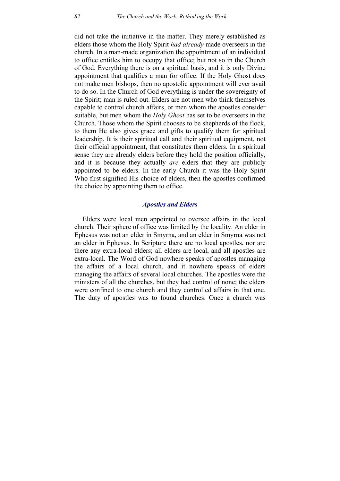did not take the initiative in the matter. They merely established as elders those whom the Holy Spirit *had already* made overseers in the church. In a man-made organization the appointment of an individual to office entitles him to occupy that office; but not so in the Church of God. Everything there is on a spiritual basis, and it is only Divine appointment that qualifies a man for office. If the Holy Ghost does not make men bishops, then no apostolic appointment will ever avail to do so. In the Church of God everything is under the sovereignty of the Spirit; man is ruled out. Elders are not men who think themselves capable to control church affairs, or men whom the apostles consider suitable, but men whom the *Holy Ghost* has set to be overseers in the Church. Those whom the Spirit chooses to be shepherds of the flock, to them He also gives grace and gifts to qualify them for spiritual leadership. It is their spiritual call and their spiritual equipment, not their official appointment, that constitutes them elders. In a spiritual sense they are already elders before they hold the position officially, and it is because they actually *are* elders that they are publicly appointed to be elders. In the early Church it was the Holy Spirit Who first signified His choice of elders, then the apostles confirmed the choice by appointing them to office.

## *Apostles and Elders*

Elders were local men appointed to oversee affairs in the local church. Their sphere of office was limited by the locality. An elder in Ephesus was not an elder in Smyrna, and an elder in Smyrna was not an elder in Ephesus. In Scripture there are no local apostles, nor are there any extra-local elders; all elders are local, and all apostles are extra-local. The Word of God nowhere speaks of apostles managing the affairs of a local church, and it nowhere speaks of elders managing the affairs of several local churches. The apostles were the ministers of all the churches, but they had control of none; the elders were confined to one church and they controlled affairs in that one. The duty of apostles was to found churches. Once a church was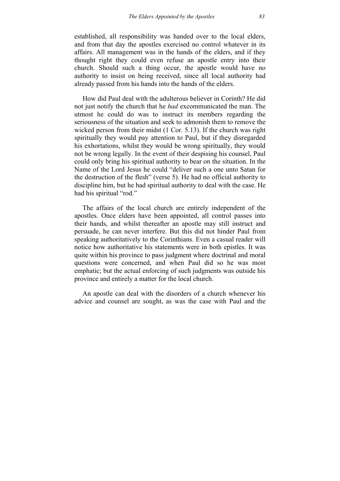established, all responsibility was handed over to the local elders, and from that day the apostles exercised no control whatever in its affairs. All management was in the hands of the elders, and if they thought right they could even refuse an apostle entry into their church. Should such a thing occur, the apostle would have no authority to insist on being received, since all local authority had already passed from his hands into the hands of the elders.

How did Paul deal with the adulterous believer in Corinth? He did not just notify the church that he *had* excommunicated the man. The utmost he could do was to instruct its members regarding the seriousness of the situation and seek to admonish them to remove the wicked person from their midst (1 Cor. 5.13). If the church was right spiritually they would pay attention to Paul, but if they disregarded his exhortations, whilst they would be wrong spiritually, they would not be wrong legally. In the event of their despising his counsel, Paul could only bring his spiritual authority to bear on the situation. In the Name of the Lord Jesus he could "deliver such a one unto Satan for the destruction of the flesh" (verse 5). He had no official authority to discipline him, but he had spiritual authority to deal with the case. He had his spiritual "rod."

The affairs of the local church are entirely independent of the apostles. Once elders have been appointed, all control passes into their hands, and whilst thereafter an apostle may still instruct and persuade, he can never interfere. But this did not hinder Paul from speaking authoritatively to the Corinthians. Even a casual reader will notice how authoritative his statements were in both epistles. It was quite within his province to pass judgment where doctrinal and moral questions were concerned, and when Paul did so he was most emphatic; but the actual enforcing of such judgments was outside his province and entirely a matter for the local church.

An apostle can deal with the disorders of a church whenever his advice and counsel are sought, as was the case with Paul and the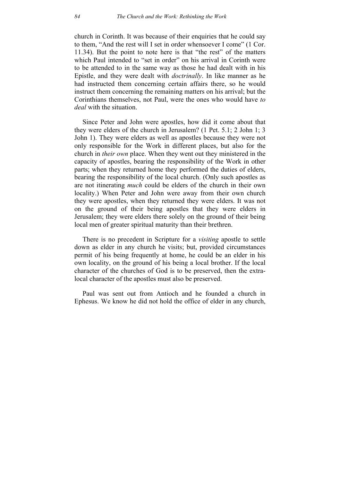church in Corinth. It was because of their enquiries that he could say to them, "And the rest will I set in order whensoever I come" (1 Cor. 11.34). But the point to note here is that "the rest" of the matters which Paul intended to "set in order" on his arrival in Corinth were to be attended to in the same way as those he had dealt with in his Epistle, and they were dealt with *doctrinally*. In like manner as he had instructed them concerning certain affairs there, so he would instruct them concerning the remaining matters on his arrival; but the Corinthians themselves, not Paul, were the ones who would have *to deal* with the situation.

Since Peter and John were apostles, how did it come about that they were elders of the church in Jerusalem? (1 Pet. 5.1; 2 John 1; 3 John 1). They were elders as well as apostles because they were not only responsible for the Work in different places, but also for the church in *their own* place. When they went out they ministered in the capacity of apostles, bearing the responsibility of the Work in other parts; when they returned home they performed the duties of elders, bearing the responsibility of the local church. (Only such apostles as are not itinerating *much* could be elders of the church in their own locality.) When Peter and John were away from their own church they were apostles, when they returned they were elders. It was not on the ground of their being apostles that they were elders in Jerusalem; they were elders there solely on the ground of their being local men of greater spiritual maturity than their brethren.

There is no precedent in Scripture for a *visiting* apostle to settle down as elder in any church he visits; but, provided circumstances permit of his being frequently at home, he could be an elder in his own locality, on the ground of his being a local brother. If the local character of the churches of God is to be preserved, then the extralocal character of the apostles must also be preserved.

Paul was sent out from Antioch and he founded a church in Ephesus. We know he did not hold the office of elder in any church,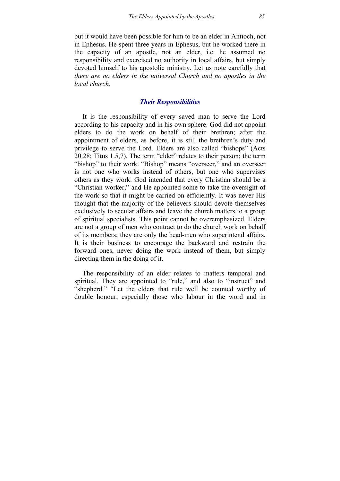but it would have been possible for him to be an elder in Antioch, not in Ephesus. He spent three years in Ephesus, but he worked there in the capacity of an apostle, not an elder, i.e. he assumed no responsibility and exercised no authority in local affairs, but simply devoted himself to his apostolic ministry. Let us note carefully that *there are no elders in the universal Church and no apostles in the local church.*

#### *Their Responsibilities*

It is the responsibility of every saved man to serve the Lord according to his capacity and in his own sphere. God did not appoint elders to do the work on behalf of their brethren; after the appointment of elders, as before, it is still the brethren's duty and privilege to serve the Lord. Elders are also called "bishops" (Acts 20.28; Titus 1.5,7). The term "elder" relates to their person; the term "bishop" to their work. "Bishop" means "overseer," and an overseer is not one who works instead of others, but one who supervises others as they work. God intended that every Christian should be a "Christian worker," and He appointed some to take the oversight of the work so that it might be carried on efficiently. It was never His thought that the majority of the believers should devote themselves exclusively to secular affairs and leave the church matters to a group of spiritual specialists. This point cannot be overemphasized. Elders are not a group of men who contract to do the church work on behalf of its members; they are only the head-men who superintend affairs. It is their business to encourage the backward and restrain the forward ones, never doing the work instead of them, but simply directing them in the doing of it.

The responsibility of an elder relates to matters temporal and spiritual. They are appointed to "rule," and also to "instruct" and "shepherd." "Let the elders that rule well be counted worthy of double honour, especially those who labour in the word and in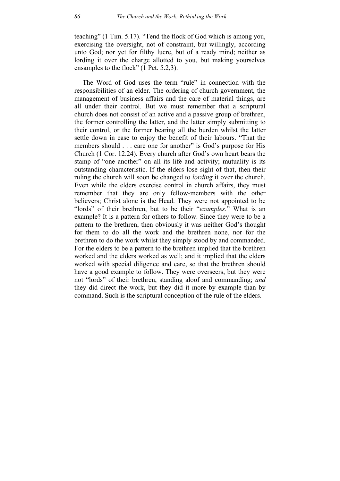teaching" (1 Tim. 5.17). "Tend the flock of God which is among you, exercising the oversight, not of constraint, but willingly, according unto God; nor yet for filthy lucre, but of a ready mind; neither as lording it over the charge allotted to you, but making yourselves ensamples to the flock" (1 Pet. 5.2,3).

The Word of God uses the term "rule" in connection with the responsibilities of an elder. The ordering of church government, the management of business affairs and the care of material things, are all under their control. But we must remember that a scriptural church does not consist of an active and a passive group of brethren, the former controlling the latter, and the latter simply submitting to their control, or the former bearing all the burden whilst the latter settle down in ease to enjoy the benefit of their labours. "That the members should . . . care one for another" is God's purpose for His Church (1 Cor. 12.24). Every church after God's own heart bears the stamp of "one another" on all its life and activity; mutuality is its outstanding characteristic. If the elders lose sight of that, then their ruling the church will soon be changed to *lording* it over the church. Even while the elders exercise control in church affairs, they must remember that they are only fellow-members with the other believers; Christ alone is the Head. They were not appointed to be "lords" of their brethren, but to be their "*examples*." What is an example? It is a pattern for others to follow. Since they were to be a pattern to the brethren, then obviously it was neither God's thought for them to do all the work and the brethren none, nor for the brethren to do the work whilst they simply stood by and commanded. For the elders to be a pattern to the brethren implied that the brethren worked and the elders worked as well; and it implied that the elders worked with special diligence and care, so that the brethren should have a good example to follow. They were overseers, but they were not "lords" of their brethren, standing aloof and commanding; *and* they did direct the work, but they did it more by example than by command. Such is the scriptural conception of the rule of the elders.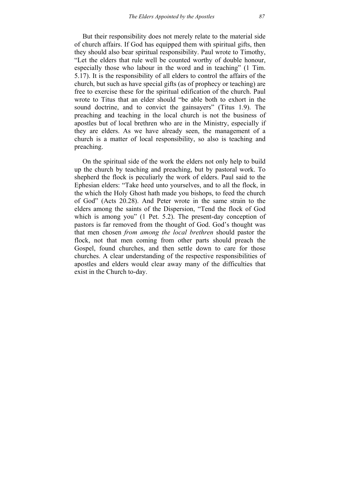But their responsibility does not merely relate to the material side of church affairs. If God has equipped them with spiritual gifts, then they should also bear spiritual responsibility. Paul wrote to Timothy, "Let the elders that rule well be counted worthy of double honour, especially those who labour in the word and in teaching" (1 Tim. 5.17). It is the responsibility of all elders to control the affairs of the church, but such as have special gifts (as of prophecy or teaching) are free to exercise these for the spiritual edification of the church. Paul wrote to Titus that an elder should "be able both to exhort in the sound doctrine, and to convict the gainsayers" (Titus 1.9). The preaching and teaching in the local church is not the business of apostles but of local brethren who are in the Ministry, especially if they are elders. As we have already seen, the management of a church is a matter of local responsibility, so also is teaching and preaching.

On the spiritual side of the work the elders not only help to build up the church by teaching and preaching, but by pastoral work. To shepherd the flock is peculiarly the work of elders. Paul said to the Ephesian elders: "Take heed unto yourselves, and to all the flock, in the which the Holy Ghost hath made you bishops, to feed the church of God" (Acts 20.28). And Peter wrote in the same strain to the elders among the saints of the Dispersion, "Tend the flock of God which is among you" (1 Pet. 5.2). The present-day conception of pastors is far removed from the thought of God. God's thought was that men chosen *from among the local brethren* should pastor the flock, not that men coming from other parts should preach the Gospel, found churches, and then settle down to care for those churches. A clear understanding of the respective responsibilities of apostles and elders would clear away many of the difficulties that exist in the Church to-day.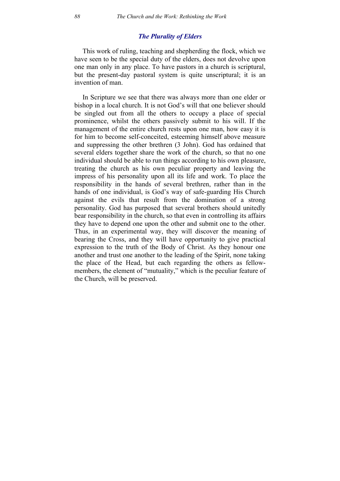#### *The Plurality of Elders*

This work of ruling, teaching and shepherding the flock, which we have seen to be the special duty of the elders, does not devolve upon one man only in any place. To have pastors in a church is scriptural, but the present-day pastoral system is quite unscriptural; it is an invention of man.

In Scripture we see that there was always more than one elder or bishop in a local church. It is not God's will that one believer should be singled out from all the others to occupy a place of special prominence, whilst the others passively submit to his will. If the management of the entire church rests upon one man, how easy it is for him to become self-conceited, esteeming himself above measure and suppressing the other brethren (3 John). God has ordained that several elders together share the work of the church, so that no one individual should be able to run things according to his own pleasure, treating the church as his own peculiar property and leaving the impress of his personality upon all its life and work. To place the responsibility in the hands of several brethren, rather than in the hands of one individual, is God's way of safe-guarding His Church against the evils that result from the domination of a strong personality. God has purposed that several brothers should unitedly bear responsibility in the church, so that even in controlling its affairs they have to depend one upon the other and submit one to the other. Thus, in an experimental way, they will discover the meaning of bearing the Cross, and they will have opportunity to give practical expression to the truth of the Body of Christ. As they honour one another and trust one another to the leading of the Spirit, none taking the place of the Head, but each regarding the others as fellowmembers, the element of "mutuality," which is the peculiar feature of the Church, will be preserved.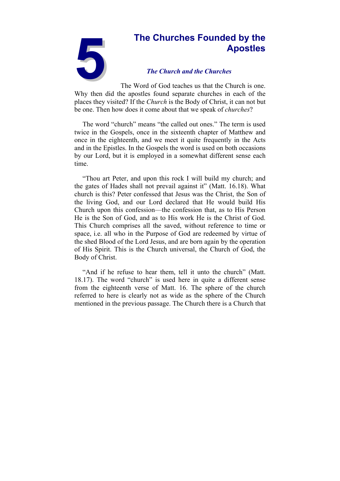

# **5The Churches Founded by the Apostles**<br>**5The Church and the Churches**<br>The Word of God teaches us that the Church is one. **Apostles**

# *The Church and the Churches*

The Word of God teaches us that the Church is one. Why then did the apostles found separate churches in each of the places they visited? If the *Church* is the Body of Christ, it can not but be one. Then how does it come about that we speak of *churches*?

The word "church" means "the called out ones." The term is used twice in the Gospels, once in the sixteenth chapter of Matthew and once in the eighteenth, and we meet it quite frequently in the Acts and in the Epistles. In the Gospels the word is used on both occasions by our Lord, but it is employed in a somewhat different sense each time.

"Thou art Peter, and upon this rock I will build my church; and the gates of Hades shall not prevail against it" (Matt. 16.18). What church is this? Peter confessed that Jesus was the Christ, the Son of the living God, and our Lord declared that He would build His Church upon this confession—the confession that, as to His Person He is the Son of God, and as to His work He is the Christ of God. This Church comprises all the saved, without reference to time or space, i.e. all who in the Purpose of God are redeemed by virtue of the shed Blood of the Lord Jesus, and are born again by the operation of His Spirit. This is the Church universal, the Church of God, the Body of Christ.

"And if he refuse to hear them, tell it unto the church" (Matt. 18.17). The word "church" is used here in quite a different sense from the eighteenth verse of Matt. 16. The sphere of the church referred to here is clearly not as wide as the sphere of the Church mentioned in the previous passage. The Church there is a Church that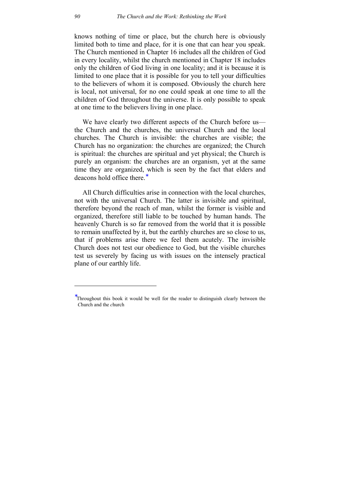knows nothing of time or place, but the church here is obviously limited both to time and place, for it is one that can hear you speak. The Church mentioned in Chapter 16 includes all the children of God in every locality, whilst the church mentioned in Chapter 18 includes only the children of God living in one locality; and it is because it is limited to one place that it is possible for you to tell your difficulties to the believers of whom it is composed. Obviously the church here is local, not universal, for no one could speak at one time to all the children of God throughout the universe. It is only possible to speak at one time to the believers living in one place.

We have clearly two different aspects of the Church before us the Church and the churches, the universal Church and the local churches. The Church is invisible: the churches are visible; the Church has no organization: the churches are organized; the Church is spiritual: the churches are spiritual and yet physical; the Church is purely an organism: the churches are an organism, yet at the same time they are organized, which is seen by the fact that elders and deacons hold office there.<sup>∗</sup>

All Church difficulties arise in connection with the local churches, not with the universal Church. The latter is invisible and spiritual, therefore beyond the reach of man, whilst the former is visible and organized, therefore still liable to be touched by human hands. The heavenly Church is so far removed from the world that it is possible to remain unaffected by it, but the earthly churches are so close to us, that if problems arise there we feel them acutely. The invisible Church does not test our obedience to God, but the visible churches test us severely by facing us with issues on the intensely practical plane of our earthly life.

1

<sup>∗</sup> Throughout this book it would be well for the reader to distinguish clearly between the *C*hurch and the *c*hurch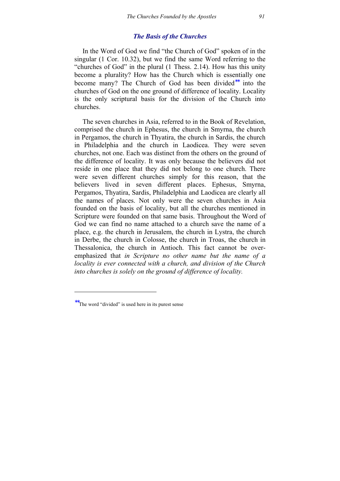#### *The Basis of the Churches*

In the Word of God we find "the Church of God" spoken of in the singular (1 Cor. 10.32), but we find the same Word referring to the "churches of God" in the plural (1 Thess. 2.14). How has this unity become a plurality? How has the Church which is essentially one become many? The Church of God has been divided∗∗ into the churches of God on the one ground of difference of locality. Locality is the only scriptural basis for the division of the Church into churches.

The seven churches in Asia, referred to in the Book of Revelation, comprised the church in Ephesus, the church in Smyrna, the church in Pergamos, the church in Thyatira, the church in Sardis, the church in Philadelphia and the church in Laodicea. They were seven churches, not one. Each was distinct from the others on the ground of the difference of locality. It was only because the believers did not reside in one place that they did not belong to one church. There were seven different churches simply for this reason, that the believers lived in seven different places. Ephesus, Smyrna, Pergamos, Thyatira, Sardis, Philadelphia and Laodicea are clearly all the names of places. Not only were the seven churches in Asia founded on the basis of locality, but all the churches mentioned in Scripture were founded on that same basis. Throughout the Word of God we can find no name attached to a church save the name of a place, e.g. the church in Jerusalem, the church in Lystra, the church in Derbe, the church in Colosse, the church in Troas, the church in Thessalonica, the church in Antioch. This fact cannot be overemphasized that *in Scripture no other name but the name of a locality is ever connected with a church, and division of the Church into churches is solely on the ground of difference of locality.*

-

<sup>∗∗</sup>The word "divided" is used here in its purest sense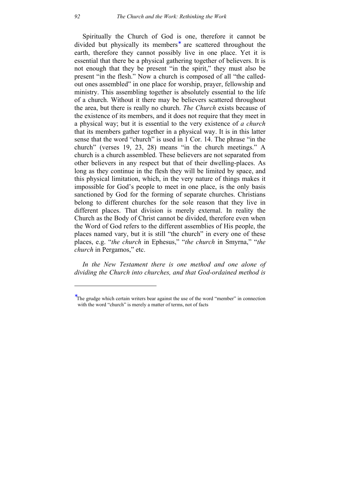Spiritually the Church of God is one, therefore it cannot be divided but physically its members<sup>∗</sup> are scattered throughout the earth, therefore they cannot possibly live in one place. Yet it is essential that there be a physical gathering together of believers. It is not enough that they be present "in the spirit," they must also be present "in the flesh." Now a church is composed of all "the calledout ones assembled" in one place for worship, prayer, fellowship and ministry. This assembling together is absolutely essential to the life of a church. Without it there may be believers scattered throughout the area, but there is really no church. *The Church* exists because of the existence of its members, and it does not require that they meet in a physical way; but it is essential to the very existence of *a church* that its members gather together in a physical way. It is in this latter sense that the word "church" is used in 1 Cor. 14. The phrase "in the church" (verses 19, 23, 28) means "in the church meetings." A church is a church assembled. These believers are not separated from other believers in any respect but that of their dwelling-places. As long as they continue in the flesh they will be limited by space, and this physical limitation, which, in the very nature of things makes it impossible for God's people to meet in one place, is the only basis sanctioned by God for the forming of separate churches. Christians belong to different churches for the sole reason that they live in different places. That division is merely external. In reality the Church as the Body of Christ cannot be divided, therefore even when the Word of God refers to the different assemblies of His people, the places named vary, but it is still "the church" in every one of these places, e.g. "*the church* in Ephesus," "*the church* in Smyrna," "*the church* in Pergamos," etc.

*In the New Testament there is one method and one alone of dividing the Church into churches, and that God-ordained method is* 

1

<sup>∗</sup> The grudge which certain writers bear against the use of the word "member" in connection with the word "church" is merely a matter of terms, not of facts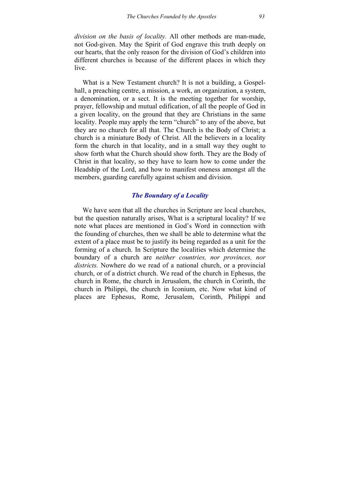*division on the basis of locality.* All other methods are man-made, not God-given. May the Spirit of God engrave this truth deeply on our hearts, that the only reason for the division of God's children into different churches is because of the different places in which they live.

What is a New Testament church? It is not a building, a Gospelhall, a preaching centre, a mission, a work, an organization, a system, a denomination, or a sect. It is the meeting together for worship, prayer, fellowship and mutual edification, of all the people of God in a given locality, on the ground that they are Christians in the same locality. People may apply the term "church" to any of the above, but they are no church for all that. The Church is the Body of Christ; a church is a miniature Body of Christ. All the believers in a locality form the church in that locality, and in a small way they ought to show forth what the Church should show forth. They are the Body of Christ in that locality, so they have to learn how to come under the Headship of the Lord, and how to manifest oneness amongst all the members, guarding carefully against schism and division.

## *The Boundary of a Locality*

We have seen that all the churches in Scripture are local churches, but the question naturally arises, What is a scriptural locality? If we note what places are mentioned in God's Word in connection with the founding of churches, then we shall be able to determine what the extent of a place must be to justify its being regarded as a unit for the forming of a church. In Scripture the localities which determine the boundary of a church are *neither countries, nor provinces, nor districts.* Nowhere do we read of a national church, or a provincial church, or of a district church. We read of the church in Ephesus, the church in Rome, the church in Jerusalem, the church in Corinth, the church in Philippi, the church in Iconium, etc. Now what kind of places are Ephesus, Rome, Jerusalem, Corinth, Philippi and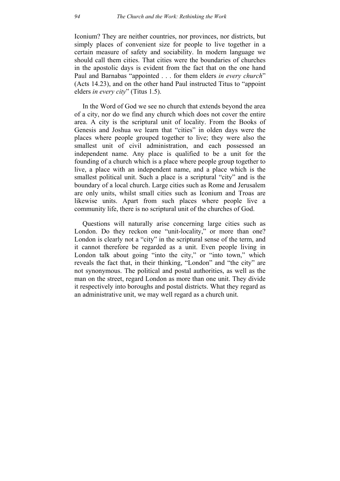Iconium? They are neither countries, nor provinces, nor districts, but simply places of convenient size for people to live together in a certain measure of safety and sociability. In modern language we should call them cities. That cities were the boundaries of churches in the apostolic days is evident from the fact that on the one hand Paul and Barnabas "appointed . . . for them elders *in every church*" (Acts 14.23), and on the other hand Paul instructed Titus to "appoint elders *in every city*" (Titus 1.5).

In the Word of God we see no church that extends beyond the area of a city, nor do we find any church which does not cover the entire area. A city is the scriptural unit of locality. From the Books of Genesis and Joshua we learn that "cities" in olden days were the places where people grouped together to live; they were also the smallest unit of civil administration, and each possessed an independent name. Any place is qualified to be a unit for the founding of a church which is a place where people group together to live, a place with an independent name, and a place which is the smallest political unit. Such a place is a scriptural "city" and is the boundary of a local church. Large cities such as Rome and Jerusalem are only units, whilst small cities such as Iconium and Troas are likewise units. Apart from such places where people live a community life, there is no scriptural unit of the churches of God.

Questions will naturally arise concerning large cities such as London. Do they reckon one "unit-locality," or more than one? London is clearly not a "city" in the scriptural sense of the term, and it cannot therefore be regarded as a unit. Even people living in London talk about going "into the city," or "into town," which reveals the fact that, in their thinking, "London" and "the city" are not synonymous. The political and postal authorities, as well as the man on the street, regard London as more than one unit. They divide it respectively into boroughs and postal districts. What they regard as an administrative unit, we may well regard as a church unit.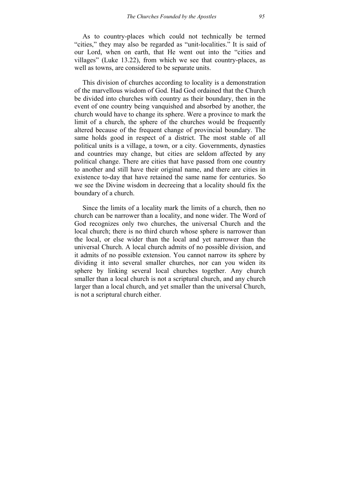As to country-places which could not technically be termed "cities," they may also be regarded as "unit-localities." It is said of our Lord, when on earth, that He went out into the "cities and villages" (Luke 13.22), from which we see that country-places, as well as towns, are considered to be separate units.

This division of churches according to locality is a demonstration of the marvellous wisdom of God. Had God ordained that the Church be divided into churches with country as their boundary, then in the event of one country being vanquished and absorbed by another, the church would have to change its sphere. Were a province to mark the limit of a church, the sphere of the churches would be frequently altered because of the frequent change of provincial boundary. The same holds good in respect of a district. The most stable of all political units is a village, a town, or a city. Governments, dynasties and countries may change, but cities are seldom affected by any political change. There are cities that have passed from one country to another and still have their original name, and there are cities in existence to-day that have retained the same name for centuries. So we see the Divine wisdom in decreeing that a locality should fix the boundary of a church.

Since the limits of a locality mark the limits of a church, then no church can be narrower than a locality, and none wider. The Word of God recognizes only two churches, the universal Church and the local church; there is no third church whose sphere is narrower than the local, or else wider than the local and yet narrower than the universal Church. A local church admits of no possible division, and it admits of no possible extension. You cannot narrow its sphere by dividing it into several smaller churches, nor can you widen its sphere by linking several local churches together. Any church smaller than a local church is not a scriptural church, and any church larger than a local church, and yet smaller than the universal Church, is not a scriptural church either.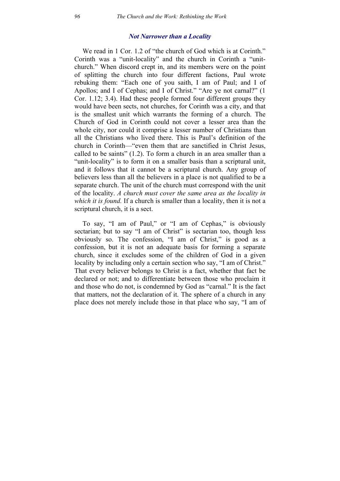#### *Not Narrower than a Locality*

We read in 1 Cor. 1.2 of "the church of God which is at Corinth." Corinth was a "unit-locality" and the church in Corinth a "unitchurch." When discord crept in, and its members were on the point of splitting the church into four different factions, Paul wrote rebuking them: "Each one of you saith, I am of Paul; and I of Apollos; and I of Cephas; and I of Christ." "Are ye not carnal?" (1 Cor. 1.12; 3.4). Had these people formed four different groups they would have been sects, not churches, for Corinth was a city, and that is the smallest unit which warrants the forming of a church. The Church of God in Corinth could not cover a lesser area than the whole city, nor could it comprise a lesser number of Christians than all the Christians who lived there. This is Paul's definition of the church in Corinth—"even them that are sanctified in Christ Jesus, called to be saints" (1.2). To form a church in an area smaller than a "unit-locality" is to form it on a smaller basis than a scriptural unit, and it follows that it cannot be a scriptural church. Any group of believers less than all the believers in a place is not qualified to be a separate church. The unit of the church must correspond with the unit of the locality. *A church must cover the same area as the locality in which it is found.* If a church is smaller than a locality, then it is not a scriptural church, it is a sect.

To say, "I am of Paul," or "I am of Cephas," is obviously sectarian; but to say "I am of Christ" is sectarian too, though less obviously so. The confession, "I am of Christ," is good as a confession, but it is not an adequate basis for forming a separate church, since it excludes some of the children of God in a given locality by including only a certain section who say, "I am of Christ." That every believer belongs to Christ is a fact, whether that fact be declared or not; and to differentiate between those who proclaim it and those who do not, is condemned by God as "carnal." It is the fact that matters, not the declaration of it. The sphere of a church in any place does not merely include those in that place who say, "I am of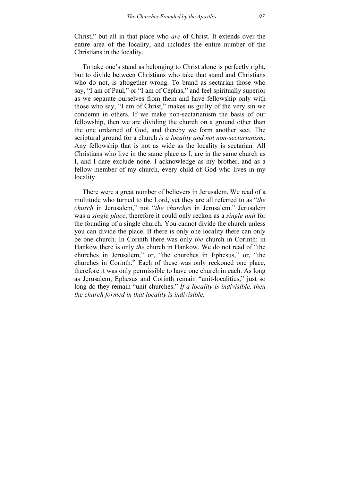Christ," but all in that place who *are* of Christ. It extends over the entire area of the locality, and includes the entire number of the Christians in the locality.

To take one's stand as belonging to Christ alone is perfectly right, but to divide between Christians who take that stand and Christians who do not, is altogether wrong. To brand as sectarian those who say, "I am of Paul," or "I am of Cephas," and feel spiritually superior as we separate ourselves from them and have fellowship only with those who say, "I am of Christ," makes us guilty of the very sin we condemn in others. If we make non-sectarianism the basis of our fellowship, then we are dividing the church on a ground other than the one ordained of God, and thereby we form another sect. The scriptural ground for a church *is a locality and not non-sectarianism*. Any fellowship that is not as wide as the locality is sectarian. All Christians who live in the same place as I, are in the same church as I, and I dare exclude none. I acknowledge as my brother, and as a fellow-member of my church, every child of God who lives in my locality.

There were a great number of believers in Jerusalem. We read of a multitude who turned to the Lord, yet they are all referred to as "*the church* in Jerusalem," not "*the churches* in Jerusalem." Jerusalem was a *single place*, therefore it could only reckon as a *single unit* for the founding of a single church. You cannot divide the church unless you can divide the place. If there is only one locality there can only be one church. In Corinth there was only *the* church in Corinth: in Hankow there is only *the* church in Hankow. We do not read of "the churches in Jerusalem," or, "the churches in Ephesus," or, "the churches in Corinth." Each of these was only reckoned one place, therefore it was only permissible to have one church in each. As long as Jerusalem, Ephesus and Corinth remain "unit-localities," just so long do they remain "unit-churches." *If a locality is indivisible, then the church formed in that locality is indivisible.*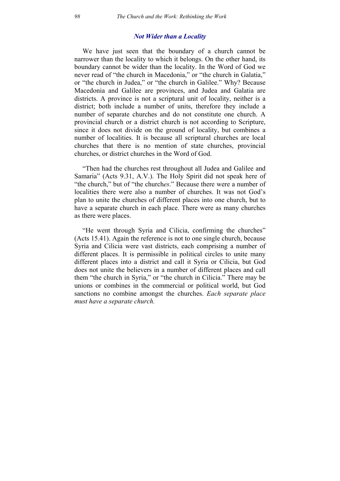#### *Not Wider than a Locality*

We have just seen that the boundary of a church cannot be narrower than the locality to which it belongs. On the other hand, its boundary cannot be wider than the locality. In the Word of God we never read of "the church in Macedonia," or "the church in Galatia," or "the church in Judea," or "the church in Galilee." Why? Because Macedonia and Galilee are provinces, and Judea and Galatia are districts. A province is not a scriptural unit of locality, neither is a district; both include a number of units, therefore they include a number of separate churches and do not constitute one church. A provincial church or a district church is not according to Scripture, since it does not divide on the ground of locality, but combines a number of localities. It is because all scriptural churches are local churches that there is no mention of state churches, provincial churches, or district churches in the Word of God.

"Then had the churches rest throughout all Judea and Galilee and Samaria" (Acts 9.31, A.V.). The Holy Spirit did not speak here of "the church," but of "the church*es*." Because there were a number of localities there were also a number of churches. It was not God's plan to unite the churches of different places into one church, but to have a separate church in each place. There were as many churches as there were places.

"He went through Syria and Cilicia, confirming the churches" (Acts 15.41). Again the reference is not to one single church, because Syria and Cilicia were vast districts, each comprising a number of different places. It is permissible in political circles to unite many different places into a district and call it Syria or Cilicia, but God does not unite the believers in a number of different places and call them "the church in Syria," or "the church in Cilicia." There may be unions or combines in the commercial or political world, but God sanctions no combine amongst the churches. *Each separate place must have a separate church.*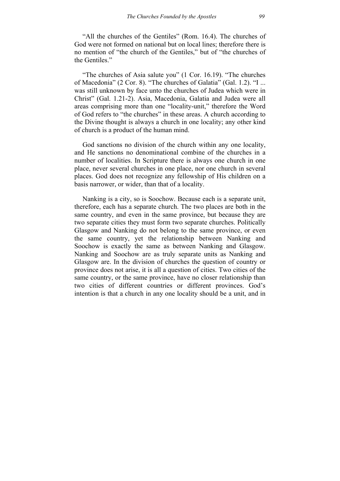"All the churches of the Gentiles" (Rom. 16.4). The churches of God were not formed on national but on local lines; therefore there is no mention of "the church of the Gentiles," but of "the churches of the Gentiles."

"The churches of Asia salute you" (1 Cor. 16.19). "The churches of Macedonia" (2 Cor. 8). "The churches of Galatia" (Gal. 1.2). "I ... was still unknown by face unto the churches of Judea which were in Christ" (Gal. 1.21-2). Asia, Macedonia, Galatia and Judea were all areas comprising more than one "locality-unit," therefore the Word of God refers to "the churches" in these areas. A church according to the Divine thought is always a church in one locality; any other kind of church is a product of the human mind.

God sanctions no division of the church within any one locality, and He sanctions no denominational combine of the churches in a number of localities. In Scripture there is always one church in one place, never several churches in one place, nor one church in several places. God does not recognize any fellowship of His children on a basis narrower, or wider, than that of a locality.

Nanking is a city, so is Soochow. Because each is a separate unit, therefore, each has a separate church. The two places are both in the same country, and even in the same province, but because they are two separate cities they must form two separate churches. Politically Glasgow and Nanking do not belong to the same province, or even the same country, yet the relationship between Nanking and Soochow is exactly the same as between Nanking and Glasgow. Nanking and Soochow are as truly separate units as Nanking and Glasgow are. In the division of churches the question of country or province does not arise, it is all a question of cities. Two cities of the same country, or the same province, have no closer relationship than two cities of different countries or different provinces. God's intention is that a church in any one locality should be a unit, and in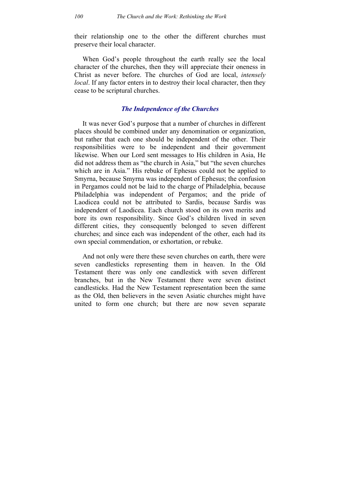their relationship one to the other the different churches must preserve their local character.

When God's people throughout the earth really see the local character of the churches, then they will appreciate their oneness in Christ as never before. The churches of God are local, *intensely local*. If any factor enters in to destroy their local character, then they cease to be scriptural churches.

#### *The Independence of the Churches*

It was never God's purpose that a number of churches in different places should be combined under any denomination or organization, but rather that each one should be independent of the other. Their responsibilities were to be independent and their government likewise. When our Lord sent messages to His children in Asia, He did not address them as "the church in Asia," but "the seven churches which are in Asia." His rebuke of Ephesus could not be applied to Smyrna, because Smyrna was independent of Ephesus; the confusion in Pergamos could not be laid to the charge of Philadelphia, because Philadelphia was independent of Pergamos; and the pride of Laodicea could not be attributed to Sardis, because Sardis was independent of Laodicea. Each church stood on its own merits and bore its own responsibility. Since God's children lived in seven different cities, they consequently belonged to seven different churches; and since each was independent of the other, each had its own special commendation, or exhortation, or rebuke.

And not only were there these seven churches on earth, there were seven candlesticks representing them in heaven. In the Old Testament there was only one candlestick with seven different branches, but in the New Testament there were seven distinct candlesticks. Had the New Testament representation been the same as the Old, then believers in the seven Asiatic churches might have united to form one church; but there are now seven separate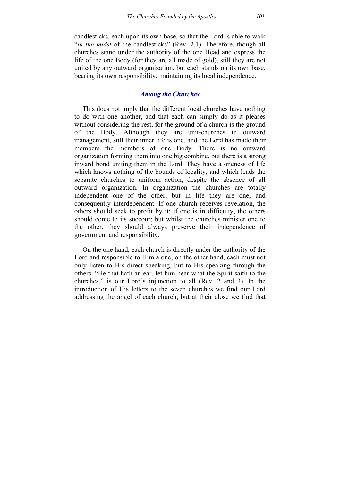candlesticks, each upon its own base, so that the Lord is able to walk "*in the midst* of the candlesticks" (Rev. 2.1). Therefore, though all churches stand under the authority of the one Head and express the life of the one Body (for they are all made of gold), still they are not united by any outward organization, but each stands on its own base, bearing its own responsibility, maintaining its local independence.

#### *Among the Churches*

This does not imply that the different local churches have nothing to do with one another, and that each can simply do as it pleases without considering the rest, for the ground of a church is the ground of the Body. Although they are unit-churches in outward management, still their inner life is one, and the Lord has made their members the members of one Body. There is no outward organization forming them into one big combine, but there is a strong inward bond uniting them in the Lord. They have a oneness of life which knows nothing of the bounds of locality, and which leads the separate churches to uniform action, despite the absence of all outward organization. In organization the churches are totally independent one of the other, but in life they are one, and consequently interdependent. If one church receives revelation, the others should seek to profit by it: if one is in difficulty, the others should come to its succour; but whilst the churches minister one to the other, they should always preserve their independence of government and responsibility.

On the one hand, each church is directly under the authority of the Lord and responsible to Him alone; on the other hand, each must not only listen to His direct speaking, but to His speaking through the others. "He that hath an ear, let him hear what the Spirit saith to the churches," is our Lord's injunction to all (Rev. 2 and 3). In the introduction of His letters to the seven churches we find our Lord addressing the angel of each church, but at their close we find that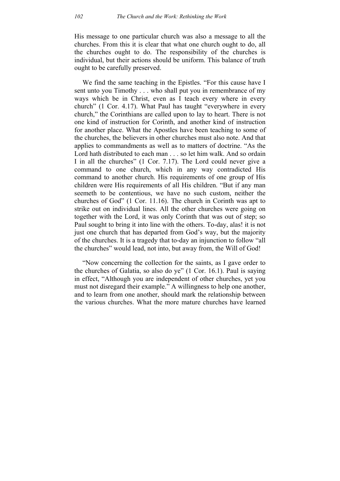His message to one particular church was also a message to all the churches. From this it is clear that what one church ought to do, all the churches ought to do. The responsibility of the churches is individual, but their actions should be uniform. This balance of truth ought to be carefully preserved.

We find the same teaching in the Epistles. "For this cause have I sent unto you Timothy . . . who shall put you in remembrance of my ways which be in Christ, even as I teach every where in every church" (1 Cor. 4.17). What Paul has taught "everywhere in every church," the Corinthians are called upon to lay to heart. There is not one kind of instruction for Corinth, and another kind of instruction for another place. What the Apostles have been teaching to some of the churches, the believers in other churches must also note. And that applies to commandments as well as to matters of doctrine. "As the Lord hath distributed to each man . . . so let him walk. And so ordain I in all the churches" (1 Cor. 7.17). The Lord could never give a command to one church, which in any way contradicted His command to another church. His requirements of one group of His children were His requirements of all His children. "But if any man seemeth to be contentious, we have no such custom, neither the churches of God" (1 Cor. 11.16). The church in Corinth was apt to strike out on individual lines. All the other churches were going on together with the Lord, it was only Corinth that was out of step; so Paul sought to bring it into line with the others. To-day, alas! it is not just one church that has departed from God's way, but the majority of the churches. It is a tragedy that to-day an injunction to follow "all the churches" would lead, not into, but away from, the Will of God!

"Now concerning the collection for the saints, as I gave order to the churches of Galatia, so also do ye" (1 Cor. 16.1). Paul is saying in effect, "Although you are independent of other churches, yet you must not disregard their example." A willingness to help one another, and to learn from one another, should mark the relationship between the various churches. What the more mature churches have learned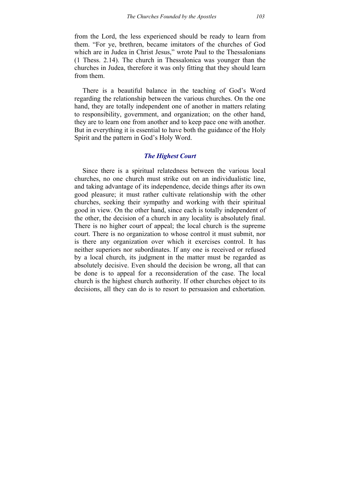from the Lord, the less experienced should be ready to learn from them. "For ye, brethren, became imitators of the churches of God which are in Judea in Christ Jesus," wrote Paul to the Thessalonians (1 Thess. 2.14). The church in Thessalonica was younger than the churches in Judea, therefore it was only fitting that they should learn from them.

There is a beautiful balance in the teaching of God's Word regarding the relationship between the various churches. On the one hand, they are totally independent one of another in matters relating to responsibility, government, and organization; on the other hand, they are to learn one from another and to keep pace one with another. But in everything it is essential to have both the guidance of the Holy Spirit and the pattern in God's Holy Word.

#### *The Highest Court*

Since there is a spiritual relatedness between the various local churches, no one church must strike out on an individualistic line, and taking advantage of its independence, decide things after its own good pleasure; it must rather cultivate relationship with the other churches, seeking their sympathy and working with their spiritual good in view. On the other hand, since each is totally independent of the other, the decision of a church in any locality is absolutely final. There is no higher court of appeal; the local church is the supreme court. There is no organization to whose control it must submit, nor is there any organization over which it exercises control. It has neither superiors nor subordinates. If any one is received or refused by a local church, its judgment in the matter must be regarded as absolutely decisive. Even should the decision be wrong, all that can be done is to appeal for a reconsideration of the case. The local church is the highest church authority. If other churches object to its decisions, all they can do is to resort to persuasion and exhortation.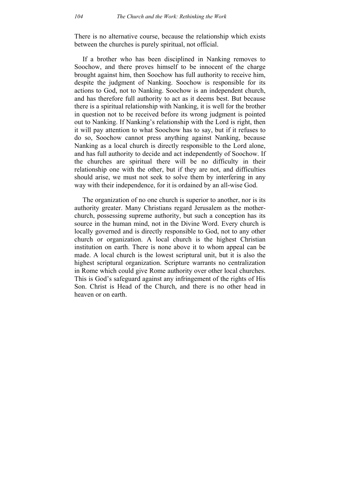There is no alternative course, because the relationship which exists between the churches is purely spiritual, not official.

If a brother who has been disciplined in Nanking removes to Soochow, and there proves himself to be innocent of the charge brought against him, then Soochow has full authority to receive him, despite the judgment of Nanking. Soochow is responsible for its actions to God, not to Nanking. Soochow is an independent church, and has therefore full authority to act as it deems best. But because there is a spiritual relationship with Nanking, it is well for the brother in question not to be received before its wrong judgment is pointed out to Nanking. If Nanking's relationship with the Lord is right, then it will pay attention to what Soochow has to say, but if it refuses to do so, Soochow cannot press anything against Nanking, because Nanking as a local church is directly responsible to the Lord alone, and has full authority to decide and act independently of Soochow. If the churches are spiritual there will be no difficulty in their relationship one with the other, but if they are not, and difficulties should arise, we must not seek to solve them by interfering in any way with their independence, for it is ordained by an all-wise God.

The organization of no one church is superior to another, nor is its authority greater. Many Christians regard Jerusalem as the motherchurch, possessing supreme authority, but such a conception has its source in the human mind, not in the Divine Word. Every church is locally governed and is directly responsible to God, not to any other church or organization. A local church is the highest Christian institution on earth. There is none above it to whom appeal can be made. A local church is the lowest scriptural unit, but it is also the highest scriptural organization. Scripture warrants no centralization in Rome which could give Rome authority over other local churches. This is God's safeguard against any infringement of the rights of His Son. Christ is Head of the Church, and there is no other head in heaven or on earth.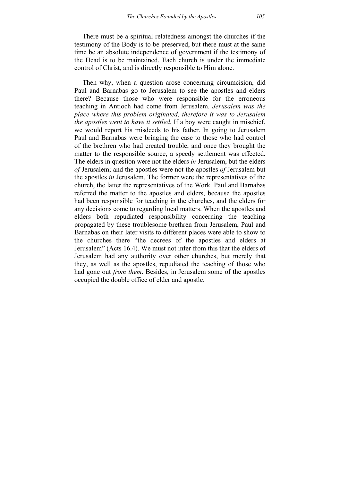There must be a spiritual relatedness amongst the churches if the testimony of the Body is to be preserved, but there must at the same time be an absolute independence of government if the testimony of the Head is to be maintained. Each church is under the immediate control of Christ, and is directly responsible to Him alone.

Then why, when a question arose concerning circumcision, did Paul and Barnabas go to Jerusalem to see the apostles and elders there? Because those who were responsible for the erroneous teaching in Antioch had come from Jerusalem. *Jerusalem was the place where this problem originated, therefore it was to Jerusalem the apostles went to have it settled.* If a boy were caught in mischief, we would report his misdeeds to his father. In going to Jerusalem Paul and Barnabas were bringing the case to those who had control of the brethren who had created trouble, and once they brought the matter to the responsible source, a speedy settlement was effected. The elders in question were not the elders *in* Jerusalem, but the elders *of* Jerusalem; and the apostles were not the apostles *of* Jerusalem but the apostles *in* Jerusalem. The former were the representatives of the church, the latter the representatives of the Work. Paul and Barnabas referred the matter to the apostles and elders, because the apostles had been responsible for teaching in the churches, and the elders for any decisions come to regarding local matters. When the apostles and elders both repudiated responsibility concerning the teaching propagated by these troublesome brethren from Jerusalem, Paul and Barnabas on their later visits to different places were able to show to the churches there "the decrees of the apostles and elders at Jerusalem" (Acts 16.4). We must not infer from this that the elders of Jerusalem had any authority over other churches, but merely that they, as well as the apostles, repudiated the teaching of those who had gone out *from them*. Besides, in Jerusalem some of the apostles occupied the double office of elder and apostle.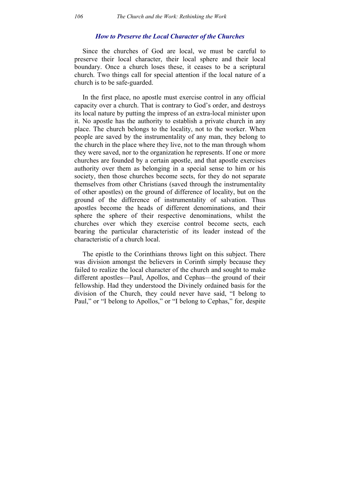#### *How to Preserve the Local Character of the Churches*

Since the churches of God are local, we must be careful to preserve their local character, their local sphere and their local boundary. Once a church loses these, it ceases to be a scriptural church. Two things call for special attention if the local nature of a church is to be safe-guarded.

In the first place, no apostle must exercise control in any official capacity over a church. That is contrary to God's order, and destroys its local nature by putting the impress of an extra-local minister upon it. No apostle has the authority to establish a private church in any place. The church belongs to the locality, not to the worker. When people are saved by the instrumentality of any man, they belong to the church in the place where they live, not to the man through whom they were saved, nor to the organization he represents. If one or more churches are founded by a certain apostle, and that apostle exercises authority over them as belonging in a special sense to him or his society, then those churches become sects, for they do not separate themselves from other Christians (saved through the instrumentality of other apostles) on the ground of difference of locality, but on the ground of the difference of instrumentality of salvation. Thus apostles become the heads of different denominations, and their sphere the sphere of their respective denominations, whilst the churches over which they exercise control become sects, each bearing the particular characteristic of its leader instead of the characteristic of a church local.

The epistle to the Corinthians throws light on this subject. There was division amongst the believers in Corinth simply because they failed to realize the local character of the church and sought to make different apostles—Paul, Apollos, and Cephas—the ground of their fellowship. Had they understood the Divinely ordained basis for the division of the Church, they could never have said, "I belong to Paul," or "I belong to Apollos," or "I belong to Cephas," for, despite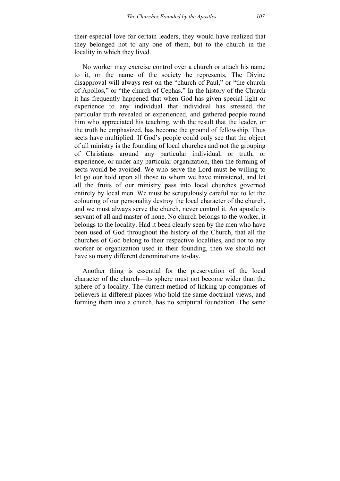their especial love for certain leaders, they would have realized that they belonged not to any one of them, but to the church in the locality in which they lived.

No worker may exercise control over a church or attach his name to it, or the name of the society he represents. The Divine disapproval will always rest on the "church of Paul," or "the church of Apollos," or "the church of Cephas." In the history of the Church it has frequently happened that when God has given special light or experience to any individual that individual has stressed the particular truth revealed or experienced, and gathered people round him who appreciated his teaching, with the result that the leader, or the truth he emphasized, has become the ground of fellowship. Thus sects have multiplied. If God's people could only see that the object of all ministry is the founding of local churches and not the grouping of Christians around any particular individual, or truth, or experience, or under any particular organization, then the forming of sects would be avoided. We who serve the Lord must be willing to let go our hold upon all those to whom we have ministered, and let all the fruits of our ministry pass into local churches governed entirely by local men. We must be scrupulously careful not to let the colouring of our personality destroy the local character of the church, and we must always serve the church, never control it. An apostle is servant of all and master of none. No church belongs to the worker, it belongs to the locality. Had it been clearly seen by the men who have been used of God throughout the history of the Church, that all the churches of God belong to their respective localities, and not to any worker or organization used in their founding, then we should not have so many different denominations to-day.

Another thing is essential for the preservation of the local character of the church—its sphere must not become wider than the sphere of a locality. The current method of linking up companies of believers in different places who hold the same doctrinal views, and forming them into a church, has no scriptural foundation. The same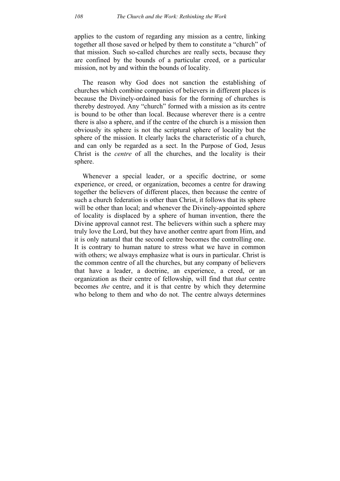applies to the custom of regarding any mission as a centre, linking together all those saved or helped by them to constitute a "church" of that mission. Such so-called churches are really sects, because they are confined by the bounds of a particular creed, or a particular mission, not by and within the bounds of locality.

The reason why God does not sanction the establishing of churches which combine companies of believers in different places is because the Divinely-ordained basis for the forming of churches is thereby destroyed. Any "church" formed with a mission as its centre is bound to be other than local. Because wherever there is a centre there is also a sphere, and if the centre of the church is a mission then obviously its sphere is not the scriptural sphere of locality but the sphere of the mission. It clearly lacks the characteristic of a church, and can only be regarded as a sect. In the Purpose of God, Jesus Christ is the *centre* of all the churches, and the locality is their sphere.

Whenever a special leader, or a specific doctrine, or some experience, or creed, or organization, becomes a centre for drawing together the believers of different places, then because the centre of such a church federation is other than Christ, it follows that its sphere will be other than local; and whenever the Divinely-appointed sphere of locality is displaced by a sphere of human invention, there the Divine approval cannot rest. The believers within such a sphere may truly love the Lord, but they have another centre apart from Him, and it is only natural that the second centre becomes the controlling one. It is contrary to human nature to stress what we have in common with others; we always emphasize what is ours in particular. Christ is the common centre of all the churches, but any company of believers that have a leader, a doctrine, an experience, a creed, or an organization as their centre of fellowship, will find that *that* centre becomes *the* centre, and it is that centre by which they determine who belong to them and who do not. The centre always determines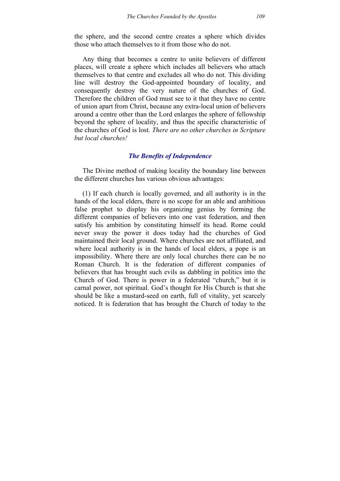the sphere, and the second centre creates a sphere which divides those who attach themselves to it from those who do not.

Any thing that becomes a centre to unite believers of different places, will create a sphere which includes all believers who attach themselves to that centre and excludes all who do not. This dividing line will destroy the God-appointed boundary of locality, and consequently destroy the very nature of the churches of God. Therefore the children of God must see to it that they have no centre of union apart from Christ, because any extra-local union of believers around a centre other than the Lord enlarges the sphere of fellowship beyond the sphere of locality, and thus the specific characteristic of the churches of God is lost. *There are no other churches in Scripture but local churches!*

## *The Benefits of Independence*

The Divine method of making locality the boundary line between the different churches has various obvious advantages:

(1) If each church is locally governed, and all authority is in the hands of the local elders, there is no scope for an able and ambitious false prophet to display his organizing genius by forming the different companies of believers into one vast federation, and then satisfy his ambition by constituting himself its head. Rome could never sway the power it does today had the churches of God maintained their local ground. Where churches are not affiliated, and where local authority is in the hands of local elders, a pope is an impossibility. Where there are only local churches there can be no Roman Church. It is the federation of different companies of believers that has brought such evils as dabbling in politics into the Church of God. There is power in a federated "church," but it is carnal power, not spiritual. God's thought for His Church is that she should be like a mustard-seed on earth, full of vitality, yet scarcely noticed. It is federation that has brought the Church of today to the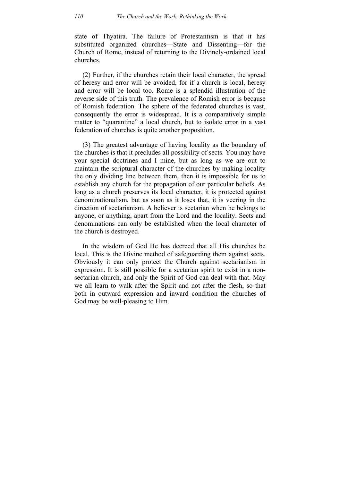state of Thyatira. The failure of Protestantism is that it has substituted organized churches—State and Dissenting—for the Church of Rome, instead of returning to the Divinely-ordained local churches.

(2) Further, if the churches retain their local character, the spread of heresy and error will be avoided, for if a church is local, heresy and error will be local too. Rome is a splendid illustration of the reverse side of this truth. The prevalence of Romish error is because of Romish federation. The sphere of the federated churches is vast, consequently the error is widespread. It is a comparatively simple matter to "quarantine" a local church, but to isolate error in a vast federation of churches is quite another proposition.

(3) The greatest advantage of having locality as the boundary of the churches is that it precludes all possibility of sects. You may have your special doctrines and I mine, but as long as we are out to maintain the scriptural character of the churches by making locality the only dividing line between them, then it is impossible for us to establish any church for the propagation of our particular beliefs. As long as a church preserves its local character, it is protected against denominationalism, but as soon as it loses that, it is veering in the direction of sectarianism. A believer is sectarian when he belongs to anyone, or anything, apart from the Lord and the locality. Sects and denominations can only be established when the local character of the church is destroyed.

In the wisdom of God He has decreed that all His churches be local. This is the Divine method of safeguarding them against sects. Obviously it can only protect the Church against sectarianism in expression. It is still possible for a sectarian spirit to exist in a nonsectarian church, and only the Spirit of God can deal with that. May we all learn to walk after the Spirit and not after the flesh, so that both in outward expression and inward condition the churches of God may be well-pleasing to Him.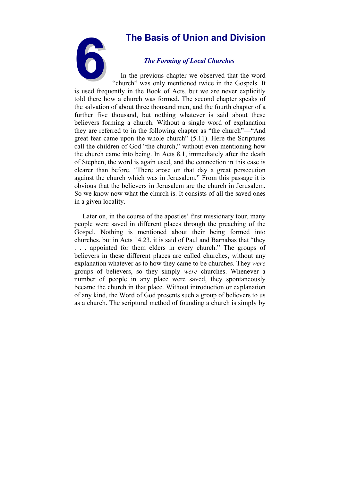# *The Forming of Local Churches*

**6The Basis of Union and Division**<br> *The Forming of Local Churches*<br>
In the previous chapter we observed that the word<br>
"church" was only mentioned twice in the Gospels. It In the previous chapter we observed that the word "church" was only mentioned twice in the Gospels. It is used frequently in the Book of Acts, but we are never explicitly told there how a church was formed. The second chapter speaks of the salvation of about three thousand men, and the fourth chapter of a further five thousand, but nothing whatever is said about these believers forming a church. Without a single word of explanation they are referred to in the following chapter as "the church"—"And great fear came upon the whole church" (5.11). Here the Scriptures call the children of God "the church," without even mentioning how the church came into being. In Acts 8.1, immediately after the death of Stephen, the word is again used, and the connection in this case is clearer than before. "There arose on that day a great persecution against the church which was in Jerusalem." From this passage it is obvious that the believers in Jerusalem are the church in Jerusalem. So we know now what the church is. It consists of all the saved ones in a given locality.

Later on, in the course of the apostles' first missionary tour, many people were saved in different places through the preaching of the Gospel. Nothing is mentioned about their being formed into churches, but in Acts 14.23, it is said of Paul and Barnabas that "they . . . appointed for them elders in every church." The groups of believers in these different places are called churches, without any explanation whatever as to how they came to be churches. They *were* groups of believers, so they simply *were* churches. Whenever a number of people in any place were saved, they spontaneously became the church in that place. Without introduction or explanation of any kind, the Word of God presents such a group of believers to us as a church. The scriptural method of founding a church is simply by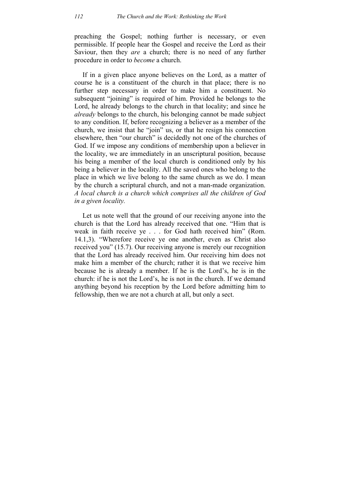preaching the Gospel; nothing further is necessary, or even permissible. If people hear the Gospel and receive the Lord as their Saviour, then they *are* a church; there is no need of any further procedure in order to *become* a church.

If in a given place anyone believes on the Lord, as a matter of course he is a constituent of the church in that place; there is no further step necessary in order to make him a constituent. No subsequent "joining" is required of him. Provided he belongs to the Lord, he already belongs to the church in that locality; and since he *already* belongs to the church, his belonging cannot be made subject to any condition. If, before recognizing a believer as a member of the church, we insist that he "join" us, or that he resign his connection elsewhere, then "our church" is decidedly not one of the churches of God. If we impose any conditions of membership upon a believer in the locality, we are immediately in an unscriptural position, because his being a member of the local church is conditioned only by his being a believer in the locality. All the saved ones who belong to the place in which we live belong to the same church as we do. I mean by the church a scriptural church, and not a man-made organization. *A local church is a church which comprises all the children of God in a given locality.*

Let us note well that the ground of our receiving anyone into the church is that the Lord has already received that one. "Him that is weak in faith receive ye . . . for God hath received him" (Rom. 14.1,3). "Wherefore receive ye one another, even as Christ also received you" (15.7). Our receiving anyone is merely our recognition that the Lord has already received him. Our receiving him does not make him a member of the church; rather it is that we receive him because he is already a member. If he is the Lord's, he is in the church: if he is not the Lord's, he is not in the church. If we demand anything beyond his reception by the Lord before admitting him to fellowship, then we are not a church at all, but only a sect.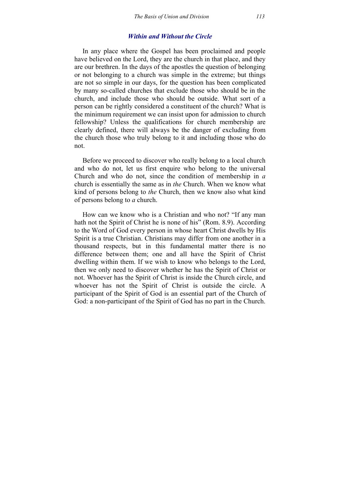#### *Within and Without the Circle*

In any place where the Gospel has been proclaimed and people have believed on the Lord, they are the church in that place, and they are our brethren. In the days of the apostles the question of belonging or not belonging to a church was simple in the extreme; but things are not so simple in our days, for the question has been complicated by many so-called churches that exclude those who should be in the church, and include those who should be outside. What sort of a person can be rightly considered a constituent of the church? What is the minimum requirement we can insist upon for admission to church fellowship? Unless the qualifications for church membership are clearly defined, there will always be the danger of excluding from the church those who truly belong to it and including those who do not.

Before we proceed to discover who really belong to a local church and who do not, let us first enquire who belong to the universal Church and who do not, since the condition of membership in *a* church is essentially the same as in *the* Church. When we know what kind of persons belong to *the* Church, then we know also what kind of persons belong to *a* church.

How can we know who is a Christian and who not? "If any man hath not the Spirit of Christ he is none of his" (Rom. 8.9). According to the Word of God every person in whose heart Christ dwells by His Spirit is a true Christian. Christians may differ from one another in a thousand respects, but in this fundamental matter there is no difference between them; one and all have the Spirit of Christ dwelling within them. If we wish to know who belongs to the Lord, then we only need to discover whether he has the Spirit of Christ or not. Whoever has the Spirit of Christ is inside the Church circle, and whoever has not the Spirit of Christ is outside the circle. A participant of the Spirit of God is an essential part of the Church of God: a non-participant of the Spirit of God has no part in the Church.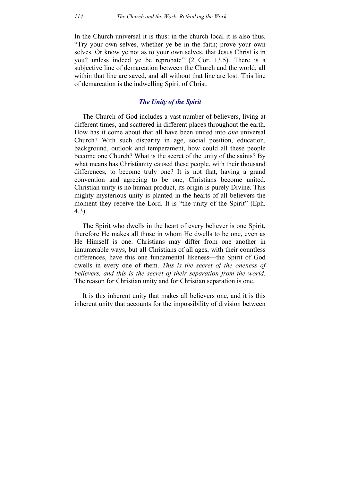In the Church universal it is thus: in the church local it is also thus. "Try your own selves, whether ye be in the faith; prove your own selves. Or know ye not as to your own selves, that Jesus Christ is in you? unless indeed ye be reprobate" (2 Cor. 13.5). There is a subjective line of demarcation between the Church and the world; all within that line are saved, and all without that line are lost. This line of demarcation is the indwelling Spirit of Christ.

# *The Unity of the Spirit*

The Church of God includes a vast number of believers, living at different times, and scattered in different places throughout the earth. How has it come about that all have been united into *one* universal Church? With such disparity in age, social position, education, background, outlook and temperament, how could all these people become one Church? What is the secret of the unity of the saints? By what means has Christianity caused these people, with their thousand differences, to become truly one? It is not that, having a grand convention and agreeing to be one, Christians become united. Christian unity is no human product, its origin is purely Divine. This mighty mysterious unity is planted in the hearts of all believers the moment they receive the Lord. It is "the unity of the Spirit" (Eph. 4.3).

The Spirit who dwells in the heart of every believer is one Spirit, therefore He makes all those in whom He dwells to be one, even as He Himself is one. Christians may differ from one another in innumerable ways, but all Christians of all ages, with their countless differences, have this one fundamental likeness—the Spirit of God dwells in every one of them. *This is the secret of the oneness of believers, and this is the secret of their separation from the world.* The reason for Christian unity and for Christian separation is one.

It is this inherent unity that makes all believers one, and it is this inherent unity that accounts for the impossibility of division between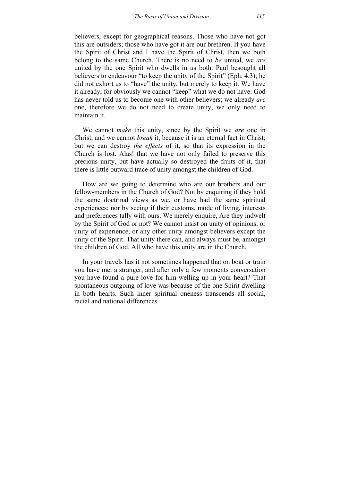believers, except for geographical reasons. Those who have not got this are outsiders; those who have got it are our brethren. If you have the Spirit of Christ and I have the Spirit of Christ, then we both belong to the same Church. There is no need to *be* united, we *are* united by the one Spirit who dwells in us both. Paul besought all believers to endeavour "to keep the unity of the Spirit" (Eph. 4.3); he did not exhort us to "have" the unity, but merely to keep it. We have it already, for obviously we cannot "keep" what we do not have. God has never told us to become one with other believers; we already *are* one, therefore we do not need to create unity, we only need to maintain it.

We cannot *make* this unity, since by the Spirit we *are* one in Christ, and we cannot *break* it, because it is an eternal fact in Christ; but we can destroy *the effects* of it, so that its expression in the Church is lost. Alas! that we have not only failed to preserve this precious unity, but have actually so destroyed the fruits of it, that there is little outward trace of unity amongst the children of God.

How are we going to determine who are our brothers and our fellow-members in the Church of God? Not by enquiring if they hold the same doctrinal views as we, or have had the same spiritual experiences; nor by seeing if their customs, mode of living, interests and preferences tally with ours. We merely enquire, Are they indwelt by the Spirit of God or not? We cannot insist on unity of opinions, or unity of experience, or any other unity amongst believers except the unity of the Spirit. That unity there can, and always must be, amongst the children of God. All who have this unity are in the Church.

In your travels has it not sometimes happened that on boat or train you have met a stranger, and after only a few moments conversation you have found a pure love for him welling up in your heart? That spontaneous outgoing of love was because of the one Spirit dwelling in both hearts. Such inner spiritual oneness transcends all social, racial and national differences.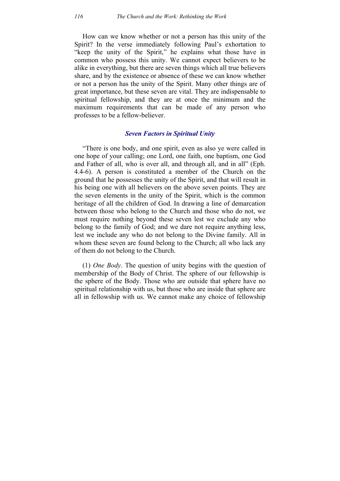How can we know whether or not a person has this unity of the Spirit? In the verse immediately following Paul's exhortation to "keep the unity of the Spirit," he explains what those have in common who possess this unity. We cannot expect believers to be alike in everything, but there are seven things which all true believers share, and by the existence or absence of these we can know whether or not a person has the unity of the Spirit. Many other things are of great importance, but these seven are vital. They are indispensable to spiritual fellowship, and they are at once the minimum and the maximum requirements that can be made of any person who professes to be a fellow-believer.

## *Seven Factors in Spiritual Unity*

"There is one body, and one spirit, even as also ye were called in one hope of your calling; one Lord, one faith, one baptism, one God and Father of all, who is over all, and through all, and in all" (Eph. 4.4-6). A person is constituted a member of the Church on the ground that he possesses the unity of the Spirit, and that will result in his being one with all believers on the above seven points. They are the seven elements in the unity of the Spirit, which is the common heritage of all the children of God. In drawing a line of demarcation between those who belong to the Church and those who do not, we must require nothing beyond these seven lest we exclude any who belong to the family of God; and we dare not require anything less, lest we include any who do not belong to the Divine family. All in whom these seven are found belong to the Church; all who lack any of them do not belong to the Church.

(1) *One Body*. The question of unity begins with the question of membership of the Body of Christ. The sphere of our fellowship is the sphere of the Body. Those who are outside that sphere have no spiritual relationship with us, but those who are inside that sphere are all in fellowship with us. We cannot make any choice of fellowship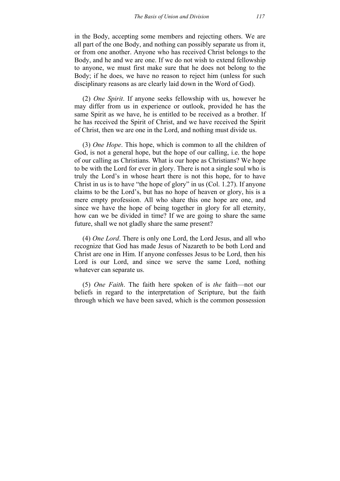in the Body, accepting some members and rejecting others. We are all part of the one Body, and nothing can possibly separate us from it, or from one another. Anyone who has received Christ belongs to the Body, and he and we are one. If we do not wish to extend fellowship to anyone, we must first make sure that he does not belong to the Body; if he does, we have no reason to reject him (unless for such disciplinary reasons as are clearly laid down in the Word of God).

(2) *One Spirit*. If anyone seeks fellowship with us, however he may differ from us in experience or outlook, provided he has the same Spirit as we have, he is entitled to be received as a brother. If he has received the Spirit of Christ, and we have received the Spirit of Christ, then we are one in the Lord, and nothing must divide us.

(3) *One Hope*. This hope, which is common to all the children of God, is not a general hope, but the hope of our calling, i.e. the hope of our calling as Christians. What is our hope as Christians? We hope to be with the Lord for ever in glory. There is not a single soul who is truly the Lord's in whose heart there is not this hope, for to have Christ in us is to have "the hope of glory" in us (Col. 1.27). If anyone claims to be the Lord's, but has no hope of heaven or glory, his is a mere empty profession. All who share this one hope are one, and since we have the hope of being together in glory for all eternity, how can we be divided in time? If we are going to share the same future, shall we not gladly share the same present?

(4) *One Lord*. There is only one Lord, the Lord Jesus, and all who recognize that God has made Jesus of Nazareth to be both Lord and Christ are one in Him. If anyone confesses Jesus to be Lord, then his Lord is our Lord, and since we serve the same Lord, nothing whatever can separate us.

(5) *One Faith*. The faith here spoken of is *the* faith—not our beliefs in regard to the interpretation of Scripture, but the faith through which we have been saved, which is the common possession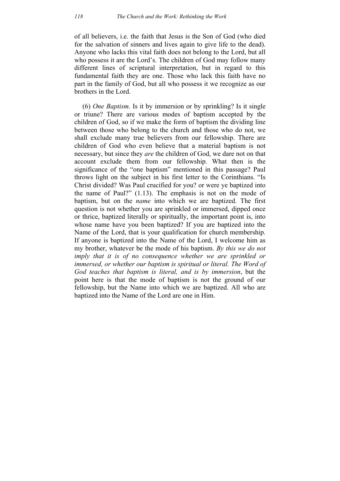of all believers, i.e. the faith that Jesus is the Son of God (who died for the salvation of sinners and lives again to give life to the dead). Anyone who lacks this vital faith does not belong to the Lord, but all who possess it are the Lord's. The children of God may follow many different lines of scriptural interpretation, but in regard to this fundamental faith they are one. Those who lack this faith have no part in the family of God, but all who possess it we recognize as our brothers in the Lord.

(6) *One Baptism*. Is it by immersion or by sprinkling? Is it single or triune? There are various modes of baptism accepted by the children of God, so if we make the form of baptism the dividing line between those who belong to the church and those who do not, we shall exclude many true believers from our fellowship. There are children of God who even believe that a material baptism is not necessary, but since they *are* the children of God, we dare not on that account exclude them from our fellowship. What then is the significance of the "one baptism" mentioned in this passage? Paul throws light on the subject in his first letter to the Corinthians. "Is Christ divided? Was Paul crucified for you? or were ye baptized into the name of Paul?" (1.13). The emphasis is not on the mode of baptism, but on the *name* into which we are baptized. The first question is not whether you are sprinkled or immersed, dipped once or thrice, baptized literally or spiritually, the important point is, into whose name have you been baptized? If you are baptized into the Name of the Lord, that is your qualification for church membership. If anyone is baptized into the Name of the Lord, I welcome him as my brother, whatever be the mode of his baptism. *By this we do not imply that it is of no consequence whether we are sprinkled or immersed, or whether our baptism is spiritual or literal. The Word of God teaches that baptism is literal, and is by immersion*, but the point here is that the mode of baptism is not the ground of our fellowship, but the Name into which we are baptized. All who are baptized into the Name of the Lord are one in Him.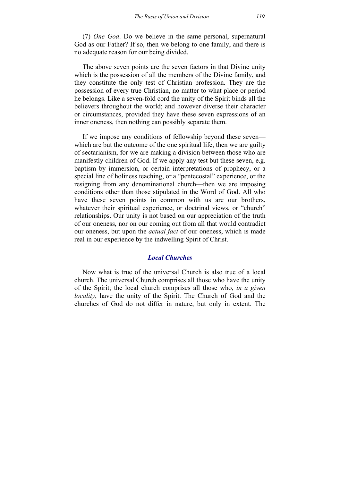(7) *One God*. Do we believe in the same personal, supernatural God as our Father? If so, then we belong to one family, and there is no adequate reason for our being divided.

The above seven points are the seven factors in that Divine unity which is the possession of all the members of the Divine family, and they constitute the only test of Christian profession. They are the possession of every true Christian, no matter to what place or period he belongs. Like a seven-fold cord the unity of the Spirit binds all the believers throughout the world; and however diverse their character or circumstances, provided they have these seven expressions of an inner oneness, then nothing can possibly separate them.

If we impose any conditions of fellowship beyond these seven which are but the outcome of the one spiritual life, then we are guilty of sectarianism, for we are making a division between those who are manifestly children of God. If we apply any test but these seven, e.g. baptism by immersion, or certain interpretations of prophecy, or a special line of holiness teaching, or a "pentecostal" experience, or the resigning from any denominational church—then we are imposing conditions other than those stipulated in the Word of God. All who have these seven points in common with us are our brothers, whatever their spiritual experience, or doctrinal views, or "church" relationships. Our unity is not based on our appreciation of the truth of our oneness, nor on our coming out from all that would contradict our oneness, but upon the *actual fact* of our oneness, which is made real in our experience by the indwelling Spirit of Christ.

## *Local Churches*

Now what is true of the universal Church is also true of a local church. The universal Church comprises all those who have the unity of the Spirit; the local church comprises all those who, *in a given locality*, have the unity of the Spirit. The Church of God and the churches of God do not differ in nature, but only in extent. The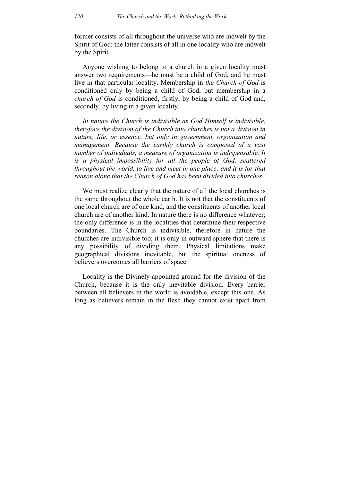former consists of all throughout the universe who are indwelt by the Spirit of God: the latter consists of all in one locality who are indwelt by the Spirit.

Anyone wishing to belong to a church in a given locality must answer two requirements—he must be a child of God, and he must live in that particular locality. Membership in *the Church of God* is conditioned only by being a child of God, but membership in a *church of God* is conditioned, firstly, by being a child of God and, secondly, by living in a given locality.

*In nature the Church is indivisible as God Himself is indivisible, therefore the division of the Church into churches is not a division in nature, life, or essence, but only in government, organization and management. Because the earthly church is composed of a vast number of individuals, a measure of organization is indispensable. It is a physical impossibility for all the people of God, scattered throughout the world, to live and meet in one place; and it is for that reason alone that the Church of God has been divided into churches.* 

We must realize clearly that the nature of all the local churches is the same throughout the whole earth. It is not that the constituents of one local church are of one kind, and the constituents of another local church are of another kind. In nature there is no difference whatever; the only difference is in the localities that determine their respective boundaries. The Church is indivisible, therefore in nature the churches are indivisible too; it is only in outward sphere that there is any possibility of dividing them. Physical limitations make geographical divisions inevitable, but the spiritual oneness of believers overcomes all barriers of space.

Locality is the Divinely-appointed ground for the division of the Church, because it is the only inevitable division. Every barrier between all believers in the world is avoidable, except this one. As long as believers remain in the flesh they cannot exist apart from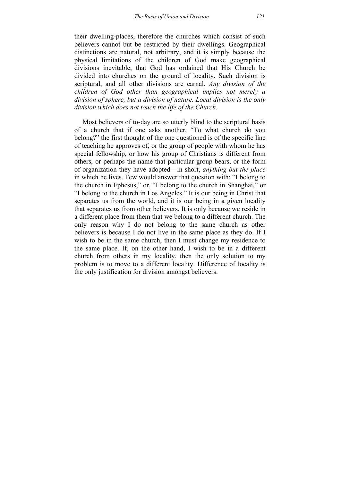their dwelling-places, therefore the churches which consist of such believers cannot but be restricted by their dwellings. Geographical distinctions are natural, not arbitrary, and it is simply because the physical limitations of the children of God make geographical divisions inevitable, that God has ordained that His Church be divided into churches on the ground of locality. Such division is scriptural, and all other divisions are carnal. *Any division of the children of God other than geographical implies not merely a division of sphere, but a division of nature. Local division is the only division which does not touch the life of the Church.*

Most believers of to-day are so utterly blind to the scriptural basis of a church that if one asks another, "To what church do you belong?" the first thought of the one questioned is of the specific line of teaching he approves of, or the group of people with whom he has special fellowship, or how his group of Christians is different from others, or perhaps the name that particular group bears, or the form of organization they have adopted—in short, *anything but the place* in which he lives. Few would answer that question with: "I belong to the church in Ephesus," or, "I belong to the church in Shanghai," or "I belong to the church in Los Angeles." It is our being in Christ that separates us from the world, and it is our being in a given locality that separates us from other believers. It is only because we reside in a different place from them that we belong to a different church. The only reason why I do not belong to the same church as other believers is because I do not live in the same place as they do. If I wish to be in the same church, then I must change my residence to the same place. If, on the other hand, I wish to be in a different church from others in my locality, then the only solution to my problem is to move to a different locality. Difference of locality is the only justification for division amongst believers.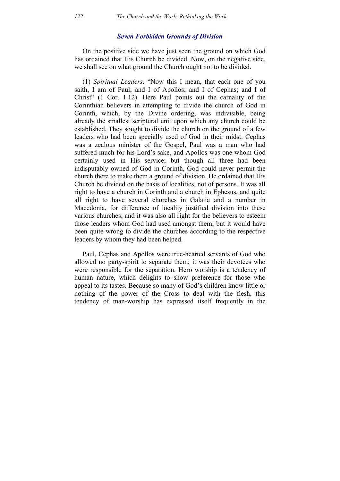### *Seven Forbidden Grounds of Division*

On the positive side we have just seen the ground on which God has ordained that His Church be divided. Now, on the negative side, we shall see on what ground the Church ought not to be divided.

(1) *Spiritual Leaders*. "Now this I mean, that each one of you saith, I am of Paul; and I of Apollos; and I of Cephas; and I of Christ" (1 Cor. 1.12). Here Paul points out the carnality of the Corinthian believers in attempting to divide the church of God in Corinth, which, by the Divine ordering, was indivisible, being already the smallest scriptural unit upon which any church could be established. They sought to divide the church on the ground of a few leaders who had been specially used of God in their midst. Cephas was a zealous minister of the Gospel, Paul was a man who had suffered much for his Lord's sake, and Apollos was one whom God certainly used in His service; but though all three had been indisputably owned of God in Corinth, God could never permit the church there to make them a ground of division. He ordained that His Church be divided on the basis of localities, not of persons. It was all right to have a church in Corinth and a church in Ephesus, and quite all right to have several churches in Galatia and a number in Macedonia, for difference of locality justified division into these various churches; and it was also all right for the believers to esteem those leaders whom God had used amongst them; but it would have been quite wrong to divide the churches according to the respective leaders by whom they had been helped.

Paul, Cephas and Apollos were true-hearted servants of God who allowed no party-spirit to separate them; it was their devotees who were responsible for the separation. Hero worship is a tendency of human nature, which delights to show preference for those who appeal to its tastes. Because so many of God's children know little or nothing of the power of the Cross to deal with the flesh, this tendency of man-worship has expressed itself frequently in the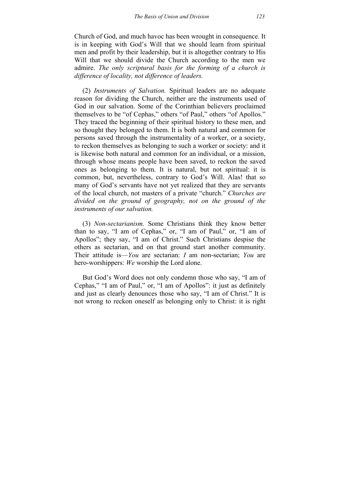Church of God, and much havoc has been wrought in consequence. It is in keeping with God's Will that we should learn from spiritual men and profit by their leadership, but it is altogether contrary to His Will that we should divide the Church according to the men we admire. *The only scriptural basis for the forming of a church is difference of locality, not difference of leaders.*

(2) *Instruments of Salvation.* Spiritual leaders are no adequate reason for dividing the Church, neither are the instruments used of God in our salvation. Some of the Corinthian believers proclaimed themselves to be "of Cephas," others "of Paul," others "of Apollos." They traced the beginning of their spiritual history to these men, and so thought they belonged to them. It is both natural and common for persons saved through the instrumentality of a worker, or a society, to reckon themselves as belonging to such a worker or society: and it is likewise both natural and common for an individual, or a mission, through whose means people have been saved, to reckon the saved ones as belonging to them. It is natural, but not spiritual: it is common, but, nevertheless, contrary to God's Will. Alas! that so many of God's servants have not yet realized that they are servants of the local church, not masters of a private "church." *Churches are divided on the ground of geography, not on the ground of the instruments of our salvation.*

(3) *Non-sectarianism.* Some Christians think they know better than to say, "I am of Cephas," or, "I am of Paul," or, "I am of Apollos"; they say, "I am of Christ." Such Christians despise the others as sectarian, and on that ground start another community. Their attitude is—*You* are sectarian: *I* am non-sectarian; *You* are hero-worshippers: *We* worship the Lord alone.

But God's Word does not only condemn those who say, "I am of Cephas," "I am of Paul," or, "I am of Apollos": it just as definitely and just as clearly denounces those who say, "I am of Christ." It is not wrong to reckon oneself as belonging only to Christ: it is right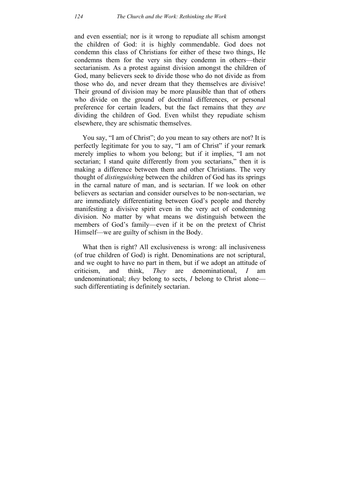and even essential; nor is it wrong to repudiate all schism amongst the children of God: it is highly commendable. God does not condemn this class of Christians for either of these two things, He condemns them for the very sin they condemn in others—their sectarianism. As a protest against division amongst the children of God, many believers seek to divide those who do not divide as from those who do, and never dream that they themselves are divisive! Their ground of division may be more plausible than that of others who divide on the ground of doctrinal differences, or personal preference for certain leaders, but the fact remains that they *are* dividing the children of God. Even whilst they repudiate schism elsewhere, they are schismatic themselves.

You say, "I am of Christ"; do you mean to say others are not? It is perfectly legitimate for you to say, "I am of Christ" if your remark merely implies to whom you belong; but if it implies, "I am not sectarian; I stand quite differently from you sectarians," then it is making a difference between them and other Christians. The very thought of *distinguishing* between the children of God has its springs in the carnal nature of man, and is sectarian. If we look on other believers as sectarian and consider ourselves to be non-sectarian, we are immediately differentiating between God's people and thereby manifesting a divisive spirit even in the very act of condemning division. No matter by what means we distinguish between the members of God's family—even if it be on the pretext of Christ Himself—we are guilty of schism in the Body.

What then is right? All exclusiveness is wrong: all inclusiveness (of true children of God) is right. Denominations are not scriptural, and we ought to have no part in them, but if we adopt an attitude of criticism, and think, *They* are denominational, *I* am undenominational; *they* belong to sects, *I* belong to Christ alone such differentiating is definitely sectarian.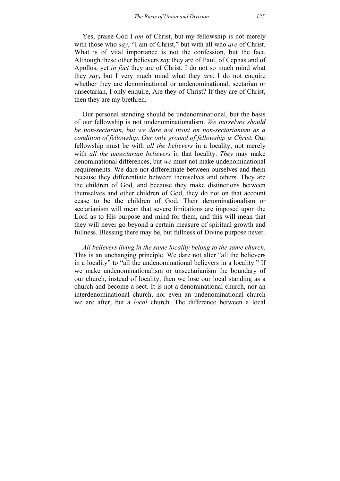Yes, praise God I *am* of Christ, but my fellowship is not merely with those who *say*, "I am of Christ," but with all who *are* of Christ. What is of vital importance is not the confession, but the fact. Although these other believers *say* they are of Paul, of Cephas and of Apollos, yet *in fact* they are of Christ. I do not so much mind what they *say*, but I very much mind what they *are*. I do not enquire whether they are denominational or undenominational, sectarian or unsectarian, I only enquire, Are they of Christ? If they are of Christ, then they are my brethren.

Our personal standing should be undenominational, but the basis of our fellowship is not undenominationalism. *We ourselves should be non-sectarian, but we dare not insist on non-sectarianism as a condition of fellowship. Our only ground of fellowship is Christ.* Our fellowship must be with *all the believers* in a locality, not merely with *all the unsectarian believers* in that locality. *They* may make denominational differences, but *we* must not make undenominational requirements. We dare not differentiate between ourselves and them because they differentiate between themselves and others. They are the children of God, and because they make distinctions between themselves and other children of God, they do not on that account cease to be the children of God. Their denominationalism or sectarianism will mean that severe limitations are imposed upon the Lord as to His purpose and mind for them, and this will mean that they will never go beyond a certain measure of spiritual growth and fullness. Blessing there may be, but fullness of Divine purpose never.

*All believers living in the same locality belong to the same church.* This is an unchanging principle. We dare not alter "all the believers in a locality" to "all the undenominational believers in a locality." If we make undenominationalism or unsectarianism the boundary of our church, instead of locality, then we lose our local standing as a church and become a sect. It is not a denominational church, nor an interdenominational church, nor even an undenominational church we are after, but a *local* church. The difference between a local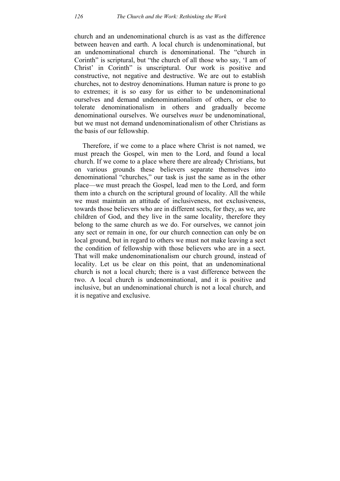church and an undenominational church is as vast as the difference between heaven and earth. A local church is undenominational, but an undenominational church is denominational. The "church in Corinth" is scriptural, but "the church of all those who say, 'I am of Christ' in Corinth" is unscriptural. Our work is positive and constructive, not negative and destructive. We are out to establish churches, not to destroy denominations. Human nature is prone to go to extremes; it is so easy for us either to be undenominational ourselves and demand undenominationalism of others, or else to tolerate denominationalism in others and gradually become denominational ourselves. We ourselves *must* be undenominational, but we must not demand undenominationalism of other Christians as the basis of our fellowship.

Therefore, if we come to a place where Christ is not named, we must preach the Gospel, win men to the Lord, and found a local church. If we come to a place where there are already Christians, but on various grounds these believers separate themselves into denominational "churches," our task is just the same as in the other place—we must preach the Gospel, lead men to the Lord, and form them into a church on the scriptural ground of locality. All the while we must maintain an attitude of inclusiveness, not exclusiveness, towards those believers who are in different sects, for they, as we, are children of God, and they live in the same locality, therefore they belong to the same church as we do. For ourselves, we cannot join any sect or remain in one, for our church connection can only be on local ground, but in regard to others we must not make leaving a sect the condition of fellowship with those believers who are in a sect. That will make undenominationalism our church ground, instead of locality. Let us be clear on this point, that an undenominational church is not a local church; there is a vast difference between the two. A local church is undenominational, and it is positive and inclusive, but an undenominational church is not a local church, and it is negative and exclusive.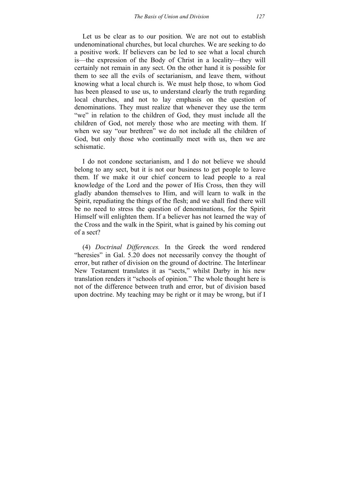Let us be clear as to our position. We are not out to establish undenominational churches, but local churches. We are seeking to do a positive work. If believers can be led to see what a local church is—the expression of the Body of Christ in a locality—they will certainly not remain in any sect. On the other hand it is possible for them to see all the evils of sectarianism, and leave them, without knowing what a local church is. We must help those, to whom God has been pleased to use us, to understand clearly the truth regarding local churches, and not to lay emphasis on the question of denominations. They must realize that whenever they use the term "we" in relation to the children of God, they must include all the children of God, not merely those who are meeting with them. If when we say "our brethren" we do not include all the children of God, but only those who continually meet with us, then we are schismatic.

I do not condone sectarianism, and I do not believe we should belong to any sect, but it is not our business to get people to leave them. If we make it our chief concern to lead people to a real knowledge of the Lord and the power of His Cross, then they will gladly abandon themselves to Him, and will learn to walk in the Spirit, repudiating the things of the flesh; and we shall find there will be no need to stress the question of denominations, for the Spirit Himself will enlighten them. If a believer has not learned the way of the Cross and the walk in the Spirit, what is gained by his coming out of a sect?

(4) *Doctrinal Differences.* In the Greek the word rendered "heresies" in Gal. 5.20 does not necessarily convey the thought of error, but rather of division on the ground of doctrine. The Interlinear New Testament translates it as "sects," whilst Darby in his new translation renders it "schools of opinion." The whole thought here is not of the difference between truth and error, but of division based upon doctrine. My teaching may be right or it may be wrong, but if I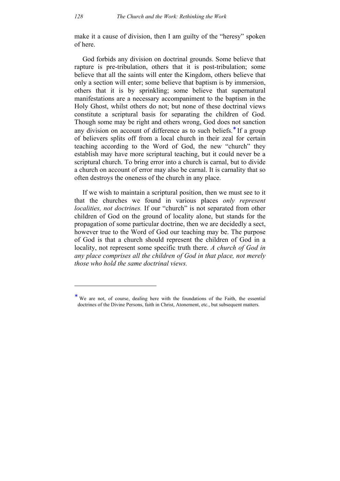make it a cause of division, then I am guilty of the "heresy" spoken of here.

God forbids any division on doctrinal grounds. Some believe that rapture is pre-tribulation, others that it is post-tribulation; some believe that all the saints will enter the Kingdom, others believe that only a section will enter; some believe that baptism is by immersion, others that it is by sprinkling; some believe that supernatural manifestations are a necessary accompaniment to the baptism in the Holy Ghost, whilst others do not; but none of these doctrinal views constitute a scriptural basis for separating the children of God. Though some may be right and others wrong, God does not sanction any division on account of difference as to such beliefs.<sup>\*</sup> If a group of believers splits off from a local church in their zeal for certain teaching according to the Word of God, the new "church" they establish may have more scriptural teaching, but it could never be a scriptural church. To bring error into a church is carnal, but to divide a church on account of error may also be carnal. It is carnality that so often destroys the oneness of the church in any place.

If we wish to maintain a scriptural position, then we must see to it that the churches we found in various places *only represent localities, not doctrines.* If our "church" is not separated from other children of God on the ground of locality alone, but stands for the propagation of some particular doctrine, then we are decidedly a sect, however true to the Word of God our teaching may be. The purpose of God is that a church should represent the children of God in a locality, not represent some specific truth there. *A church of God in any place comprises all the children of God in that place, not merely those who hold the same doctrinal views.*

1

<sup>∗</sup> We are not, of course, dealing here with the foundations of the Faith, the essential doctrines of the Divine Persons, faith in Christ, Atonement, etc., but subsequent matters.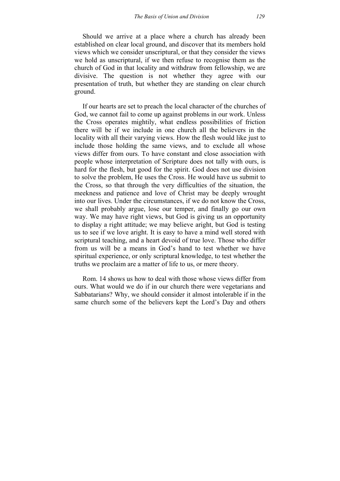Should we arrive at a place where a church has already been established on clear local ground, and discover that its members hold views which we consider unscriptural, or that they consider the views we hold as unscriptural, if we then refuse to recognise them as the church of God in that locality and withdraw from fellowship, we are divisive. The question is not whether they agree with our presentation of truth, but whether they are standing on clear church ground.

If our hearts are set to preach the local character of the churches of God, we cannot fail to come up against problems in our work. Unless the Cross operates mightily, what endless possibilities of friction there will be if we include in one church all the believers in the locality with all their varying views. How the flesh would like just to include those holding the same views, and to exclude all whose views differ from ours. To have constant and close association with people whose interpretation of Scripture does not tally with ours, is hard for the flesh, but good for the spirit. God does not use division to solve the problem, He uses the Cross. He would have us submit to the Cross, so that through the very difficulties of the situation, the meekness and patience and love of Christ may be deeply wrought into our lives. Under the circumstances, if we do not know the Cross, we shall probably argue, lose our temper, and finally go our own way. We may have right views, but God is giving us an opportunity to display a right attitude; we may believe aright, but God is testing us to see if we love aright. It is easy to have a mind well stored with scriptural teaching, and a heart devoid of true love. Those who differ from us will be a means in God's hand to test whether we have spiritual experience, or only scriptural knowledge, to test whether the truths we proclaim are a matter of life to us, or mere theory.

Rom. 14 shows us how to deal with those whose views differ from ours. What would we do if in our church there were vegetarians and Sabbatarians? Why, we should consider it almost intolerable if in the same church some of the believers kept the Lord's Day and others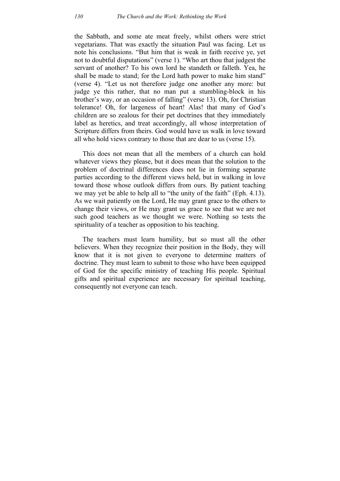the Sabbath, and some ate meat freely, whilst others were strict vegetarians. That was exactly the situation Paul was facing. Let us note his conclusions. "But him that is weak in faith receive ye, yet not to doubtful disputations" (verse 1). "Who art thou that judgest the servant of another? To his own lord he standeth or falleth. Yea, he shall be made to stand; for the Lord hath power to make him stand" (verse 4). "Let us not therefore judge one another any more: but judge ye this rather, that no man put a stumbling-block in his brother's way, or an occasion of falling" (verse 13). Oh, for Christian tolerance! Oh, for largeness of heart! Alas! that many of God's children are so zealous for their pet doctrines that they immediately label as heretics, and treat accordingly, all whose interpretation of Scripture differs from theirs. God would have us walk in love toward all who hold views contrary to those that are dear to us (verse 15).

This does not mean that all the members of a church can hold whatever views they please, but it does mean that the solution to the problem of doctrinal differences does not lie in forming separate parties according to the different views held, but in walking in love toward those whose outlook differs from ours. By patient teaching we may yet be able to help all to "the unity of the faith" (Eph. 4.13). As we wait patiently on the Lord, He may grant grace to the others to change their views, or He may grant us grace to see that we are not such good teachers as we thought we were. Nothing so tests the spirituality of a teacher as opposition to his teaching.

The teachers must learn humility, but so must all the other believers. When they recognize their position in the Body, they will know that it is not given to everyone to determine matters of doctrine. They must learn to submit to those who have been equipped of God for the specific ministry of teaching His people. Spiritual gifts and spiritual experience are necessary for spiritual teaching, consequently not everyone can teach.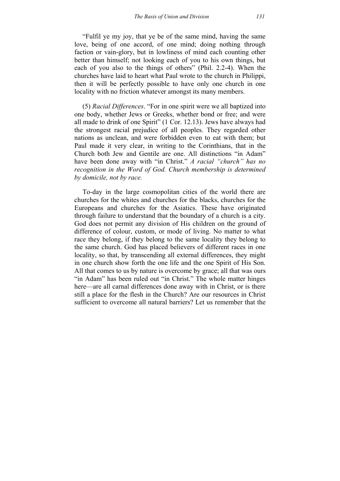"Fulfil ye my joy, that ye be of the same mind, having the same love, being of one accord, of one mind; doing nothing through faction or vain-glory, but in lowliness of mind each counting other better than himself; not looking each of you to his own things, but each of you also to the things of others" (Phil. 2.2-4). When the churches have laid to heart what Paul wrote to the church in Philippi, then it will be perfectly possible to have only one church in one locality with no friction whatever amongst its many members.

(5) *Racial Differences*. "For in one spirit were we all baptized into one body, whether Jews or Greeks, whether bond or free; and were all made to drink of one Spirit" (1 Cor. 12.13). Jews have always had the strongest racial prejudice of all peoples. They regarded other nations as unclean, and were forbidden even to eat with them; but Paul made it very clear, in writing to the Corinthians, that in the Church both Jew and Gentile are one. All distinctions "in Adam" have been done away with "in Christ." *A racial "church" has no recognition in the Word of God. Church membership is determined by domicile, not by race.*

To-day in the large cosmopolitan cities of the world there are churches for the whites and churches for the blacks, churches for the Europeans and churches for the Asiatics. These have originated through failure to understand that the boundary of a church is a city. God does not permit any division of His children on the ground of difference of colour, custom, or mode of living. No matter to what race they belong, if they belong to the same locality they belong to the same church. God has placed believers of different races in one locality, so that, by transcending all external differences, they might in one church show forth the one life and the one Spirit of His Son. All that comes to us by nature is overcome by grace; all that was ours "in Adam" has been ruled out "in Christ." The whole matter hinges here—are all carnal differences done away with in Christ, or is there still a place for the flesh in the Church? Are our resources in Christ sufficient to overcome all natural barriers? Let us remember that the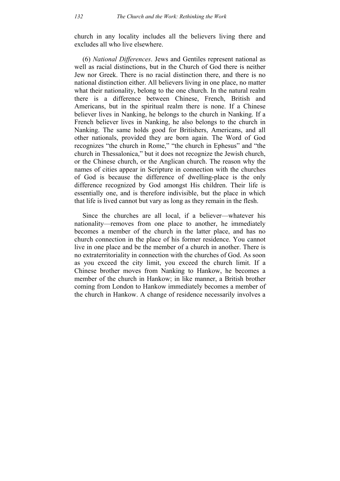church in any locality includes all the believers living there and excludes all who live elsewhere.

(6) *National Differences*. Jews and Gentiles represent national as well as racial distinctions, but in the Church of God there is neither Jew nor Greek. There is no racial distinction there, and there is no national distinction either. All believers living in one place, no matter what their nationality, belong to the one church. In the natural realm there is a difference between Chinese, French, British and Americans, but in the spiritual realm there is none. If a Chinese believer lives in Nanking, he belongs to the church in Nanking. If a French believer lives in Nanking, he also belongs to the church in Nanking. The same holds good for Britishers, Americans, and all other nationals, provided they are born again. The Word of God recognizes "the church in Rome," "the church in Ephesus" and "the church in Thessalonica," but it does not recognize the Jewish church, or the Chinese church, or the Anglican church. The reason why the names of cities appear in Scripture in connection with the churches of God is because the difference of dwelling-place is the only difference recognized by God amongst His children. Their life is essentially one, and is therefore indivisible, but the place in which that life is lived cannot but vary as long as they remain in the flesh.

Since the churches are all local, if a believer—whatever his nationality—removes from one place to another, he immediately becomes a member of the church in the latter place, and has no church connection in the place of his former residence. You cannot live in one place and be the member of a church in another. There is no extraterritoriality in connection with the churches of God. As soon as you exceed the city limit, you exceed the church limit. If a Chinese brother moves from Nanking to Hankow, he becomes a member of the church in Hankow; in like manner, a British brother coming from London to Hankow immediately becomes a member of the church in Hankow. A change of residence necessarily involves a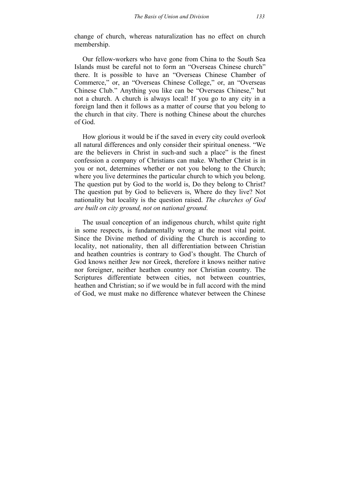change of church, whereas naturalization has no effect on church membership.

Our fellow-workers who have gone from China to the South Sea Islands must be careful not to form an "Overseas Chinese church" there. It is possible to have an "Overseas Chinese Chamber of Commerce," or, an "Overseas Chinese College," or, an "Overseas Chinese Club." Anything you like can be "Overseas Chinese," but not a church. A church is always local! If you go to any city in a foreign land then it follows as a matter of course that you belong to the church in that city. There is nothing Chinese about the churches of God.

How glorious it would be if the saved in every city could overlook all natural differences and only consider their spiritual oneness. "We are the believers in Christ in such-and such a place" is the finest confession a company of Christians can make. Whether Christ is in you or not, determines whether or not you belong to the Church; where you live determines the particular church to which you belong. The question put by God to the world is, Do they belong to Christ? The question put by God to believers is, Where do they live? Not nationality but locality is the question raised. *The churches of God are built on city ground, not on national ground.* 

The usual conception of an indigenous church, whilst quite right in some respects, is fundamentally wrong at the most vital point. Since the Divine method of dividing the Church is according to locality, not nationality, then all differentiation between Christian and heathen countries is contrary to God's thought. The Church of God knows neither Jew nor Greek, therefore it knows neither native nor foreigner, neither heathen country nor Christian country. The Scriptures differentiate between cities, not between countries, heathen and Christian; so if we would be in full accord with the mind of God, we must make no difference whatever between the Chinese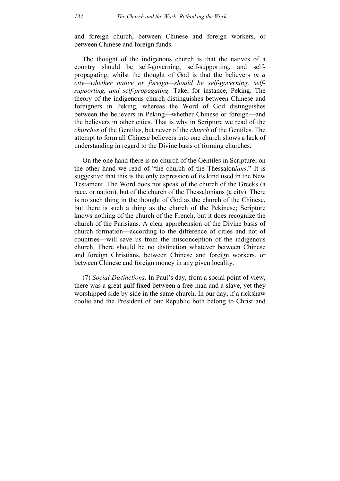and foreign church, between Chinese and foreign workers, or between Chinese and foreign funds.

The thought of the indigenous church is that the natives of a country should be self-governing, self-supporting, and selfpropagating, whilst the thought of God is that the believers *in a city—whether native or foreign—should be self-governing, selfsupporting, and self-propagating.* Take, for instance, Peking. The theory of the indigenous church distinguishes between Chinese and foreigners in Peking, whereas the Word of God distinguishes between the believers in Peking—whether Chinese or foreign—and the believers in other cities. That is why in Scripture we read of the *churches* of the Gentiles, but never of the *church* of the Gentiles. The attempt to form all Chinese believers into one church shows a lack of understanding in regard to the Divine basis of forming churches.

On the one hand there is no church of the Gentiles in Scripture; on the other hand we read of "the church of the Thessalon*ians*." It is suggestive that this is the only expression of its kind used in the New Testament. The Word does not speak of the church of the Greeks (a race, or nation), but of the church of the Thessalonians (a city). There is no such thing in the thought of God as the church of the Chinese, but there is such a thing as the church of the Pekinese; Scripture knows nothing of the church of the French, but it does recognize the church of the Parisians. A clear apprehension of the Divine basis of church formation—according to the difference of cities and not of countries—will save us from the misconception of the indigenous church. There should be no distinction whatever between Chinese and foreign Christians, between Chinese and foreign workers, or between Chinese and foreign money in any given locality.

(7) *Social Distinctions*. In Paul's day, from a social point of view, there was a great gulf fixed between a free-man and a slave, yet they worshipped side by side in the same church. In our day, if a rickshaw coolie and the President of our Republic both belong to Christ and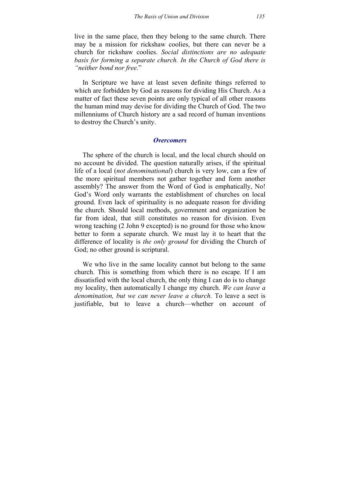live in the same place, then they belong to the same church. There may be a mission for rickshaw coolies, but there can never be a church for rickshaw coolies. *Social distinctions are no adequate basis for forming a separate church. In the Church of God there is "neither bond nor free.*"

In Scripture we have at least seven definite things referred to which are forbidden by God as reasons for dividing His Church. As a matter of fact these seven points are only typical of all other reasons the human mind may devise for dividing the Church of God. The two millenniums of Church history are a sad record of human inventions to destroy the Church's unity.

#### *Overcomers*

The sphere of the church is local, and the local church should on no account be divided. The question naturally arises, if the spiritual life of a local (*not denominational*) church is very low, can a few of the more spiritual members not gather together and form another assembly? The answer from the Word of God is emphatically, No! God's Word only warrants the establishment of churches on local ground. Even lack of spirituality is no adequate reason for dividing the church. Should local methods, government and organization be far from ideal, that still constitutes no reason for division. Even wrong teaching (2 John 9 excepted) is no ground for those who know better to form a separate church. We must lay it to heart that the difference of locality is *the only ground* for dividing the Church of God; no other ground is scriptural.

We who live in the same locality cannot but belong to the same church. This is something from which there is no escape. If I am dissatisfied with the local church, the only thing I can do is to change my locality, then automatically I change my church. *We can leave a denomination, but we can never leave a church.* To leave a sect is justifiable, but to leave a church—whether on account of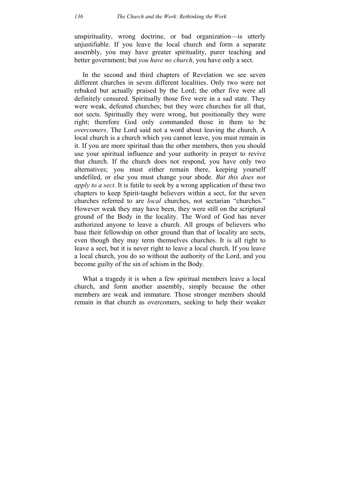unspirituality, wrong doctrine, or bad organization—is utterly unjustifiable. If you leave the local church and form a separate assembly, you may have greater spirituality, purer teaching and better government; but *you have no church*, you have only a sect.

In the second and third chapters of Revelation we see seven different churches in seven different localities. Only two were not rebuked but actually praised by the Lord; the other five were all definitely censured. Spiritually those five were in a sad state. They were weak, defeated churches; but they were churches for all that, not sects. Spiritually they were wrong, but positionally they were right; therefore God only commanded those in them to be *overcomers*. The Lord said not a word about leaving the church. A local church is a church which you cannot leave, you must remain in it. If you are more spiritual than the other members, then you should use your spiritual influence and your authority in prayer to revive that church. If the church does not respond, you have only two alternatives; you must either remain there, keeping yourself undefiled, or else you must change your abode. *But this does not apply to a sect*. It is futile to seek by a wrong application of these two chapters to keep Spirit-taught believers within a sect, for the seven churches referred to are *local* churches, not sectarian "churches." However weak they may have been, they were still on the scriptural ground of the Body in the locality. The Word of God has never authorized anyone to leave a church. All groups of believers who base their fellowship on other ground than that of locality are sects, even though they may term themselves churches. It is all right to leave a sect, but it is never right to leave a local church. If you leave a local church, you do so without the authority of the Lord, and you become guilty of the sin of schism in the Body.

What a tragedy it is when a few spiritual members leave a local church, and form another assembly, simply because the other members are weak and immature. Those stronger members should remain in that church as overcomers, seeking to help their weaker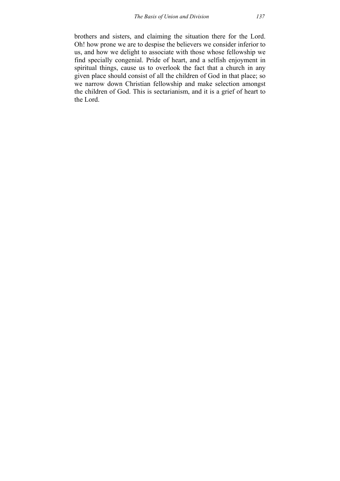brothers and sisters, and claiming the situation there for the Lord. Oh! how prone we are to despise the believers we consider inferior to us, and how we delight to associate with those whose fellowship we find specially congenial. Pride of heart, and a selfish enjoyment in spiritual things, cause us to overlook the fact that a church in any given place should consist of all the children of God in that place; so we narrow down Christian fellowship and make selection amongst the children of God. This is sectarianism, and it is a grief of heart to the Lord.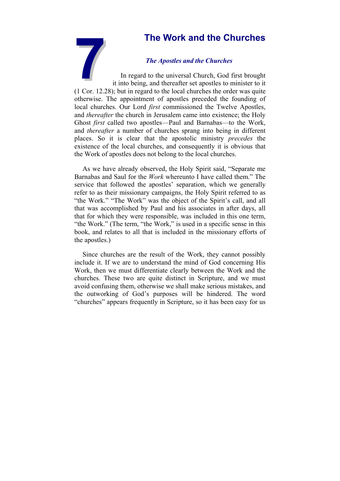## *The Apostles and the Churches*

**7The Work and the Churches**<br>*The Apostles and the Churches*<br>In regard to the universal Church, God first brought<br>it into being, and thereafter set apostles to minister to it In regard to the universal Church, God first brought it into being, and thereafter set apostles to minister to it (1 Cor. 12.28); but in regard to the local churches the order was quite otherwise. The appointment of apostles preceded the founding of local churches. Our Lord *first* commissioned the Twelve Apostles, and *thereafter* the church in Jerusalem came into existence; the Holy Ghost *first* called two apostles—Paul and Barnabas—to the Work, and *thereafter* a number of churches sprang into being in different places. So it is clear that the apostolic ministry *precedes* the existence of the local churches, and consequently it is obvious that the Work of apostles does not belong to the local churches.

As we have already observed, the Holy Spirit said, "Separate me Barnabas and Saul for the *Work* whereunto I have called them." The service that followed the apostles' separation, which we generally refer to as their missionary campaigns, the Holy Spirit referred to as "the Work." "The Work" was the object of the Spirit's call, and all that was accomplished by Paul and his associates in after days, all that for which they were responsible, was included in this one term, "the Work." (The term, "the Work," is used in a specific sense in this book, and relates to all that is included in the missionary efforts of the apostles.)

Since churches are the result of the Work, they cannot possibly include it. If we are to understand the mind of God concerning His Work, then we must differentiate clearly between the Work and the churches. These two are quite distinct in Scripture, and we must avoid confusing them, otherwise we shall make serious mistakes, and the outworking of God's purposes will be hindered. The word "churches" appears frequently in Scripture, so it has been easy for us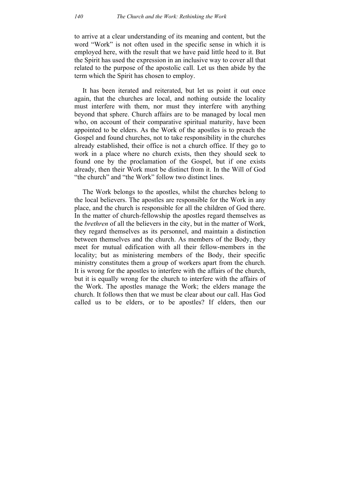to arrive at a clear understanding of its meaning and content, but the word "Work" is not often used in the specific sense in which it is employed here, with the result that we have paid little heed to it. But the Spirit has used the expression in an inclusive way to cover all that related to the purpose of the apostolic call. Let us then abide by the term which the Spirit has chosen to employ.

It has been iterated and reiterated, but let us point it out once again, that the churches are local, and nothing outside the locality must interfere with them, nor must they interfere with anything beyond that sphere. Church affairs are to be managed by local men who, on account of their comparative spiritual maturity, have been appointed to be elders. As the Work of the apostles is to preach the Gospel and found churches, not to take responsibility in the churches already established, their office is not a church office. If they go to work in a place where no church exists, then they should seek to found one by the proclamation of the Gospel, but if one exists already, then their Work must be distinct from it. In the Will of God "the church" and "the Work" follow two distinct lines.

The Work belongs to the apostles, whilst the churches belong to the local believers. The apostles are responsible for the Work in any place, and the church is responsible for all the children of God there. In the matter of church-fellowship the apostles regard themselves as the *brethren* of all the believers in the city, but in the matter of Work, they regard themselves as its personnel, and maintain a distinction between themselves and the church. As members of the Body, they meet for mutual edification with all their fellow-members in the locality; but as ministering members of the Body, their specific ministry constitutes them a group of workers apart from the church. It is wrong for the apostles to interfere with the affairs of the church, but it is equally wrong for the church to interfere with the affairs of the Work. The apostles manage the Work; the elders manage the church. It follows then that we must be clear about our call. Has God called us to be elders, or to be apostles? If elders, then our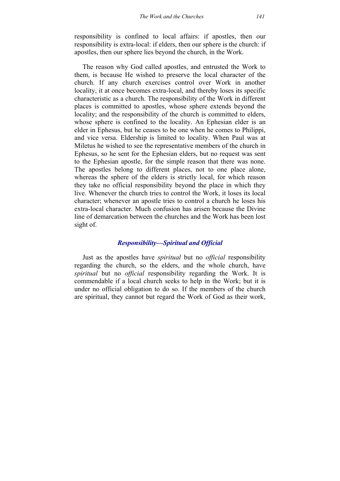responsibility is confined to local affairs: if apostles, then our responsibility is extra-local: if elders, then our sphere is the church: if apostles, then our sphere lies beyond the church, in the Work.

The reason why God called apostles, and entrusted the Work to them, is because He wished to preserve the local character of the church. If any church exercises control over Work in another locality, it at once becomes extra-local, and thereby loses its specific characteristic as a church. The responsibility of the Work in different places is committed to apostles, whose sphere extends beyond the locality; and the responsibility of the church is committed to elders, whose sphere is confined to the locality. An Ephesian elder is an elder in Ephesus, but he ceases to be one when he comes to Philippi, and vice versa. Eldership is limited to locality. When Paul was at Miletus he wished to see the representative members of the church in Ephesus, so he sent for the Ephesian elders, but no request was sent to the Ephesian apostle, for the simple reason that there was none. The apostles belong to different places, not to one place alone, whereas the sphere of the elders is strictly local, for which reason they take no official responsibility beyond the place in which they live. Whenever the church tries to control the Work, it loses its local character; whenever an apostle tries to control a church he loses his extra-local character. Much confusion has arisen because the Divine line of demarcation between the churches and the Work has been lost sight of.

## *Responsibility—Spiritual and Official*

Just as the apostles have *spiritual* but no *official* responsibility regarding the church, so the elders, and the whole church, have *spiritual* but no *official* responsibility regarding the Work. It is commendable if a local church seeks to help in the Work; but it is under no official obligation to do so. If the members of the church are spiritual, they cannot but regard the Work of God as their work,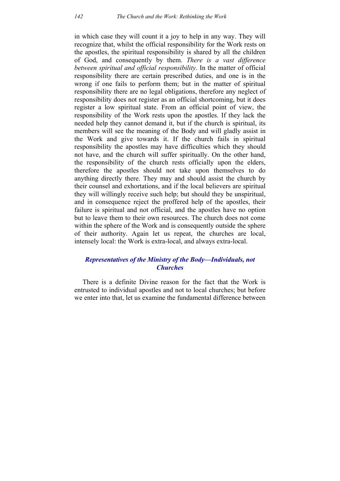in which case they will count it a joy to help in any way. They will recognize that, whilst the official responsibility for the Work rests on the apostles, the spiritual responsibility is shared by all the children of God, and consequently by them. *There is a vast difference between spiritual and official responsibility*. In the matter of official responsibility there are certain prescribed duties, and one is in the wrong if one fails to perform them; but in the matter of spiritual responsibility there are no legal obligations, therefore any neglect of responsibility does not register as an official shortcoming, but it does register a low spiritual state. From an official point of view, the responsibility of the Work rests upon the apostles. If they lack the needed help they cannot demand it, but if the church is spiritual, its members will see the meaning of the Body and will gladly assist in the Work and give towards it. If the church fails in spiritual responsibility the apostles may have difficulties which they should not have, and the church will suffer spiritually. On the other hand, the responsibility of the church rests officially upon the elders, therefore the apostles should not take upon themselves to do anything directly there. They may and should assist the church by their counsel and exhortations, and if the local believers are spiritual they will willingly receive such help; but should they be unspiritual, and in consequence reject the proffered help of the apostles, their failure is spiritual and not official, and the apostles have no option but to leave them to their own resources. The church does not come within the sphere of the Work and is consequently outside the sphere of their authority. Again let us repeat, the churches are local, intensely local: the Work is extra-local, and always extra-local.

## *Representatives of the Ministry of the Body—Individuals, not Churches*

There is a definite Divine reason for the fact that the Work is entrusted to individual apostles and not to local churches; but before we enter into that, let us examine the fundamental difference between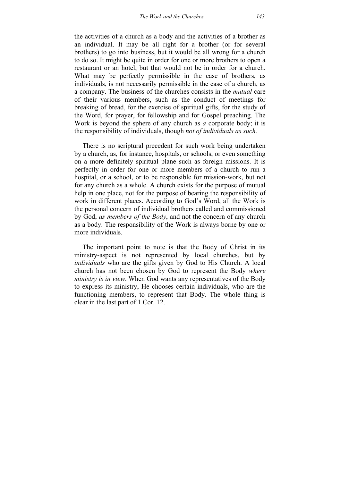the activities of a church as a body and the activities of a brother as an individual. It may be all right for a brother (or for several brothers) to go into business, but it would be all wrong for a church to do so. It might be quite in order for one or more brothers to open a restaurant or an hotel, but that would not be in order for a church. What may be perfectly permissible in the case of brothers, as individuals, is not necessarily permissible in the case of a church, as a company. The business of the churches consists in the *mutual* care of their various members, such as the conduct of meetings for breaking of bread, for the exercise of spiritual gifts, for the study of the Word, for prayer, for fellowship and for Gospel preaching. The Work is beyond the sphere of any church as *a* corporate body; it is the responsibility of individuals, though *not of individuals as such.*

There is no scriptural precedent for such work being undertaken by a church, as, for instance, hospitals, or schools, or even something on a more definitely spiritual plane such as foreign missions. It is perfectly in order for one or more members of a church to run a hospital, or a school, or to be responsible for mission-work, but not for any church as a whole. A church exists for the purpose of mutual help in one place, not for the purpose of bearing the responsibility of work in different places. According to God's Word, all the Work is the personal concern of individual brothers called and commissioned by God, *as members of the Body*, and not the concern of any church as a body. The responsibility of the Work is always borne by one or more individuals.

The important point to note is that the Body of Christ in its ministry-aspect is not represented by local churches, but by *individuals* who are the gifts given by God to His Church. A local church has not been chosen by God to represent the Body *where ministry is in view*. When God wants any representatives of the Body to express its ministry, He chooses certain individuals, who are the functioning members, to represent that Body. The whole thing is clear in the last part of 1 Cor. 12.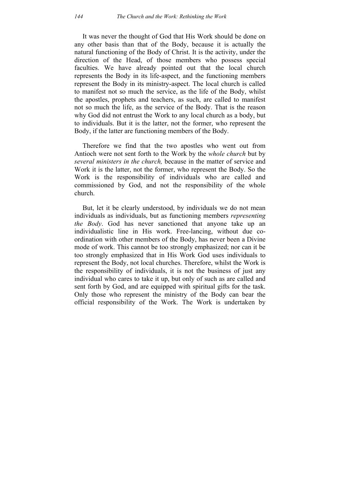It was never the thought of God that His Work should be done on any other basis than that of the Body, because it is actually the natural functioning of the Body of Christ. It is the activity, under the direction of the Head, of those members who possess special faculties. We have already pointed out that the local church represents the Body in its life-aspect, and the functioning members represent the Body in its ministry-aspect. The local church is called to manifest not so much the service, as the life of the Body, whilst the apostles, prophets and teachers, as such, are called to manifest not so much the life, as the service of the Body. That is the reason why God did not entrust the Work to any local church as a body, but to individuals. But it is the latter, not the former, who represent the Body, if the latter are functioning members of the Body.

Therefore we find that the two apostles who went out from Antioch were not sent forth to the Work by the *whole church* but by *several ministers in the church,* because in the matter of service and Work it is the latter, not the former, who represent the Body. So the Work is the responsibility of individuals who are called and commissioned by God, and not the responsibility of the whole church.

But, let it be clearly understood, by individuals we do not mean individuals as individuals, but as functioning members *representing the Body*. God has never sanctioned that anyone take up an individualistic line in His work. Free-lancing, without due coordination with other members of the Body, has never been a Divine mode of work. This cannot be too strongly emphasized; nor can it be too strongly emphasized that in His Work God uses individuals to represent the Body, not local churches. Therefore, whilst the Work is the responsibility of individuals, it is not the business of just any individual who cares to take it up, but only of such as are called and sent forth by God, and are equipped with spiritual gifts for the task. Only those who represent the ministry of the Body can bear the official responsibility of the Work. The Work is undertaken by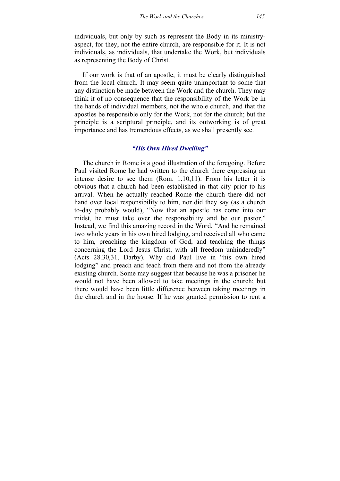individuals, but only by such as represent the Body in its ministryaspect, for they, not the entire church, are responsible for it. It is not individuals, as individuals, that undertake the Work, but individuals as representing the Body of Christ.

If our work is that of an apostle, it must be clearly distinguished from the local church. It may seem quite unimportant to some that any distinction be made between the Work and the church. They may think it of no consequence that the responsibility of the Work be in the hands of individual members, not the whole church, and that the apostles be responsible only for the Work, not for the church; but the principle is a scriptural principle, and its outworking is of great importance and has tremendous effects, as we shall presently see.

# *"His Own Hired Dwelling"*

The church in Rome is a good illustration of the foregoing. Before Paul visited Rome he had written to the church there expressing an intense desire to see them (Rom. 1.10,11). From his letter it is obvious that a church had been established in that city prior to his arrival. When he actually reached Rome the church there did not hand over local responsibility to him, nor did they say (as a church to-day probably would), "Now that an apostle has come into our midst, he must take over the responsibility and be our pastor." Instead, we find this amazing record in the Word, "And he remained two whole years in his own hired lodging, and received all who came to him, preaching the kingdom of God, and teaching the things concerning the Lord Jesus Christ, with all freedom unhinderedly" (Acts 28.30,31, Darby). Why did Paul live in "his own hired lodging" and preach and teach from there and not from the already existing church. Some may suggest that because he was a prisoner he would not have been allowed to take meetings in the church; but there would have been little difference between taking meetings in the church and in the house. If he was granted permission to rent a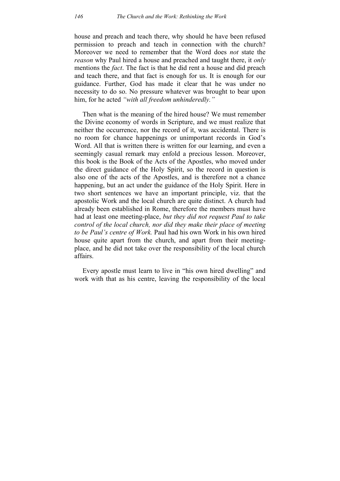house and preach and teach there, why should he have been refused permission to preach and teach in connection with the church? Moreover we need to remember that the Word does *not* state the *reason* why Paul hired a house and preached and taught there, it *only* mentions the *fact*. The fact is that he did rent a house and did preach and teach there, and that fact is enough for us. It is enough for our guidance. Further, God has made it clear that he was under no necessity to do so. No pressure whatever was brought to bear upon him, for he acted *"with all freedom unhinderedly."*

Then what is the meaning of the hired house? We must remember the Divine economy of words in Scripture, and we must realize that neither the occurrence, nor the record of it, was accidental. There is no room for chance happenings or unimportant records in God's Word. All that is written there is written for our learning, and even a seemingly casual remark may enfold a precious lesson. Moreover, this book is the Book of the Acts of the Apostles, who moved under the direct guidance of the Holy Spirit, so the record in question is also one of the acts of the Apostles, and is therefore not a chance happening, but an act under the guidance of the Holy Spirit. Here in two short sentences we have an important principle, viz. that the apostolic Work and the local church are quite distinct. A church had already been established in Rome, therefore the members must have had at least one meeting-place, *but they did not request Paul to take control of the local church, nor did they make their place of meeting to be Paul's centre of Work.* Paul had his own Work in his own hired house quite apart from the church, and apart from their meetingplace, and he did not take over the responsibility of the local church affairs.

Every apostle must learn to live in "his own hired dwelling" and work with that as his centre, leaving the responsibility of the local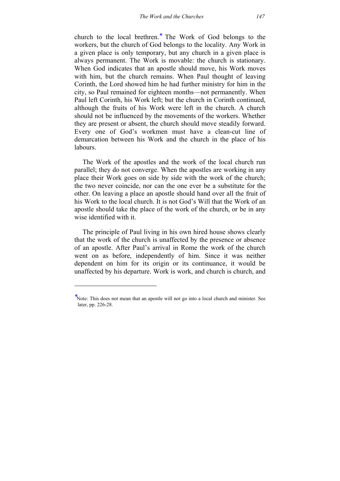church to the local brethren.<sup>∗</sup> The Work of God belongs to the workers, but the church of God belongs to the locality. Any Work in a given place is only temporary, but any church in a given place is always permanent. The Work is movable: the church is stationary. When God indicates that an apostle should move, his Work moves with him, but the church remains. When Paul thought of leaving Corinth, the Lord showed him he had further ministry for him in the city, so Paul remained for eighteen months—not permanently. When Paul left Corinth, his Work left; but the church in Corinth continued, although the fruits of his Work were left in the church. A church should not be influenced by the movements of the workers. Whether they are present or absent, the church should move steadily forward. Every one of God's workmen must have a clean-cut line of demarcation between his Work and the church in the place of his labours.

The Work of the apostles and the work of the local church run parallel; they do not converge. When the apostles are working in any place their Work goes on side by side with the work of the church; the two never coincide, nor can the one ever be a substitute for the other. On leaving a place an apostle should hand over all the fruit of his Work to the local church. It is not God's Will that the Work of an apostle should take the place of the work of the church, or be in any wise identified with it.

The principle of Paul living in his own hired house shows clearly that the work of the church is unaffected by the presence or absence of an apostle. After Paul's arrival in Rome the work of the church went on as before, independently of him. Since it was neither dependent on him for its origin or its continuance, it would be unaffected by his departure. Work is work, and church is church, and

1

<sup>∗</sup> Note: This does not mean that an apostle will not go into a local church and minister. See later, pp. 226-28.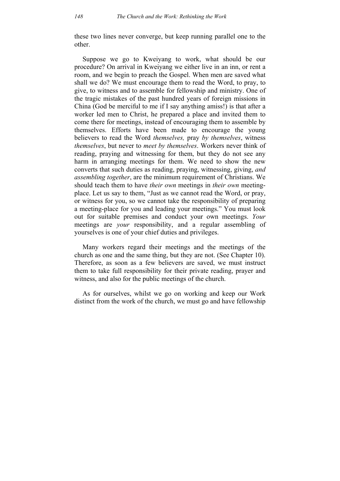these two lines never converge, but keep running parallel one to the other.

Suppose we go to Kweiyang to work, what should be our procedure? On arrival in Kweiyang we either live in an inn, or rent a room, and we begin to preach the Gospel. When men are saved what shall we do? We must encourage them to read the Word, to pray, to give, to witness and to assemble for fellowship and ministry. One of the tragic mistakes of the past hundred years of foreign missions in China (God be merciful to me if I say anything amiss!) is that after a worker led men to Christ, he prepared a place and invited them to come there for meetings, instead of encouraging them to assemble by themselves. Efforts have been made to encourage the young believers to read the Word *themselves,* pray *by themselves*, witness *themselves*, but never to *meet by themselves*. Workers never think of reading, praying and witnessing for them, but they do not see any harm in arranging meetings for them. We need to show the new converts that such duties as reading, praying, witnessing, giving, *and assembling together*, are the minimum requirement of Christians. We should teach them to have *their own* meetings in *their own* meetingplace. Let us say to them, "Just as we cannot read the Word, or pray, or witness for you, so we cannot take the responsibility of preparing a meeting-place for you and leading your meetings." You must look out for suitable premises and conduct your own meetings. *Your* meetings are *your* responsibility, and a regular assembling of yourselves is one of your chief duties and privileges.

Many workers regard their meetings and the meetings of the church as one and the same thing, but they are not. (See Chapter 10). Therefore, as soon as a few believers are saved, we must instruct them to take full responsibility for their private reading, prayer and witness, and also for the public meetings of the church.

As for ourselves, whilst we go on working and keep our Work distinct from the work of the church, we must go and have fellowship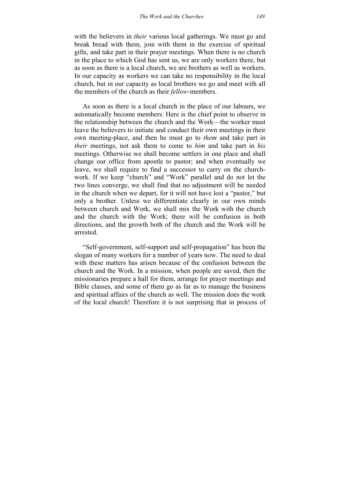with the believers in *their* various local gatherings. We must go and break bread with them, join with them in the exercise of spiritual gifts, and take part in their prayer meetings. When there is no church in the place to which God has sent us, we are only workers there, but as soon as there is a local church, we are brothers as well as workers. In our capacity as workers we can take no responsibility in the local church, but in our capacity as local brothers we go and meet with all the members of the church as their *fellow-*members.

As soon as there is a local church in the place of our labours, we automatically become members. Here is the chief point to observe in the relationship between the church and the Work—the worker must leave the believers to initiate and conduct their own meetings in their own meeting-place, and then he must go to *them* and take part in *their* meetings, not ask them to come to *him* and take part in *his* meetings. Otherwise we shall become settlers in one place and shall change our office from apostle to pastor; and when eventually we leave, we shall require to find a successor to carry on the churchwork. If we keep "church" and "Work" parallel and do not let the two lines converge, we shall find that no adjustment will be needed in the church when we depart, for it will not have lost a "pastor," but only a brother. Unless we differentiate clearly in our own minds between church and Work, we shall mix the Work with the church and the church with the Work; there will be confusion in both directions, and the growth both of the church and the Work will be arrested.

"Self-government, self-support and self-propagation" has been the slogan of many workers for a number of years now. The need to deal with these matters has arisen because of the confusion between the church and the Work. In a mission, when people are saved, then the missionaries prepare a hall for them, arrange for prayer meetings and Bible classes, and some of them go as far as to manage the business and spiritual affairs of the church as well. The mission does the work of the local church! Therefore it is not surprising that in process of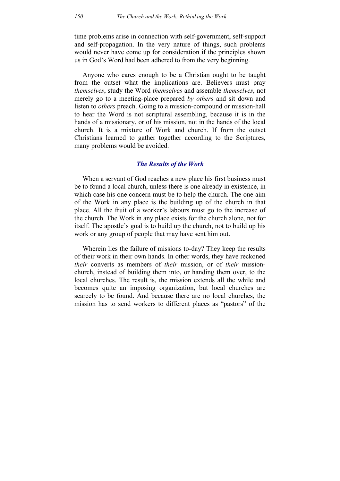time problems arise in connection with self-government, self-support and self-propagation. In the very nature of things, such problems would never have come up for consideration if the principles shown us in God's Word had been adhered to from the very beginning.

Anyone who cares enough to be a Christian ought to be taught from the outset what the implications are. Believers must pray *themselves*, study the Word *themselves* and assemble *themselves*, not merely go to a meeting-place prepared *by others* and sit down and listen to *others* preach. Going to a mission-compound or mission-hall to hear the Word is not scriptural assembling, because it is in the hands of a missionary, or of his mission, not in the hands of the local church. It is a mixture of Work and church. If from the outset Christians learned to gather together according to the Scriptures, many problems would be avoided.

#### *The Results of the Work*

When a servant of God reaches a new place his first business must be to found a local church, unless there is one already in existence, in which case his one concern must be to help the church. The one aim of the Work in any place is the building up of the church in that place. All the fruit of a worker's labours must go to the increase of the church. The Work in any place exists for the church alone, not for itself. The apostle's goal is to build up the church, not to build up his work or any group of people that may have sent him out.

Wherein lies the failure of missions to-day? They keep the results of their work in their own hands. In other words, they have reckoned *their* converts as members of *their* mission, or of *their* missionchurch, instead of building them into, or handing them over, to the local churches. The result is, the mission extends all the while and becomes quite an imposing organization, but local churches are scarcely to be found. And because there are no local churches, the mission has to send workers to different places as "pastors" of the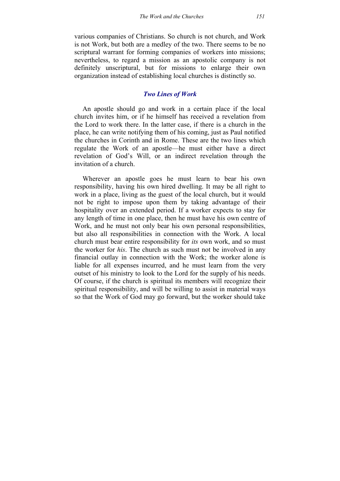various companies of Christians. So church is not church, and Work is not Work, but both are a medley of the two. There seems to be no scriptural warrant for forming companies of workers into missions; nevertheless, to regard a mission as an apostolic company is not definitely unscriptural, but for missions to enlarge their own organization instead of establishing local churches is distinctly so.

#### *Two Lines of Work*

An apostle should go and work in a certain place if the local church invites him, or if he himself has received a revelation from the Lord to work there. In the latter case, if there is a church in the place, he can write notifying them of his coming, just as Paul notified the churches in Corinth and in Rome. These are the two lines which regulate the Work of an apostle—he must either have a direct revelation of God's Will, or an indirect revelation through the invitation of a church.

Wherever an apostle goes he must learn to bear his own responsibility, having his own hired dwelling. It may be all right to work in a place, living as the guest of the local church, but it would not be right to impose upon them by taking advantage of their hospitality over an extended period. If a worker expects to stay for any length of time in one place, then he must have his own centre of Work, and he must not only bear his own personal responsibilities, but also all responsibilities in connection with the Work. A local church must bear entire responsibility for *its* own work, and so must the worker for *his*. The church as such must not be involved in any financial outlay in connection with the Work; the worker alone is liable for all expenses incurred, and he must learn from the very outset of his ministry to look to the Lord for the supply of his needs. Of course, if the church is spiritual its members will recognize their spiritual responsibility, and will be willing to assist in material ways so that the Work of God may go forward, but the worker should take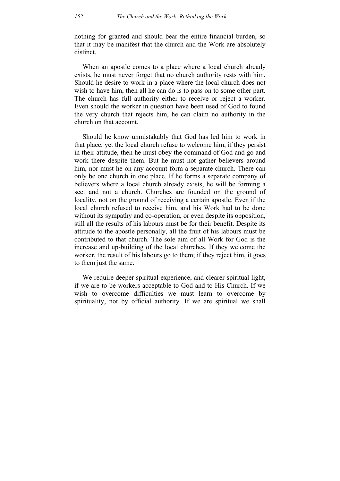nothing for granted and should bear the entire financial burden, so that it may be manifest that the church and the Work are absolutely distinct.

When an apostle comes to a place where a local church already exists, he must never forget that no church authority rests with him. Should he desire to work in a place where the local church does not wish to have him, then all he can do is to pass on to some other part. The church has full authority either to receive or reject a worker. Even should the worker in question have been used of God to found the very church that rejects him, he can claim no authority in the church on that account.

Should he know unmistakably that God has led him to work in that place, yet the local church refuse to welcome him, if they persist in their attitude, then he must obey the command of God and go and work there despite them. But he must not gather believers around him, nor must he on any account form a separate church. There can only be one church in one place. If he forms a separate company of believers where a local church already exists, he will be forming a sect and not a church. Churches are founded on the ground of locality, not on the ground of receiving a certain apostle. Even if the local church refused to receive him, and his Work had to be done without its sympathy and co-operation, or even despite its opposition, still all the results of his labours must be for their benefit. Despite its attitude to the apostle personally, all the fruit of his labours must be contributed to that church. The sole aim of all Work for God is the increase and up-building of the local churches. If they welcome the worker, the result of his labours go to them; if they reject him, it goes to them just the same.

We require deeper spiritual experience, and clearer spiritual light, if we are to be workers acceptable to God and to His Church. If we wish to overcome difficulties we must learn to overcome by spirituality, not by official authority. If we are spiritual we shall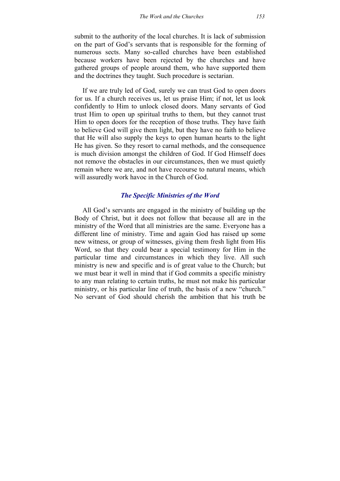submit to the authority of the local churches. It is lack of submission on the part of God's servants that is responsible for the forming of numerous sects. Many so-called churches have been established because workers have been rejected by the churches and have gathered groups of people around them, who have supported them and the doctrines they taught. Such procedure is sectarian.

If we are truly led of God, surely we can trust God to open doors for us. If a church receives us, let us praise Him; if not, let us look confidently to Him to unlock closed doors. Many servants of God trust Him to open up spiritual truths to them, but they cannot trust Him to open doors for the reception of those truths. They have faith to believe God will give them light, but they have no faith to believe that He will also supply the keys to open human hearts to the light He has given. So they resort to carnal methods, and the consequence is much division amongst the children of God. If God Himself does not remove the obstacles in our circumstances, then we must quietly remain where we are, and not have recourse to natural means, which will assuredly work havoc in the Church of God.

# *The Specific Ministries of the Word*

All God's servants are engaged in the ministry of building up the Body of Christ, but it does not follow that because all are in the ministry of the Word that all ministries are the same. Everyone has a different line of ministry. Time and again God has raised up some new witness, or group of witnesses, giving them fresh light from His Word, so that they could bear a special testimony for Him in the particular time and circumstances in which they live. All such ministry is new and specific and is of great value to the Church; but we must bear it well in mind that if God commits a specific ministry to any man relating to certain truths, he must not make his particular ministry, or his particular line of truth, the basis of a new "church." No servant of God should cherish the ambition that his truth be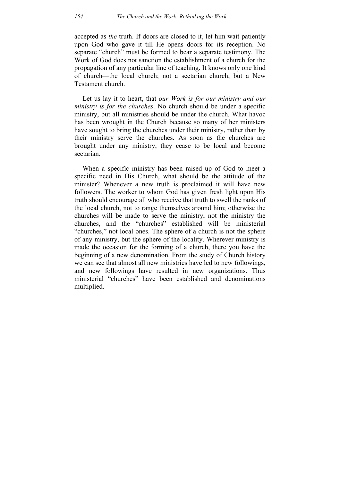accepted as *the* truth. If doors are closed to it, let him wait patiently upon God who gave it till He opens doors for its reception. No separate "church" must be formed to bear a separate testimony. The Work of God does not sanction the establishment of a church for the propagation of any particular line of teaching. It knows only one kind of church—the local church; not a sectarian church, but a New Testament church.

Let us lay it to heart, that *our Work is for our ministry and our ministry is for the churches*. No church should be under a specific ministry, but all ministries should be under the church. What havoc has been wrought in the Church because so many of her ministers have sought to bring the churches under their ministry, rather than by their ministry serve the churches. As soon as the churches are brought under any ministry, they cease to be local and become sectarian.

When a specific ministry has been raised up of God to meet a specific need in His Church, what should be the attitude of the minister? Whenever a new truth is proclaimed it will have new followers. The worker to whom God has given fresh light upon His truth should encourage all who receive that truth to swell the ranks of the local church, not to range themselves around him; otherwise the churches will be made to serve the ministry, not the ministry the churches, and the "churches" established will be ministerial "churches," not local ones. The sphere of a church is not the sphere of any ministry, but the sphere of the locality. Wherever ministry is made the occasion for the forming of a church, there you have the beginning of a new denomination. From the study of Church history we can see that almost all new ministries have led to new followings, and new followings have resulted in new organizations. Thus ministerial "churches" have been established and denominations multiplied.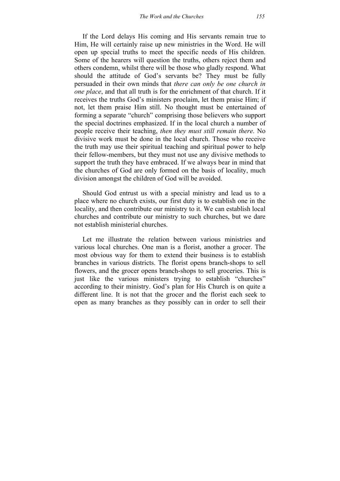If the Lord delays His coming and His servants remain true to Him, He will certainly raise up new ministries in the Word. He will open up special truths to meet the specific needs of His children. Some of the hearers will question the truths, others reject them and others condemn, whilst there will be those who gladly respond. What should the attitude of God's servants be? They must be fully persuaded in their own minds that *there can only be one church in one place*, and that all truth is for the enrichment of that church. If it receives the truths God's ministers proclaim, let them praise Him; if not, let them praise Him still. No thought must be entertained of forming a separate "church" comprising those believers who support the special doctrines emphasized. If in the local church a number of people receive their teaching, *then they must still remain there*. No divisive work must be done in the local church. Those who receive the truth may use their spiritual teaching and spiritual power to help their fellow-members, but they must not use any divisive methods to support the truth they have embraced. If we always bear in mind that the churches of God are only formed on the basis of locality, much division amongst the children of God will be avoided.

Should God entrust us with a special ministry and lead us to a place where no church exists, our first duty is to establish one in the locality, and then contribute our ministry to it. We can establish local churches and contribute our ministry to such churches, but we dare not establish ministerial churches.

Let me illustrate the relation between various ministries and various local churches. One man is a florist, another a grocer. The most obvious way for them to extend their business is to establish branches in various districts. The florist opens branch-shops to sell flowers, and the grocer opens branch-shops to sell groceries. This is just like the various ministers trying to establish "churches" according to their ministry. God's plan for His Church is on quite a different line. It is not that the grocer and the florist each seek to open as many branches as they possibly can in order to sell their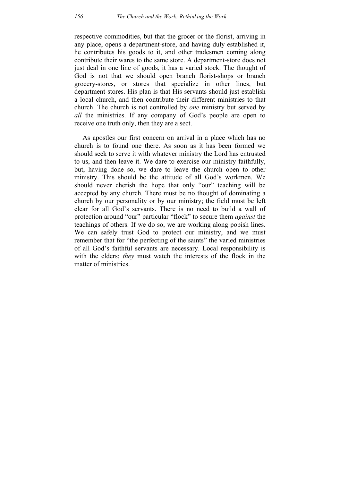respective commodities, but that the grocer or the florist, arriving in any place, opens a department-store, and having duly established it, he contributes his goods to it, and other tradesmen coming along contribute their wares to the same store. A department-store does not just deal in one line of goods, it has a varied stock. The thought of God is not that we should open branch florist-shops or branch grocery-stores, or stores that specialize in other lines, but department-stores. His plan is that His servants should just establish a local church, and then contribute their different ministries to that church. The church is not controlled by *one* ministry but served by *all* the ministries. If any company of God's people are open to receive one truth only, then they are a sect.

As apostles our first concern on arrival in a place which has no church is to found one there. As soon as it has been formed we should seek to serve it with whatever ministry the Lord has entrusted to us, and then leave it. We dare to exercise our ministry faithfully, but, having done so, we dare to leave the church open to other ministry. This should be the attitude of all God's workmen. We should never cherish the hope that only "our" teaching will be accepted by any church. There must be no thought of dominating a church by our personality or by our ministry; the field must be left clear for all God's servants. There is no need to build a wall of protection around "our" particular "flock" to secure them *against* the teachings of others. If we do so, we are working along popish lines. We can safely trust God to protect our ministry, and we must remember that for "the perfecting of the saints" the varied ministries of all God's faithful servants are necessary. Local responsibility is with the elders; *they* must watch the interests of the flock in the matter of ministries.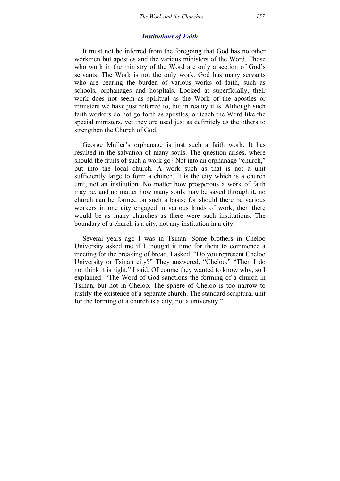#### *Institutions of Faith*

It must not be inferred from the foregoing that God has no other workmen but apostles and the various ministers of the Word. Those who work in the ministry of the Word are only a section of God's servants. The Work is not the only work. God has many servants who are bearing the burden of various works of faith, such as schools, orphanages and hospitals. Looked at superficially, their work does not seem as spiritual as the Work of the apostles or ministers we have just referred to, but in reality it is. Although such faith workers do not go forth as apostles, or teach the Word like the special ministers, yet they are used just as definitely as the others to strengthen the Church of God.

George Muller's orphanage is just such a faith work. It has resulted in the salvation of many souls. The question arises, where should the fruits of such a work go? Not into an orphanage-"church," but into the local church. A work such as that is not a unit sufficiently large to form a church. It is the city which is a church unit, not an institution. No matter how prosperous a work of faith may be, and no matter how many souls may be saved through it, no church can be formed on such a basis; for should there be various workers in one city engaged in various kinds of work, then there would be as many churches as there were such institutions. The boundary of a church is a city, not any institution in a city.

Several years ago I was in Tsinan. Some brothers in Cheloo University asked me if I thought it time for them to commence a meeting for the breaking of bread. I asked, "Do you represent Cheloo University or Tsinan city?" They answered, "Cheloo." "Then I do not think it is right," I said. Of course they wanted to know why, so I explained: "The Word of God sanctions the forming of a church in Tsinan, but not in Cheloo. The sphere of Cheloo is too narrow to justify the existence of a separate church. The standard scriptural unit for the forming of a church is a city, not a university."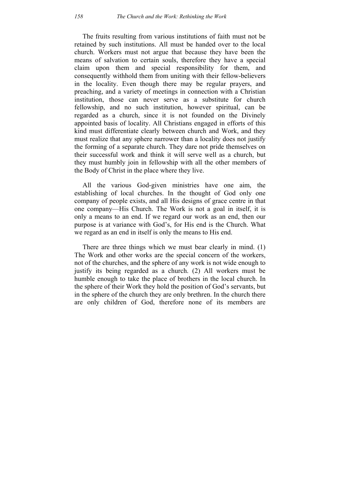The fruits resulting from various institutions of faith must not be retained by such institutions. All must be handed over to the local church. Workers must not argue that because they have been the means of salvation to certain souls, therefore they have a special claim upon them and special responsibility for them, and consequently withhold them from uniting with their fellow-believers in the locality. Even though there may be regular prayers, and preaching, and a variety of meetings in connection with a Christian institution, those can never serve as a substitute for church fellowship, and no such institution, however spiritual, can be regarded as a church, since it is not founded on the Divinely appointed basis of locality. All Christians engaged in efforts of this kind must differentiate clearly between church and Work, and they must realize that any sphere narrower than a locality does not justify the forming of a separate church. They dare not pride themselves on their successful work and think it will serve well as a church, but they must humbly join in fellowship with all the other members of the Body of Christ in the place where they live.

All the various God-given ministries have one aim, the establishing of local churches. In the thought of God only one company of people exists, and all His designs of grace centre in that one company—His Church. The Work is not a goal in itself, it is only a means to an end. If we regard our work as an end, then our purpose is at variance with God's, for His end is the Church. What we regard as an end in itself is only the means to His end.

There are three things which we must bear clearly in mind. (1) The Work and other works are the special concern of the workers, not of the churches, and the sphere of any work is not wide enough to justify its being regarded as a church. (2) All workers must be humble enough to take the place of brothers in the local church. In the sphere of their Work they hold the position of God's servants, but in the sphere of the church they are only brethren. In the church there are only children of God, therefore none of its members are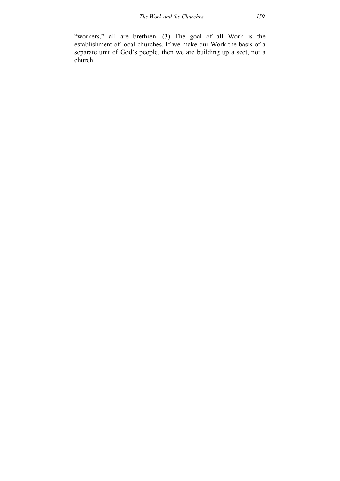"workers," all are brethren. (3) The goal of all Work is the establishment of local churches. If we make our Work the basis of a separate unit of God's people, then we are building up a sect, not a church.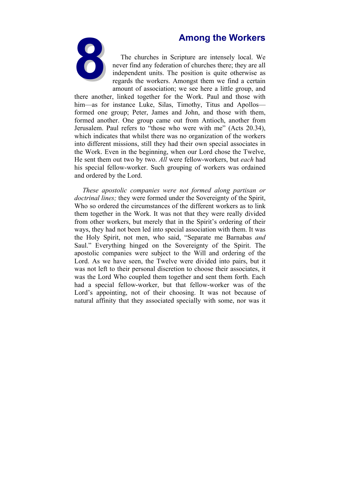

**8Among the Workers**<br>
The churches in Scripture are intensely local. We<br>
never find any federation of churches there; they are all<br>
independent units. The position is quite otherwise as<br>
regards the workers. Amongst them w The churches in Scripture are intensely local. We never find any federation of churches there; they are all independent units. The position is quite otherwise as regards the workers. Amongst them we find a certain amount of association; we see here a little group, and

there another, linked together for the Work. Paul and those with him—as for instance Luke, Silas, Timothy, Titus and Apollos formed one group; Peter, James and John, and those with them, formed another. One group came out from Antioch, another from Jerusalem. Paul refers to "those who were with me" (Acts 20.34), which indicates that whilst there was no organization of the workers into different missions, still they had their own special associates in the Work. Even in the beginning, when our Lord chose the Twelve, He sent them out two by two. *All* were fellow-workers, but *each* had his special fellow-worker. Such grouping of workers was ordained and ordered by the Lord.

*These apostolic companies were not formed along partisan or doctrinal lines;* they were formed under the Sovereignty of the Spirit, Who so ordered the circumstances of the different workers as to link them together in the Work. It was not that they were really divided from other workers, but merely that in the Spirit's ordering of their ways, they had not been led into special association with them. It was the Holy Spirit, not men, who said, "Separate me Barnabas *and* Saul." Everything hinged on the Sovereignty of the Spirit. The apostolic companies were subject to the Will and ordering of the Lord. As we have seen, the Twelve were divided into pairs, but it was not left to their personal discretion to choose their associates, it was the Lord Who coupled them together and sent them forth. Each had a special fellow-worker, but that fellow-worker was of the Lord's appointing, not of their choosing. It was not because of natural affinity that they associated specially with some, nor was it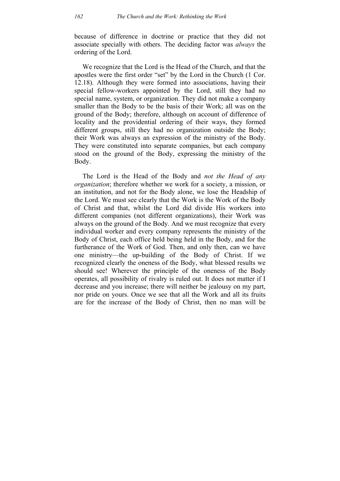because of difference in doctrine or practice that they did not associate specially with others. The deciding factor was *always* the ordering of the Lord.

We recognize that the Lord is the Head of the Church, and that the apostles were the first order "set" by the Lord in the Church (1 Cor. 12.18). Although they were formed into associations, having their special fellow-workers appointed by the Lord, still they had no special name, system, or organization. They did not make a company smaller than the Body to be the basis of their Work; all was on the ground of the Body; therefore, although on account of difference of locality and the providential ordering of their ways, they formed different groups, still they had no organization outside the Body; their Work was always an expression of the ministry of the Body. They were constituted into separate companies, but each company stood on the ground of the Body, expressing the ministry of the Body.

The Lord is the Head of the Body and *not the Head of any organization*; therefore whether we work for a society, a mission, or an institution, and not for the Body alone, we lose the Headship of the Lord. We must see clearly that the Work is the Work of the Body of Christ and that, whilst the Lord did divide His workers into different companies (not different organizations), their Work was always on the ground of the Body. And we must recognize that every individual worker and every company represents the ministry of the Body of Christ, each office held being held in the Body, and for the furtherance of the Work of God. Then, and only then, can we have one ministry—the up-building of the Body of Christ. If we recognized clearly the oneness of the Body, what blessed results we should see! Wherever the principle of the oneness of the Body operates, all possibility of rivalry is ruled out. It does not matter if I decrease and you increase; there will neither be jealousy on my part, nor pride on yours. Once we see that all the Work and all its fruits are for the increase of the Body of Christ, then no man will be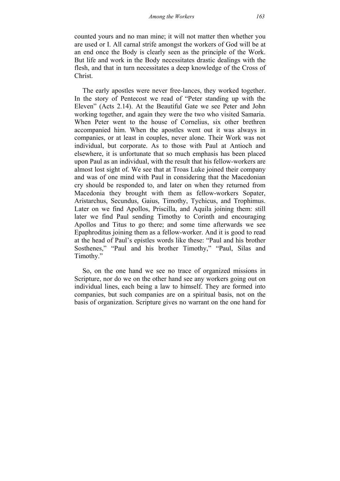counted yours and no man mine; it will not matter then whether you are used or I. All carnal strife amongst the workers of God will be at an end once the Body is clearly seen as the principle of the Work. But life and work in the Body necessitates drastic dealings with the flesh, and that in turn necessitates a deep knowledge of the Cross of Christ.

The early apostles were never free-lances, they worked together. In the story of Pentecost we read of "Peter standing up with the Eleven" (Acts 2.14). At the Beautiful Gate we see Peter and John working together, and again they were the two who visited Samaria. When Peter went to the house of Cornelius, six other brethren accompanied him. When the apostles went out it was always in companies, or at least in couples, never alone. Their Work was not individual, but corporate. As to those with Paul at Antioch and elsewhere, it is unfortunate that so much emphasis has been placed upon Paul as an individual, with the result that his fellow-workers are almost lost sight of. We see that at Troas Luke joined their company and was of one mind with Paul in considering that the Macedonian cry should be responded to, and later on when they returned from Macedonia they brought with them as fellow-workers Sopater, Aristarchus, Secundus, Gaius, Timothy, Tychicus, and Trophimus. Later on we find Apollos, Priscilla, and Aquila joining them: still later we find Paul sending Timothy to Corinth and encouraging Apollos and Titus to go there; and some time afterwards we see Epaphroditus joining them as a fellow-worker. And it is good to read at the head of Paul's epistles words like these: "Paul and his brother Sosthenes," "Paul and his brother Timothy," "Paul, Silas and Timothy."

So, on the one hand we see no trace of organized missions in Scripture, nor do we on the other hand see any workers going out on individual lines, each being a law to himself. They are formed into companies, but such companies are on a spiritual basis, not on the basis of organization. Scripture gives no warrant on the one hand for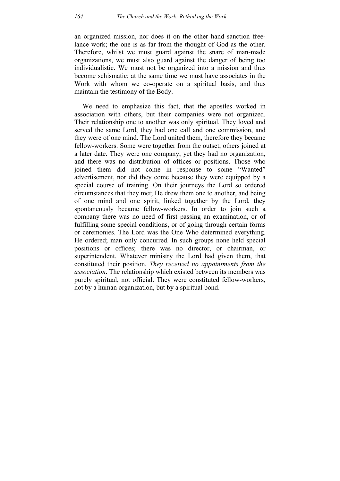an organized mission, nor does it on the other hand sanction freelance work; the one is as far from the thought of God as the other. Therefore, whilst we must guard against the snare of man-made organizations, we must also guard against the danger of being too individualistic. We must not be organized into a mission and thus become schismatic; at the same time we must have associates in the Work with whom we co-operate on a spiritual basis, and thus maintain the testimony of the Body.

We need to emphasize this fact, that the apostles worked in association with others, but their companies were not organized. Their relationship one to another was only spiritual. They loved and served the same Lord, they had one call and one commission, and they were of one mind. The Lord united them, therefore they became fellow-workers. Some were together from the outset, others joined at a later date. They were one company, yet they had no organization, and there was no distribution of offices or positions. Those who joined them did not come in response to some "Wanted" advertisement, nor did they come because they were equipped by a special course of training. On their journeys the Lord so ordered circumstances that they met; He drew them one to another, and being of one mind and one spirit, linked together by the Lord, they spontaneously became fellow-workers. In order to join such a company there was no need of first passing an examination, or of fulfilling some special conditions, or of going through certain forms or ceremonies. The Lord was the One Who determined everything. He ordered; man only concurred. In such groups none held special positions or offices; there was no director, or chairman, or superintendent. Whatever ministry the Lord had given them, that constituted their position. *They received no appointments from the association*. The relationship which existed between its members was purely spiritual, not official. They were constituted fellow-workers, not by a human organization, but by a spiritual bond.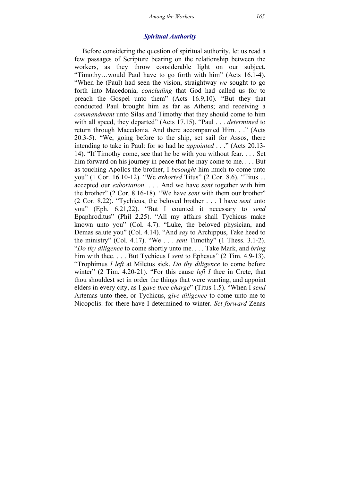# *Spiritual Authority*

Before considering the question of spiritual authority, let us read a few passages of Scripture bearing on the relationship between the workers, as they throw considerable light on our subject. "Timothy…would Paul have to go forth with him" (Acts 16.1-4). "When he (Paul) had seen the vision, straightway *we* sought to go forth into Macedonia, *concluding* that God had called us for to preach the Gospel unto them" (Acts 16.9,10). "But they that conducted Paul brought him as far as Athens; and receiving a *commandment* unto Silas and Timothy that they should come to him with all speed, they departed" (Acts 17.15). "Paul . . . *determined* to return through Macedonia. And there accompanied Him. . ." (Acts 20.3-5). "We, going before to the ship, set sail for Assos, there intending to take in Paul: for so had he *appointed* . . ." (Acts 20.13- 14). "If Timothy come, see that he be with you without fear. . . . Set him forward on his journey in peace that he may come to me.... But as touching Apollos the brother, I *besought* him much to come unto you" (1 Cor. 16.10-12). "We *exhorted* Titus" (2 Cor. 8.6). "Titus ... accepted our *exhortation*. . . . And we have *sent* together with him the brother" (2 Cor. 8.16-18). "We have *sent* with them our brother" (2 Cor. 8.22). "Tychicus, the beloved brother . . . I have *sent* unto you" (Eph. 6.21,22). "But I counted it necessary to *send* Epaphroditus" (Phil 2.25). "All my affairs shall Tychicus make known unto you" (Col. 4.7). "Luke, the beloved physician, and Demas salute you" (Col. 4.14). "And *say* to Archippus, Take heed to the ministry" (Col. 4.17). "We . . . *sent* Timothy" (1 Thess. 3.1-2). "*Do thy diligence* to come shortly unto me. . . . Take Mark, and *bring* him with thee. . . . But Tychicus I *sent* to Ephesus" (2 Tim. 4.9-13). "Trophimus *I left* at Miletus sick. *Do thy diligence* to come before winter" (2 Tim. 4.20-21). "For this cause *left I* thee in Crete, that thou shouldest set in order the things that were wanting, and appoint elders in every city, as I *gave thee charge*" (Titus 1.5). "When I *send* Artemas unto thee, or Tychicus, *give diligence* to come unto me to Nicopolis: for there have I determined to winter. *Set forward* Zenas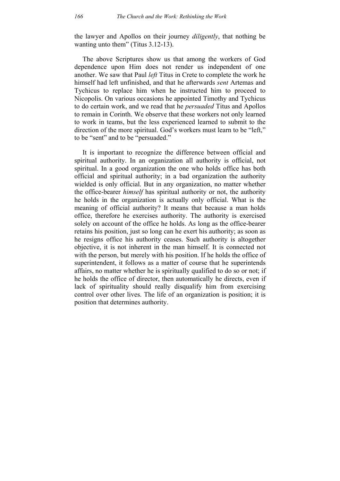the lawyer and Apollos on their journey *diligently*, that nothing be wanting unto them" (Titus 3.12-13).

The above Scriptures show us that among the workers of God dependence upon Him does not render us independent of one another. We saw that Paul *left* Titus in Crete to complete the work he himself had left unfinished, and that he afterwards *sent* Artemas and Tychicus to replace him when he instructed him to proceed to Nicopolis. On various occasions he appointed Timothy and Tychicus to do certain work, and we read that he *persuaded* Titus and Apollos to remain in Corinth. We observe that these workers not only learned to work in teams, but the less experienced learned to submit to the direction of the more spiritual. God's workers must learn to be "left," to be "sent" and to be "persuaded."

It is important to recognize the difference between official and spiritual authority. In an organization all authority is official, not spiritual. In a good organization the one who holds office has both official and spiritual authority; in a bad organization the authority wielded is only official. But in any organization, no matter whether the office-bearer *himself* has spiritual authority or not, the authority he holds in the organization is actually only official. What is the meaning of official authority? It means that because a man holds office, therefore he exercises authority. The authority is exercised solely on account of the office he holds. As long as the office-bearer retains his position, just so long can he exert his authority; as soon as he resigns office his authority ceases. Such authority is altogether objective, it is not inherent in the man himself. It is connected not with the person, but merely with his position. If he holds the office of superintendent, it follows as a matter of course that he superintends affairs, no matter whether he is spiritually qualified to do so or not; if he holds the office of director, then automatically he directs, even if lack of spirituality should really disqualify him from exercising control over other lives. The life of an organization is position; it is position that determines authority.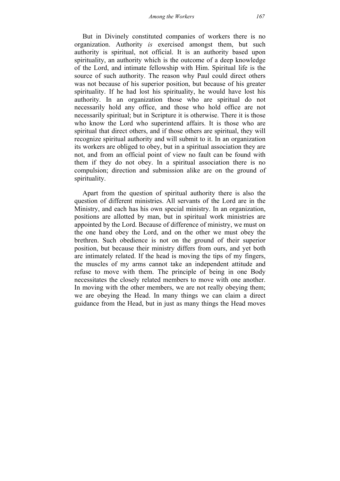But in Divinely constituted companies of workers there is no organization. Authority *is* exercised amongst them, but such authority is spiritual, not official. It is an authority based upon spirituality, an authority which is the outcome of a deep knowledge of the Lord, and intimate fellowship with Him. Spiritual life is the source of such authority. The reason why Paul could direct others was not because of his superior position, but because of his greater spirituality. If he had lost his spirituality, he would have lost his authority. In an organization those who are spiritual do not necessarily hold any office, and those who hold office are not necessarily spiritual; but in Scripture it is otherwise. There it is those who know the Lord who superintend affairs. It is those who are spiritual that direct others, and if those others are spiritual, they will recognize spiritual authority and will submit to it. In an organization its workers are obliged to obey, but in a spiritual association they are not, and from an official point of view no fault can be found with them if they do not obey. In a spiritual association there is no compulsion; direction and submission alike are on the ground of spirituality.

Apart from the question of spiritual authority there is also the question of different ministries. All servants of the Lord are in the Ministry, and each has his own special ministry. In an organization, positions are allotted by man, but in spiritual work ministries are appointed by the Lord. Because of difference of ministry, we must on the one hand obey the Lord, and on the other we must obey the brethren. Such obedience is not on the ground of their superior position, but because their ministry differs from ours, and yet both are intimately related. If the head is moving the tips of my fingers, the muscles of my arms cannot take an independent attitude and refuse to move with them. The principle of being in one Body necessitates the closely related members to move with one another. In moving with the other members, we are not really obeying them; we are obeying the Head. In many things we can claim a direct guidance from the Head, but in just as many things the Head moves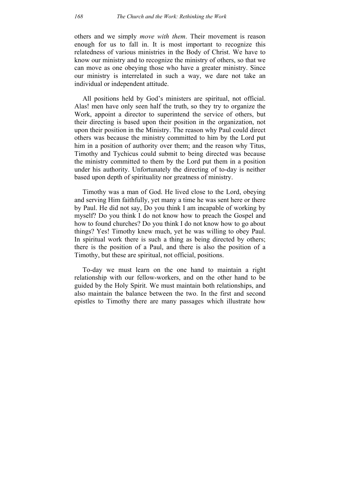others and we simply *move with them*. Their movement is reason enough for us to fall in. It is most important to recognize this relatedness of various ministries in the Body of Christ. We have to know our ministry and to recognize the ministry of others, so that we can move as one obeying those who have a greater ministry. Since our ministry is interrelated in such a way, we dare not take an individual or independent attitude.

All positions held by God's ministers are spiritual, not official. Alas! men have only seen half the truth, so they try to organize the Work, appoint a director to superintend the service of others, but their directing is based upon their position in the organization, not upon their position in the Ministry. The reason why Paul could direct others was because the ministry committed to him by the Lord put him in a position of authority over them; and the reason why Titus, Timothy and Tychicus could submit to being directed was because the ministry committed to them by the Lord put them in a position under his authority. Unfortunately the directing of to-day is neither based upon depth of spirituality nor greatness of ministry.

Timothy was a man of God. He lived close to the Lord, obeying and serving Him faithfully, yet many a time he was sent here or there by Paul. He did not say, Do you think I am incapable of working by myself? Do you think I do not know how to preach the Gospel and how to found churches? Do you think I do not know how to go about things? Yes! Timothy knew much, yet he was willing to obey Paul. In spiritual work there is such a thing as being directed by others; there is the position of a Paul, and there is also the position of a Timothy, but these are spiritual, not official, positions.

To-day we must learn on the one hand to maintain a right relationship with our fellow-workers, and on the other hand to be guided by the Holy Spirit. We must maintain both relationships, and also maintain the balance between the two. In the first and second epistles to Timothy there are many passages which illustrate how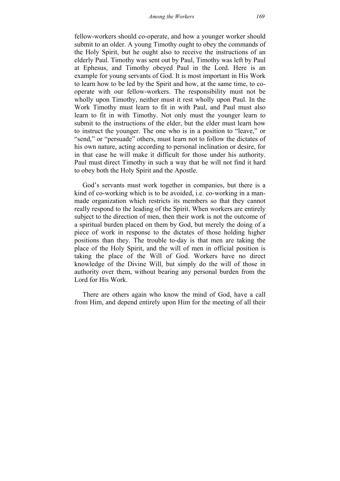fellow-workers should co-operate, and how a younger worker should submit to an older. A young Timothy ought to obey the commands of the Holy Spirit, but he ought also to receive the instructions of an elderly Paul. Timothy was sent out by Paul, Timothy was left by Paul at Ephesus, and Timothy obeyed Paul in the Lord. Here is an example for young servants of God. It is most important in His Work to learn how to be led by the Spirit and how, at the same time, to cooperate with our fellow-workers. The responsibility must not be wholly upon Timothy, neither must it rest wholly upon Paul. In the Work Timothy must learn to fit in with Paul, and Paul must also learn to fit in with Timothy. Not only must the younger learn to submit to the instructions of the elder, but the elder must learn how to instruct the younger. The one who is in a position to "leave," or "send," or "persuade" others, must learn not to follow the dictates of his own nature, acting according to personal inclination or desire, for in that case he will make it difficult for those under his authority. Paul must direct Timothy in such a way that he will not find it hard to obey both the Holy Spirit and the Apostle.

God's servants must work together in companies, but there is a kind of co-working which is to be avoided, i.e. co-working in a manmade organization which restricts its members so that they cannot really respond to the leading of the Spirit. When workers are entirely subject to the direction of men, then their work is not the outcome of a spiritual burden placed on them by God, but merely the doing of a piece of work in response to the dictates of those holding higher positions than they. The trouble to-day is that men are taking the place of the Holy Spirit, and the will of men in official position is taking the place of the Will of God. Workers have no direct knowledge of the Divine Will, but simply do the will of those in authority over them, without bearing any personal burden from the Lord for His Work.

There are others again who know the mind of God, have a call from Him, and depend entirely upon Him for the meeting of all their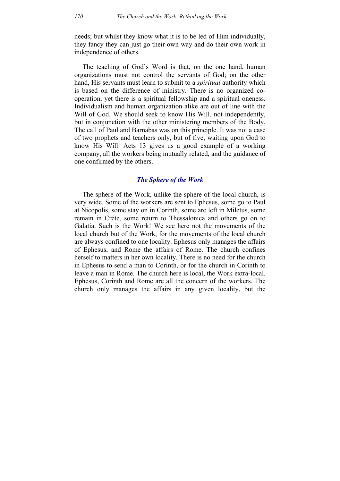needs; but whilst they know what it is to be led of Him individually, they fancy they can just go their own way and do their own work in independence of others.

The teaching of God's Word is that, on the one hand, human organizations must not control the servants of God; on the other hand, His servants must learn to submit to a *spiritual* authority which is based on the difference of ministry. There is no organized cooperation, yet there is a spiritual fellowship and a spiritual oneness. Individualism and human organization alike are out of line with the Will of God. We should seek to know His Will, not independently, but in conjunction with the other ministering members of the Body. The call of Paul and Barnabas was on this principle. It was not a case of two prophets and teachers only, but of five, waiting upon God to know His Will. Acts 13 gives us a good example of a working company, all the workers being mutually related, and the guidance of one confirmed by the others.

# *The Sphere of the Work*

The sphere of the Work, unlike the sphere of the local church, is very wide. Some of the workers are sent to Ephesus, some go to Paul at Nicopolis, some stay on in Corinth, some are left in Miletus, some remain in Crete, some return to Thessalonica and others go on to Galatia. Such is the Work! We see here not the movements of the local church but of the Work, for the movements of the local church are always confined to one locality. Ephesus only manages the affairs of Ephesus, and Rome the affairs of Rome. The church confines herself to matters in her own locality. There is no need for the church in Ephesus to send a man to Corinth, or for the church in Corinth to leave a man in Rome. The church here is local, the Work extra-local. Ephesus, Corinth and Rome are all the concern of the workers. The church only manages the affairs in any given locality, but the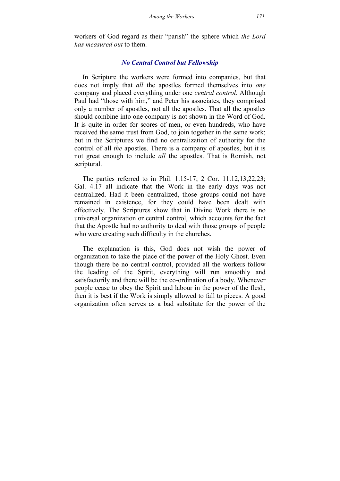workers of God regard as their "parish" the sphere which *the Lord has measured out* to them.

# *No Central Control but Fellowship*

In Scripture the workers were formed into companies, but that does not imply that *all* the apostles formed themselves into *one* company and placed everything under one *central control*. Although Paul had "those with him," and Peter his associates, they comprised only a number of apostles, not all the apostles. That all the apostles should combine into one company is not shown in the Word of God. It is quite in order for scores of men, or even hundreds, who have received the same trust from God, to join together in the same work; but in the Scriptures we find no centralization of authority for the control of all *the* apostles. There is a company of apostles, but it is not great enough to include *all* the apostles. That is Romish, not scriptural.

The parties referred to in Phil. 1.15-17; 2 Cor. 11.12,13,22,23; Gal. 4.17 all indicate that the Work in the early days was not centralized. Had it been centralized, those groups could not have remained in existence, for they could have been dealt with effectively. The Scriptures show that in Divine Work there is no universal organization or central control, which accounts for the fact that the Apostle had no authority to deal with those groups of people who were creating such difficulty in the churches.

The explanation is this, God does not wish the power of organization to take the place of the power of the Holy Ghost. Even though there be no central control, provided all the workers follow the leading of the Spirit, everything will run smoothly and satisfactorily and there will be the co-ordination of a body. Whenever people cease to obey the Spirit and labour in the power of the flesh, then it is best if the Work is simply allowed to fall to pieces. A good organization often serves as a bad substitute for the power of the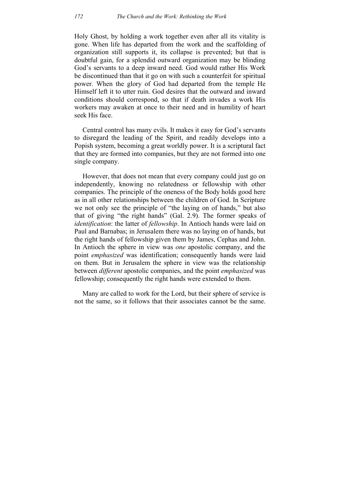Holy Ghost, by holding a work together even after all its vitality is gone. When life has departed from the work and the scaffolding of organization still supports it, its collapse is prevented; but that is doubtful gain, for a splendid outward organization may be blinding God's servants to a deep inward need. God would rather His Work be discontinued than that it go on with such a counterfeit for spiritual power. When the glory of God had departed from the temple He Himself left it to utter ruin. God desires that the outward and inward conditions should correspond, so that if death invades a work His workers may awaken at once to their need and in humility of heart seek His face.

Central control has many evils. It makes it easy for God's servants to disregard the leading of the Spirit, and readily develops into a Popish system, becoming a great worldly power. It is a scriptural fact that they are formed into companies, but they are not formed into one single company.

However, that does not mean that every company could just go on independently, knowing no relatedness or fellowship with other companies. The principle of the oneness of the Body holds good here as in all other relationships between the children of God. In Scripture we not only see the principle of "the laying on of hands," but also that of giving "the right hands" (Gal. 2.9). The former speaks of *identification*: the latter of *fellowship*. In Antioch hands were laid on Paul and Barnabas; in Jerusalem there was no laying on of hands, but the right hands of fellowship given them by James, Cephas and John. In Antioch the sphere in view was *one* apostolic company, and the point *emphasized* was identification; consequently hands were laid on them. But in Jerusalem the sphere in view was the relationship between *different* apostolic companies, and the point *emphasized* was fellowship; consequently the right hands were extended to them.

Many are called to work for the Lord, but their sphere of service is not the same, so it follows that their associates cannot be the same.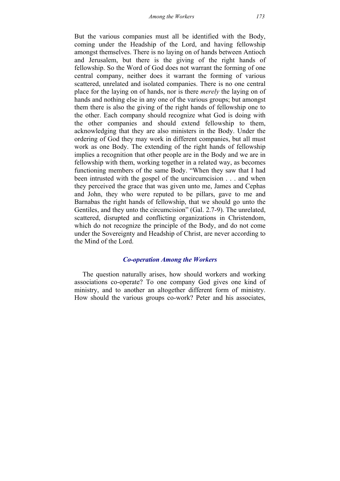But the various companies must all be identified with the Body, coming under the Headship of the Lord, and having fellowship amongst themselves. There is no laying on of hands between Antioch and Jerusalem, but there is the giving of the right hands of fellowship. So the Word of God does not warrant the forming of one central company, neither does it warrant the forming of various scattered, unrelated and isolated companies. There is no one central place for the laying on of hands, nor is there *merely* the laying on of hands and nothing else in any one of the various groups; but amongst them there is also the giving of the right hands of fellowship one to the other. Each company should recognize what God is doing with the other companies and should extend fellowship to them, acknowledging that they are also ministers in the Body. Under the ordering of God they may work in different companies, but all must work as one Body. The extending of the right hands of fellowship implies a recognition that other people are in the Body and we are in fellowship with them, working together in a related way, as becomes functioning members of the same Body. "When they saw that I had been intrusted with the gospel of the uncircumcision . . . and when they perceived the grace that was given unto me, James and Cephas and John, they who were reputed to be pillars, gave to me and Barnabas the right hands of fellowship, that we should go unto the Gentiles, and they unto the circumcision" (Gal. 2.7-9). The unrelated, scattered, disrupted and conflicting organizations in Christendom, which do not recognize the principle of the Body, and do not come under the Sovereignty and Headship of Christ, are never according to the Mind of the Lord.

#### *Co-operation Among the Workers*

The question naturally arises, how should workers and working associations co-operate? To one company God gives one kind of ministry, and to another an altogether different form of ministry. How should the various groups co-work? Peter and his associates,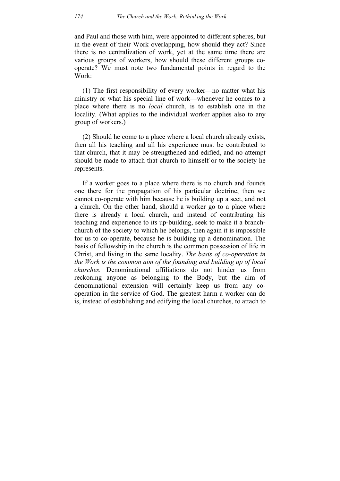and Paul and those with him, were appointed to different spheres, but in the event of their Work overlapping, how should they act? Since there is no centralization of work, yet at the same time there are various groups of workers, how should these different groups cooperate? We must note two fundamental points in regard to the Work:

(1) The first responsibility of every worker—no matter what his ministry or what his special line of work—whenever he comes to a place where there is no *local* church, is to establish one in the locality. (What applies to the individual worker applies also to any group of workers.)

(2) Should he come to a place where a local church already exists, then all his teaching and all his experience must be contributed to that church, that it may be strengthened and edified, and no attempt should be made to attach that church to himself or to the society he represents.

If a worker goes to a place where there is no church and founds one there for the propagation of his particular doctrine, then we cannot co-operate with him because he is building up a sect, and not a church. On the other hand, should a worker go to a place where there is already a local church, and instead of contributing his teaching and experience to its up-building, seek to make it a branchchurch of the society to which he belongs, then again it is impossible for us to co-operate, because he is building up a denomination. The basis of fellowship in the church is the common possession of life in Christ, and living in the same locality. *The basis of co-operation in the Work is the common aim of the founding and building up of local churches.* Denominational affiliations do not hinder us from reckoning anyone as belonging to the Body, but the aim of denominational extension will certainly keep us from any cooperation in the service of God. The greatest harm a worker can do is, instead of establishing and edifying the local churches, to attach to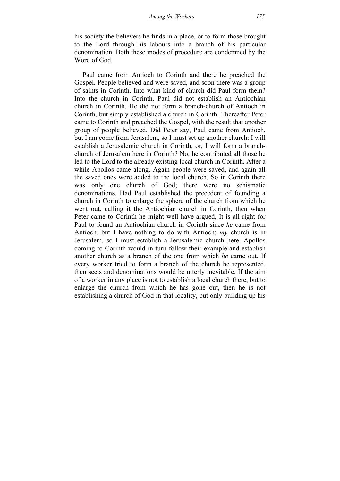his society the believers he finds in a place, or to form those brought to the Lord through his labours into a branch of his particular denomination. Both these modes of procedure are condemned by the Word of God.

Paul came from Antioch to Corinth and there he preached the Gospel. People believed and were saved, and soon there was a group of saints in Corinth. Into what kind of church did Paul form them? Into the church in Corinth. Paul did not establish an Antiochian church in Corinth. He did not form a branch-church of Antioch in Corinth, but simply established a church in Corinth. Thereafter Peter came to Corinth and preached the Gospel, with the result that another group of people believed. Did Peter say, Paul came from Antioch, but I am come from Jerusalem, so I must set up another church: I will establish a Jerusalemic church in Corinth, or, I will form a branchchurch of Jerusalem here in Corinth? No, he contributed all those he led to the Lord to the already existing local church in Corinth. After a while Apollos came along. Again people were saved, and again all the saved ones were added to the local church. So in Corinth there was only one church of God; there were no schismatic denominations. Had Paul established the precedent of founding a church in Corinth to enlarge the sphere of the church from which he went out, calling it the Antiochian church in Corinth, then when Peter came to Corinth he might well have argued, It is all right for Paul to found an Antiochian church in Corinth since *he* came from Antioch, but I have nothing to do with Antioch; *my* church is in Jerusalem, so I must establish a Jerusalemic church here. Apollos coming to Corinth would in turn follow their example and establish another church as a branch of the one from which *he* came out. If every worker tried to form a branch of the church he represented, then sects and denominations would be utterly inevitable. If the aim of a worker in any place is not to establish a local church there, but to enlarge the church from which he has gone out, then he is not establishing a church of God in that locality, but only building up his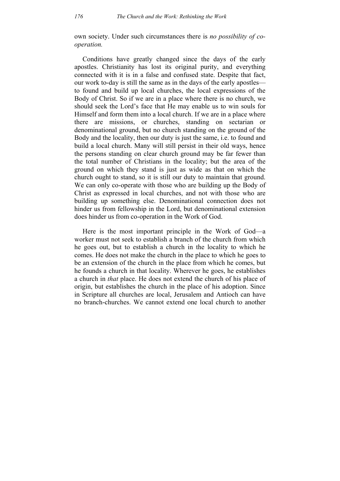own society. Under such circumstances there is *no possibility of cooperation.*

Conditions have greatly changed since the days of the early apostles. Christianity has lost its original purity, and everything connected with it is in a false and confused state. Despite that fact, our work to-day is still the same as in the days of the early apostles to found and build up local churches, the local expressions of the Body of Christ. So if we are in a place where there is no church, we should seek the Lord's face that He may enable us to win souls for Himself and form them into a local church. If we are in a place where there are missions, or churches, standing on sectarian or denominational ground, but no church standing on the ground of the Body and the locality, then our duty is just the same, i.e. to found and build a local church. Many will still persist in their old ways, hence the persons standing on clear church ground may be far fewer than the total number of Christians in the locality; but the area of the ground on which they stand is just as wide as that on which the church ought to stand, so it is still our duty to maintain that ground. We can only co-operate with those who are building up the Body of Christ as expressed in local churches, and not with those who are building up something else. Denominational connection does not hinder us from fellowship in the Lord, but denominational extension does hinder us from co-operation in the Work of God.

Here is the most important principle in the Work of God—a worker must not seek to establish a branch of the church from which he goes out, but to establish a church in the locality to which he comes. He does not make the church in the place to which he goes to be an extension of the church in the place from which he comes, but he founds a church in that locality. Wherever he goes, he establishes a church in *that* place. He does not extend the church of his place of origin, but establishes the church in the place of his adoption. Since in Scripture all churches are local, Jerusalem and Antioch can have no branch-churches. We cannot extend one local church to another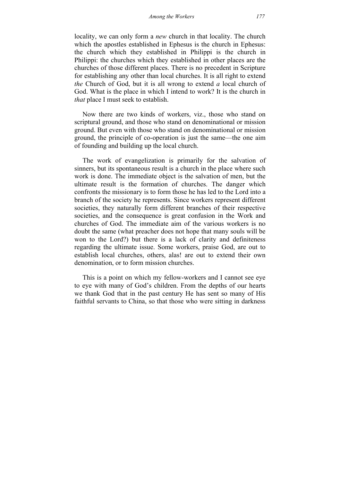locality, we can only form a *new* church in that locality. The church which the apostles established in Ephesus is the church in Ephesus: the church which they established in Philippi is the church in Philippi: the churches which they established in other places are the churches of those different places. There is no precedent in Scripture for establishing any other than local churches. It is all right to extend *the* Church of God, but it is all wrong to extend *a* local church of God. What is the place in which I intend to work? It is the church in *that* place I must seek to establish.

Now there are two kinds of workers, viz., those who stand on scriptural ground, and those who stand on denominational or mission ground. But even with those who stand on denominational or mission ground, the principle of co-operation is just the same—the one aim of founding and building up the local church.

The work of evangelization is primarily for the salvation of sinners, but its spontaneous result is a church in the place where such work is done. The immediate object is the salvation of men, but the ultimate result is the formation of churches. The danger which confronts the missionary is to form those he has led to the Lord into a branch of the society he represents. Since workers represent different societies, they naturally form different branches of their respective societies, and the consequence is great confusion in the Work and churches of God. The immediate aim of the various workers is no doubt the same (what preacher does not hope that many souls will be won to the Lord?) but there is a lack of clarity and definiteness regarding the ultimate issue. Some workers, praise God, are out to establish local churches, others, alas! are out to extend their own denomination, or to form mission churches.

This is a point on which my fellow-workers and I cannot see eye to eye with many of God's children. From the depths of our hearts we thank God that in the past century He has sent so many of His faithful servants to China, so that those who were sitting in darkness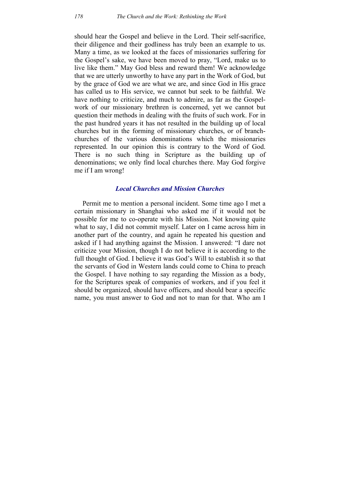should hear the Gospel and believe in the Lord. Their self-sacrifice, their diligence and their godliness has truly been an example to us. Many a time, as we looked at the faces of missionaries suffering for the Gospel's sake, we have been moved to pray, "Lord, make us to live like them." May God bless and reward them! We acknowledge that we are utterly unworthy to have any part in the Work of God, but by the grace of God we are what we are, and since God in His grace has called us to His service, we cannot but seek to be faithful. We have nothing to criticize, and much to admire, as far as the Gospelwork of our missionary brethren is concerned, yet we cannot but question their methods in dealing with the fruits of such work. For in the past hundred years it has not resulted in the building up of local churches but in the forming of missionary churches, or of branchchurches of the various denominations which the missionaries represented. In our opinion this is contrary to the Word of God. There is no such thing in Scripture as the building up of denominations; we only find local churches there. May God forgive me if I am wrong!

#### *Local Churches and Mission Churches*

Permit me to mention a personal incident. Some time ago I met a certain missionary in Shanghai who asked me if it would not be possible for me to co-operate with his Mission. Not knowing quite what to say, I did not commit myself. Later on I came across him in another part of the country, and again he repeated his question and asked if I had anything against the Mission. I answered: "I dare not criticize your Mission, though I do not believe it is according to the full thought of God. I believe it was God's Will to establish it so that the servants of God in Western lands could come to China to preach the Gospel. I have nothing to say regarding the Mission as a body, for the Scriptures speak of companies of workers, and if you feel it should be organized, should have officers, and should bear a specific name, you must answer to God and not to man for that. Who am I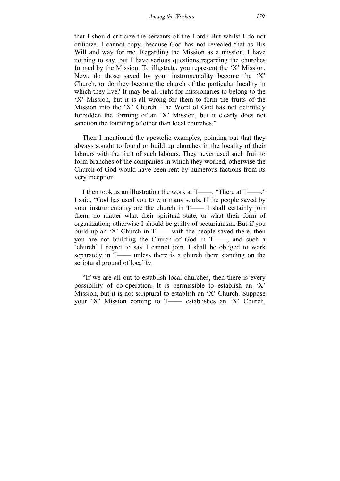that I should criticize the servants of the Lord? But whilst I do not criticize, I cannot copy, because God has not revealed that as His Will and way for me. Regarding the Mission as a mission, I have nothing to say, but I have serious questions regarding the churches formed by the Mission. To illustrate, you represent the 'X' Mission. Now, do those saved by your instrumentality become the 'X' Church, or do they become the church of the particular locality in which they live? It may be all right for missionaries to belong to the 'X' Mission, but it is all wrong for them to form the fruits of the Mission into the 'X' Church. The Word of God has not definitely forbidden the forming of an 'X' Mission, but it clearly does not sanction the founding of other than local churches."

Then I mentioned the apostolic examples, pointing out that they always sought to found or build up churches in the locality of their labours with the fruit of such labours. They never used such fruit to form branches of the companies in which they worked, otherwise the Church of God would have been rent by numerous factions from its very inception.

I then took as an illustration the work at T——. "There at T——," I said, "God has used you to win many souls. If the people saved by your instrumentality are the church in T—— I shall certainly join them, no matter what their spiritual state, or what their form of organization; otherwise I should be guilty of sectarianism. But if you build up an 'X' Church in  $T$ —— with the people saved there, then you are not building the Church of God in T——, and such a 'church' I regret to say I cannot join. I shall be obliged to work separately in T—— unless there is a church there standing on the scriptural ground of locality.

"If we are all out to establish local churches, then there is every possibility of co-operation. It is permissible to establish an 'X' Mission, but it is not scriptural to establish an 'X' Church. Suppose your 'X' Mission coming to T—— establishes an 'X' Church,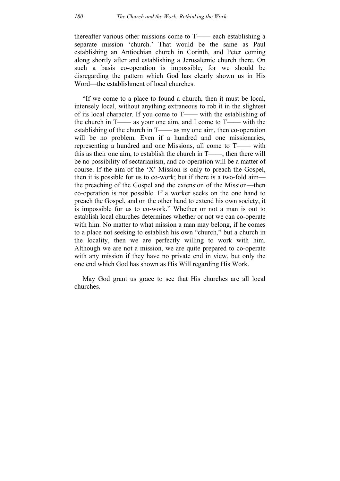thereafter various other missions come to T—— each establishing a separate mission 'church.' That would be the same as Paul establishing an Antiochian church in Corinth, and Peter coming along shortly after and establishing a Jerusalemic church there. On such a basis co-operation is impossible, for we should be disregarding the pattern which God has clearly shown us in His Word—the establishment of local churches.

"If we come to a place to found a church, then it must be local, intensely local, without anything extraneous to rob it in the slightest of its local character. If you come to T—— with the establishing of the church in T—— as your one aim, and I come to T—— with the establishing of the church in T—— as my one aim, then co-operation will be no problem. Even if a hundred and one missionaries, representing a hundred and one Missions, all come to T—— with this as their one aim, to establish the church in T——, then there will be no possibility of sectarianism, and co-operation will be a matter of course. If the aim of the 'X' Mission is only to preach the Gospel, then it is possible for us to co-work; but if there is a two-fold aim the preaching of the Gospel and the extension of the Mission—then co-operation is not possible. If a worker seeks on the one hand to preach the Gospel, and on the other hand to extend his own society, it is impossible for us to co-work." Whether or not a man is out to establish local churches determines whether or not we can co-operate with him. No matter to what mission a man may belong, if he comes to a place not seeking to establish his own "church," but a church in the locality, then we are perfectly willing to work with him. Although we are not a mission, we are quite prepared to co-operate with any mission if they have no private end in view, but only the one end which God has shown as His Will regarding His Work.

May God grant us grace to see that His churches are all local churches.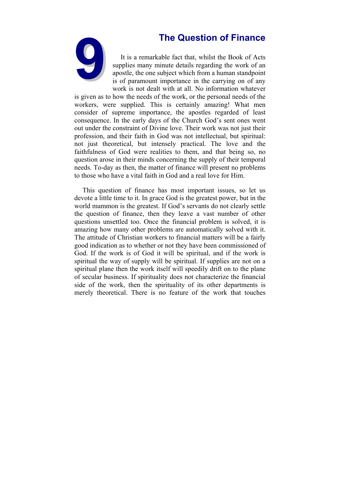

**19The Question of Finance**<br>
It is a remarkable fact that, whilst the Book of Acts<br>
supplies many minute details regarding the work of an<br>
apostle, the one subject which from a human standpoint<br>
is of paramount importance It is a remarkable fact that, whilst the Book of Acts supplies many minute details regarding the work of an apostle, the one subject which from a human standpoint is of paramount importance in the carrying on of any work is not dealt with at all. No information whatever

is given as to how the needs of the work, or the personal needs of the workers, were supplied. This is certainly amazing! What men consider of supreme importance, the apostles regarded of least consequence. In the early days of the Church God's sent ones went out under the constraint of Divine love. Their work was not just their profession, and their faith in God was not intellectual, but spiritual: not just theoretical, but intensely practical. The love and the faithfulness of God were realities to them, and that being so, no question arose in their minds concerning the supply of their temporal needs. To-day as then, the matter of finance will present no problems to those who have a vital faith in God and a real love for Him.

This question of finance has most important issues, so let us devote a little time to it. In grace God is the greatest power, but in the world mammon is the greatest. If God's servants do not clearly settle the question of finance, then they leave a vast number of other questions unsettled too. Once the financial problem is solved, it is amazing how many other problems are automatically solved with it. The attitude of Christian workers to financial matters will be a fairly good indication as to whether or not they have been commissioned of God. If the work is of God it will be spiritual, and if the work is spiritual the way of supply will be spiritual. If supplies are not on a spiritual plane then the work itself will speedily drift on to the plane of secular business. If spirituality does not characterize the financial side of the work, then the spirituality of its other departments is merely theoretical. There is no feature of the work that touches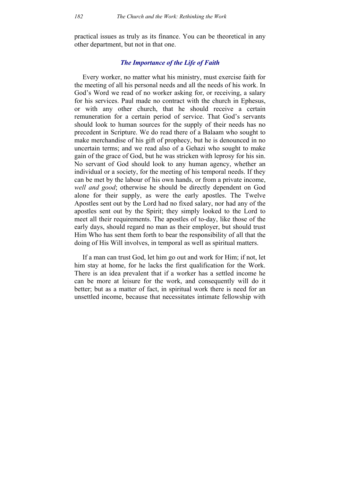practical issues as truly as its finance. You can be theoretical in any other department, but not in that one.

# *The Importance of the Life of Faith*

Every worker, no matter what his ministry, must exercise faith for the meeting of all his personal needs and all the needs of his work. In God's Word we read of no worker asking for, or receiving, a salary for his services. Paul made no contract with the church in Ephesus, or with any other church, that he should receive a certain remuneration for a certain period of service. That God's servants should look to human sources for the supply of their needs has no precedent in Scripture. We do read there of a Balaam who sought to make merchandise of his gift of prophecy, but he is denounced in no uncertain terms; and we read also of a Gehazi who sought to make gain of the grace of God, but he was stricken with leprosy for his sin. No servant of God should look to any human agency, whether an individual or a society, for the meeting of his temporal needs. If they can be met by the labour of his own hands, or from a private income, *well and good*; otherwise he should be directly dependent on God alone for their supply, as were the early apostles. The Twelve Apostles sent out by the Lord had no fixed salary, nor had any of the apostles sent out by the Spirit; they simply looked to the Lord to meet all their requirements. The apostles of to-day, like those of the early days, should regard no man as their employer, but should trust Him Who has sent them forth to bear the responsibility of all that the doing of His Will involves, in temporal as well as spiritual matters.

If a man can trust God, let him go out and work for Him; if not, let him stay at home, for he lacks the first qualification for the Work. There is an idea prevalent that if a worker has a settled income he can be more at leisure for the work, and consequently will do it better; but as a matter of fact, in spiritual work there is need for an unsettled income, because that necessitates intimate fellowship with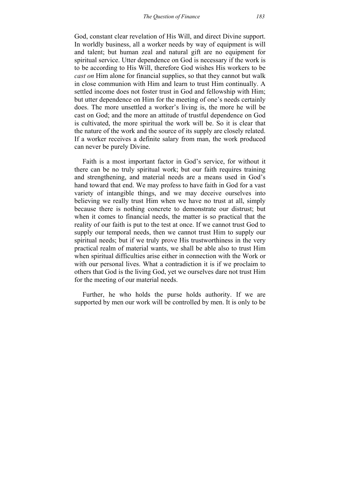God, constant clear revelation of His Will, and direct Divine support. In worldly business, all a worker needs by way of equipment is will and talent; but human zeal and natural gift are no equipment for spiritual service. Utter dependence on God is necessary if the work is to be according to His Will, therefore God wishes His workers to be *cast on* Him alone for financial supplies, so that they cannot but walk in close communion with Him and learn to trust Him continually. A settled income does not foster trust in God and fellowship with Him; but utter dependence on Him for the meeting of one's needs certainly does. The more unsettled a worker's living is, the more he will be cast on God; and the more an attitude of trustful dependence on God is cultivated, the more spiritual the work will be. So it is clear that the nature of the work and the source of its supply are closely related. If a worker receives a definite salary from man, the work produced can never be purely Divine.

Faith is a most important factor in God's service, for without it there can be no truly spiritual work; but our faith requires training and strengthening, and material needs are a means used in God's hand toward that end. We may profess to have faith in God for a vast variety of intangible things, and we may deceive ourselves into believing we really trust Him when we have no trust at all, simply because there is nothing concrete to demonstrate our distrust; but when it comes to financial needs, the matter is so practical that the reality of our faith is put to the test at once. If we cannot trust God to supply our temporal needs, then we cannot trust Him to supply our spiritual needs; but if we truly prove His trustworthiness in the very practical realm of material wants, we shall be able also to trust Him when spiritual difficulties arise either in connection with the Work or with our personal lives. What a contradiction it is if we proclaim to others that God is the living God, yet we ourselves dare not trust Him for the meeting of our material needs.

Further, he who holds the purse holds authority. If we are supported by men our work will be controlled by men. It is only to be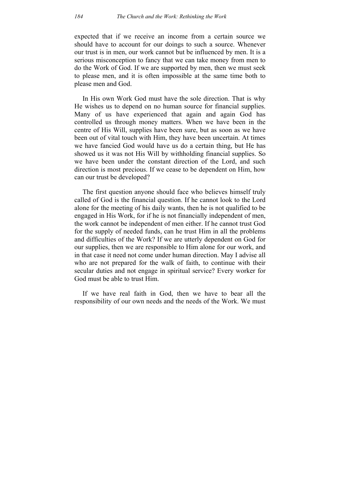expected that if we receive an income from a certain source we should have to account for our doings to such a source. Whenever our trust is in men, our work cannot but be influenced by men. It is a serious misconception to fancy that we can take money from men to do the Work of God. If we are supported by men, then we must seek to please men, and it is often impossible at the same time both to please men and God.

In His own Work God must have the sole direction. That is why He wishes us to depend on no human source for financial supplies. Many of us have experienced that again and again God has controlled us through money matters. When we have been in the centre of His Will, supplies have been sure, but as soon as we have been out of vital touch with Him, they have been uncertain. At times we have fancied God would have us do a certain thing, but He has showed us it was not His Will by withholding financial supplies. So we have been under the constant direction of the Lord, and such direction is most precious. If we cease to be dependent on Him, how can our trust be developed?

The first question anyone should face who believes himself truly called of God is the financial question. If he cannot look to the Lord alone for the meeting of his daily wants, then he is not qualified to be engaged in His Work, for if he is not financially independent of men, the work cannot be independent of men either. If he cannot trust God for the supply of needed funds, can he trust Him in all the problems and difficulties of the Work? If we are utterly dependent on God for our supplies, then we are responsible to Him alone for our work, and in that case it need not come under human direction. May I advise all who are not prepared for the walk of faith, to continue with their secular duties and not engage in spiritual service? Every worker for God must be able to trust Him.

If we have real faith in God, then we have to bear all the responsibility of our own needs and the needs of the Work. We must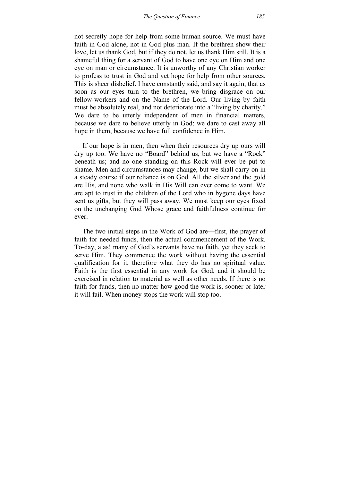not secretly hope for help from some human source. We must have faith in God alone, not in God plus man. If the brethren show their love, let us thank God, but if they do not, let us thank Him still. It is a shameful thing for a servant of God to have one eye on Him and one eye on man or circumstance. It is unworthy of any Christian worker to profess to trust in God and yet hope for help from other sources. This is sheer disbelief. I have constantly said, and say it again, that as soon as our eyes turn to the brethren, we bring disgrace on our fellow-workers and on the Name of the Lord. Our living by faith must be absolutely real, and not deteriorate into a "living by charity." We dare to be utterly independent of men in financial matters, because we dare to believe utterly in God; we dare to cast away all hope in them, because we have full confidence in Him.

If our hope is in men, then when their resources dry up ours will dry up too. We have no "Board" behind us, but we have a "Rock" beneath us; and no one standing on this Rock will ever be put to shame. Men and circumstances may change, but we shall carry on in a steady course if our reliance is on God. All the silver and the gold are His, and none who walk in His Will can ever come to want. We are apt to trust in the children of the Lord who in bygone days have sent us gifts, but they will pass away. We must keep our eyes fixed on the unchanging God Whose grace and faithfulness continue for ever.

The two initial steps in the Work of God are—first, the prayer of faith for needed funds, then the actual commencement of the Work. To-day, alas! many of God's servants have no faith, yet they seek to serve Him. They commence the work without having the essential qualification for it, therefore what they do has no spiritual value. Faith is the first essential in any work for God, and it should be exercised in relation to material as well as other needs. If there is no faith for funds, then no matter how good the work is, sooner or later it will fail. When money stops the work will stop too.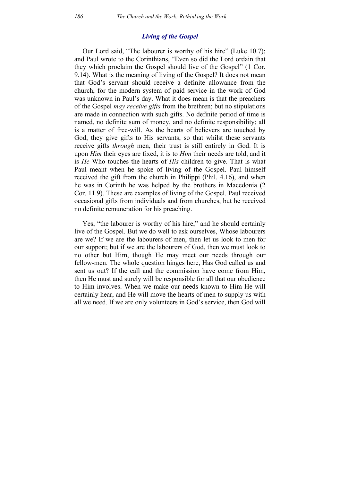# *Living of the Gospel*

Our Lord said, "The labourer is worthy of his hire" (Luke 10.7); and Paul wrote to the Corinthians, "Even so did the Lord ordain that they which proclaim the Gospel should live of the Gospel" (1 Cor. 9.14). What is the meaning of living of the Gospel? It does not mean that God's servant should receive a definite allowance from the church, for the modern system of paid service in the work of God was unknown in Paul's day. What it does mean is that the preachers of the Gospel *may receive gifts* from the brethren; but no stipulations are made in connection with such gifts. No definite period of time is named, no definite sum of money, and no definite responsibility; all is a matter of free-will. As the hearts of believers are touched by God, they give gifts to His servants, so that whilst these servants receive gifts *through* men, their trust is still entirely in God. It is upon *Him* their eyes are fixed, it is to *Him* their needs are told, and it is *He* Who touches the hearts of *His* children to give. That is what Paul meant when he spoke of living of the Gospel. Paul himself received the gift from the church in Philippi (Phil. 4.16), and when he was in Corinth he was helped by the brothers in Macedonia (2 Cor. 11.9). These are examples of living of the Gospel. Paul received occasional gifts from individuals and from churches, but he received no definite remuneration for his preaching.

Yes, "the labourer is worthy of his hire," and he should certainly live of the Gospel. But we do well to ask ourselves, Whose labourers are we? If we are the labourers of men, then let us look to men for our support; but if we are the labourers of God, then we must look to no other but Him, though He may meet our needs through our fellow-men. The whole question hinges here, Has God called us and sent us out? If the call and the commission have come from Him, then He must and surely will be responsible for all that our obedience to Him involves. When we make our needs known to Him He will certainly hear, and He will move the hearts of men to supply us with all we need. If we are only volunteers in God's service, then God will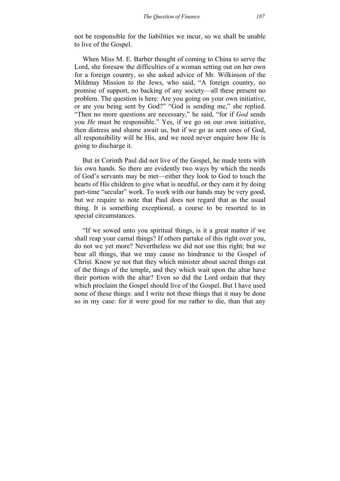not be responsible for the liabilities we incur, so we shall be unable to live of the Gospel.

When Miss M. E. Barber thought of coming to China to serve the Lord, she foresaw the difficulties of a woman setting out on her own for a foreign country, so she asked advice of Mr. Wilkinson of the Mildmay Mission to the Jews, who said, "A foreign country, no promise of support, no backing of any society—all these present no problem. The question is here: Are you going on your own initiative, or are you being sent by God?" "God is sending me," she replied. "Then no more questions are necessary," he said, "for if *God* sends you *He* must be responsible." Yes, if we go on our own initiative, then distress and shame await us, but if we go as sent ones of God, all responsibility will be His, and we need never enquire how He is going to discharge it.

But in Corinth Paul did not live of the Gospel, he made tents with his own hands. So there are evidently two ways by which the needs of God's servants may be met—either they look to God to touch the hearts of His children to give what is needful, or they earn it by doing part-time "secular" work. To work with our hands may be very good, but we require to note that Paul does not regard that as the usual thing. It is something exceptional, a course to be resorted to in special circumstances.

"If we sowed unto you spiritual things, is it a great matter if we shall reap your carnal things? If others partake of this right over you, do not we yet more? Nevertheless we did not use this right; but we bear all things, that we may cause no hindrance to the Gospel of Christ. Know ye not that they which minister about sacred things eat of the things of the temple, and they which wait upon the altar have their portion with the altar? Even so did the Lord ordain that they which proclaim the Gospel should live of the Gospel. But I have used none of these things: and I write not these things that it may be done so in my case: for it were good for me rather to die, than that any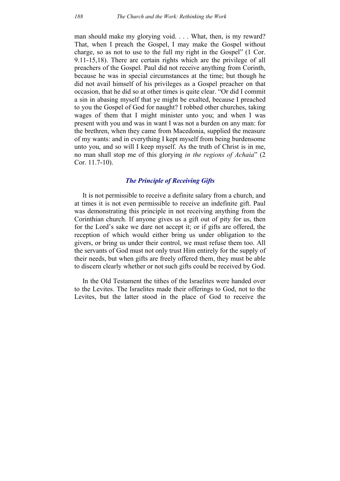man should make my glorying void. . . . What, then, is my reward? That, when I preach the Gospel, I may make the Gospel without charge, so as not to use to the full my right in the Gospel" (1 Cor. 9.11-15,18). There are certain rights which are the privilege of all preachers of the Gospel. Paul did not receive anything from Corinth, because he was in special circumstances at the time; but though he did not avail himself of his privileges as a Gospel preacher on that occasion, that he did so at other times is quite clear. "Or did I commit a sin in abasing myself that ye might be exalted, because I preached to you the Gospel of God for naught? I robbed other churches, taking wages of them that I might minister unto you; and when I was present with you and was in want I was not a burden on any man: for the brethren, when they came from Macedonia, supplied the measure of my wants: and in everything I kept myself from being burdensome unto you, and so will I keep myself. As the truth of Christ is in me, no man shall stop me of this glorying *in the regions of Achaia*" (2 Cor. 11.7-10).

# *The Principle of Receiving Gifts*

It is not permissible to receive a definite salary from a church, and at times it is not even permissible to receive an indefinite gift. Paul was demonstrating this principle in not receiving anything from the Corinthian church. If anyone gives us a gift out of pity for us, then for the Lord's sake we dare not accept it; or if gifts are offered, the reception of which would either bring us under obligation to the givers, or bring us under their control, we must refuse them too. All the servants of God must not only trust Him entirely for the supply of their needs, but when gifts are freely offered them, they must be able to discern clearly whether or not such gifts could be received by God.

In the Old Testament the tithes of the Israelites were handed over to the Levites. The Israelites made their offerings to God, not to the Levites, but the latter stood in the place of God to receive the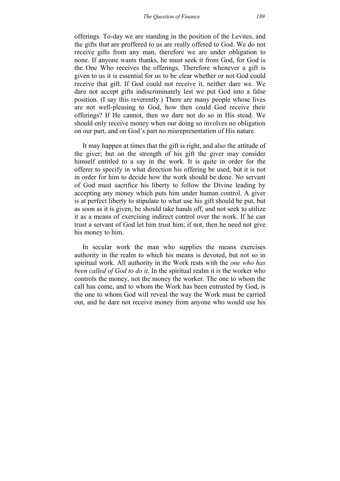offerings. To-day we are standing in the position of the Levites, and the gifts that are proffered to us are really offered to God. We do not receive gifts from any man, therefore we are under obligation to none. If anyone wants thanks, he must seek it from God, for God is the One Who receives the offerings. Therefore whenever a gift is given to us it is essential for us to be clear whether or not God could receive that gift. If God could not receive it, neither dare we. We dare not accept gifts indiscriminately lest we put God into a false position. (I say this reverently.) There are many people whose lives are not well-pleasing to God, how then could God receive their offerings? If He cannot, then we dare not do so in His stead. We should only receive money when our doing so involves no obligation on our part, and on God's part no misrepresentation of His nature.

It may happen at times that the gift is right, and also the attitude of the giver; but on the strength of his gift the giver may consider himself entitled to a say in the work. It is quite in order for the offerer to specify in what direction his offering be used, but it is not in order for him to decide how the work should be done. No servant of God must sacrifice his liberty to follow the Divine leading by accepting any money which puts him under human control. A giver is at perfect liberty to stipulate to what use his gift should be put, but as soon as it is given, he should take hands off, and not seek to utilize it as a means of exercising indirect control over the work. If he can trust a servant of God let him trust him; if not, then he need not give his money to him.

In secular work the man who supplies the means exercises authority in the realm to which his means is devoted, but not so in spiritual work. All authority in the Work rests with the *one who has been called of God to do it*. In the spiritual realm it is the worker who controls the money, not the money the worker. The one to whom the call has come, and to whom the Work has been entrusted by God, is the one to whom God will reveal the way the Work must be carried out, and he dare not receive money from anyone who would use his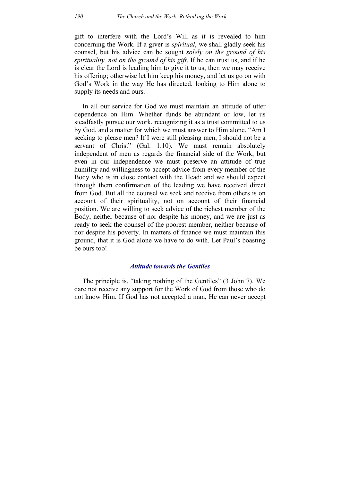gift to interfere with the Lord's Will as it is revealed to him concerning the Work. If a giver is *spiritual*, we shall gladly seek his counsel, but his advice can be sought *solely on the ground of his spirituality, not on the ground of his gift*. If he can trust us, and if he is clear the Lord is leading him to give it to us, then we may receive his offering; otherwise let him keep his money, and let us go on with God's Work in the way He has directed, looking to Him alone to supply its needs and ours.

In all our service for God we must maintain an attitude of utter dependence on Him. Whether funds be abundant or low, let us steadfastly pursue our work, recognizing it as a trust committed to us by God, and a matter for which we must answer to Him alone. "Am I seeking to please men? If I were still pleasing men, I should not be a servant of Christ" (Gal. 1.10). We must remain absolutely independent of men as regards the financial side of the Work, but even in our independence we must preserve an attitude of true humility and willingness to accept advice from every member of the Body who is in close contact with the Head; and we should expect through them confirmation of the leading we have received direct from God. But all the counsel we seek and receive from others is on account of their spirituality, not on account of their financial position. We are willing to seek advice of the richest member of the Body, neither because of nor despite his money, and we are just as ready to seek the counsel of the poorest member, neither because of nor despite his poverty. In matters of finance we must maintain this ground, that it is God alone we have to do with. Let Paul's boasting be ours too!

#### *Attitude towards the Gentiles*

The principle is, "taking nothing of the Gentiles" (3 John 7). We dare not receive any support for the Work of God from those who do not know Him. If God has not accepted a man, He can never accept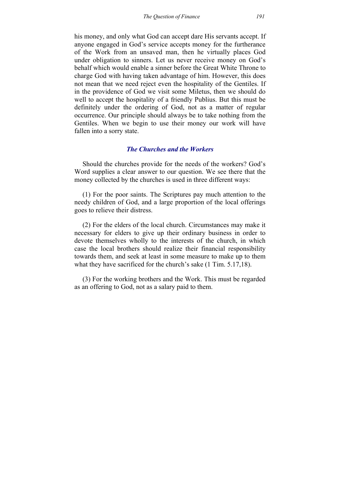his money, and only what God can accept dare His servants accept. If anyone engaged in God's service accepts money for the furtherance of the Work from an unsaved man, then he virtually places God under obligation to sinners. Let us never receive money on God's behalf which would enable a sinner before the Great White Throne to charge God with having taken advantage of him. However, this does not mean that we need reject even the hospitality of the Gentiles. If in the providence of God we visit some Miletus, then we should do well to accept the hospitality of a friendly Publius. But this must be definitely under the ordering of God, not as a matter of regular occurrence. Our principle should always be to take nothing from the Gentiles. When we begin to use their money our work will have fallen into a sorry state.

# *The Churches and the Workers*

Should the churches provide for the needs of the workers? God's Word supplies a clear answer to our question. We see there that the money collected by the churches is used in three different ways:

(1) For the poor saints. The Scriptures pay much attention to the needy children of God, and a large proportion of the local offerings goes to relieve their distress.

(2) For the elders of the local church. Circumstances may make it necessary for elders to give up their ordinary business in order to devote themselves wholly to the interests of the church, in which case the local brothers should realize their financial responsibility towards them, and seek at least in some measure to make up to them what they have sacrificed for the church's sake (1 Tim. 5.17,18).

(3) For the working brothers and the Work. This must be regarded as an offering to God, not as a salary paid to them.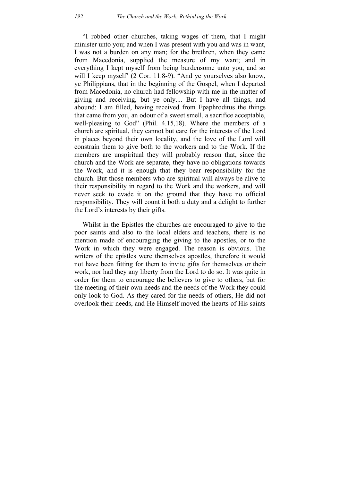"I robbed other churches, taking wages of them, that I might minister unto you; and when I was present with you and was in want, I was not a burden on any man; for the brethren, when they came from Macedonia, supplied the measure of my want; and in everything I kept myself from being burdensome unto you, and so will I keep myself' (2 Cor. 11.8-9). "And ye yourselves also know, ye Philippians, that in the beginning of the Gospel, when I departed from Macedonia, no church had fellowship with me in the matter of giving and receiving, but ye only.... But I have all things, and abound: I am filled, having received from Epaphroditus the things that came from you, an odour of a sweet smell, a sacrifice acceptable, well-pleasing to God" (Phil. 4.15,18). Where the members of a church are spiritual, they cannot but care for the interests of the Lord in places beyond their own locality, and the love of the Lord will constrain them to give both to the workers and to the Work. If the members are unspiritual they will probably reason that, since the church and the Work are separate, they have no obligations towards the Work, and it is enough that they bear responsibility for the church. But those members who are spiritual will always be alive to their responsibility in regard to the Work and the workers, and will never seek to evade it on the ground that they have no official responsibility. They will count it both a duty and a delight to further the Lord's interests by their gifts.

Whilst in the Epistles the churches are encouraged to give to the poor saints and also to the local elders and teachers, there is no mention made of encouraging the giving to the apostles, or to the Work in which they were engaged. The reason is obvious. The writers of the epistles were themselves apostles, therefore it would not have been fitting for them to invite gifts for themselves or their work, nor had they any liberty from the Lord to do so. It was quite in order for them to encourage the believers to give to others, but for the meeting of their own needs and the needs of the Work they could only look to God. As they cared for the needs of others, He did not overlook their needs, and He Himself moved the hearts of His saints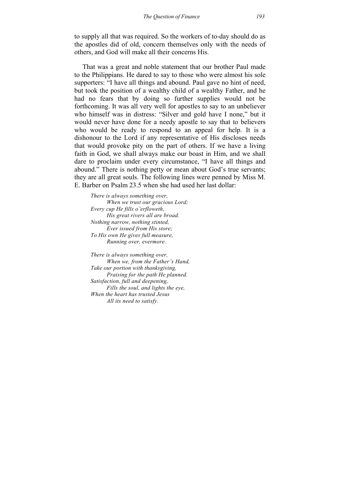to supply all that was required. So the workers of to-day should do as the apostles did of old, concern themselves only with the needs of others, and God will make all their concerns His.

That was a great and noble statement that our brother Paul made to the Philippians. He dared to say to those who were almost his sole supporters: "I have all things and abound. Paul gave no hint of need, but took the position of a wealthy child of a wealthy Father, and he had no fears that by doing so further supplies would not be forthcoming. It was all very well for apostles to say to an unbeliever who himself was in distress: "Silver and gold have I none," but it would never have done for a needy apostle to say that to believers who would be ready to respond to an appeal for help. It is a dishonour to the Lord if any representative of His discloses needs that would provoke pity on the part of others. If we have a living faith in God, we shall always make our boast in Him, and we shall dare to proclaim under every circumstance, "I have all things and abound." There is nothing petty or mean about God's true servants; they are all great souls. The following lines were penned by Miss M. E. Barber on Psalm 23.5 when she had used her last dollar:

*There is always something over, When we trust our gracious Lord; Every cup He fills o'erfloweth, His great rivers all are broad. Nothing narrow, nothing stinted, Ever issued from His store; To His own He gives full measure, Running over, evermore.* 

*There is always something over, When we, from the Father's Hand, Take our portion with thanksgiving, Praising for the path He planned. Satisfaction, full and deepening, Fills the soul, and lights the eye, When the heart has trusted Jesus All its need to satisfy.*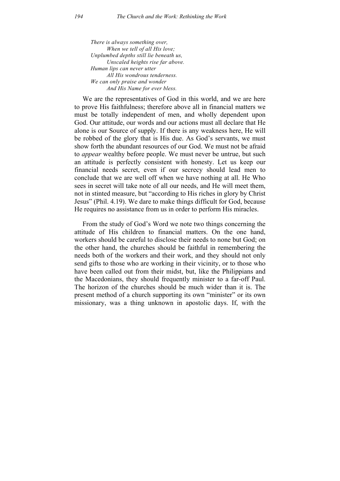*There is always something over, When we tell of all His love; Unplumbed depths still lie beneath us, Unscaled heights rise far above. Human lips can never utter All His wondrous tenderness. We can only praise and wonder And His Name for ever bless.* 

We are the representatives of God in this world, and we are here to prove His faithfulness; therefore above all in financial matters we must be totally independent of men, and wholly dependent upon God. Our attitude, our words and our actions must all declare that He alone is our Source of supply. If there is any weakness here, He will be robbed of the glory that is His due. As God's servants, we must show forth the abundant resources of our God. We must not be afraid to *appear* wealthy before people. We must never be untrue, but such an attitude is perfectly consistent with honesty. Let us keep our financial needs secret, even if our secrecy should lead men to conclude that we are well off when we have nothing at all. He Who sees in secret will take note of all our needs, and He will meet them, not in stinted measure, but "according to His riches in glory by Christ Jesus" (Phil. 4.19). We dare to make things difficult for God, because He requires no assistance from us in order to perform His miracles.

From the study of God's Word we note two things concerning the attitude of His children to financial matters. On the one hand, workers should be careful to disclose their needs to none but God; on the other hand, the churches should be faithful in remembering the needs both of the workers and their work, and they should not only send gifts to those who are working in their vicinity, or to those who have been called out from their midst, but, like the Philippians and the Macedonians, they should frequently minister to a far-off Paul. The horizon of the churches should be much wider than it is. The present method of a church supporting its own "minister" or its own missionary, was a thing unknown in apostolic days. If, with the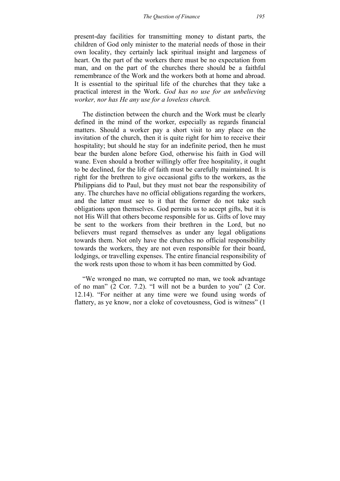present-day facilities for transmitting money to distant parts, the children of God only minister to the material needs of those in their own locality, they certainly lack spiritual insight and largeness of heart. On the part of the workers there must be no expectation from man, and on the part of the churches there should be a faithful remembrance of the Work and the workers both at home and abroad. It is essential to the spiritual life of the churches that they take a practical interest in the Work. *God has no use for an unbelieving worker, nor has He any use for a loveless church.*

The distinction between the church and the Work must be clearly defined in the mind of the worker, especially as regards financial matters. Should a worker pay a short visit to any place on the invitation of the church, then it is quite right for him to receive their hospitality; but should he stay for an indefinite period, then he must bear the burden alone before God, otherwise his faith in God will wane. Even should a brother willingly offer free hospitality, it ought to be declined, for the life of faith must be carefully maintained. It is right for the brethren to give occasional gifts to the workers, as the Philippians did to Paul, but they must not bear the responsibility of any. The churches have no official obligations regarding the workers, and the latter must see to it that the former do not take such obligations upon themselves. God permits us to accept gifts, but it is not His Will that others become responsible for us. Gifts of love may be sent to the workers from their brethren in the Lord, but no believers must regard themselves as under any legal obligations towards them. Not only have the churches no official responsibility towards the workers, they are not even responsible for their board, lodgings, or travelling expenses. The entire financial responsibility of the work rests upon those to whom it has been committed by God.

"We wronged no man, we corrupted no man, we took advantage of no man" (2 Cor. 7.2). "I will not be a burden to you" (2 Cor. 12.14). "For neither at any time were we found using words of flattery, as ye know, nor a cloke of covetousness, God is witness" (1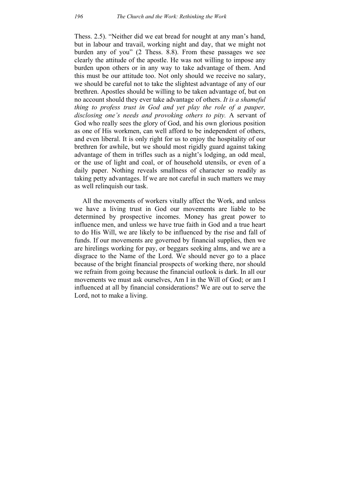Thess. 2.5). "Neither did we eat bread for nought at any man's hand, but in labour and travail, working night and day, that we might not burden any of you" (2 Thess. 8.8). From these passages we see clearly the attitude of the apostle. He was not willing to impose any burden upon others or in any way to take advantage of them. And this must be our attitude too. Not only should we receive no salary, we should be careful not to take the slightest advantage of any of our brethren. Apostles should be willing to be taken advantage of, but on no account should they ever take advantage of others. *It is a shameful thing to profess trust in God and yet play the role of a pauper, disclosing one's needs and provoking others to pity.* A servant of God who really sees the glory of God, and his own glorious position as one of His workmen, can well afford to be independent of others, and even liberal. It is only right for us to enjoy the hospitality of our brethren for awhile, but we should most rigidly guard against taking advantage of them in trifles such as a night's lodging, an odd meal, or the use of light and coal, or of household utensils, or even of a daily paper. Nothing reveals smallness of character so readily as taking petty advantages. If we are not careful in such matters we may as well relinquish our task.

All the movements of workers vitally affect the Work, and unless we have a living trust in God our movements are liable to be determined by prospective incomes. Money has great power to influence men, and unless we have true faith in God and a true heart to do His Will, we are likely to be influenced by the rise and fall of funds. If our movements are governed by financial supplies, then we are hirelings working for pay, or beggars seeking alms, and we are a disgrace to the Name of the Lord. We should never go to a place because of the bright financial prospects of working there, nor should we refrain from going because the financial outlook is dark. In all our movements we must ask ourselves, Am I in the Will of God; or am I influenced at all by financial considerations? We are out to serve the Lord, not to make a living.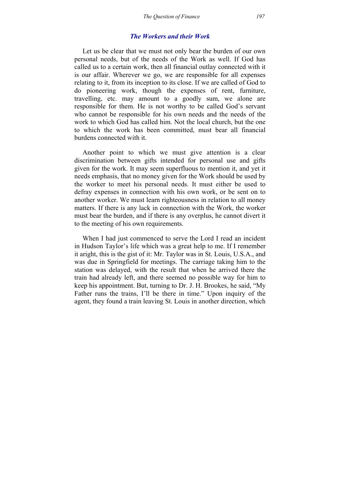#### *The Workers and their Work*

Let us be clear that we must not only bear the burden of our own personal needs, but of the needs of the Work as well. If God has called us to a certain work, then all financial outlay connected with it is our affair. Wherever we go, we are responsible for all expenses relating to it, from its inception to its close. If we are called of God to do pioneering work, though the expenses of rent, furniture, travelling, etc. may amount to a goodly sum, we alone are responsible for them. He is not worthy to be called God's servant who cannot be responsible for his own needs and the needs of the work to which God has called him. Not the local church, but the one to which the work has been committed, must bear all financial burdens connected with it.

Another point to which we must give attention is a clear discrimination between gifts intended for personal use and gifts given for the work. It may seem superfluous to mention it, and yet it needs emphasis, that no money given for the Work should be used by the worker to meet his personal needs. It must either be used to defray expenses in connection with his own work, or be sent on to another worker. We must learn righteousness in relation to all money matters. If there is any lack in connection with the Work, the worker must bear the burden, and if there is any overplus, he cannot divert it to the meeting of his own requirements.

When I had just commenced to serve the Lord I read an incident in Hudson Taylor's life which was a great help to me. If I remember it aright, this is the gist of it: Mr. Taylor was in St. Louis, U.S.A., and was due in Springfield for meetings. The carriage taking him to the station was delayed, with the result that when he arrived there the train had already left, and there seemed no possible way for him to keep his appointment. But, turning to Dr. J. H. Brookes, he said, "My Father runs the trains, I'll be there in time." Upon inquiry of the agent, they found a train leaving St. Louis in another direction, which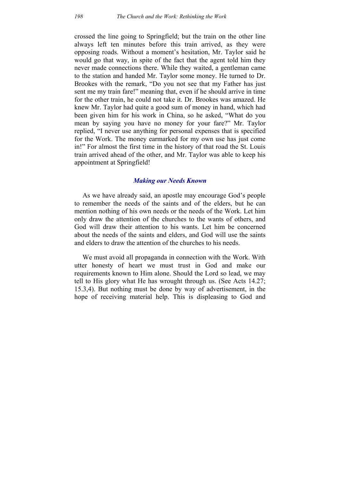crossed the line going to Springfield; but the train on the other line always left ten minutes before this train arrived, as they were opposing roads. Without a moment's hesitation, Mr. Taylor said he would go that way, in spite of the fact that the agent told him they never made connections there. While they waited, a gentleman came to the station and handed Mr. Taylor some money. He turned to Dr. Brookes with the remark, "Do you not see that my Father has just sent me my train fare!" meaning that, even if he should arrive in time for the other train, he could not take it. Dr. Brookes was amazed. He knew Mr. Taylor had quite a good sum of money in hand, which had been given him for his work in China, so he asked, "What do you mean by saying you have no money for your fare?" Mr. Taylor replied, "I never use anything for personal expenses that is specified for the Work. The money earmarked for my own use has just come in!" For almost the first time in the history of that road the St. Louis train arrived ahead of the other, and Mr. Taylor was able to keep his appointment at Springfield!

### *Making our Needs Known*

As we have already said, an apostle may encourage God's people to remember the needs of the saints and of the elders, but he can mention nothing of his own needs or the needs of the Work. Let him only draw the attention of the churches to the wants of others, and God will draw their attention to his wants. Let him be concerned about the needs of the saints and elders, and God will use the saints and elders to draw the attention of the churches to his needs.

We must avoid all propaganda in connection with the Work. With utter honesty of heart we must trust in God and make our requirements known to Him alone. Should the Lord so lead, we may tell to His glory what He has wrought through us. (See Acts 14.27; 15.3,4). But nothing must be done by way of advertisement, in the hope of receiving material help. This is displeasing to God and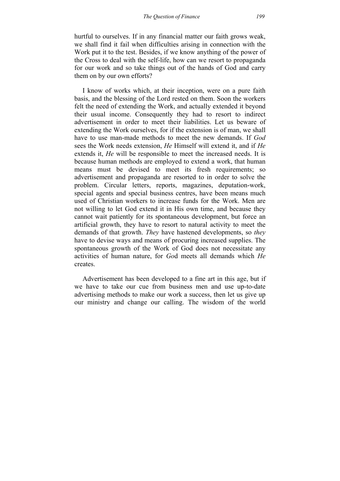hurtful to ourselves. If in any financial matter our faith grows weak, we shall find it fail when difficulties arising in connection with the Work put it to the test. Besides, if we know anything of the power of the Cross to deal with the self-life, how can we resort to propaganda for our work and so take things out of the hands of God and carry them on by our own efforts?

I know of works which, at their inception, were on a pure faith basis, and the blessing of the Lord rested on them. Soon the workers felt the need of extending the Work, and actually extended it beyond their usual income. Consequently they had to resort to indirect advertisement in order to meet their liabilities. Let us beware of extending the Work ourselves, for if the extension is of man, we shall have to use man-made methods to meet the new demands. If *God* sees the Work needs extension, *He* Himself will extend it, and if *He* extends it, *He* will be responsible to meet the increased needs. It is because human methods are employed to extend a work, that human means must be devised to meet its fresh requirements; so advertisement and propaganda are resorted to in order to solve the problem. Circular letters, reports, magazines, deputation-work, special agents and special business centres, have been means much used of Christian workers to increase funds for the Work. Men are not willing to let God extend it in His own time, and because they cannot wait patiently for its spontaneous development, but force an artificial growth, they have to resort to natural activity to meet the demands of that growth. *They* have hastened developments, so *they* have to devise ways and means of procuring increased supplies. The spontaneous growth of the Work of God does not necessitate any activities of human nature, for *Go*d meets all demands which *He* creates.

Advertisement has been developed to a fine art in this age, but if we have to take our cue from business men and use up-to-date advertising methods to make our work a success, then let us give up our ministry and change our calling. The wisdom of the world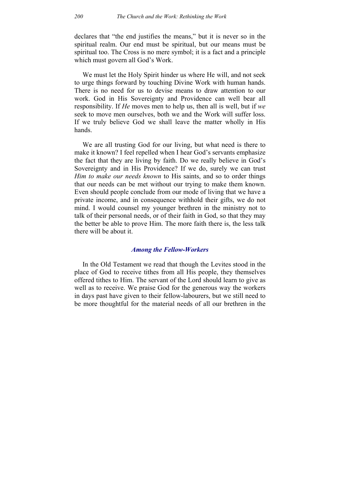declares that "the end justifies the means," but it is never so in the spiritual realm. Our end must be spiritual, but our means must be spiritual too. The Cross is no mere symbol; it is a fact and a principle which must govern all God's Work.

We must let the Holy Spirit hinder us where He will, and not seek to urge things forward by touching Divine Work with human hands. There is no need for us to devise means to draw attention to our work. God in His Sovereignty and Providence can well bear all responsibility. If *He* moves men to help us, then all is well, but if *we* seek to move men ourselves, both we and the Work will suffer loss. If we truly believe God we shall leave the matter wholly in His hands.

We are all trusting God for our living, but what need is there to make it known? I feel repelled when I hear God's servants emphasize the fact that they are living by faith. Do we really believe in God's Sovereignty and in His Providence? If we do, surely we can trust *Him to make our needs known* to His saints, and so to order things that our needs can be met without our trying to make them known. Even should people conclude from our mode of living that we have a private income, and in consequence withhold their gifts, we do not mind. I would counsel my younger brethren in the ministry not to talk of their personal needs, or of their faith in God, so that they may the better be able to prove Him. The more faith there is, the less talk there will be about it.

# *Among the Fellow-Workers*

In the Old Testament we read that though the Levites stood in the place of God to receive tithes from all His people, they themselves offered tithes to Him. The servant of the Lord should learn to give as well as to receive. We praise God for the generous way the workers in days past have given to their fellow-labourers, but we still need to be more thoughtful for the material needs of all our brethren in the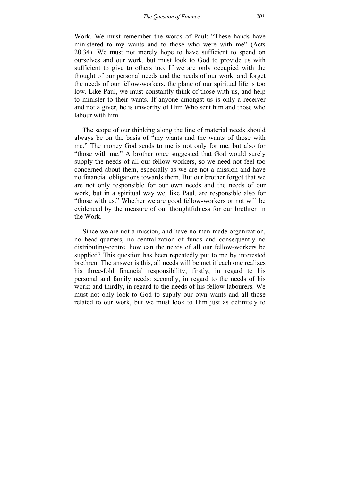Work. We must remember the words of Paul: "These hands have ministered to my wants and to those who were with me" (Acts 20.34). We must not merely hope to have sufficient to spend on ourselves and our work, but must look to God to provide us with sufficient to give to others too. If we are only occupied with the thought of our personal needs and the needs of our work, and forget the needs of our fellow-workers, the plane of our spiritual life is too low. Like Paul, we must constantly think of those with us, and help to minister to their wants. If anyone amongst us is only a receiver and not a giver, he is unworthy of Him Who sent him and those who labour with him.

The scope of our thinking along the line of material needs should always be on the basis of "my wants and the wants of those with me." The money God sends to me is not only for me, but also for "those with me." A brother once suggested that God would surely supply the needs of all our fellow-workers, so we need not feel too concerned about them, especially as we are not a mission and have no financial obligations towards them. But our brother forgot that we are not only responsible for our own needs and the needs of our work, but in a spiritual way we, like Paul, are responsible also for "those with us." Whether we are good fellow-workers or not will be evidenced by the measure of our thoughtfulness for our brethren in the Work.

Since we are not a mission, and have no man-made organization, no head-quarters, no centralization of funds and consequently no distributing-centre, how can the needs of all our fellow-workers be supplied? This question has been repeatedly put to me by interested brethren. The answer is this, all needs will be met if each one realizes his three-fold financial responsibility; firstly, in regard to his personal and family needs: secondly, in regard to the needs of his work: and thirdly, in regard to the needs of his fellow-labourers. We must not only look to God to supply our own wants and all those related to our work, but we must look to Him just as definitely to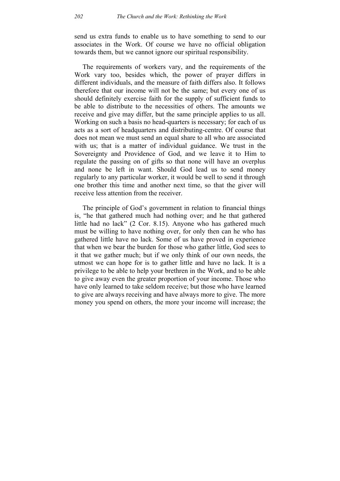send us extra funds to enable us to have something to send to our associates in the Work. Of course we have no official obligation towards them, but we cannot ignore our spiritual responsibility.

The requirements of workers vary, and the requirements of the Work vary too, besides which, the power of prayer differs in different individuals, and the measure of faith differs also. It follows therefore that our income will not be the same; but every one of us should definitely exercise faith for the supply of sufficient funds to be able to distribute to the necessities of others. The amounts we receive and give may differ, but the same principle applies to us all. Working on such a basis no head-quarters is necessary; for each of us acts as a sort of headquarters and distributing-centre. Of course that does not mean we must send an equal share to all who are associated with us; that is a matter of individual guidance. We trust in the Sovereignty and Providence of God, and we leave it to Him to regulate the passing on of gifts so that none will have an overplus and none be left in want. Should God lead us to send money regularly to any particular worker, it would be well to send it through one brother this time and another next time, so that the giver will receive less attention from the receiver.

The principle of God's government in relation to financial things is, "he that gathered much had nothing over; and he that gathered little had no lack" (2 Cor. 8.15). Anyone who has gathered much must be willing to have nothing over, for only then can he who has gathered little have no lack. Some of us have proved in experience that when we bear the burden for those who gather little, God sees to it that we gather much; but if we only think of our own needs, the utmost we can hope for is to gather little and have no lack. It is a privilege to be able to help your brethren in the Work, and to be able to give away even the greater proportion of your income. Those who have only learned to take seldom receive; but those who have learned to give are always receiving and have always more to give. The more money you spend on others, the more your income will increase; the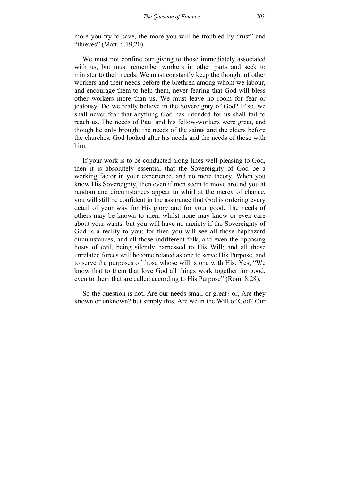more you try to save, the more you will be troubled by "rust" and "thieves" (Matt. 6.19,20).

We must not confine our giving to those immediately associated with us, but must remember workers in other parts and seek to minister to their needs. We must constantly keep the thought of other workers and their needs before the brethren among whom we labour, and encourage them to help them, never fearing that God will bless other workers more than us. We must leave no room for fear or jealousy. Do we really believe in the Sovereignty of God? If so, we shall never fear that anything God has intended for us shall fail to reach us. The needs of Paul and his fellow-workers were great, and though he only brought the needs of the saints and the elders before the churches, God looked after his needs and the needs of those with him.

If your work is to be conducted along lines well-pleasing to God, then it is absolutely essential that the Sovereignty of God be a working factor in your experience, and no mere theory. When you know His Sovereignty, then even if men seem to move around you at random and circumstances appear to whirl at the mercy of chance, you will still be confident in the assurance that God is ordering every detail of your way for His glory and for your good. The needs of others may be known to men, whilst none may know or even care about your wants, but you will have no anxiety if the Sovereignty of God is a reality to you; for then you will see all those haphazard circumstances, and all those indifferent folk, and even the opposing hosts of evil, being silently harnessed to His Will; and all those unrelated forces will become related as one to serve His Purpose, and to serve the purposes of those whose will is one with His. Yes, "We know that to them that love God all things work together for good, even to them that are called according to His Purpose" (Rom. 8.28).

So the question is not, Are our needs small or great? or, Are they known or unknown? but simply this, Are we in the Will of God? Our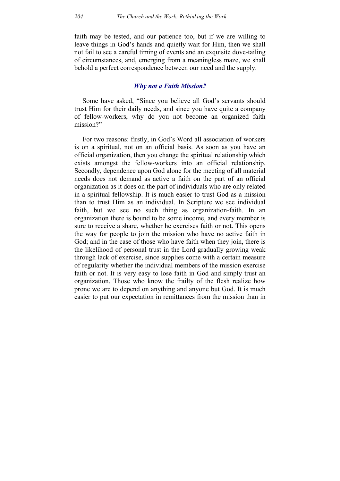faith may be tested, and our patience too, but if we are willing to leave things in God's hands and quietly wait for Him, then we shall not fail to see a careful timing of events and an exquisite dove-tailing of circumstances, and, emerging from a meaningless maze, we shall behold a perfect correspondence between our need and the supply.

# *Why not a Faith Mission?*

Some have asked, "Since you believe all God's servants should trust Him for their daily needs, and since you have quite a company of fellow-workers, why do you not become an organized faith mission?"

For two reasons: firstly, in God's Word all association of workers is on a spiritual, not on an official basis. As soon as you have an official organization, then you change the spiritual relationship which exists amongst the fellow-workers into an official relationship. Secondly, dependence upon God alone for the meeting of all material needs does not demand as active a faith on the part of an official organization as it does on the part of individuals who are only related in a spiritual fellowship. It is much easier to trust God as a mission than to trust Him as an individual. In Scripture we see individual faith, but we see no such thing as organization-faith. In an organization there is bound to be some income, and every member is sure to receive a share, whether he exercises faith or not. This opens the way for people to join the mission who have no active faith in God; and in the case of those who have faith when they join, there is the likelihood of personal trust in the Lord gradually growing weak through lack of exercise, since supplies come with a certain measure of regularity whether the individual members of the mission exercise faith or not. It is very easy to lose faith in God and simply trust an organization. Those who know the frailty of the flesh realize how prone we are to depend on anything and anyone but God. It is much easier to put our expectation in remittances from the mission than in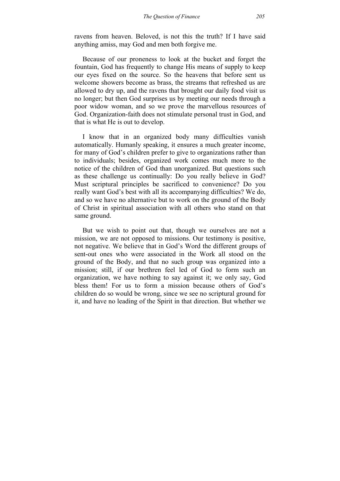ravens from heaven. Beloved, is not this the truth? If I have said anything amiss, may God and men both forgive me.

Because of our proneness to look at the bucket and forget the fountain, God has frequently to change His means of supply to keep our eyes fixed on the source. So the heavens that before sent us welcome showers become as brass, the streams that refreshed us are allowed to dry up, and the ravens that brought our daily food visit us no longer; but then God surprises us by meeting our needs through a poor widow woman, and so we prove the marvellous resources of God. Organization-faith does not stimulate personal trust in God, and that is what He is out to develop.

I know that in an organized body many difficulties vanish automatically. Humanly speaking, it ensures a much greater income, for many of God's children prefer to give to organizations rather than to individuals; besides, organized work comes much more to the notice of the children of God than unorganized. But questions such as these challenge us continually: Do you really believe in God? Must scriptural principles be sacrificed to convenience? Do you really want God's best with all its accompanying difficulties? We do, and so we have no alternative but to work on the ground of the Body of Christ in spiritual association with all others who stand on that same ground.

But we wish to point out that, though we ourselves are not a mission, we are not opposed to missions. Our testimony is positive, not negative. We believe that in God's Word the different groups of sent-out ones who were associated in the Work all stood on the ground of the Body, and that no such group was organized into a mission; still, if our brethren feel led of God to form such an organization, we have nothing to say against it; we only say, God bless them! For us to form a mission because others of God's children do so would be wrong, since we see no scriptural ground for it, and have no leading of the Spirit in that direction. But whether we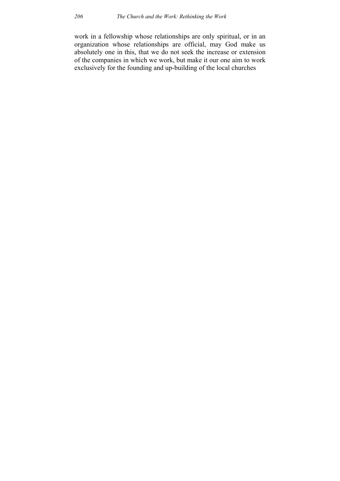work in a fellowship whose relationships are only spiritual, or in an organization whose relationships are official, may God make us absolutely one in this, that we do not seek the increase or extension of the companies in which we work, but make it our one aim to work exclusively for the founding and up-building of the local churches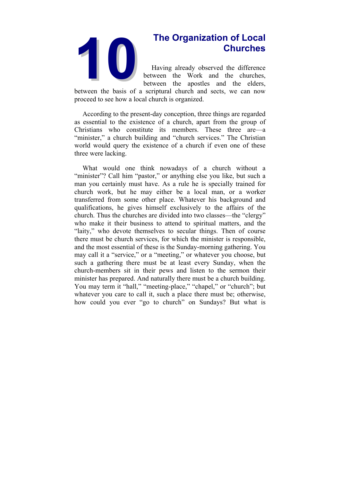

# **Churches**

Having already observed the difference between the Work and the churches, between the apostles and the elders,

between the basis of a scriptural church and sects, we can now proceed to see how a local church is organized.

According to the present-day conception, three things are regarded as essential to the existence of a church, apart from the group of Christians who constitute its members. These three are—a "minister," a church building and "church services." The Christian world would query the existence of a church if even one of these three were lacking.

What would one think nowadays of a church without a "minister"? Call him "pastor," or anything else you like, but such a man you certainly must have. As a rule he is specially trained for church work, but he may either be a local man, or a worker transferred from some other place. Whatever his background and qualifications, he gives himself exclusively to the affairs of the church. Thus the churches are divided into two classes—the "clergy" who make it their business to attend to spiritual matters, and the "laity," who devote themselves to secular things. Then of course there must be church services, for which the minister is responsible, and the most essential of these is the Sunday-morning gathering. You may call it a "service," or a "meeting," or whatever you choose, but such a gathering there must be at least every Sunday, when the church-members sit in their pews and listen to the sermon their minister has prepared. And naturally there must be a church building. You may term it "hall," "meeting-place," "chapel," or "church"; but whatever you care to call it, such a place there must be; otherwise, how could you ever "go to church" on Sundays? But what is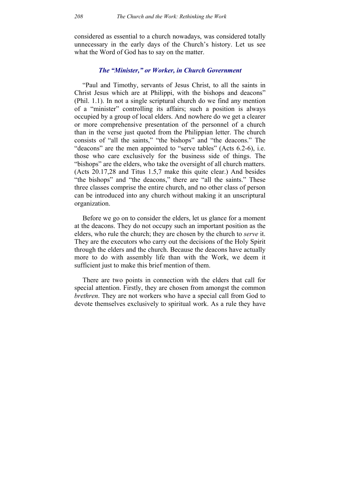considered as essential to a church nowadays, was considered totally unnecessary in the early days of the Church's history. Let us see what the Word of God has to say on the matter.

### *The "Minister," or Worker, in Church Government*

"Paul and Timothy, servants of Jesus Christ, to all the saints in Christ Jesus which are at Philippi, with the bishops and deacons" (Phil. 1.1). In not a single scriptural church do we find any mention of a "minister" controlling its affairs; such a position is always occupied by a group of local elders. And nowhere do we get a clearer or more comprehensive presentation of the personnel of a church than in the verse just quoted from the Philippian letter. The church consists of "all the saints," "the bishops" and "the deacons." The "deacons" are the men appointed to "serve tables" (Acts 6.2-6), i.e. those who care exclusively for the business side of things. The "bishops" are the elders, who take the oversight of all church matters. (Acts 20.17,28 and Titus 1.5,7 make this quite clear.) And besides "the bishops" and "the deacons," there are "all the saints." These three classes comprise the entire church, and no other class of person can be introduced into any church without making it an unscriptural organization.

Before we go on to consider the elders, let us glance for a moment at the deacons. They do not occupy such an important position as the elders, who rule the church; they are chosen by the church to *serve* it. They are the executors who carry out the decisions of the Holy Spirit through the elders and the church. Because the deacons have actually more to do with assembly life than with the Work, we deem it sufficient just to make this brief mention of them.

There are two points in connection with the elders that call for special attention. Firstly, they are chosen from amongst the common *brethren*. They are not workers who have a special call from God to devote themselves exclusively to spiritual work. As a rule they have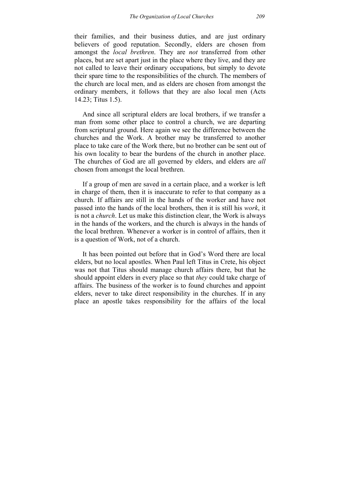their families, and their business duties, and are just ordinary believers of good reputation. Secondly, elders are chosen from amongst the *local brethren*. They are *not* transferred from other places, but are set apart just in the place where they live, and they are not called to leave their ordinary occupations, but simply to devote their spare time to the responsibilities of the church. The members of the church are local men, and as elders are chosen from amongst the ordinary members, it follows that they are also local men (Acts 14.23; Titus 1.5).

And since all scriptural elders are local brothers, if we transfer a man from some other place to control a church, we are departing from scriptural ground. Here again we see the difference between the churches and the Work. A brother may be transferred to another place to take care of the Work there, but no brother can be sent out of his own locality to bear the burdens of the church in another place. The churches of God are all governed by elders, and elders are *all* chosen from amongst the local brethren.

If a group of men are saved in a certain place, and a worker is left in charge of them, then it is inaccurate to refer to that company as a church. If affairs are still in the hands of the worker and have not passed into the hands of the local brothers, then it is still his *work*, it is not a *church*. Let us make this distinction clear, the Work is always in the hands of the workers, and the church is always in the hands of the local brethren. Whenever a worker is in control of affairs, then it is a question of Work, not of a church.

It has been pointed out before that in God's Word there are local elders, but no local apostles. When Paul left Titus in Crete, his object was not that Titus should manage church affairs there, but that he should appoint elders in every place so that *they* could take charge of affairs. The business of the worker is to found churches and appoint elders, never to take direct responsibility in the churches. If in any place an apostle takes responsibility for the affairs of the local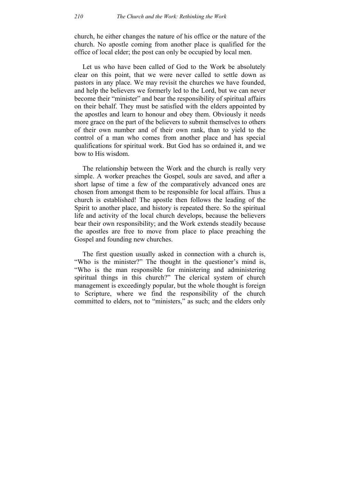church, he either changes the nature of his office or the nature of the church. No apostle coming from another place is qualified for the office of local elder; the post can only be occupied by local men.

Let us who have been called of God to the Work be absolutely clear on this point, that we were never called to settle down as pastors in any place. We may revisit the churches we have founded, and help the believers we formerly led to the Lord, but we can never become their "minister" and bear the responsibility of spiritual affairs on their behalf. They must be satisfied with the elders appointed by the apostles and learn to honour and obey them. Obviously it needs more grace on the part of the believers to submit themselves to others of their own number and of their own rank, than to yield to the control of a man who comes from another place and has special qualifications for spiritual work. But God has so ordained it, and we bow to His wisdom.

The relationship between the Work and the church is really very simple. A worker preaches the Gospel, souls are saved, and after a short lapse of time a few of the comparatively advanced ones are chosen from amongst them to be responsible for local affairs. Thus a church is established! The apostle then follows the leading of the Spirit to another place, and history is repeated there. So the spiritual life and activity of the local church develops, because the believers bear their own responsibility; and the Work extends steadily because the apostles are free to move from place to place preaching the Gospel and founding new churches.

The first question usually asked in connection with a church is, "Who is the minister?" The thought in the questioner's mind is, "Who is the man responsible for ministering and administering spiritual things in this church?" The clerical system of church management is exceedingly popular, but the whole thought is foreign to Scripture, where we find the responsibility of the church committed to elders, not to "ministers," as such; and the elders only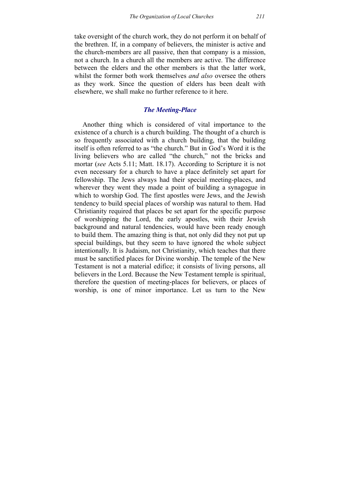take oversight of the church work, they do not perform it on behalf of the brethren. If, in a company of believers, the minister is active and the church-members are all passive, then that company is a mission, not a church. In a church all the members are active. The difference between the elders and the other members is that the latter work, whilst the former both work themselves *and also* oversee the others as they work. Since the question of elders has been dealt with elsewhere, we shall make no further reference to it here.

# *The Meeting-Place*

Another thing which is considered of vital importance to the existence of a church is a church building. The thought of a church is so frequently associated with a church building, that the building itself is often referred to as "the church." But in God's Word it is the living believers who are called "the church," not the bricks and mortar (*see* Acts 5.11; Matt. 18.17). According to Scripture it is not even necessary for a church to have a place definitely set apart for fellowship. The Jews always had their special meeting-places, and wherever they went they made a point of building a synagogue in which to worship God. The first apostles were Jews, and the Jewish tendency to build special places of worship was natural to them. Had Christianity required that places be set apart for the specific purpose of worshipping the Lord, the early apostles, with their Jewish background and natural tendencies, would have been ready enough to build them. The amazing thing is that, not only did they not put up special buildings, but they seem to have ignored the whole subject intentionally. It is Judaism, not Christianity, which teaches that there must be sanctified places for Divine worship. The temple of the New Testament is not a material edifice; it consists of living persons, all believers in the Lord. Because the New Testament temple is spiritual, therefore the question of meeting-places for believers, or places of worship, is one of minor importance. Let us turn to the New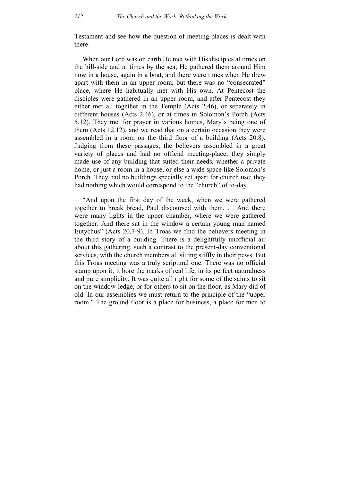Testament and see how the question of meeting-places is dealt with there.

When our Lord was on earth He met with His disciples at times on the hill-side and at times by the sea; He gathered them around Him now in a house, again in a boat, and there were times when He drew apart with them in an upper room; but there was no "consecrated" place, where He habitually met with His own. At Pentecost the disciples were gathered in an upper room, and after Pentecost they either met all together in the Temple (Acts 2.46), or separately in different houses (Acts 2.46), or at times in Solomon's Porch (Acts 5.12). They met for prayer in various homes, Mary's being one of them (Acts 12.12), and we read that on a certain occasion they were assembled in a room on the third floor of a building (Acts 20.8). Judging from these passages, the believers assembled in a great variety of places and had no official meeting-place; they simply made use of any building that suited their needs, whether a private home, or just a room in a house, or else a wide space like Solomon's Porch. They had no buildings specially set apart for church use; they had nothing which would correspond to the "church" of to-day.

"And upon the first day of the week, when we were gathered together to break bread, Paul discoursed with them. . . And there were many lights in the upper chamber, where we were gathered together. And there sat in the window a certain young man named Eutychus" (Acts 20.7-9). In Troas we find the believers meeting in the third story of a building. There is a delightfully unofficial air about this gathering, such a contrast to the present-day conventional services, with the church members all sitting stiffly in their pews. But this Troas meeting was a truly scriptural one. There was no official stamp upon it; it bore the marks of real life, in its perfect naturalness and pure simplicity. It was quite all right for some of the saints to sit on the window-ledge, or for others to sit on the floor, as Mary did of old. In our assemblies we must return to the principle of the "upper room." The ground floor is a place for business, a place for men to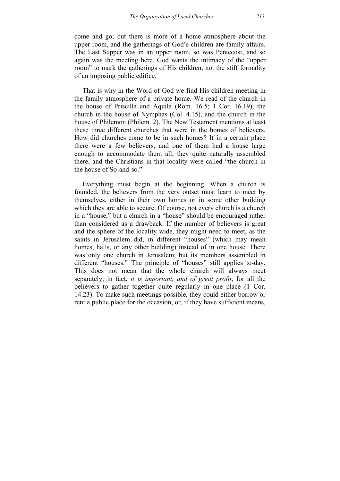come and go; but there is more of a home atmosphere about the upper room, and the gatherings of God's children are family affairs. The Last Supper was in an upper room, so was Pentecost, and so again was the meeting here. God wants the intimacy of the "upper room" to mark the gatherings of His children, not the stiff formality of an imposing public edifice.

That is why in the Word of God we find His children meeting in the family atmosphere of a private home. We read of the church in the house of Priscilla and Aquila (Rom. 16.5; 1 Cor. 16.19), the church in the house of Nymphas (Col. 4.15), and the church in the house of Philemon (Philem. 2). The New Testament mentions at least these three different churches that were in the homes of believers. How did churches come to be in such homes? If in a certain place there were a few believers, and one of them had a house large enough to accommodate them all, they quite naturally assembled there, and the Christians in that locality were called "the church in the house of So-and-so."

Everything must begin at the beginning. When a church is founded, the believers from the very outset must learn to meet by themselves, either in their own homes or in some other building which they are able to secure. Of course, not every church is a church in a "house," but a church in a "house" should be encouraged rather than considered as a drawback. If the number of believers is great and the sphere of the locality wide, they might need to meet, as the saints in Jerusalem did, in different "houses" (which may mean homes, halls, or any other building) instead of in one house. There was only one church in Jerusalem, but its members assembled in different "houses." The principle of "houses" still applies to-day. This does not mean that the whole church will always meet separately; in fact, *it is important, and of great profit*, for all the believers to gather together quite regularly in one place (1 Cor. 14.23). To make such meetings possible, they could either borrow or rent a public place for the occasion, or, if they have sufficient means,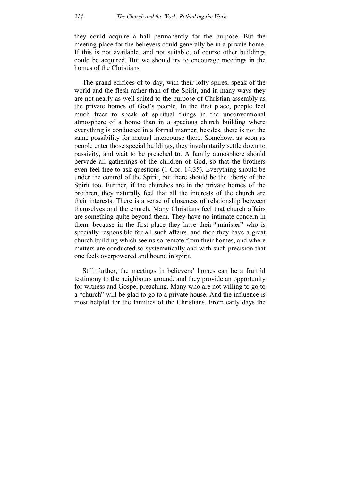they could acquire a hall permanently for the purpose. But the meeting-place for the believers could generally be in a private home. If this is not available, and not suitable, of course other buildings could be acquired. But we should try to encourage meetings in the homes of the Christians.

The grand edifices of to-day, with their lofty spires, speak of the world and the flesh rather than of the Spirit, and in many ways they are not nearly as well suited to the purpose of Christian assembly as the private homes of God's people. In the first place, people feel much freer to speak of spiritual things in the unconventional atmosphere of a home than in a spacious church building where everything is conducted in a formal manner; besides, there is not the same possibility for mutual intercourse there. Somehow, as soon as people enter those special buildings, they involuntarily settle down to passivity, and wait to be preached to. A family atmosphere should pervade all gatherings of the children of God, so that the brothers even feel free to ask questions (1 Cor. 14.35). Everything should be under the control of the Spirit, but there should be the liberty of the Spirit too. Further, if the churches are in the private homes of the brethren, they naturally feel that all the interests of the church are their interests. There is a sense of closeness of relationship between themselves and the church. Many Christians feel that church affairs are something quite beyond them. They have no intimate concern in them, because in the first place they have their "minister" who is specially responsible for all such affairs, and then they have a great church building which seems so remote from their homes, and where matters are conducted so systematically and with such precision that one feels overpowered and bound in spirit.

Still further, the meetings in believers' homes can be a fruitful testimony to the neighbours around, and they provide an opportunity for witness and Gospel preaching. Many who are not willing to go to a "church" will be glad to go to a private house. And the influence is most helpful for the families of the Christians. From early days the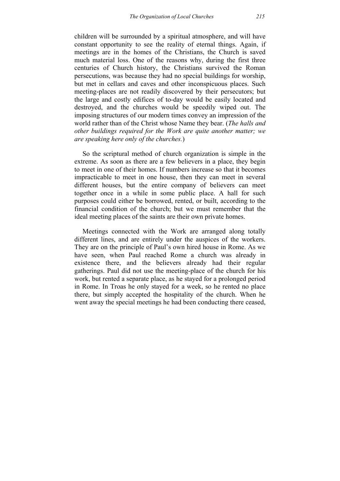children will be surrounded by a spiritual atmosphere, and will have constant opportunity to see the reality of eternal things. Again, if meetings are in the homes of the Christians, the Church is saved much material loss. One of the reasons why, during the first three centuries of Church history, the Christians survived the Roman persecutions, was because they had no special buildings for worship, but met in cellars and caves and other inconspicuous places. Such meeting-places are not readily discovered by their persecutors; but the large and costly edifices of to-day would be easily located and destroyed, and the churches would be speedily wiped out. The imposing structures of our modern times convey an impression of the world rather than of the Christ whose Name they bear. (*The halls and other buildings required for the Work are quite another matter; we are speaking here only of the churches.*)

So the scriptural method of church organization is simple in the extreme. As soon as there are a few believers in a place, they begin to meet in one of their homes. If numbers increase so that it becomes impracticable to meet in one house, then they can meet in several different houses, but the entire company of believers can meet together once in a while in some public place. A hall for such purposes could either be borrowed, rented, or built, according to the financial condition of the church; but we must remember that the ideal meeting places of the saints are their own private homes.

Meetings connected with the Work are arranged along totally different lines, and are entirely under the auspices of the workers. They are on the principle of Paul's own hired house in Rome. As we have seen, when Paul reached Rome a church was already in existence there, and the believers already had their regular gatherings. Paul did not use the meeting-place of the church for his work, but rented a separate place, as he stayed for a prolonged period in Rome. In Troas he only stayed for a week, so he rented no place there, but simply accepted the hospitality of the church. When he went away the special meetings he had been conducting there ceased,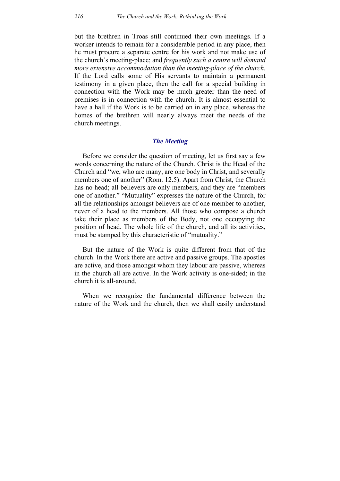but the brethren in Troas still continued their own meetings. If a worker intends to remain for a considerable period in any place, then he must procure a separate centre for his work and not make use of the church's meeting-place; and *frequently such a centre will demand more extensive accommodation than the meeting-place of the church.* If the Lord calls some of His servants to maintain a permanent testimony in a given place, then the call for a special building in connection with the Work may be much greater than the need of premises is in connection with the church. It is almost essential to have a hall if the Work is to be carried on in any place, whereas the homes of the brethren will nearly always meet the needs of the church meetings.

# *The Meeting*

Before we consider the question of meeting, let us first say a few words concerning the nature of the Church. Christ is the Head of the Church and "we, who are many, are one body in Christ, and severally members one of another" (Rom. 12.5). Apart from Christ, the Church has no head; all believers are only members, and they are "members one of another." "Mutuality" expresses the nature of the Church, for all the relationships amongst believers are of one member to another, never of a head to the members. All those who compose a church take their place as members of the Body, not one occupying the position of head. The whole life of the church, and all its activities, must be stamped by this characteristic of "mutuality."

But the nature of the Work is quite different from that of the church. In the Work there are active and passive groups. The apostles are active, and those amongst whom they labour are passive, whereas in the church all are active. In the Work activity is one-sided; in the church it is all-around.

When we recognize the fundamental difference between the nature of the Work and the church, then we shall easily understand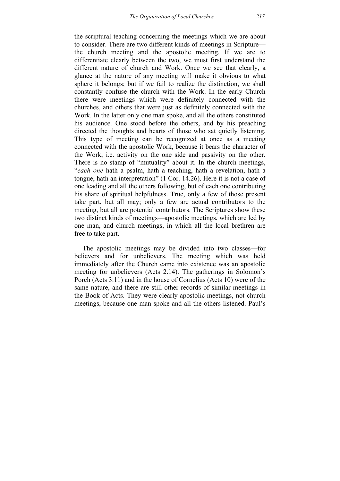the scriptural teaching concerning the meetings which we are about to consider. There are two different kinds of meetings in Scripture the church meeting and the apostolic meeting. If we are to differentiate clearly between the two, we must first understand the different nature of church and Work. Once we see that clearly, a glance at the nature of any meeting will make it obvious to what sphere it belongs; but if we fail to realize the distinction, we shall constantly confuse the church with the Work. In the early Church there were meetings which were definitely connected with the churches, and others that were just as definitely connected with the Work. In the latter only one man spoke, and all the others constituted his audience. One stood before the others, and by his preaching directed the thoughts and hearts of those who sat quietly listening. This type of meeting can be recognized at once as a meeting connected with the apostolic Work, because it bears the character of the Work, i.e. activity on the one side and passivity on the other. There is no stamp of "mutuality" about it. In the church meetings, "*each one* hath a psalm, hath a teaching, hath a revelation, hath a tongue, hath an interpretation" (1 Cor. 14.26). Here it is not a case of one leading and all the others following, but of each one contributing his share of spiritual helpfulness. True, only a few of those present take part, but all may; only a few are actual contributors to the meeting, but all are potential contributors. The Scriptures show these two distinct kinds of meetings—apostolic meetings, which are led by one man, and church meetings, in which all the local brethren are free to take part.

The apostolic meetings may be divided into two classes—for believers and for unbelievers. The meeting which was held immediately after the Church came into existence was an apostolic meeting for unbelievers (Acts 2.14). The gatherings in Solomon's Porch (Acts 3.11) and in the house of Cornelius (Acts 10) were of the same nature, and there are still other records of similar meetings in the Book of Acts. They were clearly apostolic meetings, not church meetings, because one man spoke and all the others listened. Paul's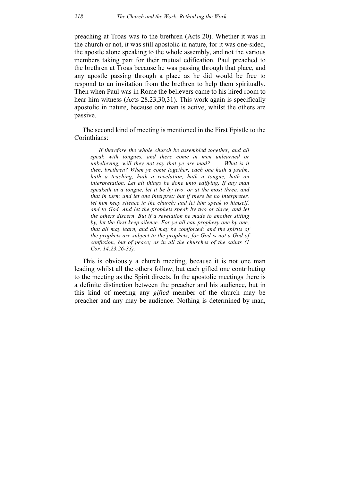preaching at Troas was to the brethren (Acts 20). Whether it was in the church or not, it was still apostolic in nature, for it was one-sided, the apostle alone speaking to the whole assembly, and not the various members taking part for their mutual edification. Paul preached to the brethren at Troas because he was passing through that place, and any apostle passing through a place as he did would be free to respond to an invitation from the brethren to help them spiritually. Then when Paul was in Rome the believers came to his hired room to hear him witness (Acts 28.23,30,31). This work again is specifically apostolic in nature, because one man is active, whilst the others are passive.

The second kind of meeting is mentioned in the First Epistle to the Corinthians:

*If therefore the whole church be assembled together, and all speak with tongues, and there come in men unlearned or unbelieving, will they not say that ye are mad? . . . What is it then, brethren? When ye come together, each one hath a psalm, hath a teaching, hath a revelation, hath a tongue, hath an interpretation. Let all things be done unto edifying. If any man speaketh in a tongue, let it be by two, or at the most three, and that in turn; and let one interpret: but if there be no interpreter, let him keep silence in the church; and let him speak to himself, and to God. And let the prophets speak by two or three, and let the others discern. But if a revelation be made to another sitting by, let the first keep silence. For ye all can prophesy one by one, that all may learn, and all may be comforted; and the spirits of the prophets are subject to the prophets; for God is not a God of confusion, but of peace; as in all the churches of the saints (1 Cor. 14.23,26-33).* 

This is obviously a church meeting, because it is not one man leading whilst all the others follow, but each gifted one contributing to the meeting as the Spirit directs. In the apostolic meetings there is a definite distinction between the preacher and his audience, but in this kind of meeting any *gifted* member of the church may be preacher and any may be audience. Nothing is determined by man,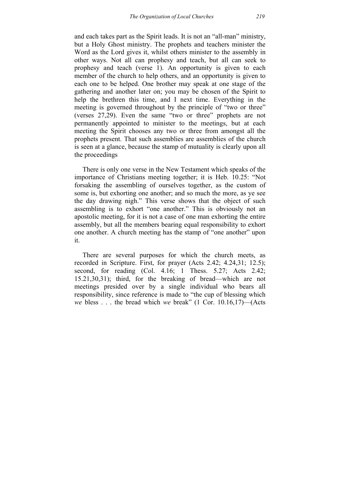and each takes part as the Spirit leads. It is not an "all-man" ministry, but a Holy Ghost ministry. The prophets and teachers minister the Word as the Lord gives it, whilst others minister to the assembly in other ways. Not all can prophesy and teach, but all can seek to prophesy and teach (verse 1). An opportunity is given to each member of the church to help others, and an opportunity is given to each one to be helped. One brother may speak at one stage of the gathering and another later on; you may be chosen of the Spirit to help the brethren this time, and I next time. Everything in the meeting is governed throughout by the principle of "two or three" (verses 27,29). Even the same "two or three" prophets are not permanently appointed to minister to the meetings, but at each meeting the Spirit chooses any two or three from amongst all the prophets present. That such assemblies are assemblies of the church is seen at a glance, because the stamp of mutuality is clearly upon all the proceedings

There is only one verse in the New Testament which speaks of the importance of Christians meeting together; it is Heb. 10.25: "Not forsaking the assembling of ourselves together, as the custom of some is, but exhorting one another; and so much the more, as ye see the day drawing nigh." This verse shows that the object of such assembling is to exhort "one another." This is obviously not an apostolic meeting, for it is not a case of one man exhorting the entire assembly, but all the members bearing equal responsibility to exhort one another. A church meeting has the stamp of "one another" upon it.

There are several purposes for which the church meets, as recorded in Scripture. First, for prayer (Acts 2.42; 4.24,31; 12.5); second, for reading (Col. 4.16; 1 Thess. 5.27; Acts 2.42; 15.21,30,31); third, for the breaking of bread—which are not meetings presided over by a single individual who bears all responsibility, since reference is made to "the cup of blessing which *we* bless . . . the bread which *we* break" (1 Cor. 10.16,17)—(Acts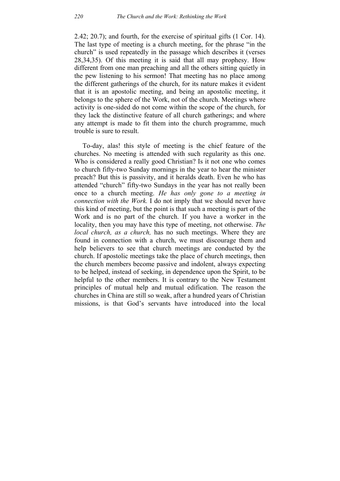2.42; 20.7); and fourth, for the exercise of spiritual gifts (1 Cor. 14). The last type of meeting is a church meeting, for the phrase "in the church" is used repeatedly in the passage which describes it (verses 28,34,35). Of this meeting it is said that all may prophesy. How different from one man preaching and all the others sitting quietly in the pew listening to his sermon! That meeting has no place among the different gatherings of the church, for its nature makes it evident that it is an apostolic meeting, and being an apostolic meeting, it belongs to the sphere of the Work, not of the church. Meetings where activity is one-sided do not come within the scope of the church, for they lack the distinctive feature of all church gatherings; and where any attempt is made to fit them into the church programme, much trouble is sure to result.

To-day, alas! this style of meeting is the chief feature of the churches. No meeting is attended with such regularity as this one. Who is considered a really good Christian? Is it not one who comes to church fifty-two Sunday mornings in the year to hear the minister preach? But this is passivity, and it heralds death. Even he who has attended "church" fifty-two Sundays in the year has not really been once to a church meeting. *He has only gone to a meeting in connection with the Work.* I do not imply that we should never have this kind of meeting, but the point is that such a meeting is part of the Work and is no part of the church. If you have a worker in the locality, then you may have this type of meeting, not otherwise. *The local church, as a church,* has no such meetings. Where they are found in connection with a church, we must discourage them and help believers to see that church meetings are conducted by the church. If apostolic meetings take the place of church meetings, then the church members become passive and indolent, always expecting to be helped, instead of seeking, in dependence upon the Spirit, to be helpful to the other members. It is contrary to the New Testament principles of mutual help and mutual edification. The reason the churches in China are still so weak, after a hundred years of Christian missions, is that God's servants have introduced into the local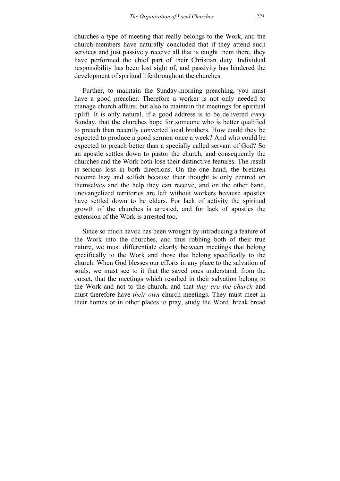churches a type of meeting that really belongs to the Work, and the church-members have naturally concluded that if they attend such services and just passively receive all that is taught them there, they have performed the chief part of their Christian duty. Individual responsibility has been lost sight of, and passivity has hindered the development of spiritual life throughout the churches.

Further, to maintain the Sunday-morning preaching, you must have a good preacher. Therefore a worker is not only needed to manage church affairs, but also to maintain the meetings for spiritual uplift. It is only natural, if a good address is to be delivered *every* Sunday, that the churches hope for someone who is better qualified to preach than recently converted local brothers. How could they be expected to produce a good sermon once a week? And who could be expected to preach better than a specially called servant of God? So an apostle settles down to pastor the church, and consequently the churches and the Work both lose their distinctive features. The result is serious loss in both directions. On the one hand, the brethren become lazy and selfish because their thought is only centred on themselves and the help they can receive, and on the other hand, unevangelized territories are left without workers because apostles have settled down to be elders. For lack of activity the spiritual growth of the churches is arrested, and for lack of apostles the extension of the Work is arrested too.

Since so much havoc has been wrought by introducing a feature of the Work into the churches, and thus robbing both of their true nature, we must differentiate clearly between meetings that belong specifically to the Work and those that belong specifically to the church. When God blesses our efforts in any place to the salvation of souls, we must see to it that the saved ones understand, from the outset, that the meetings which resulted in their salvation belong to the Work and not to the church, and that *they are the church* and must therefore have *their own* church meetings. They must meet in their homes or in other places to pray, study the Word, break bread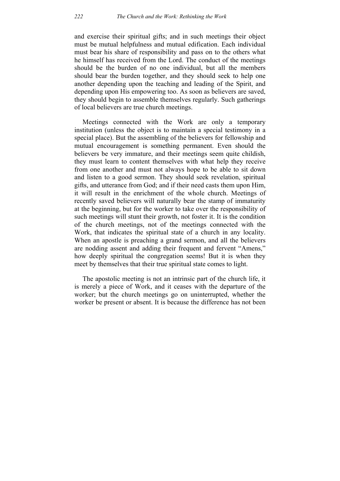and exercise their spiritual gifts; and in such meetings their object must be mutual helpfulness and mutual edification. Each individual must bear his share of responsibility and pass on to the others what he himself has received from the Lord. The conduct of the meetings should be the burden of no one individual, but all the members should bear the burden together, and they should seek to help one another depending upon the teaching and leading of the Spirit, and depending upon His empowering too. As soon as believers are saved, they should begin to assemble themselves regularly. Such gatherings of local believers are true church meetings.

Meetings connected with the Work are only a temporary institution (unless the object is to maintain a special testimony in a special place). But the assembling of the believers for fellowship and mutual encouragement is something permanent. Even should the believers be very immature, and their meetings seem quite childish, they must learn to content themselves with what help they receive from one another and must not always hope to be able to sit down and listen to a good sermon. They should seek revelation, spiritual gifts, and utterance from God; and if their need casts them upon Him, it will result in the enrichment of the whole church. Meetings of recently saved believers will naturally bear the stamp of immaturity at the beginning, but for the worker to take over the responsibility of such meetings will stunt their growth, not foster it. It is the condition of the church meetings, not of the meetings connected with the Work, that indicates the spiritual state of a church in any locality. When an apostle is preaching a grand sermon, and all the believers are nodding assent and adding their frequent and fervent "Amens," how deeply spiritual the congregation seems! But it is when they meet by themselves that their true spiritual state comes to light.

The apostolic meeting is not an intrinsic part of the church life, it is merely a piece of Work, and it ceases with the departure of the worker; but the church meetings go on uninterrupted, whether the worker be present or absent. It is because the difference has not been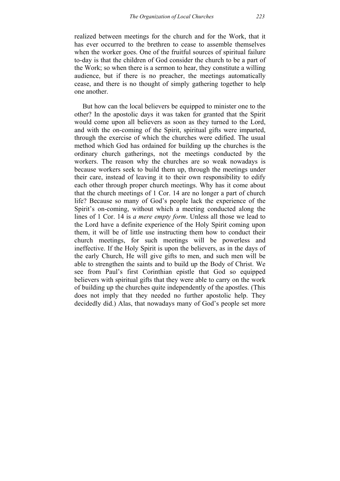realized between meetings for the church and for the Work, that it has ever occurred to the brethren to cease to assemble themselves when the worker goes. One of the fruitful sources of spiritual failure to-day is that the children of God consider the church to be a part of the Work; so when there is a sermon to hear, they constitute a willing audience, but if there is no preacher, the meetings automatically cease, and there is no thought of simply gathering together to help one another.

But how can the local believers be equipped to minister one to the other? In the apostolic days it was taken for granted that the Spirit would come upon all believers as soon as they turned to the Lord, and with the on-coming of the Spirit, spiritual gifts were imparted, through the exercise of which the churches were edified. The usual method which God has ordained for building up the churches is the ordinary church gatherings, not the meetings conducted by the workers. The reason why the churches are so weak nowadays is because workers seek to build them up, through the meetings under their care, instead of leaving it to their own responsibility to edify each other through proper church meetings. Why has it come about that the church meetings of 1 Cor. 14 are no longer a part of church life? Because so many of God's people lack the experience of the Spirit's on-coming, without which a meeting conducted along the lines of 1 Cor. 14 is *a mere empty form*. Unless all those we lead to the Lord have a definite experience of the Holy Spirit coming upon them, it will be of little use instructing them how to conduct their church meetings, for such meetings will be powerless and ineffective. If the Holy Spirit is upon the believers, as in the days of the early Church, He will give gifts to men, and such men will be able to strengthen the saints and to build up the Body of Christ. We see from Paul's first Corinthian epistle that God so equipped believers with spiritual gifts that they were able to carry on the work of building up the churches quite independently of the apostles. (This does not imply that they needed no further apostolic help. They decidedly did.) Alas, that nowadays many of God's people set more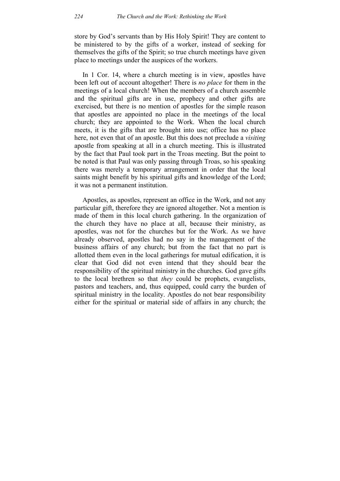store by God's servants than by His Holy Spirit! They are content to be ministered to by the gifts of a worker, instead of seeking for themselves the gifts of the Spirit; so true church meetings have given place to meetings under the auspices of the workers.

In 1 Cor. 14, where a church meeting is in view, apostles have been left out of account altogether! There is *no place* for them in the meetings of a local church! When the members of a church assemble and the spiritual gifts are in use, prophecy and other gifts are exercised, but there is no mention of apostles for the simple reason that apostles are appointed no place in the meetings of the local church; they are appointed to the Work. When the local church meets, it is the gifts that are brought into use; office has no place here, not even that of an apostle. But this does not preclude a *visiting* apostle from speaking at all in a church meeting. This is illustrated by the fact that Paul took part in the Troas meeting. But the point to be noted is that Paul was only passing through Troas, so his speaking there was merely a temporary arrangement in order that the local saints might benefit by his spiritual gifts and knowledge of the Lord; it was not a permanent institution.

Apostles, as apostles, represent an office in the Work, and not any particular gift, therefore they are ignored altogether. Not a mention is made of them in this local church gathering. In the organization of the church they have no place at all, because their ministry, as apostles, was not for the churches but for the Work. As we have already observed, apostles had no say in the management of the business affairs of any church; but from the fact that no part is allotted them even in the local gatherings for mutual edification, it is clear that God did not even intend that they should bear the responsibility of the spiritual ministry in the churches. God gave gifts to the local brethren so that *they* could be prophets, evangelists, pastors and teachers, and, thus equipped, could carry the burden of spiritual ministry in the locality. Apostles do not bear responsibility either for the spiritual or material side of affairs in any church; the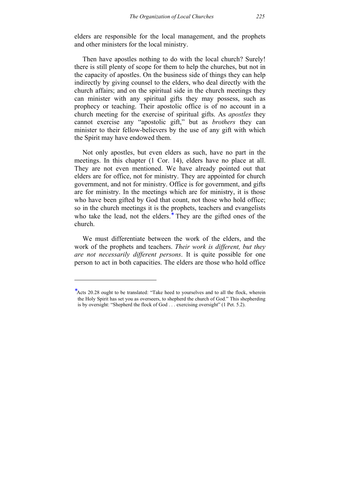elders are responsible for the local management, and the prophets and other ministers for the local ministry.

Then have apostles nothing to do with the local church? Surely! there is still plenty of scope for them to help the churches, but not in the capacity of apostles. On the business side of things they can help indirectly by giving counsel to the elders, who deal directly with the church affairs; and on the spiritual side in the church meetings they can minister with any spiritual gifts they may possess, such as prophecy or teaching. Their apostolic office is of no account in a church meeting for the exercise of spiritual gifts. As *apostles* they cannot exercise any "apostolic gift," but as *brothers* they can minister to their fellow-believers by the use of any gift with which the Spirit may have endowed them.

Not only apostles, but even elders as such, have no part in the meetings. In this chapter (1 Cor. 14), elders have no place at all. They are not even mentioned. We have already pointed out that elders are for office, not for ministry. They are appointed for church government, and not for ministry. Office is for government, and gifts are for ministry. In the meetings which are for ministry, it is those who have been gifted by God that count, not those who hold office; so in the church meetings it is the prophets, teachers and evangelists who take the lead, not the elders.<sup>\*</sup> They are the gifted ones of the church.

We must differentiate between the work of the elders, and the work of the prophets and teachers. *Their work is different, but they are not necessarily different persons*. It is quite possible for one person to act in both capacities. The elders are those who hold office

-

<sup>∗</sup> Acts 20.28 ought to be translated: "Take heed to yourselves and to all the flock, wherein the Holy Spirit has set you as overseers, to shepherd the church of God." This shepherding is by oversight: "Shepherd the flock of God . . . exercising oversight" (1 Pet. 5.2).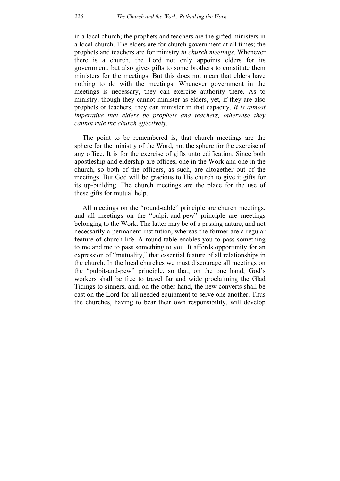in a local church; the prophets and teachers are the gifted ministers in a local church. The elders are for church government at all times; the prophets and teachers are for ministry *in church meetings*. Whenever there is a church, the Lord not only appoints elders for its government, but also gives gifts to some brothers to constitute them ministers for the meetings. But this does not mean that elders have nothing to do with the meetings. Whenever government in the meetings is necessary, they can exercise authority there. As to ministry, though they cannot minister as elders, yet, if they are also prophets or teachers, they can minister in that capacity. *It is almost imperative that elders be prophets and teachers, otherwise they cannot rule the church effectively.*

The point to be remembered is, that church meetings are the sphere for the ministry of the Word, not the sphere for the exercise of any office. It is for the exercise of gifts unto edification. Since both apostleship and eldership are offices, one in the Work and one in the church, so both of the officers, as such, are altogether out of the meetings. But God will be gracious to His church to give it gifts for its up-building. The church meetings are the place for the use of these gifts for mutual help.

All meetings on the "round-table" principle are church meetings, and all meetings on the "pulpit-and-pew" principle are meetings belonging to the Work. The latter may be of a passing nature, and not necessarily a permanent institution, whereas the former are a regular feature of church life. A round-table enables you to pass something to me and me to pass something to you. It affords opportunity for an expression of "mutuality," that essential feature of all relationships in the church. In the local churches we must discourage all meetings on the "pulpit-and-pew" principle, so that, on the one hand, God's workers shall be free to travel far and wide proclaiming the Glad Tidings to sinners, and, on the other hand, the new converts shall be cast on the Lord for all needed equipment to serve one another. Thus the churches, having to bear their own responsibility, will develop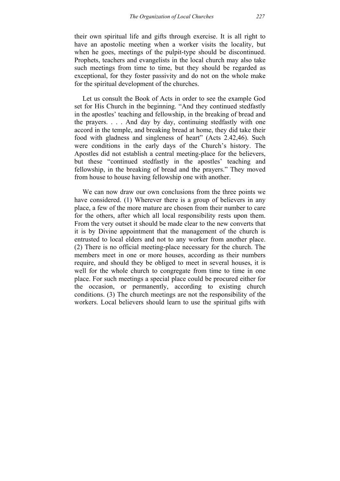their own spiritual life and gifts through exercise. It is all right to have an apostolic meeting when a worker visits the locality, but when he goes, meetings of the pulpit-type should be discontinued. Prophets, teachers and evangelists in the local church may also take such meetings from time to time, but they should be regarded as exceptional, for they foster passivity and do not on the whole make for the spiritual development of the churches.

Let us consult the Book of Acts in order to see the example God set for His Church in the beginning. "And they continued stedfastly in the apostles' teaching and fellowship, in the breaking of bread and the prayers. . . . And day by day, continuing stedfastly with one accord in the temple, and breaking bread at home, they did take their food with gladness and singleness of heart" (Acts 2.42,46). Such were conditions in the early days of the Church's history. The Apostles did not establish a central meeting-place for the believers, but these "continued stedfastly in the apostles' teaching and fellowship, in the breaking of bread and the prayers." They moved from house to house having fellowship one with another.

We can now draw our own conclusions from the three points we have considered. (1) Wherever there is a group of believers in any place, a few of the more mature are chosen from their number to care for the others, after which all local responsibility rests upon them. From the very outset it should be made clear to the new converts that it is by Divine appointment that the management of the church is entrusted to local elders and not to any worker from another place. (2) There is no official meeting-place necessary for the church. The members meet in one or more houses, according as their numbers require, and should they be obliged to meet in several houses, it is well for the whole church to congregate from time to time in one place. For such meetings a special place could be procured either for the occasion, or permanently, according to existing church conditions. (3) The church meetings are not the responsibility of the workers. Local believers should learn to use the spiritual gifts with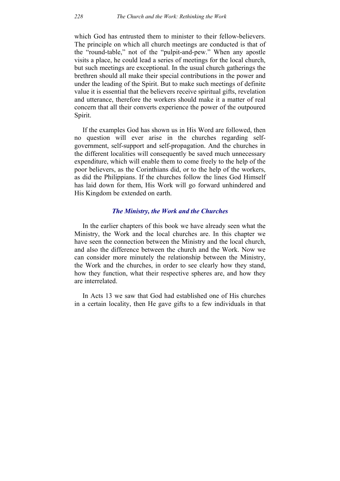which God has entrusted them to minister to their fellow-believers. The principle on which all church meetings are conducted is that of the "round-table," not of the "pulpit-and-pew." When any apostle visits a place, he could lead a series of meetings for the local church, but such meetings are exceptional. In the usual church gatherings the brethren should all make their special contributions in the power and under the leading of the Spirit. But to make such meetings of definite value it is essential that the believers receive spiritual gifts, revelation and utterance, therefore the workers should make it a matter of real concern that all their converts experience the power of the outpoured Spirit.

If the examples God has shown us in His Word are followed, then no question will ever arise in the churches regarding selfgovernment, self-support and self-propagation. And the churches in the different localities will consequently be saved much unnecessary expenditure, which will enable them to come freely to the help of the poor believers, as the Corinthians did, or to the help of the workers, as did the Philippians. If the churches follow the lines God Himself has laid down for them, His Work will go forward unhindered and His Kingdom be extended on earth.

## *The Ministry, the Work and the Churches*

In the earlier chapters of this book we have already seen what the Ministry, the Work and the local churches are. In this chapter we have seen the connection between the Ministry and the local church, and also the difference between the church and the Work. Now we can consider more minutely the relationship between the Ministry, the Work and the churches, in order to see clearly how they stand, how they function, what their respective spheres are, and how they are interrelated.

In Acts 13 we saw that God had established one of His churches in a certain locality, then He gave gifts to a few individuals in that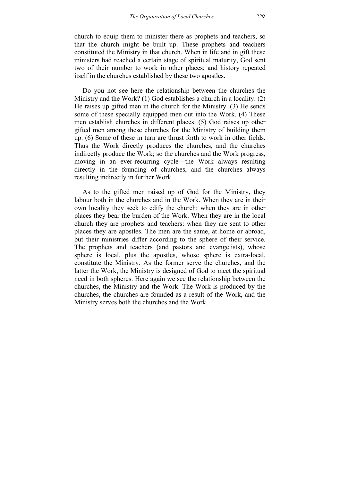church to equip them to minister there as prophets and teachers, so that the church might be built up. These prophets and teachers constituted the Ministry in that church. When in life and in gift these ministers had reached a certain stage of spiritual maturity, God sent two of their number to work in other places; and history repeated itself in the churches established by these two apostles.

Do you not see here the relationship between the churches the Ministry and the Work? (1) God establishes a church in a locality. (2) He raises up gifted men in the church for the Ministry. (3) He sends some of these specially equipped men out into the Work. (4) These men establish churches in different places. (5) God raises up other gifted men among these churches for the Ministry of building them up. (6) Some of these in turn are thrust forth to work in other fields. Thus the Work directly produces the churches, and the churches indirectly produce the Work; so the churches and the Work progress, moving in an ever-recurring cycle—the Work always resulting directly in the founding of churches, and the churches always resulting indirectly in further Work.

As to the gifted men raised up of God for the Ministry, they labour both in the churches and in the Work. When they are in their own locality they seek to edify the church: when they are in other places they bear the burden of the Work. When they are in the local church they are prophets and teachers: when they are sent to other places they are apostles. The men are the same, at home or abroad, but their ministries differ according to the sphere of their service. The prophets and teachers (and pastors and evangelists), whose sphere is local, plus the apostles, whose sphere is extra-local, constitute the Ministry. As the former serve the churches, and the latter the Work, the Ministry is designed of God to meet the spiritual need in both spheres. Here again we see the relationship between the churches, the Ministry and the Work. The Work is produced by the churches, the churches are founded as a result of the Work, and the Ministry serves both the churches and the Work.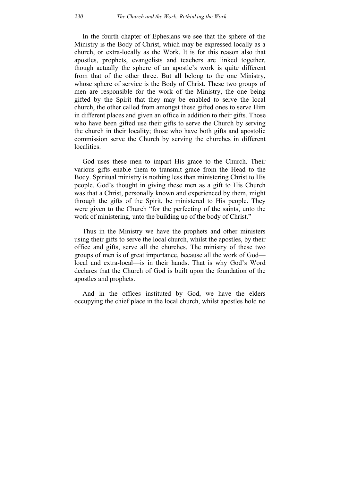In the fourth chapter of Ephesians we see that the sphere of the Ministry is the Body of Christ, which may be expressed locally as a church, or extra-locally as the Work. It is for this reason also that apostles, prophets, evangelists and teachers are linked together, though actually the sphere of an apostle's work is quite different from that of the other three. But all belong to the one Ministry, whose sphere of service is the Body of Christ. These two groups of men are responsible for the work of the Ministry, the one being gifted by the Spirit that they may be enabled to serve the local church, the other called from amongst these gifted ones to serve Him in different places and given an office in addition to their gifts. Those who have been gifted use their gifts to serve the Church by serving the church in their locality; those who have both gifts and apostolic commission serve the Church by serving the churches in different localities.

God uses these men to impart His grace to the Church. Their various gifts enable them to transmit grace from the Head to the Body. Spiritual ministry is nothing less than ministering Christ to His people. God's thought in giving these men as a gift to His Church was that a Christ, personally known and experienced by them, might through the gifts of the Spirit, be ministered to His people. They were given to the Church "for the perfecting of the saints, unto the work of ministering, unto the building up of the body of Christ."

Thus in the Ministry we have the prophets and other ministers using their gifts to serve the local church, whilst the apostles, by their office and gifts, serve all the churches. The ministry of these two groups of men is of great importance, because all the work of God local and extra-local—is in their hands. That is why God's Word declares that the Church of God is built upon the foundation of the apostles and prophets.

And in the offices instituted by God, we have the elders occupying the chief place in the local church, whilst apostles hold no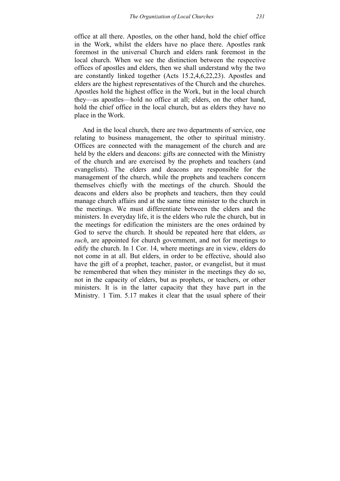office at all there. Apostles, on the other hand, hold the chief office in the Work, whilst the elders have no place there. Apostles rank foremost in the universal Church and elders rank foremost in the local church. When we see the distinction between the respective offices of apostles and elders, then we shall understand why the two are constantly linked together (Acts 15.2,4,6,22,23). Apostles and elders are the highest representatives of the Church and the churches. Apostles hold the highest office in the Work, but in the local church they—as apostles—hold no office at all; elders, on the other hand, hold the chief office in the local church, but as elders they have no place in the Work.

And in the local church, there are two departments of service, one relating to business management, the other to spiritual ministry. Offices are connected with the management of the church and are held by the elders and deacons: gifts are connected with the Ministry of the church and are exercised by the prophets and teachers (and evangelists). The elders and deacons are responsible for the management of the church, while the prophets and teachers concern themselves chiefly with the meetings of the church. Should the deacons and elders also be prophets and teachers, then they could manage church affairs and at the same time minister to the church in the meetings. We must differentiate between the elders and the ministers. In everyday life, it is the elders who rule the church, but in the meetings for edification the ministers are the ones ordained by God to serve the church. It should be repeated here that elders, *as such*, are appointed for church government, and not for meetings to edify the church. In 1 Cor. 14, where meetings are in view, elders do not come in at all. But elders, in order to be effective, should also have the gift of a prophet, teacher, pastor, or evangelist, but it must be remembered that when they minister in the meetings they do so, not in the capacity of elders, but as prophets, or teachers, or other ministers. It is in the latter capacity that they have part in the Ministry. 1 Tim. 5.17 makes it clear that the usual sphere of their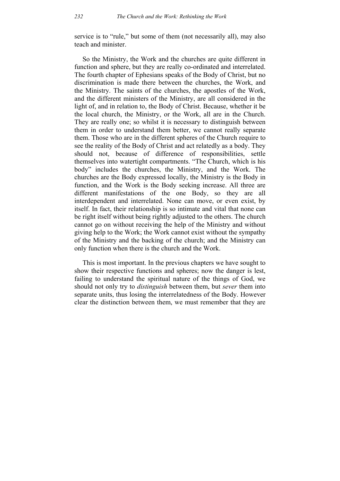service is to "rule," but some of them (not necessarily all), may also teach and minister.

So the Ministry, the Work and the churches are quite different in function and sphere, but they are really co-ordinated and interrelated. The fourth chapter of Ephesians speaks of the Body of Christ, but no discrimination is made there between the churches, the Work, and the Ministry. The saints of the churches, the apostles of the Work, and the different ministers of the Ministry, are all considered in the light of, and in relation to, the Body of Christ. Because, whether it be the local church, the Ministry, or the Work, all are in the Church. They are really one; so whilst it is necessary to distinguish between them in order to understand them better, we cannot really separate them. Those who are in the different spheres of the Church require to see the reality of the Body of Christ and act relatedly as a body. They should not, because of difference of responsibilities, settle themselves into watertight compartments. "The Church, which is his body" includes the churches, the Ministry, and the Work. The churches are the Body expressed locally, the Ministry is the Body in function, and the Work is the Body seeking increase. All three are different manifestations of the one Body, so they are all interdependent and interrelated. None can move, or even exist, by itself. In fact, their relationship is so intimate and vital that none can be right itself without being rightly adjusted to the others. The church cannot go on without receiving the help of the Ministry and without giving help to the Work; the Work cannot exist without the sympathy of the Ministry and the backing of the church; and the Ministry can only function when there is the church and the Work.

This is most important. In the previous chapters we have sought to show their respective functions and spheres; now the danger is lest, failing to understand the spiritual nature of the things of God, we should not only try to *distinguish* between them, but *sever* them into separate units, thus losing the interrelatedness of the Body. However clear the distinction between them, we must remember that they are